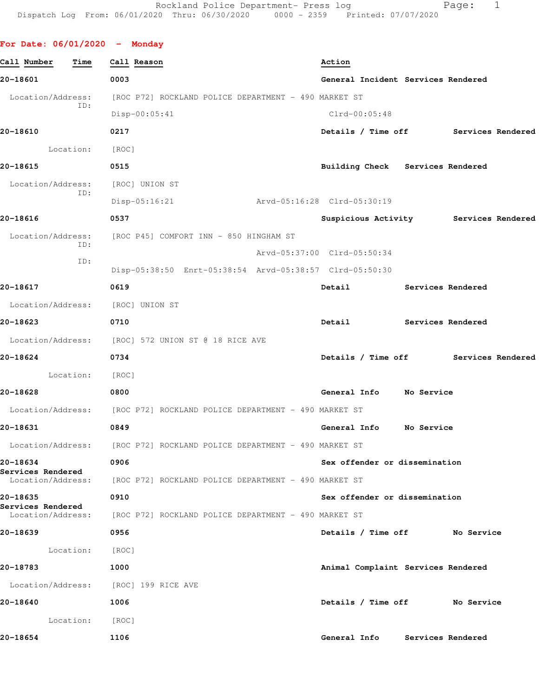| For Date: $06/01/2020 -$ Monday      |                                                                        |                                    |                   |                                       |  |
|--------------------------------------|------------------------------------------------------------------------|------------------------------------|-------------------|---------------------------------------|--|
| Call Number<br>Time                  | Call Reason                                                            | Action                             |                   |                                       |  |
| 20-18601                             | 0003                                                                   | General Incident Services Rendered |                   |                                       |  |
| Location/Address:                    | [ROC P72] ROCKLAND POLICE DEPARTMENT - 490 MARKET ST                   |                                    |                   |                                       |  |
| ID:                                  | $Disp-00:05:41$                                                        | Clrd-00:05:48                      |                   |                                       |  |
| 20-18610                             | 0217                                                                   |                                    |                   | Details / Time off Services Rendered  |  |
|                                      |                                                                        |                                    |                   |                                       |  |
| Location: [ROC]<br>20-18615          | 0515                                                                   |                                    |                   |                                       |  |
|                                      |                                                                        | Building Check Services Rendered   |                   |                                       |  |
| Location/Address:<br>ID:             | [ROC] UNION ST                                                         |                                    |                   |                                       |  |
|                                      | Disp-05:16:21                                                          | Arvd-05:16:28 Clrd-05:30:19        |                   |                                       |  |
| 20-18616                             | 0537                                                                   |                                    |                   | Suspicious Activity Services Rendered |  |
| Location/Address:<br>ID:             | [ROC P45] COMFORT INN - 850 HINGHAM ST                                 |                                    |                   |                                       |  |
| ID:                                  |                                                                        | Arvd-05:37:00 Clrd-05:50:34        |                   |                                       |  |
|                                      | Disp-05:38:50 Enrt-05:38:54 Arvd-05:38:57 Clrd-05:50:30                |                                    |                   |                                       |  |
| 20-18617                             | 0619                                                                   | Detail                             | Services Rendered |                                       |  |
| Location/Address: [ROC] UNION ST     |                                                                        |                                    |                   |                                       |  |
| 20-18623                             | 0710                                                                   | <b>Detail</b>                      |                   | Services Rendered                     |  |
|                                      | Location/Address: [ROC] 572 UNION ST @ 18 RICE AVE                     |                                    |                   |                                       |  |
| 20-18624                             | 0734                                                                   |                                    |                   | Details / Time off Services Rendered  |  |
| Location:                            | [ROC]                                                                  |                                    |                   |                                       |  |
| 20-18628                             | 0800                                                                   | General Info                       | No Service        |                                       |  |
|                                      | Location/Address: [ROC P72] ROCKLAND POLICE DEPARTMENT - 490 MARKET ST |                                    |                   |                                       |  |
| 20-18631                             | 0849                                                                   | General Info                       | No Service        |                                       |  |
|                                      | Location/Address: [ROC P72] ROCKLAND POLICE DEPARTMENT - 490 MARKET ST |                                    |                   |                                       |  |
| 20-18634<br>Services Rendered        | 0906                                                                   | Sex offender or dissemination      |                   |                                       |  |
| Location/Address:                    | [ROC P72] ROCKLAND POLICE DEPARTMENT - 490 MARKET ST                   |                                    |                   |                                       |  |
| 20-18635<br>Services Rendered        | 0910                                                                   | Sex offender or dissemination      |                   |                                       |  |
|                                      | Location/Address: [ROC P72] ROCKLAND POLICE DEPARTMENT - 490 MARKET ST |                                    |                   |                                       |  |
| 20-18639                             | 0956                                                                   | Details / Time off No Service      |                   |                                       |  |
| Location:                            | [ROC]                                                                  |                                    |                   |                                       |  |
| 20-18783                             | 1000                                                                   | Animal Complaint Services Rendered |                   |                                       |  |
| Location/Address: [ROC] 199 RICE AVE |                                                                        |                                    |                   |                                       |  |
| 20-18640                             | 1006                                                                   | Details / Time off No Service      |                   |                                       |  |
| Location: [ROC]                      |                                                                        |                                    |                   |                                       |  |
| 20-18654                             | 1106                                                                   | General Info                       |                   | Services Rendered                     |  |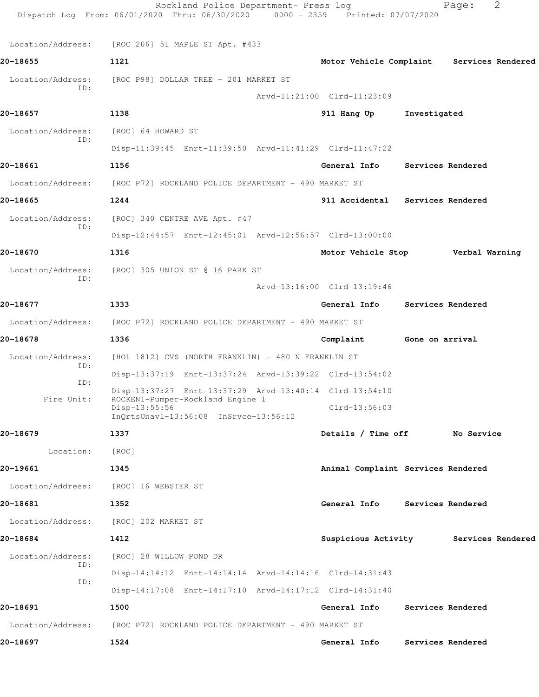|                   | Rockland Police Department- Press log<br>Dispatch Log From: 06/01/2020 Thru: 06/30/2020 0000 - 2359 Printed: 07/07/2020 |                             |                                           |                   | Page:             | 2 |
|-------------------|-------------------------------------------------------------------------------------------------------------------------|-----------------------------|-------------------------------------------|-------------------|-------------------|---|
|                   | Location/Address: [ROC 206] 51 MAPLE ST Apt. #433                                                                       |                             |                                           |                   |                   |   |
| 20-18655          | 1121                                                                                                                    |                             | Motor Vehicle Complaint Services Rendered |                   |                   |   |
| Location/Address: | [ROC P98] DOLLAR TREE - 201 MARKET ST                                                                                   |                             |                                           |                   |                   |   |
| ID:               |                                                                                                                         | Arvd-11:21:00 Clrd-11:23:09 |                                           |                   |                   |   |
| 20-18657          | 1138                                                                                                                    |                             | 911 Hang Up                               | Investigated      |                   |   |
| Location/Address: | [ROC] 64 HOWARD ST                                                                                                      |                             |                                           |                   |                   |   |
| ID:               | Disp-11:39:45 Enrt-11:39:50 Arvd-11:41:29 Clrd-11:47:22                                                                 |                             |                                           |                   |                   |   |
| 20-18661          | 1156                                                                                                                    |                             | General Info Services Rendered            |                   |                   |   |
|                   | Location/Address: [ROC P72] ROCKLAND POLICE DEPARTMENT - 490 MARKET ST                                                  |                             |                                           |                   |                   |   |
| 20-18665          | 1244                                                                                                                    |                             | 911 Accidental Services Rendered          |                   |                   |   |
| Location/Address: | [ROC] 340 CENTRE AVE Apt. #47                                                                                           |                             |                                           |                   |                   |   |
| ID:               | Disp-12:44:57 Enrt-12:45:01 Arvd-12:56:57 Clrd-13:00:00                                                                 |                             |                                           |                   |                   |   |
| 20-18670          | 1316                                                                                                                    |                             | Motor Vehicle Stop Verbal Warning         |                   |                   |   |
| Location/Address: | [ROC] 305 UNION ST @ 16 PARK ST                                                                                         |                             |                                           |                   |                   |   |
| ID:               |                                                                                                                         | Arvd-13:16:00 Clrd-13:19:46 |                                           |                   |                   |   |
| 20-18677          | 1333                                                                                                                    |                             | General Info Services Rendered            |                   |                   |   |
| Location/Address: | [ROC P72] ROCKLAND POLICE DEPARTMENT - 490 MARKET ST                                                                    |                             |                                           |                   |                   |   |
| 20-18678          | 1336                                                                                                                    | Complaint                   |                                           | Gone on arrival   |                   |   |
| Location/Address: | [HOL 1812] CVS (NORTH FRANKLIN) - 480 N FRANKLIN ST                                                                     |                             |                                           |                   |                   |   |
| ID:               | Disp-13:37:19 Enrt-13:37:24 Arvd-13:39:22 Clrd-13:54:02                                                                 |                             |                                           |                   |                   |   |
| ID:               | Disp-13:37:27 Enrt-13:37:29 Arvd-13:40:14 Clrd-13:54:10                                                                 |                             |                                           |                   |                   |   |
| Fire Unit:        | ROCKEN1-Pumper-Rockland Engine 1<br>Disp-13:55:56<br>InQrtsUnavl-13:56:08 InSrvce-13:56:12                              |                             | $Clrd-13:56:03$                           |                   |                   |   |
| 20-18679          | 1337                                                                                                                    |                             | Details / Time off                        |                   | No Service        |   |
| Location:         | [ROC]                                                                                                                   |                             |                                           |                   |                   |   |
| 20-19661          | 1345                                                                                                                    |                             | Animal Complaint Services Rendered        |                   |                   |   |
| Location/Address: | [ROC] 16 WEBSTER ST                                                                                                     |                             |                                           |                   |                   |   |
| 20-18681          | 1352                                                                                                                    |                             | General Info                              | Services Rendered |                   |   |
| Location/Address: | [ROC] 202 MARKET ST                                                                                                     |                             |                                           |                   |                   |   |
| 20-18684          | 1412                                                                                                                    |                             | Suspicious Activity                       |                   | Services Rendered |   |
| Location/Address: | [ROC] 28 WILLOW POND DR                                                                                                 |                             |                                           |                   |                   |   |
| ID:               | Disp-14:14:12 Enrt-14:14:14 Arvd-14:14:16 Clrd-14:31:43                                                                 |                             |                                           |                   |                   |   |
| ID:               | Disp-14:17:08 Enrt-14:17:10 Arvd-14:17:12 Clrd-14:31:40                                                                 |                             |                                           |                   |                   |   |
| 20-18691          | 1500                                                                                                                    |                             | General Info                              | Services Rendered |                   |   |
| Location/Address: | [ROC P72] ROCKLAND POLICE DEPARTMENT - 490 MARKET ST                                                                    |                             |                                           |                   |                   |   |
| 20-18697          | 1524                                                                                                                    |                             | General Info                              | Services Rendered |                   |   |
|                   |                                                                                                                         |                             |                                           |                   |                   |   |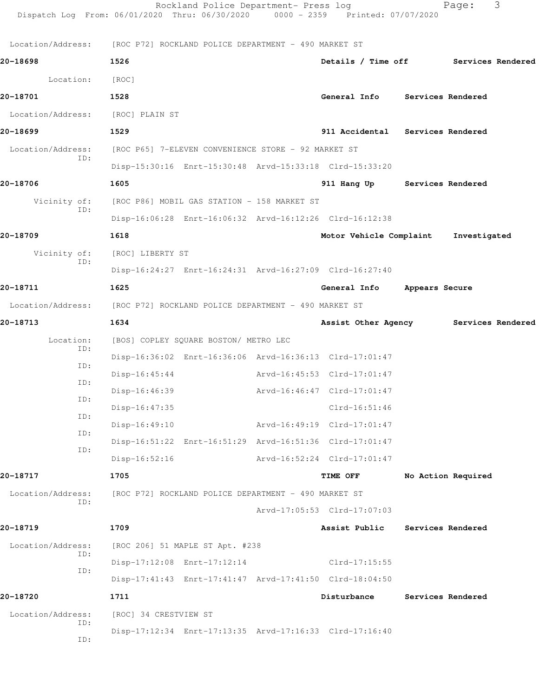|                   | Rockland Police Department- Press log<br>Dispatch Log From: 06/01/2020 Thru: 06/30/2020 0000 - 2359 Printed: 07/07/2020 |                                      |                | Page:              | 3 |
|-------------------|-------------------------------------------------------------------------------------------------------------------------|--------------------------------------|----------------|--------------------|---|
|                   | Location/Address: [ROC P72] ROCKLAND POLICE DEPARTMENT - 490 MARKET ST                                                  |                                      |                |                    |   |
| 20-18698          | 1526                                                                                                                    | Details / Time off Services Rendered |                |                    |   |
| Location:         | [ROC]                                                                                                                   |                                      |                |                    |   |
| 20-18701          | 1528                                                                                                                    | General Info Services Rendered       |                |                    |   |
| Location/Address: | [ROC] PLAIN ST                                                                                                          |                                      |                |                    |   |
| 20-18699          | 1529                                                                                                                    | 911 Accidental Services Rendered     |                |                    |   |
| Location/Address: | [ROC P65] 7-ELEVEN CONVENIENCE STORE - 92 MARKET ST                                                                     |                                      |                |                    |   |
| ID:               | Disp-15:30:16 Enrt-15:30:48 Arvd-15:33:18 Clrd-15:33:20                                                                 |                                      |                |                    |   |
| 20-18706          | 1605                                                                                                                    | 911 Hang Up Services Rendered        |                |                    |   |
| Vicinity of:      | [ROC P86] MOBIL GAS STATION - 158 MARKET ST                                                                             |                                      |                |                    |   |
| ID:               | Disp-16:06:28 Enrt-16:06:32 Arvd-16:12:26 Clrd-16:12:38                                                                 |                                      |                |                    |   |
| 20-18709          | 1618                                                                                                                    | Motor Vehicle Complaint              |                | Investigated       |   |
| Vicinity of:      | [ROC] LIBERTY ST                                                                                                        |                                      |                |                    |   |
| ID:               | Disp-16:24:27 Enrt-16:24:31 Arvd-16:27:09 Clrd-16:27:40                                                                 |                                      |                |                    |   |
| 20-18711          | 1625                                                                                                                    | General Info                         | Appears Secure |                    |   |
|                   | Location/Address: [ROC P72] ROCKLAND POLICE DEPARTMENT - 490 MARKET ST                                                  |                                      |                |                    |   |
| 20-18713          | 1634                                                                                                                    | Assist Other Agency                  |                | Services Rendered  |   |
| Location:         | [BOS] COPLEY SQUARE BOSTON/ METRO LEC                                                                                   |                                      |                |                    |   |
| ID:               | Disp-16:36:02 Enrt-16:36:06 Arvd-16:36:13 Clrd-17:01:47                                                                 |                                      |                |                    |   |
| ID:               | $Disp-16:45:44$                                                                                                         | Arvd-16:45:53 Clrd-17:01:47          |                |                    |   |
| ID:               | Disp-16:46:39                                                                                                           | Arvd-16:46:47 Clrd-17:01:47          |                |                    |   |
| ID:               | Disp-16:47:35                                                                                                           | $Clrd-16:51:46$                      |                |                    |   |
| ID:               | $Disp-16:49:10$                                                                                                         | Arvd-16:49:19 Clrd-17:01:47          |                |                    |   |
| ID:               | Disp-16:51:22 Enrt-16:51:29 Arvd-16:51:36 Clrd-17:01:47                                                                 |                                      |                |                    |   |
| ID:               | $Disp-16:52:16$                                                                                                         | Arvd-16:52:24 Clrd-17:01:47          |                |                    |   |
| 20-18717          | 1705                                                                                                                    | <b>TIME OFF</b>                      |                | No Action Required |   |
| Location/Address: | [ROC P72] ROCKLAND POLICE DEPARTMENT - 490 MARKET ST                                                                    |                                      |                |                    |   |
| ID:               |                                                                                                                         | Arvd-17:05:53 Clrd-17:07:03          |                |                    |   |
| 20-18719          | 1709                                                                                                                    | Assist Public                        |                | Services Rendered  |   |
| Location/Address: | [ROC 206] 51 MAPLE ST Apt. #238                                                                                         |                                      |                |                    |   |
| ID:               | Disp-17:12:08 Enrt-17:12:14                                                                                             | Clrd-17:15:55                        |                |                    |   |
| ID:               | Disp-17:41:43 Enrt-17:41:47 Arvd-17:41:50 Clrd-18:04:50                                                                 |                                      |                |                    |   |
| 20-18720          | 1711                                                                                                                    | Disturbance                          |                | Services Rendered  |   |
| Location/Address: | [ROC] 34 CRESTVIEW ST                                                                                                   |                                      |                |                    |   |
| ID:<br>ID:        | Disp-17:12:34 Enrt-17:13:35 Arvd-17:16:33 Clrd-17:16:40                                                                 |                                      |                |                    |   |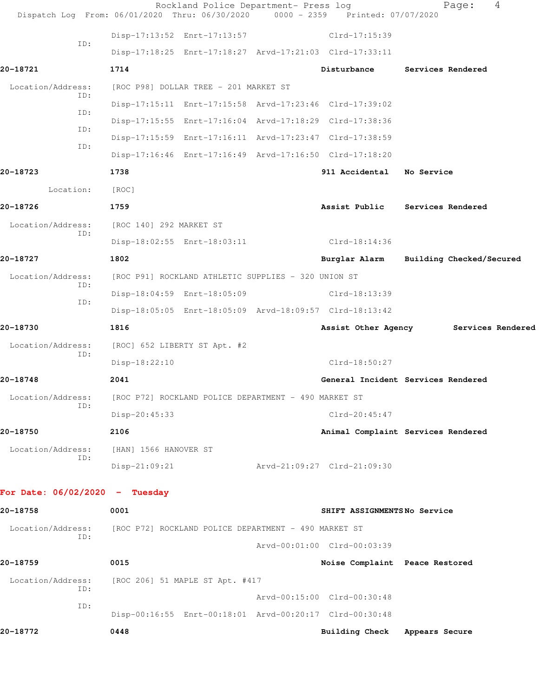|                                  | Dispatch Log From: 06/01/2020 Thru: 06/30/2020          | Rockland Police Department- Press log<br>$0000 - 2359$ | Printed: 07/07/2020            | 4<br>Page:                            |
|----------------------------------|---------------------------------------------------------|--------------------------------------------------------|--------------------------------|---------------------------------------|
|                                  | Disp-17:13:52 Enrt-17:13:57                             |                                                        | Clrd-17:15:39                  |                                       |
| ID:                              | Disp-17:18:25 Enrt-17:18:27 Arvd-17:21:03 Clrd-17:33:11 |                                                        |                                |                                       |
| 20-18721                         | 1714                                                    |                                                        | Disturbance                    | Services Rendered                     |
| Location/Address:                | [ROC P98] DOLLAR TREE - 201 MARKET ST                   |                                                        |                                |                                       |
| ID:                              | Disp-17:15:11 Enrt-17:15:58 Arvd-17:23:46 Clrd-17:39:02 |                                                        |                                |                                       |
| ID:                              | Disp-17:15:55 Enrt-17:16:04 Arvd-17:18:29 Clrd-17:38:36 |                                                        |                                |                                       |
| ID:                              | Disp-17:15:59 Enrt-17:16:11 Arvd-17:23:47 Clrd-17:38:59 |                                                        |                                |                                       |
| ID:                              | Disp-17:16:46 Enrt-17:16:49 Arvd-17:16:50 Clrd-17:18:20 |                                                        |                                |                                       |
| 20-18723                         | 1738                                                    |                                                        | 911 Accidental No Service      |                                       |
| Location:                        | [ROC]                                                   |                                                        |                                |                                       |
| 20-18726                         | 1759                                                    |                                                        |                                | Assist Public Services Rendered       |
| Location/Address:                | [ROC 140] 292 MARKET ST                                 |                                                        |                                |                                       |
| ID:                              | Disp-18:02:55 Enrt-18:03:11                             |                                                        | Clrd-18:14:36                  |                                       |
| 20-18727                         | 1802                                                    |                                                        | Burglar Alarm                  | Building Checked/Secured              |
| Location/Address:<br>ID:         | [ROC P91] ROCKLAND ATHLETIC SUPPLIES - 320 UNION ST     |                                                        |                                |                                       |
| ID:                              | Disp-18:04:59 Enrt-18:05:09                             |                                                        | Clrd-18:13:39                  |                                       |
|                                  | Disp-18:05:05 Enrt-18:05:09 Arvd-18:09:57 Clrd-18:13:42 |                                                        |                                |                                       |
| 20-18730                         | 1816                                                    |                                                        |                                | Assist Other Agency Services Rendered |
| Location/Address:<br>ID:         | [ROC] 652 LIBERTY ST Apt. #2                            |                                                        |                                |                                       |
|                                  | Disp-18:22:10                                           |                                                        | Clrd-18:50:27                  |                                       |
| 20-18748                         | 2041                                                    |                                                        |                                | General Incident Services Rendered    |
| Location/Address:<br>ID:         | [ROC P72] ROCKLAND POLICE DEPARTMENT - 490 MARKET ST    |                                                        |                                |                                       |
|                                  | Disp-20:45:33                                           |                                                        | Clrd-20:45:47                  |                                       |
| 20-18750                         | 2106                                                    |                                                        |                                | Animal Complaint Services Rendered    |
| Location/Address:<br>ID:         | [HAN] 1566 HANOVER ST                                   |                                                        |                                |                                       |
|                                  | $Disp-21:09:21$                                         |                                                        | Arvd-21:09:27 Clrd-21:09:30    |                                       |
| For Date: $06/02/2020 -$ Tuesday |                                                         |                                                        |                                |                                       |
| 20-18758                         | 0001                                                    |                                                        | SHIFT ASSIGNMENTSNo Service    |                                       |
| Location/Address:                | [ROC P72] ROCKLAND POLICE DEPARTMENT - 490 MARKET ST    |                                                        |                                |                                       |
| ID:                              |                                                         |                                                        | Arvd-00:01:00 Clrd-00:03:39    |                                       |
| 20-18759                         | 0015                                                    |                                                        | Noise Complaint Peace Restored |                                       |
| Location/Address:                | [ROC 206] 51 MAPLE ST Apt. #417                         |                                                        |                                |                                       |
| ID:<br>ID:                       |                                                         |                                                        | Arvd-00:15:00 Clrd-00:30:48    |                                       |
|                                  | Disp-00:16:55 Enrt-00:18:01 Arvd-00:20:17 Clrd-00:30:48 |                                                        |                                |                                       |
| 20-18772                         | 0448                                                    |                                                        | Building Check Appears Secure  |                                       |
|                                  |                                                         |                                                        |                                |                                       |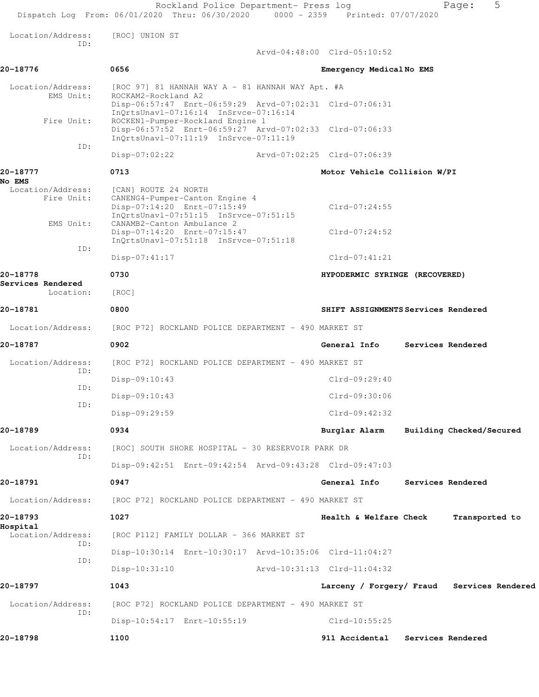|                                                                                                                  |                         |                                                                                                                                                                                                                                                                                    |                                                                                                                                                                                                                                                                                                                                                                                                                                                                                                                                                                                                                                                                                                                           | 5<br>Page:                                                                                                                                                                                                                                                                                                  |
|------------------------------------------------------------------------------------------------------------------|-------------------------|------------------------------------------------------------------------------------------------------------------------------------------------------------------------------------------------------------------------------------------------------------------------------------|---------------------------------------------------------------------------------------------------------------------------------------------------------------------------------------------------------------------------------------------------------------------------------------------------------------------------------------------------------------------------------------------------------------------------------------------------------------------------------------------------------------------------------------------------------------------------------------------------------------------------------------------------------------------------------------------------------------------------|-------------------------------------------------------------------------------------------------------------------------------------------------------------------------------------------------------------------------------------------------------------------------------------------------------------|
| [ROC] UNION ST                                                                                                   |                         |                                                                                                                                                                                                                                                                                    |                                                                                                                                                                                                                                                                                                                                                                                                                                                                                                                                                                                                                                                                                                                           |                                                                                                                                                                                                                                                                                                             |
|                                                                                                                  |                         |                                                                                                                                                                                                                                                                                    |                                                                                                                                                                                                                                                                                                                                                                                                                                                                                                                                                                                                                                                                                                                           |                                                                                                                                                                                                                                                                                                             |
| 0656                                                                                                             |                         |                                                                                                                                                                                                                                                                                    |                                                                                                                                                                                                                                                                                                                                                                                                                                                                                                                                                                                                                                                                                                                           |                                                                                                                                                                                                                                                                                                             |
| ROCKAM2-Rockland A2                                                                                              |                         |                                                                                                                                                                                                                                                                                    |                                                                                                                                                                                                                                                                                                                                                                                                                                                                                                                                                                                                                                                                                                                           |                                                                                                                                                                                                                                                                                                             |
|                                                                                                                  |                         |                                                                                                                                                                                                                                                                                    |                                                                                                                                                                                                                                                                                                                                                                                                                                                                                                                                                                                                                                                                                                                           |                                                                                                                                                                                                                                                                                                             |
| $Disp-07:02:22$                                                                                                  |                         |                                                                                                                                                                                                                                                                                    |                                                                                                                                                                                                                                                                                                                                                                                                                                                                                                                                                                                                                                                                                                                           |                                                                                                                                                                                                                                                                                                             |
| 0713                                                                                                             |                         |                                                                                                                                                                                                                                                                                    |                                                                                                                                                                                                                                                                                                                                                                                                                                                                                                                                                                                                                                                                                                                           |                                                                                                                                                                                                                                                                                                             |
| [CAN] ROUTE 24 NORTH<br>Disp-07:14:20 Enrt-07:15:49<br>CANAMB2-Canton Ambulance 2<br>Disp-07:14:20 Enrt-07:15:47 |                         | $Clrd-07:24:55$<br>$Clrd-07:24:52$                                                                                                                                                                                                                                                 |                                                                                                                                                                                                                                                                                                                                                                                                                                                                                                                                                                                                                                                                                                                           |                                                                                                                                                                                                                                                                                                             |
| $Disp-07:41:17$                                                                                                  |                         | $Clrd-07:41:21$                                                                                                                                                                                                                                                                    |                                                                                                                                                                                                                                                                                                                                                                                                                                                                                                                                                                                                                                                                                                                           |                                                                                                                                                                                                                                                                                                             |
| 0730                                                                                                             |                         |                                                                                                                                                                                                                                                                                    |                                                                                                                                                                                                                                                                                                                                                                                                                                                                                                                                                                                                                                                                                                                           |                                                                                                                                                                                                                                                                                                             |
| [ROC]                                                                                                            |                         |                                                                                                                                                                                                                                                                                    |                                                                                                                                                                                                                                                                                                                                                                                                                                                                                                                                                                                                                                                                                                                           |                                                                                                                                                                                                                                                                                                             |
| 0800                                                                                                             |                         |                                                                                                                                                                                                                                                                                    |                                                                                                                                                                                                                                                                                                                                                                                                                                                                                                                                                                                                                                                                                                                           |                                                                                                                                                                                                                                                                                                             |
|                                                                                                                  |                         |                                                                                                                                                                                                                                                                                    |                                                                                                                                                                                                                                                                                                                                                                                                                                                                                                                                                                                                                                                                                                                           |                                                                                                                                                                                                                                                                                                             |
| 0902                                                                                                             |                         |                                                                                                                                                                                                                                                                                    |                                                                                                                                                                                                                                                                                                                                                                                                                                                                                                                                                                                                                                                                                                                           | Services Rendered                                                                                                                                                                                                                                                                                           |
|                                                                                                                  |                         |                                                                                                                                                                                                                                                                                    |                                                                                                                                                                                                                                                                                                                                                                                                                                                                                                                                                                                                                                                                                                                           |                                                                                                                                                                                                                                                                                                             |
| $Disp-09:10:43$                                                                                                  |                         | Clrd-09:29:40                                                                                                                                                                                                                                                                      |                                                                                                                                                                                                                                                                                                                                                                                                                                                                                                                                                                                                                                                                                                                           |                                                                                                                                                                                                                                                                                                             |
| Disp-09:10:43                                                                                                    |                         | Clrd-09:30:06                                                                                                                                                                                                                                                                      |                                                                                                                                                                                                                                                                                                                                                                                                                                                                                                                                                                                                                                                                                                                           |                                                                                                                                                                                                                                                                                                             |
| Disp-09:29:59                                                                                                    |                         | $Clrd-09:42:32$                                                                                                                                                                                                                                                                    |                                                                                                                                                                                                                                                                                                                                                                                                                                                                                                                                                                                                                                                                                                                           |                                                                                                                                                                                                                                                                                                             |
| 0934                                                                                                             |                         | Burglar Alarm                                                                                                                                                                                                                                                                      |                                                                                                                                                                                                                                                                                                                                                                                                                                                                                                                                                                                                                                                                                                                           | Building Checked/Secured                                                                                                                                                                                                                                                                                    |
|                                                                                                                  |                         |                                                                                                                                                                                                                                                                                    |                                                                                                                                                                                                                                                                                                                                                                                                                                                                                                                                                                                                                                                                                                                           |                                                                                                                                                                                                                                                                                                             |
|                                                                                                                  |                         |                                                                                                                                                                                                                                                                                    |                                                                                                                                                                                                                                                                                                                                                                                                                                                                                                                                                                                                                                                                                                                           |                                                                                                                                                                                                                                                                                                             |
| 0947                                                                                                             |                         | General Info                                                                                                                                                                                                                                                                       |                                                                                                                                                                                                                                                                                                                                                                                                                                                                                                                                                                                                                                                                                                                           | Services Rendered                                                                                                                                                                                                                                                                                           |
|                                                                                                                  |                         |                                                                                                                                                                                                                                                                                    |                                                                                                                                                                                                                                                                                                                                                                                                                                                                                                                                                                                                                                                                                                                           |                                                                                                                                                                                                                                                                                                             |
| 1027                                                                                                             |                         |                                                                                                                                                                                                                                                                                    |                                                                                                                                                                                                                                                                                                                                                                                                                                                                                                                                                                                                                                                                                                                           | Transported to                                                                                                                                                                                                                                                                                              |
|                                                                                                                  |                         |                                                                                                                                                                                                                                                                                    |                                                                                                                                                                                                                                                                                                                                                                                                                                                                                                                                                                                                                                                                                                                           |                                                                                                                                                                                                                                                                                                             |
|                                                                                                                  |                         |                                                                                                                                                                                                                                                                                    |                                                                                                                                                                                                                                                                                                                                                                                                                                                                                                                                                                                                                                                                                                                           |                                                                                                                                                                                                                                                                                                             |
|                                                                                                                  |                         |                                                                                                                                                                                                                                                                                    |                                                                                                                                                                                                                                                                                                                                                                                                                                                                                                                                                                                                                                                                                                                           |                                                                                                                                                                                                                                                                                                             |
|                                                                                                                  |                         |                                                                                                                                                                                                                                                                                    |                                                                                                                                                                                                                                                                                                                                                                                                                                                                                                                                                                                                                                                                                                                           |                                                                                                                                                                                                                                                                                                             |
| Disp-10:54:17 Enrt-10:55:19                                                                                      |                         | $Clrd-10:55:25$                                                                                                                                                                                                                                                                    |                                                                                                                                                                                                                                                                                                                                                                                                                                                                                                                                                                                                                                                                                                                           |                                                                                                                                                                                                                                                                                                             |
| 1100                                                                                                             |                         | 911 Accidental                                                                                                                                                                                                                                                                     |                                                                                                                                                                                                                                                                                                                                                                                                                                                                                                                                                                                                                                                                                                                           | Services Rendered                                                                                                                                                                                                                                                                                           |
|                                                                                                                  | $Disp-10:31:10$<br>1043 | InQrtsUnavl-07:16:14 InSrvce-07:16:14<br>ROCKEN1-Pumper-Rockland Engine 1<br>InQrtsUnavl-07:11:19 InSrvce-07:11:19<br>CANENG4-Pumper-Canton Engine 4<br>InOrtsUnavl-07:51:15 InSrvce-07:51:15<br>InOrtsUnavl-07:51:18 InSrvce-07:51:18<br>[ROC P112] FAMILY DOLLAR - 366 MARKET ST | Rockland Police Department- Press log<br>Arvd-04:48:00 Clrd-05:10:52<br>$[ROC 97] 81 HANNAH WAY A - 81 HANNAH WAY Apt. #A$<br>Disp-06:57:47 Enrt-06:59:29 Arvd-07:02:31 Clrd-07:06:31<br>Disp-06:57:52 Enrt-06:59:27 Arvd-07:02:33 Clrd-07:06:33<br>Arvd-07:02:25 Clrd-07:06:39<br>[ROC P72] ROCKLAND POLICE DEPARTMENT - 490 MARKET ST<br>[ROC P72] ROCKLAND POLICE DEPARTMENT - 490 MARKET ST<br>[ROC] SOUTH SHORE HOSPITAL - 30 RESERVOIR PARK DR<br>Disp-09:42:51 Enrt-09:42:54 Arvd-09:43:28 Clrd-09:47:03<br>[ROC P72] ROCKLAND POLICE DEPARTMENT - 490 MARKET ST<br>Disp-10:30:14 Enrt-10:30:17 Arvd-10:35:06 Clrd-11:04:27<br>Arvd-10:31:13 Clrd-11:04:32<br>[ROC P72] ROCKLAND POLICE DEPARTMENT - 490 MARKET ST | Dispatch Log From: 06/01/2020 Thru: 06/30/2020 0000 - 2359 Printed: 07/07/2020<br>Emergency Medical No EMS<br>Motor Vehicle Collision W/PI<br>HYPODERMIC SYRINGE (RECOVERED)<br>SHIFT ASSIGNMENTS Services Rendered<br>General Info<br>Health & Welfare Check<br>Larceny / Forgery/ Fraud Services Rendered |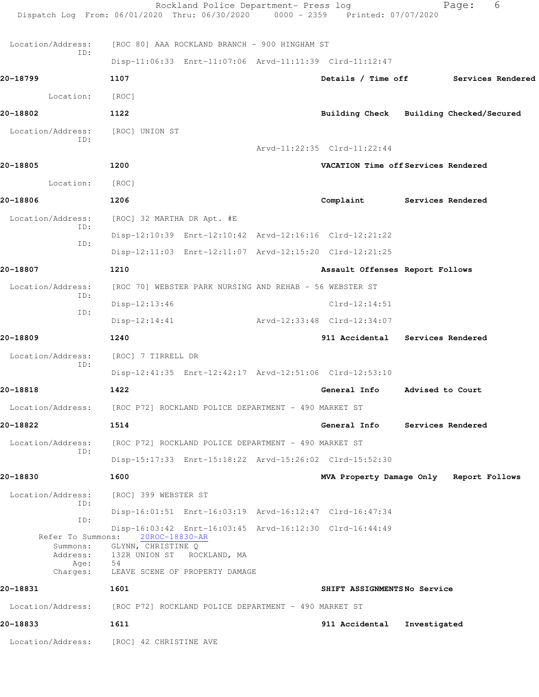|                      | Rockland Police Department- Press log<br>Dispatch Log From: 06/01/2020 Thru: 06/30/2020 0000 - 2359 Printed: 07/07/2020 |                                         |                  | 6<br>Page:                           |
|----------------------|-------------------------------------------------------------------------------------------------------------------------|-----------------------------------------|------------------|--------------------------------------|
| Location/Address:    | [ROC 80] AAA ROCKLAND BRANCH - 900 HINGHAM ST                                                                           |                                         |                  |                                      |
| ID:                  | Disp-11:06:33 Enrt-11:07:06 Arvd-11:11:39 Clrd-11:12:47                                                                 |                                         |                  |                                      |
| 20-18799             | 1107                                                                                                                    |                                         |                  | Details / Time off Services Rendered |
| Location:            | [ROC]                                                                                                                   |                                         |                  |                                      |
| 20-18802             | 1122                                                                                                                    | Building Check Building Checked/Secured |                  |                                      |
| Location/Address:    | [ROC] UNION ST                                                                                                          |                                         |                  |                                      |
| ID:                  |                                                                                                                         | Arvd-11:22:35 Clrd-11:22:44             |                  |                                      |
| 20-18805             | 1200                                                                                                                    | VACATION Time off Services Rendered     |                  |                                      |
| Location:            | [ROC]                                                                                                                   |                                         |                  |                                      |
| 20-18806             | 1206                                                                                                                    | Complaint Services Rendered             |                  |                                      |
| Location/Address:    | [ROC] 32 MARTHA DR Apt. #E                                                                                              |                                         |                  |                                      |
| ID:                  | Disp-12:10:39 Enrt-12:10:42 Arvd-12:16:16 Clrd-12:21:22                                                                 |                                         |                  |                                      |
| ID:                  | Disp-12:11:03 Enrt-12:11:07 Arvd-12:15:20 Clrd-12:21:25                                                                 |                                         |                  |                                      |
| 20-18807             | 1210                                                                                                                    | Assault Offenses Report Follows         |                  |                                      |
| Location/Address:    | [ROC 70] WEBSTER PARK NURSING AND REHAB - 56 WEBSTER ST                                                                 |                                         |                  |                                      |
| ID:                  | $Disp-12:13:46$                                                                                                         | $Clrd-12:14:51$                         |                  |                                      |
| ID:                  | $Disp-12:14:41$                                                                                                         | Arvd-12:33:48 Clrd-12:34:07             |                  |                                      |
| 20-18809             | 1240                                                                                                                    | 911 Accidental Services Rendered        |                  |                                      |
| Location/Address:    | [ROC] 7 TIRRELL DR                                                                                                      |                                         |                  |                                      |
| ID:                  | Disp-12:41:35 Enrt-12:42:17 Arvd-12:51:06 Clrd-12:53:10                                                                 |                                         |                  |                                      |
| 20-18818             | 1422                                                                                                                    | General Info                            | Advised to Court |                                      |
|                      | Location/Address: [ROC P72] ROCKLAND POLICE DEPARTMENT - 490 MARKET ST                                                  |                                         |                  |                                      |
| 20-18822             | 1514                                                                                                                    | General Info Services Rendered          |                  |                                      |
| Location/Address:    | [ROC P72] ROCKLAND POLICE DEPARTMENT - 490 MARKET ST                                                                    |                                         |                  |                                      |
| ID:                  | Disp-15:17:33 Enrt-15:18:22 Arvd-15:26:02 Clrd-15:52:30                                                                 |                                         |                  |                                      |
| 20-18830             | 1600                                                                                                                    | MVA Property Damage Only Report Follows |                  |                                      |
| Location/Address:    | [ROC] 399 WEBSTER ST                                                                                                    |                                         |                  |                                      |
| ID:<br>ID:           | Disp-16:01:51 Enrt-16:03:19 Arvd-16:12:47 Clrd-16:47:34                                                                 |                                         |                  |                                      |
|                      | Disp-16:03:42 Enrt-16:03:45 Arvd-16:12:30 Clrd-16:44:49<br>Refer To Summons: 20ROC-18830-AR                             |                                         |                  |                                      |
| Summons:<br>Address: | GLYNN, CHRISTINE Q<br>132R UNION ST ROCKLAND, MA                                                                        |                                         |                  |                                      |
| Age:<br>Charges:     | 54<br>LEAVE SCENE OF PROPERTY DAMAGE                                                                                    |                                         |                  |                                      |
| 20-18831             | 1601                                                                                                                    | SHIFT ASSIGNMENTSNo Service             |                  |                                      |
|                      | Location/Address: [ROC P72] ROCKLAND POLICE DEPARTMENT - 490 MARKET ST                                                  |                                         |                  |                                      |
| 20-18833             | 1611                                                                                                                    | 911 Accidental                          | Investigated     |                                      |
|                      | Location/Address: [ROC] 42 CHRISTINE AVE                                                                                |                                         |                  |                                      |
|                      |                                                                                                                         |                                         |                  |                                      |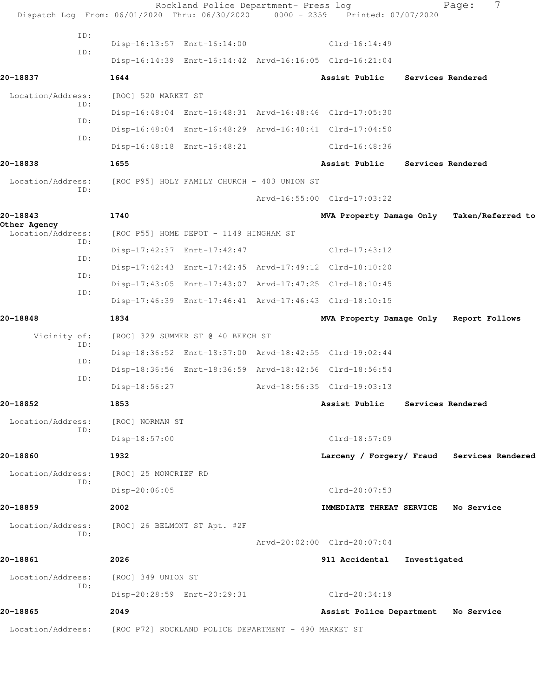|                                          | Dispatch Log From: 06/01/2020 Thru: 06/30/2020 0000 - 2359 Printed: 07/07/2020 | Rockland Police Department- Press log |                                         |                   | 7<br>Page:                                 |  |
|------------------------------------------|--------------------------------------------------------------------------------|---------------------------------------|-----------------------------------------|-------------------|--------------------------------------------|--|
| ID:                                      |                                                                                |                                       |                                         |                   |                                            |  |
| ID:                                      | Disp-16:13:57 Enrt-16:14:00                                                    |                                       | $Clrd-16:14:49$                         |                   |                                            |  |
|                                          | Disp-16:14:39 Enrt-16:14:42 Arvd-16:16:05 Clrd-16:21:04                        |                                       |                                         |                   |                                            |  |
| 20-18837                                 | 1644                                                                           |                                       | Assist Public                           |                   | Services Rendered                          |  |
| Location/Address:<br>ID:                 | [ROC] 520 MARKET ST                                                            |                                       |                                         |                   |                                            |  |
| ID:                                      | Disp-16:48:04 Enrt-16:48:31 Arvd-16:48:46 Clrd-17:05:30                        |                                       |                                         |                   |                                            |  |
| ID:                                      | Disp-16:48:04 Enrt-16:48:29 Arvd-16:48:41 Clrd-17:04:50                        |                                       |                                         |                   |                                            |  |
|                                          | Disp-16:48:18 Enrt-16:48:21                                                    |                                       | $Clrd-16:48:36$                         |                   |                                            |  |
| 20-18838                                 | 1655                                                                           |                                       | Assist Public                           | Services Rendered |                                            |  |
| Location/Address:<br>ID:                 | [ROC P95] HOLY FAMILY CHURCH - 403 UNION ST                                    |                                       |                                         |                   |                                            |  |
|                                          |                                                                                |                                       | Arvd-16:55:00 Clrd-17:03:22             |                   |                                            |  |
| 20-18843                                 | 1740                                                                           |                                       | MVA Property Damage Only                |                   | Taken/Referred to                          |  |
| Other Agency<br>Location/Address:<br>ID: | [ROC P55] HOME DEPOT - 1149 HINGHAM ST                                         |                                       |                                         |                   |                                            |  |
| ID:                                      | Disp-17:42:37 Enrt-17:42:47                                                    |                                       | $Clrd-17:43:12$                         |                   |                                            |  |
| ID:                                      | Disp-17:42:43 Enrt-17:42:45 Arvd-17:49:12 Clrd-18:10:20                        |                                       |                                         |                   |                                            |  |
| ID:                                      | Disp-17:43:05 Enrt-17:43:07 Arvd-17:47:25 Clrd-18:10:45                        |                                       |                                         |                   |                                            |  |
|                                          | Disp-17:46:39 Enrt-17:46:41 Arvd-17:46:43 Clrd-18:10:15                        |                                       |                                         |                   |                                            |  |
| 20-18848                                 | 1834                                                                           |                                       | MVA Property Damage Only Report Follows |                   |                                            |  |
| Vicinity of:                             | [ROC] 329 SUMMER ST @ 40 BEECH ST                                              |                                       |                                         |                   |                                            |  |
| ID:<br>ID:                               | Disp-18:36:52 Enrt-18:37:00 Arvd-18:42:55 Clrd-19:02:44                        |                                       |                                         |                   |                                            |  |
| ID:                                      | Disp-18:36:56 Enrt-18:36:59 Arvd-18:42:56 Clrd-18:56:54                        |                                       |                                         |                   |                                            |  |
|                                          | Disp-18:56:27                                                                  |                                       | Arvd-18:56:35 Clrd-19:03:13             |                   |                                            |  |
| 20-18852                                 | 1853                                                                           |                                       | Assist Public                           | Services Rendered |                                            |  |
| Location/Address:<br>ID:                 | [ROC] NORMAN ST                                                                |                                       |                                         |                   |                                            |  |
|                                          | $Disp-18:57:00$                                                                |                                       | Clrd-18:57:09                           |                   |                                            |  |
| 20-18860                                 | 1932                                                                           |                                       |                                         |                   | Larceny / Forgery/ Fraud Services Rendered |  |
| Location/Address:                        | [ROC] 25 MONCRIEF RD                                                           |                                       |                                         |                   |                                            |  |
| ID:                                      | Disp-20:06:05                                                                  |                                       | $Clrd-20:07:53$                         |                   |                                            |  |
| 20-18859                                 | 2002                                                                           |                                       | IMMEDIATE THREAT SERVICE No Service     |                   |                                            |  |
| Location/Address:                        | [ROC] 26 BELMONT ST Apt. #2F                                                   |                                       |                                         |                   |                                            |  |
| ID:                                      |                                                                                |                                       | Arvd-20:02:00 Clrd-20:07:04             |                   |                                            |  |
| 20-18861                                 | 2026                                                                           |                                       | 911 Accidental                          | Investigated      |                                            |  |
| Location/Address:                        | [ROC] 349 UNION ST                                                             |                                       |                                         |                   |                                            |  |
| ID:                                      | Disp-20:28:59 Enrt-20:29:31                                                    |                                       | Clrd-20:34:19                           |                   |                                            |  |
| 20-18865                                 | 2049                                                                           |                                       | Assist Police Department No Service     |                   |                                            |  |
| Location/Address:                        | [ROC P72] ROCKLAND POLICE DEPARTMENT - 490 MARKET ST                           |                                       |                                         |                   |                                            |  |
|                                          |                                                                                |                                       |                                         |                   |                                            |  |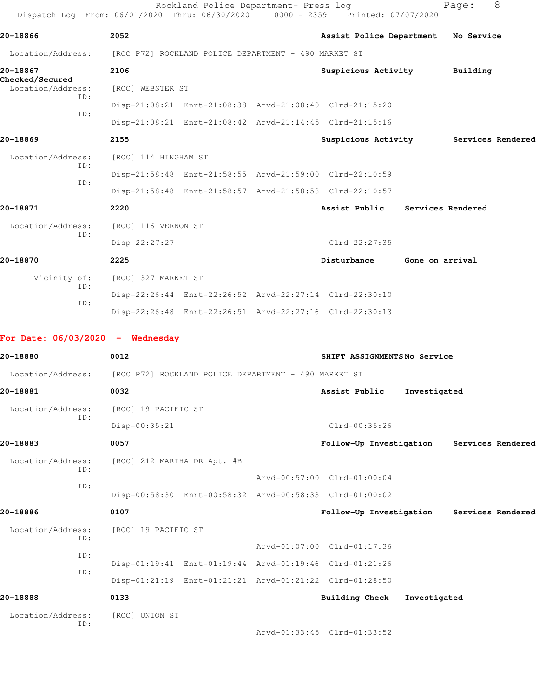| Dispatch Log From: 06/01/2020 Thru: 06/30/2020 0000 - 2359 Printed: 07/07/2020 |                             | Rockland Police Department- Press log |                                                         |                   | Page:    | 8                 |
|--------------------------------------------------------------------------------|-----------------------------|---------------------------------------|---------------------------------------------------------|-------------------|----------|-------------------|
| 20-18866                                                                       | 2052                        |                                       | Assist Police Department No Service                     |                   |          |                   |
| Location/Address: [ROC P72] ROCKLAND POLICE DEPARTMENT - 490 MARKET ST         |                             |                                       |                                                         |                   |          |                   |
| 20-18867                                                                       | 2106                        |                                       | Suspicious Activity                                     |                   | Building |                   |
| <b>Checked/Secured</b><br>Location/Address:                                    | [ROC] WEBSTER ST            |                                       |                                                         |                   |          |                   |
| ID:                                                                            |                             |                                       | Disp-21:08:21 Enrt-21:08:38 Arvd-21:08:40 Clrd-21:15:20 |                   |          |                   |
| ID:                                                                            |                             |                                       | Disp-21:08:21 Enrt-21:08:42 Arvd-21:14:45 Clrd-21:15:16 |                   |          |                   |
| 20-18869                                                                       | 2155                        |                                       | Suspicious Activity Services Rendered                   |                   |          |                   |
| Location/Address:                                                              | [ROC] 114 HINGHAM ST        |                                       |                                                         |                   |          |                   |
| ID:<br>ID:                                                                     |                             |                                       | Disp-21:58:48 Enrt-21:58:55 Arvd-21:59:00 Clrd-22:10:59 |                   |          |                   |
|                                                                                |                             |                                       | Disp-21:58:48 Enrt-21:58:57 Arvd-21:58:58 Clrd-22:10:57 |                   |          |                   |
| 20-18871                                                                       | 2220                        |                                       | Assist Public                                           | Services Rendered |          |                   |
| Location/Address:<br>ID:                                                       | [ROC] 116 VERNON ST         |                                       |                                                         |                   |          |                   |
|                                                                                | Disp-22:27:27               |                                       | Clrd-22:27:35                                           |                   |          |                   |
| 20-18870                                                                       | 2225                        |                                       | Disturbance                                             | Gone on arrival   |          |                   |
| Vicinity of:<br>ID:                                                            | [ROC] 327 MARKET ST         |                                       |                                                         |                   |          |                   |
| ID:                                                                            |                             |                                       | Disp-22:26:44 Enrt-22:26:52 Arvd-22:27:14 Clrd-22:30:10 |                   |          |                   |
|                                                                                |                             |                                       | Disp-22:26:48 Enrt-22:26:51 Arvd-22:27:16 Clrd-22:30:13 |                   |          |                   |
| For Date: $06/03/2020 -$ Wednesday                                             |                             |                                       |                                                         |                   |          |                   |
| 20-18880                                                                       | 0012                        |                                       | SHIFT ASSIGNMENTSNo Service                             |                   |          |                   |
| Location/Address: [ROC P72] ROCKLAND POLICE DEPARTMENT - 490 MARKET ST         |                             |                                       |                                                         |                   |          |                   |
| 20-18881                                                                       | 0032                        |                                       | Assist Public                                           | Investigated      |          |                   |
| Location/Address:                                                              | [ROC] 19 PACIFIC ST         |                                       |                                                         |                   |          |                   |
| ID:                                                                            | Disp-00:35:21               |                                       | $Clrd-00:35:26$                                         |                   |          |                   |
| 20-18883                                                                       | 0057                        |                                       | Follow-Up Investigation Services Rendered               |                   |          |                   |
| Location/Address:                                                              | [ROC] 212 MARTHA DR Apt. #B |                                       |                                                         |                   |          |                   |
| ID:                                                                            |                             |                                       | Arvd-00:57:00 Clrd-01:00:04                             |                   |          |                   |
| ID:                                                                            |                             |                                       | Disp-00:58:30 Enrt-00:58:32 Arvd-00:58:33 Clrd-01:00:02 |                   |          |                   |
| 20-18886                                                                       | 0107                        |                                       | Follow-Up Investigation                                 |                   |          | Services Rendered |
| Location/Address:                                                              | [ROC] 19 PACIFIC ST         |                                       |                                                         |                   |          |                   |
| ID:                                                                            |                             |                                       | Arvd-01:07:00 Clrd-01:17:36                             |                   |          |                   |
| ID:                                                                            |                             |                                       | Disp-01:19:41 Enrt-01:19:44 Arvd-01:19:46 Clrd-01:21:26 |                   |          |                   |
| ID:                                                                            |                             |                                       | Disp-01:21:19 Enrt-01:21:21 Arvd-01:21:22 Clrd-01:28:50 |                   |          |                   |
| 20-18888                                                                       | 0133                        |                                       | <b>Building Check</b>                                   | Investigated      |          |                   |
| Location/Address:                                                              | [ROC] UNION ST              |                                       |                                                         |                   |          |                   |
| ID:                                                                            |                             |                                       | Arvd-01:33:45 Clrd-01:33:52                             |                   |          |                   |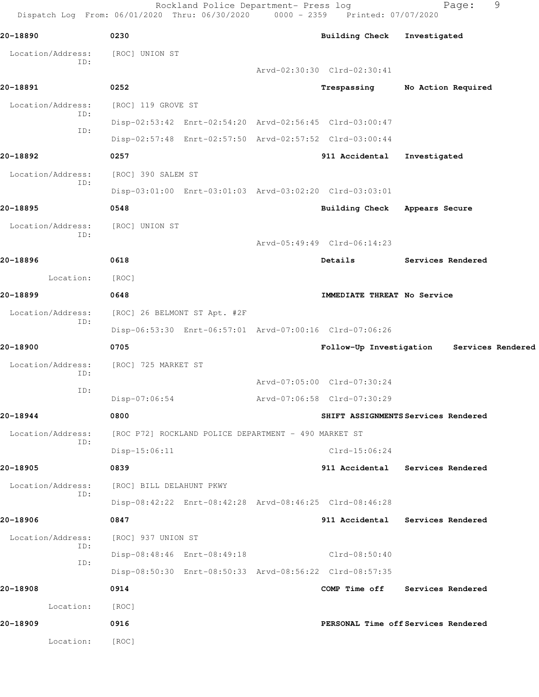Rockland Police Department- Press log Fage: 9 Dispatch Log From: 06/01/2020 Thru: 06/30/2020 0000 - 2359 Printed: 07/07/2020 **20-18890 0230 Building Check Investigated** Location/Address: [ROC] UNION ST ID: Arvd-02:30:30 Clrd-02:30:41 **20-18891 0252 Trespassing No Action Required** Location/Address: [ROC] 119 GROVE ST ID: Disp-02:53:42 Enrt-02:54:20 Arvd-02:56:45 Clrd-03:00:47 ID: Disp-02:57:48 Enrt-02:57:50 Arvd-02:57:52 Clrd-03:00:44 **20-18892 0257 911 Accidental Investigated** Location/Address: [ROC] 390 SALEM ST ID: Disp-03:01:00 Enrt-03:01:03 Arvd-03:02:20 Clrd-03:03:01 **20-18895 0548 Building Check Appears Secure** Location/Address: [ROC] UNION ST ID: Arvd-05:49:49 Clrd-06:14:23 **20-18896 0618 Details Services Rendered** Location: [ROC] **20-18899 0648 IMMEDIATE THREAT No Service** Location/Address: [ROC] 26 BELMONT ST Apt. #2F ID: Disp-06:53:30 Enrt-06:57:01 Arvd-07:00:16 Clrd-07:06:26 **20-18900 0705 Follow-Up Investigation Services Rendered** Location/Address: [ROC] 725 MARKET ST ID: Arvd-07:05:00 Clrd-07:30:24 ID: Disp-07:06:54 Arvd-07:06:58 Clrd-07:30:29 **20-18944 0800 SHIFT ASSIGNMENTS Services Rendered** Location/Address: [ROC P72] ROCKLAND POLICE DEPARTMENT - 490 MARKET ST ID: Disp-15:06:11 Clrd-15:06:24 **20-18905 0839 911 Accidental Services Rendered** Location/Address: [ROC] BILL DELAHUNT PKWY ID: Disp-08:42:22 Enrt-08:42:28 Arvd-08:46:25 Clrd-08:46:28 **20-18906 0847 911 Accidental Services Rendered** Location/Address: [ROC] 937 UNION ST ID: Disp-08:48:46 Enrt-08:49:18 Clrd-08:50:40 ID: Disp-08:50:30 Enrt-08:50:33 Arvd-08:56:22 Clrd-08:57:35 **20-18908 0914 COMP Time off Services Rendered** Location: [ROC] **20-18909 0916 PERSONAL Time off Services Rendered** Location: [ROC]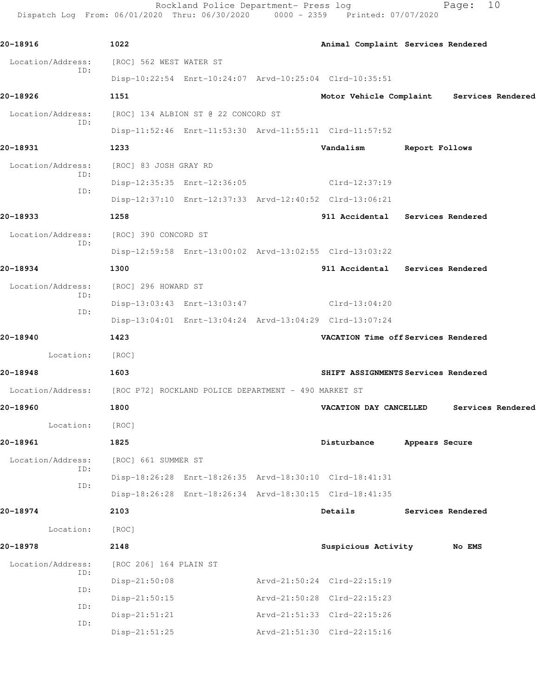Rockland Police Department- Press log entitled Page: 10 Dispatch Log From: 06/01/2020 Thru: 06/30/2020 0000 - 2359 Printed: 07/07/2020

| 20-18916                                                               | 1022                                |                                                         |                             |             | Animal Complaint Services Rendered        |                |                   |                   |
|------------------------------------------------------------------------|-------------------------------------|---------------------------------------------------------|-----------------------------|-------------|-------------------------------------------|----------------|-------------------|-------------------|
| Location/Address:<br>ID:                                               | [ROC] 562 WEST WATER ST             |                                                         |                             |             |                                           |                |                   |                   |
|                                                                        |                                     | Disp-10:22:54 Enrt-10:24:07 Arvd-10:25:04 Clrd-10:35:51 |                             |             |                                           |                |                   |                   |
| 20-18926                                                               | 1151                                |                                                         |                             |             | Motor Vehicle Complaint Services Rendered |                |                   |                   |
| Location/Address:<br>ID:                                               | [ROC] 134 ALBION ST @ 22 CONCORD ST |                                                         |                             |             |                                           |                |                   |                   |
|                                                                        |                                     | Disp-11:52:46 Enrt-11:53:30 Arvd-11:55:11 Clrd-11:57:52 |                             |             |                                           |                |                   |                   |
| 20-18931                                                               | 1233                                |                                                         |                             | Vandalism   |                                           | Report Follows |                   |                   |
| Location/Address:<br>ID:                                               | [ROC] 83 JOSH GRAY RD               |                                                         |                             |             |                                           |                |                   |                   |
| ID:                                                                    |                                     | Disp-12:35:35 Enrt-12:36:05                             | $Clrd-12:37:19$             |             |                                           |                |                   |                   |
|                                                                        |                                     | Disp-12:37:10 Enrt-12:37:33 Arvd-12:40:52 Clrd-13:06:21 |                             |             |                                           |                |                   |                   |
| 20-18933                                                               | 1258                                |                                                         |                             |             | 911 Accidental Services Rendered          |                |                   |                   |
| Location/Address:<br>ID:                                               | [ROC] 390 CONCORD ST                |                                                         |                             |             |                                           |                |                   |                   |
|                                                                        |                                     | Disp-12:59:58 Enrt-13:00:02 Arvd-13:02:55 Clrd-13:03:22 |                             |             |                                           |                |                   |                   |
| 20-18934                                                               | 1300                                |                                                         |                             |             | 911 Accidental Services Rendered          |                |                   |                   |
| Location/Address:<br>ID:                                               | [ROC] 296 HOWARD ST                 |                                                         |                             |             |                                           |                |                   |                   |
| ID:                                                                    |                                     | Disp-13:03:43 Enrt-13:03:47                             | $Clrd-13:04:20$             |             |                                           |                |                   |                   |
|                                                                        |                                     | Disp-13:04:01 Enrt-13:04:24 Arvd-13:04:29 Clrd-13:07:24 |                             |             |                                           |                |                   |                   |
| 20-18940                                                               | 1423                                |                                                         |                             |             | VACATION Time off Services Rendered       |                |                   |                   |
| Location: [ROC]                                                        |                                     |                                                         |                             |             |                                           |                |                   |                   |
| 20-18948                                                               | 1603                                |                                                         |                             |             | SHIFT ASSIGNMENTS Services Rendered       |                |                   |                   |
| Location/Address: [ROC P72] ROCKLAND POLICE DEPARTMENT - 490 MARKET ST |                                     |                                                         |                             |             |                                           |                |                   |                   |
| 20-18960                                                               | 1800                                |                                                         |                             |             | VACATION DAY CANCELLED                    |                |                   | Services Rendered |
| Location:                                                              | [ROC]                               |                                                         |                             |             |                                           |                |                   |                   |
| 20-18961                                                               | 1825                                |                                                         |                             | Disturbance |                                           | Appears Secure |                   |                   |
| Location/Address:<br>ID:                                               | [ROC] 661 SUMMER ST                 |                                                         |                             |             |                                           |                |                   |                   |
| ID:                                                                    |                                     | Disp-18:26:28 Enrt-18:26:35 Arvd-18:30:10 Clrd-18:41:31 |                             |             |                                           |                |                   |                   |
|                                                                        |                                     | Disp-18:26:28 Enrt-18:26:34 Arvd-18:30:15 Clrd-18:41:35 |                             |             |                                           |                |                   |                   |
| 20-18974                                                               | 2103                                |                                                         |                             | Details     |                                           |                | Services Rendered |                   |
| Location:                                                              | [ROC]                               |                                                         |                             |             |                                           |                |                   |                   |
| 20-18978                                                               | 2148                                |                                                         |                             |             | Suspicious Activity                       |                | No EMS            |                   |
| Location/Address:<br>ID:                                               | [ROC 206] 164 PLAIN ST              |                                                         |                             |             |                                           |                |                   |                   |
| ID:                                                                    | Disp-21:50:08                       |                                                         | Arvd-21:50:24 Clrd-22:15:19 |             |                                           |                |                   |                   |
| ID:                                                                    | $Disp-21:50:15$                     |                                                         | Arvd-21:50:28 Clrd-22:15:23 |             |                                           |                |                   |                   |
| ID:                                                                    | $Disp-21:51:21$                     |                                                         | Arvd-21:51:33 Clrd-22:15:26 |             |                                           |                |                   |                   |
|                                                                        | $Disp-21:51:25$                     |                                                         | Arvd-21:51:30 Clrd-22:15:16 |             |                                           |                |                   |                   |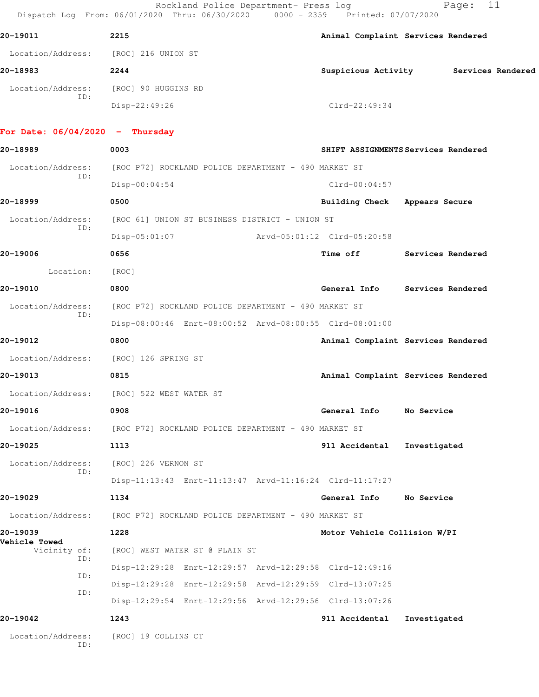Rockland Police Department- Press log Fage: 11 Dispatch Log From: 06/01/2020 Thru: 06/30/2020 0000 - 2359 Printed: 07/07/2020

| 20-19011          | 2215                | Animal Complaint Services Rendered |                   |
|-------------------|---------------------|------------------------------------|-------------------|
| Location/Address: | [ROC] 216 UNION ST  |                                    |                   |
| 20-18983          | 2244                | Suspicious Activity                | Services Rendered |
| Location/Address: | [ROC] 90 HUGGINS RD |                                    |                   |
| ID:               | Disp-22:49:26       | $Clrd-22:49:34$                    |                   |
|                   |                     |                                    |                   |

## **For Date: 06/04/2020 - Thursday**

**20-18989 0003 SHIFT ASSIGNMENTS Services Rendered** Location/Address: [ROC P72] ROCKLAND POLICE DEPARTMENT - 490 MARKET ST ID: Disp-00:04:54 Clrd-00:04:57 **20-18999 0500 Building Check Appears Secure** Location/Address: [ROC 61] UNION ST BUSINESS DISTRICT - UNION ST ID: Disp-05:01:07 Arvd-05:01:12 Clrd-05:20:58 **20-19006 0656 Time off Services Rendered** Location: [ROC] **20-19010 0800 General Info Services Rendered** Location/Address: [ROC P72] ROCKLAND POLICE DEPARTMENT - 490 MARKET ST ID: Disp-08:00:46 Enrt-08:00:52 Arvd-08:00:55 Clrd-08:01:00 **20-19012 0800 Animal Complaint Services Rendered** Location/Address: [ROC] 126 SPRING ST **20-19013 0815 Animal Complaint Services Rendered** Location/Address: [ROC] 522 WEST WATER ST **20-19016 0908 General Info No Service** Location/Address: [ROC P72] ROCKLAND POLICE DEPARTMENT - 490 MARKET ST **20-19025 1113 911 Accidental Investigated** Location/Address: [ROC] 226 VERNON ST ID: Disp-11:13:43 Enrt-11:13:47 Arvd-11:16:24 Clrd-11:17:27 **20-19029 1134 General Info No Service** Location/Address: [ROC P72] ROCKLAND POLICE DEPARTMENT - 490 MARKET ST **20-19039 1228 Motor Vehicle Collision W/PI Vehicle Towed**  [ROC] WEST WATER ST @ PLAIN ST ID: Disp-12:29:28 Enrt-12:29:57 Arvd-12:29:58 Clrd-12:49:16 ID: Disp-12:29:28 Enrt-12:29:58 Arvd-12:29:59 Clrd-13:07:25 ID: Disp-12:29:54 Enrt-12:29:56 Arvd-12:29:56 Clrd-13:07:26 **20-19042 1243 911 Accidental Investigated** Location/Address: [ROC] 19 COLLINS CT ID: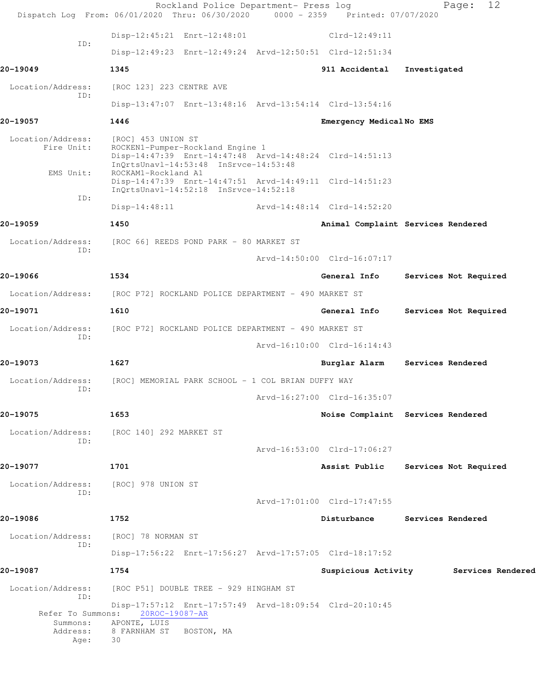|                                              | Dispatch Log From: 06/01/2020 Thru: 06/30/2020 0000 - 2359 Printed: 07/07/2020                                                                                                    | Rockland Police Department- Press log |                             | 12<br>Page:                        |
|----------------------------------------------|-----------------------------------------------------------------------------------------------------------------------------------------------------------------------------------|---------------------------------------|-----------------------------|------------------------------------|
|                                              | Disp-12:45:21 Enrt-12:48:01                                                                                                                                                       |                                       | $Clrd-12:49:11$             |                                    |
| ID:                                          | Disp-12:49:23 Enrt-12:49:24 Arvd-12:50:51 Clrd-12:51:34                                                                                                                           |                                       |                             |                                    |
| 20-19049                                     | 1345                                                                                                                                                                              |                                       | 911 Accidental              | Investigated                       |
| Location/Address:<br>ID:                     | [ROC 123] 223 CENTRE AVE                                                                                                                                                          |                                       |                             |                                    |
|                                              | Disp-13:47:07 Enrt-13:48:16 Arvd-13:54:14 Clrd-13:54:16                                                                                                                           |                                       |                             |                                    |
| 20-19057                                     | 1446                                                                                                                                                                              |                                       | Emergency MedicalNo EMS     |                                    |
| Location/Address:<br>Fire Unit:<br>EMS Unit: | [ROC] 453 UNION ST<br>ROCKEN1-Pumper-Rockland Engine 1<br>Disp-14:47:39 Enrt-14:47:48 Arvd-14:48:24 Clrd-14:51:13<br>InQrtsUnavl-14:53:48 InSrvce-14:53:48<br>ROCKAM1-Rockland A1 |                                       |                             |                                    |
|                                              | Disp-14:47:39 Enrt-14:47:51 Arvd-14:49:11 Clrd-14:51:23<br>InQrtsUnavl-14:52:18 InSrvce-14:52:18                                                                                  |                                       |                             |                                    |
| ID:                                          | $Disp-14:48:11$                                                                                                                                                                   | Arvd-14:48:14 Clrd-14:52:20           |                             |                                    |
| 20-19059                                     | 1450                                                                                                                                                                              |                                       |                             | Animal Complaint Services Rendered |
| Location/Address:                            | [ROC 66] REEDS POND PARK - 80 MARKET ST                                                                                                                                           |                                       |                             |                                    |
| ID:                                          |                                                                                                                                                                                   |                                       | Arvd-14:50:00 Clrd-16:07:17 |                                    |
| 20-19066                                     | 1534                                                                                                                                                                              |                                       | General Info                | Services Not Required              |
|                                              | Location/Address: [ROC P72] ROCKLAND POLICE DEPARTMENT - 490 MARKET ST                                                                                                            |                                       |                             |                                    |
| 20-19071                                     | 1610                                                                                                                                                                              |                                       | General Info                | Services Not Required              |
| Location/Address:                            | [ROC P72] ROCKLAND POLICE DEPARTMENT - 490 MARKET ST                                                                                                                              |                                       |                             |                                    |
| ID:                                          |                                                                                                                                                                                   |                                       | Arvd-16:10:00 Clrd-16:14:43 |                                    |
| 20-19073                                     | 1627                                                                                                                                                                              |                                       | Burglar Alarm               | Services Rendered                  |
| Location/Address:<br>ID:                     | [ROC] MEMORIAL PARK SCHOOL - 1 COL BRIAN DUFFY WAY                                                                                                                                |                                       |                             |                                    |
|                                              |                                                                                                                                                                                   |                                       | Arvd-16:27:00 Clrd-16:35:07 |                                    |
| 20-19075                                     | 1653                                                                                                                                                                              |                                       |                             | Noise Complaint Services Rendered  |
| Location/Address:<br>ID:                     | [ROC 140] 292 MARKET ST                                                                                                                                                           |                                       |                             |                                    |
|                                              |                                                                                                                                                                                   |                                       | Arvd-16:53:00 Clrd-17:06:27 |                                    |
| 20-19077                                     | 1701                                                                                                                                                                              |                                       | Assist Public               | Services Not Required              |
| Location/Address:<br>ID:                     | [ROC] 978 UNION ST                                                                                                                                                                |                                       |                             |                                    |
|                                              |                                                                                                                                                                                   |                                       | Arvd-17:01:00 Clrd-17:47:55 |                                    |
| 20-19086                                     | 1752                                                                                                                                                                              |                                       | Disturbance                 | Services Rendered                  |
| Location/Address:<br>ID:                     | [ROC] 78 NORMAN ST                                                                                                                                                                |                                       |                             |                                    |
|                                              | Disp-17:56:22 Enrt-17:56:27 Arvd-17:57:05 Clrd-18:17:52                                                                                                                           |                                       |                             |                                    |
| 20-19087                                     | 1754                                                                                                                                                                              |                                       | Suspicious Activity         | Services Rendered                  |
| Location/Address:<br>ID:                     | [ROC P51] DOUBLE TREE - 929 HINGHAM ST                                                                                                                                            |                                       |                             |                                    |
| Refer To Summons:<br>Summons:<br>Address:    | Disp-17:57:12 Enrt-17:57:49 Arvd-18:09:54 Clrd-20:10:45<br>20ROC-19087-AR<br>APONTE, LUIS<br>8 FARNHAM ST<br>BOSTON, MA                                                           |                                       |                             |                                    |
| Age:                                         | 30                                                                                                                                                                                |                                       |                             |                                    |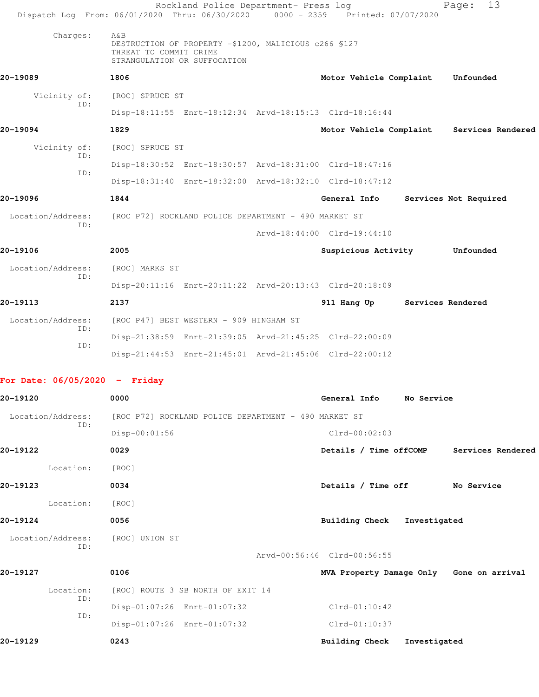|                          | Rockland Police Department- Press log<br>Dispatch Log From: 06/01/2020 Thru: 06/30/2020 0000 - 2359 Printed: 07/07/2020 |                             |                               | 13<br>Page:           |
|--------------------------|-------------------------------------------------------------------------------------------------------------------------|-----------------------------|-------------------------------|-----------------------|
| Charges:                 | A&B<br>DESTRUCTION OF PROPERTY -\$1200, MALICIOUS c266 \$127<br>THREAT TO COMMIT CRIME<br>STRANGULATION OR SUFFOCATION  |                             |                               |                       |
| 20-19089                 | 1806                                                                                                                    |                             | Motor Vehicle Complaint       | Unfounded             |
| Vicinity of:             | [ROC] SPRUCE ST                                                                                                         |                             |                               |                       |
| ID:                      | Disp-18:11:55 Enrt-18:12:34 Arvd-18:15:13 Clrd-18:16:44                                                                 |                             |                               |                       |
| 20-19094                 | 1829                                                                                                                    |                             | Motor Vehicle Complaint       | Services Rendered     |
| Vicinity of:             | [ROC] SPRUCE ST                                                                                                         |                             |                               |                       |
| TD:<br>ID:               | Disp-18:30:52 Enrt-18:30:57 Arvd-18:31:00 Clrd-18:47:16                                                                 |                             |                               |                       |
|                          | Disp-18:31:40 Enrt-18:32:00 Arvd-18:32:10 Clrd-18:47:12                                                                 |                             |                               |                       |
| 20-19096                 | 1844                                                                                                                    |                             | General Info                  | Services Not Required |
| Location/Address:<br>TD: | [ROC P72] ROCKLAND POLICE DEPARTMENT - 490 MARKET ST                                                                    |                             |                               |                       |
|                          |                                                                                                                         | Arvd-18:44:00 Clrd-19:44:10 |                               |                       |
| 20-19106                 | 2005                                                                                                                    |                             | Suspicious Activity           | Unfounded             |
| Location/Address:<br>TD: | [ROC] MARKS ST                                                                                                          |                             |                               |                       |
|                          | Disp-20:11:16 Enrt-20:11:22 Arvd-20:13:43 Clrd-20:18:09                                                                 |                             |                               |                       |
| 20-19113                 | 2137                                                                                                                    |                             | 911 Hang Up Services Rendered |                       |
| Location/Address:<br>ID: | [ROC P47] BEST WESTERN - 909 HINGHAM ST                                                                                 |                             |                               |                       |
| TD:                      | Disp-21:38:59 Enrt-21:39:05 Arvd-21:45:25 Clrd-22:00:09                                                                 |                             |                               |                       |
|                          | Disp-21:44:53 Enrt-21:45:01 Arvd-21:45:06 Clrd-22:00:12                                                                 |                             |                               |                       |

## **For Date: 06/05/2020 - Friday**

| 20-19120          | 0000                                                 | General Info<br>No Service                  |
|-------------------|------------------------------------------------------|---------------------------------------------|
| Location/Address: | [ROC P72] ROCKLAND POLICE DEPARTMENT - 490 MARKET ST |                                             |
| ID:               | $Disp-00:01:56$                                      | $Clrd-00:02:03$                             |
| 20-19122          | 0029                                                 | Details / Time offCOMP<br>Services Rendered |
| Location:         | [ROC]                                                |                                             |
| 20-19123          | 0034                                                 | Details / Time off<br>No Service            |
| Location:         | [ROC]                                                |                                             |
| 20-19124          | 0056                                                 | <b>Building Check</b><br>Investigated       |
| Location/Address: | [ROC] UNION ST                                       |                                             |
| ID:               |                                                      | Arvd-00:56:46 Clrd-00:56:55                 |
| 20-19127          | 0106                                                 | MVA Property Damage Only Gone on arrival    |
| Location:         | [ROC] ROUTE 3 SB NORTH OF EXIT 14                    |                                             |
| ID:               | Disp-01:07:26 Enrt-01:07:32                          | $Clrd-01:10:42$                             |
| ID:               | Disp-01:07:26 Enrt-01:07:32                          | $Clrd-01:10:37$                             |
| 20-19129          | 0243                                                 | <b>Building Check</b><br>Investigated       |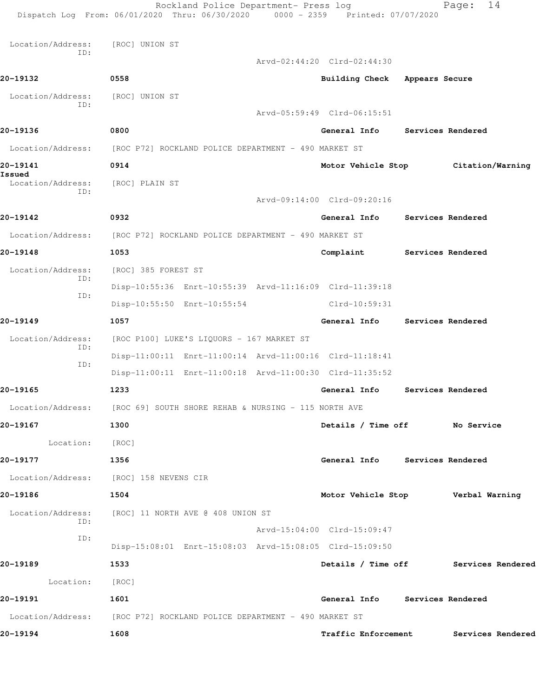|                          | Rockland Police Department- Press log<br>Dispatch Log From: 06/01/2020 Thru: 06/30/2020 0000 - 2359 Printed: 07/07/2020 |                                        |                          | 14<br>Page:                          |
|--------------------------|-------------------------------------------------------------------------------------------------------------------------|----------------------------------------|--------------------------|--------------------------------------|
|                          |                                                                                                                         |                                        |                          |                                      |
| Location/Address:<br>ID: | [ROC] UNION ST                                                                                                          |                                        |                          |                                      |
|                          |                                                                                                                         | Arvd-02:44:20 Clrd-02:44:30            |                          |                                      |
| 20-19132                 | 0558                                                                                                                    | Building Check Appears Secure          |                          |                                      |
| Location/Address:<br>ID: | [ROC] UNION ST                                                                                                          |                                        |                          |                                      |
|                          |                                                                                                                         | Arvd-05:59:49 Clrd-06:15:51            |                          |                                      |
| 20-19136                 | 0800                                                                                                                    | General Info                           | <b>Services Rendered</b> |                                      |
| Location/Address:        | [ROC P72] ROCKLAND POLICE DEPARTMENT - 490 MARKET ST                                                                    |                                        |                          |                                      |
| 20-19141<br>Issued       | 0914                                                                                                                    |                                        |                          | Motor Vehicle Stop Citation/Warning  |
| Location/Address:<br>ID: | [ROC] PLAIN ST                                                                                                          |                                        |                          |                                      |
|                          |                                                                                                                         | Arvd-09:14:00 Clrd-09:20:16            |                          |                                      |
| 20-19142                 | 0932                                                                                                                    | General Info Services Rendered         |                          |                                      |
| Location/Address:        | [ROC P72] ROCKLAND POLICE DEPARTMENT - 490 MARKET ST                                                                    |                                        |                          |                                      |
| 20-19148                 | 1053                                                                                                                    | Complaint                              | <b>Services Rendered</b> |                                      |
| Location/Address:<br>ID: | [ROC] 385 FOREST ST                                                                                                     |                                        |                          |                                      |
| ID:                      | Disp-10:55:36 Enrt-10:55:39 Arvd-11:16:09 Clrd-11:39:18                                                                 |                                        |                          |                                      |
|                          | Disp-10:55:50 Enrt-10:55:54                                                                                             | Clrd-10:59:31                          |                          |                                      |
| 20-19149                 | 1057                                                                                                                    | General Info                           | Services Rendered        |                                      |
| Location/Address:<br>ID: | [ROC P100] LUKE'S LIQUORS - 167 MARKET ST                                                                               |                                        |                          |                                      |
| ID:                      | Disp-11:00:11 Enrt-11:00:14 Arvd-11:00:16 Clrd-11:18:41                                                                 |                                        |                          |                                      |
|                          | Disp-11:00:11 Enrt-11:00:18 Arvd-11:00:30 Clrd-11:35:52                                                                 |                                        |                          |                                      |
| 20-19165                 | 1233                                                                                                                    | General Info                           |                          | Services Rendered                    |
|                          | Location/Address: [ROC 69] SOUTH SHORE REHAB & NURSING - 115 NORTH AVE                                                  |                                        |                          |                                      |
| 20-19167                 | 1300                                                                                                                    | Details / Time off No Service          |                          |                                      |
| Location: [ROC]          |                                                                                                                         |                                        |                          |                                      |
| 20-19177                 | 1356                                                                                                                    | General Info Services Rendered         |                          |                                      |
|                          | Location/Address: [ROC] 158 NEVENS CIR                                                                                  |                                        |                          |                                      |
| 20-19186                 | 1504                                                                                                                    | Motor Vehicle Stop [19] Verbal Warning |                          |                                      |
|                          | Location/Address: [ROC] 11 NORTH AVE @ 408 UNION ST                                                                     |                                        |                          |                                      |
| ID:                      |                                                                                                                         | Arvd-15:04:00 Clrd-15:09:47            |                          |                                      |
| ID:                      | Disp-15:08:01 Enrt-15:08:03 Arvd-15:08:05 Clrd-15:09:50                                                                 |                                        |                          |                                      |
| 20-19189                 | 1533                                                                                                                    |                                        |                          | Details / Time off Services Rendered |
| Location:                | [ROC]                                                                                                                   |                                        |                          |                                      |
| 20-19191                 | 1601                                                                                                                    | General Info Services Rendered         |                          |                                      |
|                          | Location/Address: [ROC P72] ROCKLAND POLICE DEPARTMENT - 490 MARKET ST                                                  |                                        |                          |                                      |
| 20-19194                 | 1608                                                                                                                    | <b>Traffic Enforcement</b>             |                          | Services Rendered                    |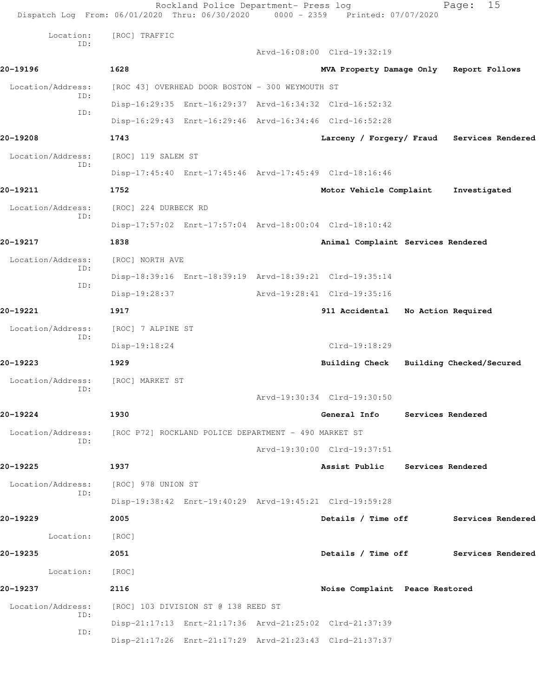Rockland Police Department- Press log Fage: 15 Dispatch Log From: 06/01/2020 Thru: 06/30/2020 0000 - 2359 Printed: 07/07/2020 Location: [ROC] TRAFFIC ID: Arvd-16:08:00 Clrd-19:32:19 **20-19196 1628 MVA Property Damage Only Report Follows** Location/Address: [ROC 43] OVERHEAD DOOR BOSTON - 300 WEYMOUTH ST ID: Disp-16:29:35 Enrt-16:29:37 Arvd-16:34:32 Clrd-16:52:32 ID: Disp-16:29:43 Enrt-16:29:46 Arvd-16:34:46 Clrd-16:52:28 **20-19208 1743 Larceny / Forgery/ Fraud Services Rendered** Location/Address: [ROC] 119 SALEM ST ID: Disp-17:45:40 Enrt-17:45:46 Arvd-17:45:49 Clrd-18:16:46 **20-19211 1752 Motor Vehicle Complaint Investigated** Location/Address: [ROC] 224 DURBECK RD ID: Disp-17:57:02 Enrt-17:57:04 Arvd-18:00:04 Clrd-18:10:42 **20-19217 1838 Animal Complaint Services Rendered** Location/Address: [ROC] NORTH AVE ID: Disp-18:39:16 Enrt-18:39:19 Arvd-18:39:21 Clrd-19:35:14 ID: Disp-19:28:37 Arvd-19:28:41 Clrd-19:35:16 **20-19221 1917 911 Accidental No Action Required** Location/Address: [ROC] 7 ALPINE ST ID: Disp-19:18:24 Clrd-19:18:29 **20-19223 1929 Building Check Building Checked/Secured** Location/Address: [ROC] MARKET ST ID: Arvd-19:30:34 Clrd-19:30:50 **20-19224 1930 General Info Services Rendered** Location/Address: [ROC P72] ROCKLAND POLICE DEPARTMENT - 490 MARKET ST ID: Arvd-19:30:00 Clrd-19:37:51 **20-19225 1937 Assist Public Services Rendered** Location/Address: [ROC] 978 UNION ST ID: Disp-19:38:42 Enrt-19:40:29 Arvd-19:45:21 Clrd-19:59:28 **20-19229 2005 Details / Time off Services Rendered** Location: [ROC] **20-19235 2051 Details / Time off Services Rendered** Location: [ROC] **20-19237 2116 Noise Complaint Peace Restored** Location/Address: [ROC] 103 DIVISION ST @ 138 REED ST ID: Disp-21:17:13 Enrt-21:17:36 Arvd-21:25:02 Clrd-21:37:39 ID: Disp-21:17:26 Enrt-21:17:29 Arvd-21:23:43 Clrd-21:37:37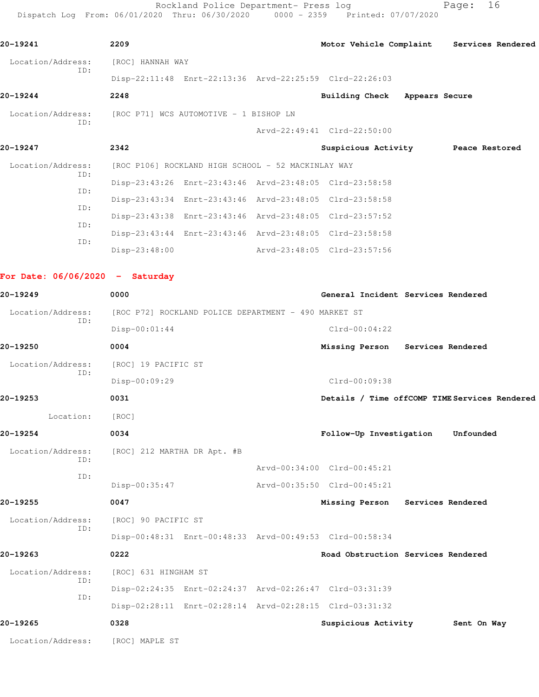Rockland Police Department- Press log entitled Page: 16 Dispatch Log From: 06/01/2020 Thru: 06/30/2020 0000 - 2359 Printed: 07/07/2020

| 20-19241                          | 2209                                                    |                                    | Motor Vehicle Complaint Services Rendered     |
|-----------------------------------|---------------------------------------------------------|------------------------------------|-----------------------------------------------|
| Location/Address:                 | [ROC] HANNAH WAY                                        |                                    |                                               |
| ID:                               | Disp-22:11:48 Enrt-22:13:36 Arvd-22:25:59 Clrd-22:26:03 |                                    |                                               |
| 20-19244                          | 2248                                                    | Building Check Appears Secure      |                                               |
| Location/Address:                 | [ROC P71] WCS AUTOMOTIVE - 1 BISHOP LN                  |                                    |                                               |
| ID:                               |                                                         | Arvd-22:49:41 Clrd-22:50:00        |                                               |
| 20-19247                          | 2342                                                    | Suspicious Activity Peace Restored |                                               |
| Location/Address:<br>ID:          | [ROC P106] ROCKLAND HIGH SCHOOL - 52 MACKINLAY WAY      |                                    |                                               |
| ID:                               | Disp-23:43:26 Enrt-23:43:46 Arvd-23:48:05 Clrd-23:58:58 |                                    |                                               |
| ID:                               | Disp-23:43:34 Enrt-23:43:46 Arvd-23:48:05 Clrd-23:58:58 |                                    |                                               |
| ID:                               | Disp-23:43:38 Enrt-23:43:46 Arvd-23:48:05 Clrd-23:57:52 |                                    |                                               |
|                                   | Disp-23:43:44 Enrt-23:43:46 Arvd-23:48:05 Clrd-23:58:58 |                                    |                                               |
| ID:                               | $Disp-23:48:00$                                         | Arvd-23:48:05 Clrd-23:57:56        |                                               |
| For Date: $06/06/2020 -$ Saturday |                                                         |                                    |                                               |
|                                   |                                                         |                                    |                                               |
| 20-19249                          | 0000                                                    | General Incident Services Rendered |                                               |
| Location/Address:<br>ID:          | [ROC P72] ROCKLAND POLICE DEPARTMENT - 490 MARKET ST    |                                    |                                               |
|                                   | $Disp-00:01:44$                                         | $Clrd-00:04:22$                    |                                               |
| 20-19250                          | 0004                                                    | Missing Person Services Rendered   |                                               |
| Location/Address:<br>ID:          | [ROC] 19 PACIFIC ST                                     |                                    |                                               |
|                                   | Disp-00:09:29                                           | Clrd-00:09:38                      |                                               |
| 20-19253                          | 0031                                                    |                                    | Details / Time offCOMP TIME Services Rendered |
| Location:                         | [ROC]                                                   |                                    |                                               |
| 20-19254                          | 0034                                                    | Follow-Up Investigation            | Unfounded                                     |
| Location/Address:<br>ID:          | [ROC] 212 MARTHA DR Apt. #B                             |                                    |                                               |
| ID:                               |                                                         | Arvd-00:34:00 Clrd-00:45:21        |                                               |
|                                   | $Disp-00:35:47$                                         | Arvd-00:35:50 Clrd-00:45:21        |                                               |
| 20-19255                          | 0047                                                    | Missing Person                     | Services Rendered                             |
| Location/Address:<br>ID:          | [ROC] 90 PACIFIC ST                                     |                                    |                                               |
|                                   | Disp-00:48:31 Enrt-00:48:33 Arvd-00:49:53 Clrd-00:58:34 |                                    |                                               |
| 20-19263                          | 0222                                                    | Road Obstruction Services Rendered |                                               |
| Location/Address:<br>ID:          | [ROC] 631 HINGHAM ST                                    |                                    |                                               |
| ID:                               | Disp-02:24:35 Enrt-02:24:37 Arvd-02:26:47 Clrd-03:31:39 |                                    |                                               |
|                                   | Disp-02:28:11 Enrt-02:28:14 Arvd-02:28:15 Clrd-03:31:32 |                                    |                                               |
| 20-19265                          | 0328                                                    | Suspicious Activity                | Sent On Way                                   |
| Location/Address:                 | [ROC] MAPLE ST                                          |                                    |                                               |
|                                   |                                                         |                                    |                                               |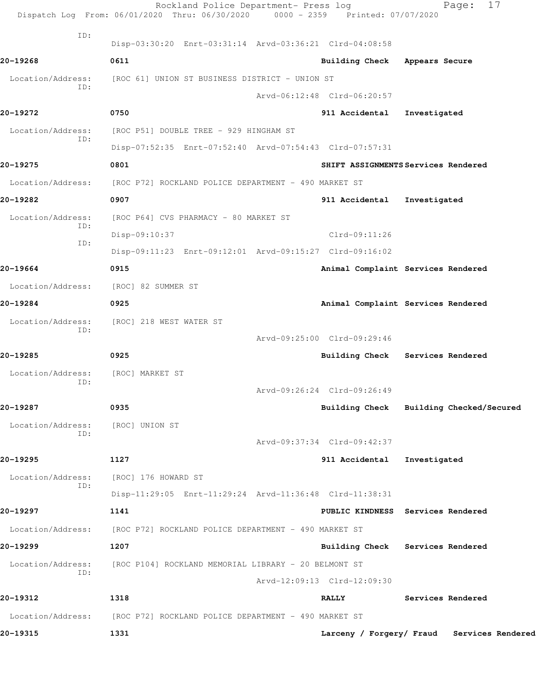|                   | Rockland Police Department- Press log<br>Dispatch Log From: 06/01/2020 Thru: 06/30/2020 0000 - 2359 Printed: 07/07/2020 |                             |                 | 17<br>Page:                                |
|-------------------|-------------------------------------------------------------------------------------------------------------------------|-----------------------------|-----------------|--------------------------------------------|
| ID:               | Disp-03:30:20 Enrt-03:31:14 Arvd-03:36:21 Clrd-04:08:58                                                                 |                             |                 |                                            |
| 20-19268          | 0611                                                                                                                    |                             | Building Check  | Appears Secure                             |
| Location/Address: | [ROC 61] UNION ST BUSINESS DISTRICT - UNION ST                                                                          |                             |                 |                                            |
| ID:               |                                                                                                                         | Arvd-06:12:48 Clrd-06:20:57 |                 |                                            |
| 20-19272          | 0750                                                                                                                    |                             | 911 Accidental  | Investigated                               |
| Location/Address: | [ROC P51] DOUBLE TREE - 929 HINGHAM ST                                                                                  |                             |                 |                                            |
| ID:               | Disp-07:52:35 Enrt-07:52:40 Arvd-07:54:43 Clrd-07:57:31                                                                 |                             |                 |                                            |
| 20-19275          | 0801                                                                                                                    |                             |                 | SHIFT ASSIGNMENTS Services Rendered        |
| Location/Address: | [ROC P72] ROCKLAND POLICE DEPARTMENT - 490 MARKET ST                                                                    |                             |                 |                                            |
| 20-19282          | 0907                                                                                                                    |                             | 911 Accidental  | Investigated                               |
| Location/Address: | [ROC P64] CVS PHARMACY - 80 MARKET ST                                                                                   |                             |                 |                                            |
| ID:               | Disp-09:10:37                                                                                                           |                             | $Clrd-09:11:26$ |                                            |
| ID:               | Disp-09:11:23 Enrt-09:12:01 Arvd-09:15:27 Clrd-09:16:02                                                                 |                             |                 |                                            |
| 20-19664          | 0915                                                                                                                    |                             |                 | Animal Complaint Services Rendered         |
| Location/Address: | [ROC] 82 SUMMER ST                                                                                                      |                             |                 |                                            |
| 20-19284          | 0925                                                                                                                    |                             |                 | Animal Complaint Services Rendered         |
| Location/Address: | [ROC] 218 WEST WATER ST                                                                                                 |                             |                 |                                            |
| ID:               |                                                                                                                         | Arvd-09:25:00 Clrd-09:29:46 |                 |                                            |
| 20-19285          | 0925                                                                                                                    |                             |                 | Building Check Services Rendered           |
| Location/Address: | [ROC] MARKET ST                                                                                                         |                             |                 |                                            |
| ID:               |                                                                                                                         | Arvd-09:26:24 Clrd-09:26:49 |                 |                                            |
| 20-19287          | 0935                                                                                                                    |                             |                 | Building Check Building Checked/Secured    |
| Location/Address: | [ROC] UNION ST                                                                                                          |                             |                 |                                            |
| ID:               |                                                                                                                         | Arvd-09:37:34 Clrd-09:42:37 |                 |                                            |
| 20-19295          | 1127                                                                                                                    |                             | 911 Accidental  | Investigated                               |
| Location/Address: | [ROC] 176 HOWARD ST                                                                                                     |                             |                 |                                            |
| ID:               | Disp-11:29:05 Enrt-11:29:24 Arvd-11:36:48 Clrd-11:38:31                                                                 |                             |                 |                                            |
| 20-19297          | 1141                                                                                                                    |                             |                 | PUBLIC KINDNESS Services Rendered          |
| Location/Address: | [ROC P72] ROCKLAND POLICE DEPARTMENT - 490 MARKET ST                                                                    |                             |                 |                                            |
| 20-19299          | 1207                                                                                                                    |                             |                 | Building Check Services Rendered           |
| Location/Address: | [ROC P104] ROCKLAND MEMORIAL LIBRARY - 20 BELMONT ST                                                                    |                             |                 |                                            |
| ID:               |                                                                                                                         | Arvd-12:09:13 Clrd-12:09:30 |                 |                                            |
| 20-19312          | 1318                                                                                                                    |                             | <b>RALLY</b>    | Services Rendered                          |
| Location/Address: | [ROC P72] ROCKLAND POLICE DEPARTMENT - 490 MARKET ST                                                                    |                             |                 |                                            |
| 20-19315          | 1331                                                                                                                    |                             |                 | Larceny / Forgery/ Fraud Services Rendered |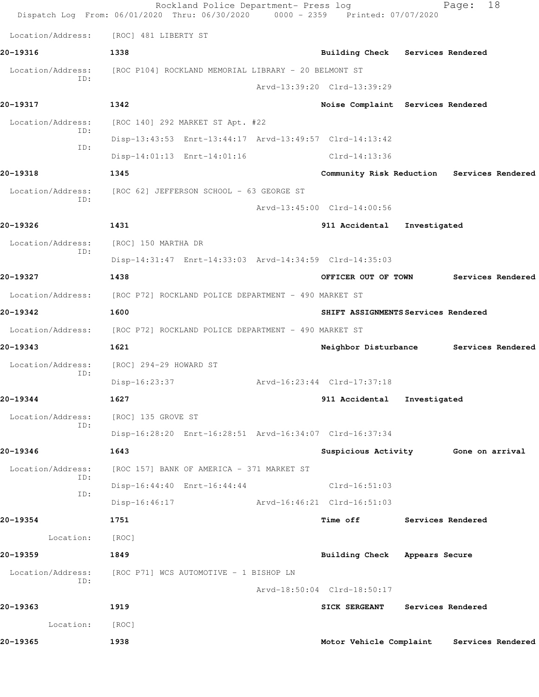|                   | Rockland Police Department- Press log<br>Dispatch Log From: 06/01/2020 Thru: 06/30/2020 0000 - 2359 Printed: 07/07/2020 |                                            |              | 18<br>Page:       |  |
|-------------------|-------------------------------------------------------------------------------------------------------------------------|--------------------------------------------|--------------|-------------------|--|
| Location/Address: | [ROC] 481 LIBERTY ST                                                                                                    |                                            |              |                   |  |
| 20-19316          | 1338                                                                                                                    | Building Check Services Rendered           |              |                   |  |
| Location/Address: | [ROC P104] ROCKLAND MEMORIAL LIBRARY - 20 BELMONT ST                                                                    |                                            |              |                   |  |
| ID:               |                                                                                                                         | Arvd-13:39:20 Clrd-13:39:29                |              |                   |  |
| 20-19317          | 1342                                                                                                                    | Noise Complaint Services Rendered          |              |                   |  |
| Location/Address: | [ROC 140] 292 MARKET ST Apt. #22                                                                                        |                                            |              |                   |  |
| ID:               | Disp-13:43:53 Enrt-13:44:17 Arvd-13:49:57 Clrd-14:13:42                                                                 |                                            |              |                   |  |
| ID:               | Disp-14:01:13 Enrt-14:01:16                                                                                             | Clrd-14:13:36                              |              |                   |  |
| 20-19318          | 1345                                                                                                                    | Community Risk Reduction Services Rendered |              |                   |  |
| Location/Address: | [ROC 62] JEFFERSON SCHOOL - 63 GEORGE ST                                                                                |                                            |              |                   |  |
| ID:               |                                                                                                                         | Arvd-13:45:00 Clrd-14:00:56                |              |                   |  |
| 20-19326          | 1431                                                                                                                    | 911 Accidental                             | Investigated |                   |  |
| Location/Address: | [ROC] 150 MARTHA DR                                                                                                     |                                            |              |                   |  |
| ID:               | Disp-14:31:47 Enrt-14:33:03 Arvd-14:34:59 Clrd-14:35:03                                                                 |                                            |              |                   |  |
| 20-19327          | 1438                                                                                                                    | OFFICER OUT OF TOWN                        |              | Services Rendered |  |
|                   | Location/Address: [ROC P72] ROCKLAND POLICE DEPARTMENT - 490 MARKET ST                                                  |                                            |              |                   |  |
| 20-19342          | 1600                                                                                                                    | SHIFT ASSIGNMENTS Services Rendered        |              |                   |  |
|                   | Location/Address: [ROC P72] ROCKLAND POLICE DEPARTMENT - 490 MARKET ST                                                  |                                            |              |                   |  |
| 20-19343          | 1621                                                                                                                    | Neighbor Disturbance Services Rendered     |              |                   |  |
| Location/Address: | [ROC] 294-29 HOWARD ST                                                                                                  |                                            |              |                   |  |
| ID:               | Disp-16:23:37                                                                                                           | Arvd-16:23:44 Clrd-17:37:18                |              |                   |  |
| 20-19344          | 1627                                                                                                                    | 911 Accidental                             | Investigated |                   |  |
| Location/Address: | [ROC] 135 GROVE ST                                                                                                      |                                            |              |                   |  |
| ID:               | Disp-16:28:20 Enrt-16:28:51 Arvd-16:34:07 Clrd-16:37:34                                                                 |                                            |              |                   |  |
| 20-19346          | 1643                                                                                                                    | Suspicious Activity Gone on arrival        |              |                   |  |
| Location/Address: | [ROC 157] BANK OF AMERICA - 371 MARKET ST                                                                               |                                            |              |                   |  |
| ID:               | Disp-16:44:40 Enrt-16:44:44                                                                                             | $Clrd-16:51:03$                            |              |                   |  |
| ID:               | $Disp-16:46:17$                                                                                                         | Arvd-16:46:21 Clrd-16:51:03                |              |                   |  |
| 20-19354          | 1751                                                                                                                    | Time off Services Rendered                 |              |                   |  |
| Location: [ROC]   |                                                                                                                         |                                            |              |                   |  |
| 20-19359          | 1849                                                                                                                    | Building Check Appears Secure              |              |                   |  |
| Location/Address: | [ROC P71] WCS AUTOMOTIVE - 1 BISHOP LN                                                                                  |                                            |              |                   |  |
| ID:               |                                                                                                                         | Arvd-18:50:04 Clrd-18:50:17                |              |                   |  |
| 20-19363          | 1919                                                                                                                    | <b>SICK SERGEANT</b>                       |              | Services Rendered |  |
| Location:         | [ROC]                                                                                                                   |                                            |              |                   |  |
| 20-19365          | 1938                                                                                                                    | Motor Vehicle Complaint                    |              | Services Rendered |  |
|                   |                                                                                                                         |                                            |              |                   |  |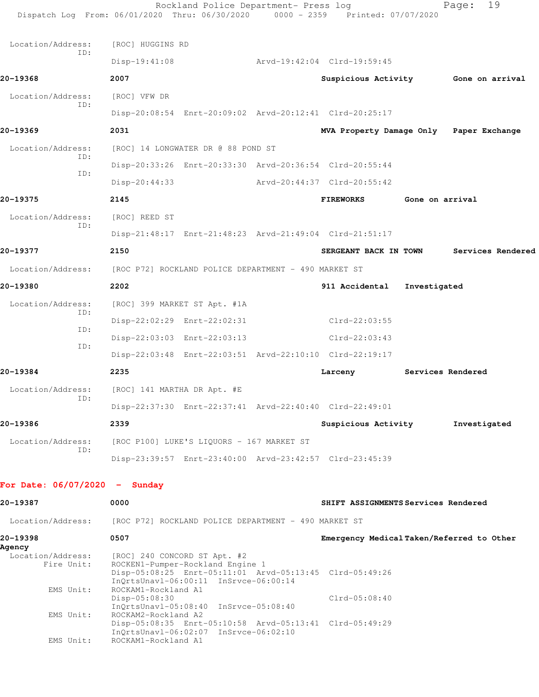| Dispatch Log From: 06/01/2020 Thru: 06/30/2020 |                  | Rockland Police Department- Press log                   | $0000 - 2359$ | Printed: 07/07/2020                                     |                 | 19<br>Page:       |  |
|------------------------------------------------|------------------|---------------------------------------------------------|---------------|---------------------------------------------------------|-----------------|-------------------|--|
| Location/Address:                              | [ROC] HUGGINS RD |                                                         |               |                                                         |                 |                   |  |
| ID:                                            | Disp-19:41:08    |                                                         |               | Arvd-19:42:04 Clrd-19:59:45                             |                 |                   |  |
| 20-19368                                       | 2007             |                                                         |               | Suspicious Activity 6one on arrival                     |                 |                   |  |
| Location/Address:                              | [ROC] VFW DR     |                                                         |               |                                                         |                 |                   |  |
| ID:                                            |                  |                                                         |               | Disp-20:08:54 Enrt-20:09:02 Arvd-20:12:41 Clrd-20:25:17 |                 |                   |  |
| 20-19369                                       | 2031             |                                                         |               | MVA Property Damage Only Paper Exchange                 |                 |                   |  |
| Location/Address:                              |                  | [ROC] 14 LONGWATER DR @ 88 POND ST                      |               |                                                         |                 |                   |  |
| ID:                                            |                  |                                                         |               | Disp-20:33:26 Enrt-20:33:30 Arvd-20:36:54 Clrd-20:55:44 |                 |                   |  |
| ID:                                            | $Disp-20:44:33$  |                                                         |               | Arvd-20:44:37 Clrd-20:55:42                             |                 |                   |  |
| 20-19375                                       | 2145             |                                                         |               | <b>FIREWORKS</b>                                        | Gone on arrival |                   |  |
| Location/Address:                              | [ROC] REED ST    |                                                         |               |                                                         |                 |                   |  |
| ID:                                            |                  |                                                         |               | Disp-21:48:17 Enrt-21:48:23 Arvd-21:49:04 Clrd-21:51:17 |                 |                   |  |
| 20-19377                                       | 2150             |                                                         |               | SERGEANT BACK IN TOWN                                   |                 | Services Rendered |  |
| Location/Address:                              |                  | [ROC P72] ROCKLAND POLICE DEPARTMENT - 490 MARKET ST    |               |                                                         |                 |                   |  |
| 20-19380                                       | 2202             |                                                         |               | 911 Accidental                                          | Investigated    |                   |  |
| Location/Address:                              |                  | [ROC] 399 MARKET ST Apt. #1A                            |               |                                                         |                 |                   |  |
| ID:                                            |                  | Disp-22:02:29 Enrt-22:02:31                             |               | Clrd-22:03:55                                           |                 |                   |  |
| ID:                                            |                  | Disp-22:03:03 Enrt-22:03:13                             |               | $Clrd-22:03:43$                                         |                 |                   |  |
| ID:                                            |                  |                                                         |               | Disp-22:03:48 Enrt-22:03:51 Arvd-22:10:10 Clrd-22:19:17 |                 |                   |  |
| 20-19384                                       | 2235             |                                                         |               | Larceny                                                 |                 | Services Rendered |  |
| Location/Address: [ROC] 141 MARTHA DR Apt. #E  |                  |                                                         |               |                                                         |                 |                   |  |
| ID:                                            |                  | Disp-22:37:30 Enrt-22:37:41 Arvd-22:40:40 Clrd-22:49:01 |               |                                                         |                 |                   |  |
| 20-19386                                       | 2339             |                                                         |               | Suspicious Activity                                     |                 | Investigated      |  |
| Location/Address:                              |                  | [ROC P100] LUKE'S LIQUORS - 167 MARKET ST               |               |                                                         |                 |                   |  |
| ID:                                            |                  | Disp-23:39:57 Enrt-23:40:00 Arvd-23:42:57 Clrd-23:45:39 |               |                                                         |                 |                   |  |
| For Date: $06/07/2020 -$ Sunday                |                  |                                                         |               |                                                         |                 |                   |  |
| 20-19387                                       | 0000             |                                                         |               | SHIFT ASSIGNMENTS Services Rendered                     |                 |                   |  |
| Location/Address:                              |                  | [ROC P72] ROCKLAND POLICE DEPARTMENT - 490 MARKET ST    |               |                                                         |                 |                   |  |
| 20-19398<br>Agency                             | 0507             |                                                         |               | Emergency Medical Taken/Referred to Other               |                 |                   |  |

| Aqency            |                                                         |                 |
|-------------------|---------------------------------------------------------|-----------------|
| Location/Address: | [ROC] 240 CONCORD ST Apt. #2                            |                 |
| Fire Unit:        | ROCKEN1-Pumper-Rockland Engine 1                        |                 |
|                   | Disp-05:08:25 Enrt-05:11:01 Arvd-05:13:45 Clrd-05:49:26 |                 |
|                   | InOrtsUnavl-06:00:11 InSrvce-06:00:14                   |                 |
| EMS Unit:         | ROCKAM1-Rockland A1                                     |                 |
|                   | $Disp-05:08:30$                                         | $Clrd-05:08:40$ |
|                   | InOrtsUnavl-05:08:40 InSrvce-05:08:40                   |                 |
| EMS Unit:         | ROCKAM2-Rockland A2                                     |                 |
|                   | Disp-05:08:35 Enrt-05:10:58 Arvd-05:13:41 Clrd-05:49:29 |                 |
|                   | InOrtsUnav1-06:02:07 InSrvce-06:02:10                   |                 |
| EMS Unit:         | ROCKAM1-Rockland A1                                     |                 |
|                   |                                                         |                 |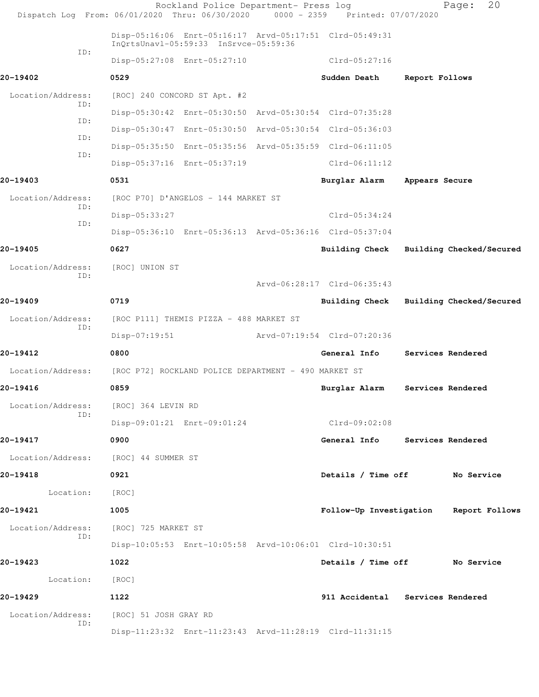|                   | Rockland Police Department- Press log<br>Dispatch Log From: 06/01/2020 Thru: 06/30/2020 0000 - 2359 Printed: 07/07/2020 |                             | Page:                            | 20             |
|-------------------|-------------------------------------------------------------------------------------------------------------------------|-----------------------------|----------------------------------|----------------|
|                   | Disp-05:16:06 Enrt-05:16:17 Arvd-05:17:51 Clrd-05:49:31<br>InQrtsUnavl-05:59:33 InSrvce-05:59:36                        |                             |                                  |                |
| ID:               | Disp-05:27:08 Enrt-05:27:10                                                                                             | Clrd-05:27:16               |                                  |                |
| 20-19402          | 0529                                                                                                                    | Sudden Death                | Report Follows                   |                |
| Location/Address: | [ROC] 240 CONCORD ST Apt. #2                                                                                            |                             |                                  |                |
| ID:               | Disp-05:30:42 Enrt-05:30:50 Arvd-05:30:54 Clrd-07:35:28                                                                 |                             |                                  |                |
| ID:               | Disp-05:30:47 Enrt-05:30:50 Arvd-05:30:54 Clrd-05:36:03                                                                 |                             |                                  |                |
| ID:               | Disp-05:35:50 Enrt-05:35:56 Arvd-05:35:59 Clrd-06:11:05                                                                 |                             |                                  |                |
| ID:               | Disp-05:37:16 Enrt-05:37:19                                                                                             | $Clrd-06:11:12$             |                                  |                |
| 20-19403          | 0531                                                                                                                    | Burglar Alarm               | Appears Secure                   |                |
| Location/Address: | [ROC P70] D'ANGELOS - 144 MARKET ST                                                                                     |                             |                                  |                |
| ID:               | Disp-05:33:27                                                                                                           | $Clrd-05:34:24$             |                                  |                |
| ID:               | Disp-05:36:10 Enrt-05:36:13 Arvd-05:36:16 Clrd-05:37:04                                                                 |                             |                                  |                |
| 20-19405          | 0627                                                                                                                    | Building Check              | Building Checked/Secured         |                |
| Location/Address: | [ROC] UNION ST                                                                                                          |                             |                                  |                |
| ID:               |                                                                                                                         | Arvd-06:28:17 Clrd-06:35:43 |                                  |                |
| 20-19409          | 0719                                                                                                                    | Building Check              | Building Checked/Secured         |                |
| Location/Address: | [ROC P111] THEMIS PIZZA - 488 MARKET ST                                                                                 |                             |                                  |                |
| ID:               | $Disp-07:19:51$                                                                                                         | Arvd-07:19:54 Clrd-07:20:36 |                                  |                |
| 20-19412          | 0800                                                                                                                    | General Info                | Services Rendered                |                |
| Location/Address: | [ROC P72] ROCKLAND POLICE DEPARTMENT - 490 MARKET ST                                                                    |                             |                                  |                |
| 20-19416          | 0859                                                                                                                    | Burglar Alarm               | Services Rendered                |                |
| Location/Address: | [ROC] 364 LEVIN RD                                                                                                      |                             |                                  |                |
| ID:               | Disp-09:01:21 Enrt-09:01:24                                                                                             | Clrd-09:02:08               |                                  |                |
| 20-19417          | 0900                                                                                                                    | General Info                | Services Rendered                |                |
| Location/Address: | [ROC] 44 SUMMER ST                                                                                                      |                             |                                  |                |
| 20-19418          | 0921                                                                                                                    | Details / Time off          | No Service                       |                |
| Location:         | [ROC]                                                                                                                   |                             |                                  |                |
| 20-19421          | 1005                                                                                                                    | Follow-Up Investigation     |                                  | Report Follows |
| Location/Address: | [ROC] 725 MARKET ST                                                                                                     |                             |                                  |                |
| ID:               | Disp-10:05:53 Enrt-10:05:58 Arvd-10:06:01 Clrd-10:30:51                                                                 |                             |                                  |                |
| 20-19423          | 1022                                                                                                                    | Details / Time off          | No Service                       |                |
| Location:         | [ROC]                                                                                                                   |                             |                                  |                |
| 20-19429          | 1122                                                                                                                    |                             | 911 Accidental Services Rendered |                |
| Location/Address: | [ROC] 51 JOSH GRAY RD                                                                                                   |                             |                                  |                |
| ID:               | Disp-11:23:32 Enrt-11:23:43 Arvd-11:28:19 Clrd-11:31:15                                                                 |                             |                                  |                |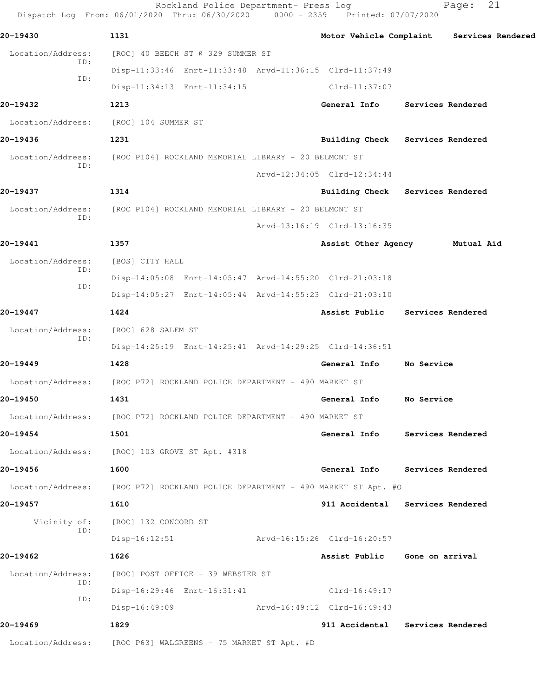|                          | Rockland Police Department- Press log<br>Dispatch Log From: 06/01/2020 Thru: 06/30/2020 0000 - 2359 Printed: 07/07/2020 |                               | 21<br>Page:                               |  |
|--------------------------|-------------------------------------------------------------------------------------------------------------------------|-------------------------------|-------------------------------------------|--|
| 20-19430                 | 1131                                                                                                                    |                               | Motor Vehicle Complaint Services Rendered |  |
| Location/Address:        | [ROC] 40 BEECH ST @ 329 SUMMER ST                                                                                       |                               |                                           |  |
| ID:<br>ID:               | Disp-11:33:46 Enrt-11:33:48 Arvd-11:36:15 Clrd-11:37:49                                                                 |                               |                                           |  |
|                          | Disp-11:34:13 Enrt-11:34:15                                                                                             | Clrd-11:37:07                 |                                           |  |
| 20-19432                 | 1213                                                                                                                    | General Info                  | Services Rendered                         |  |
| Location/Address:        | [ROC] 104 SUMMER ST                                                                                                     |                               |                                           |  |
| 20-19436                 | 1231                                                                                                                    |                               | Building Check Services Rendered          |  |
| Location/Address:<br>ID: | [ROC P104] ROCKLAND MEMORIAL LIBRARY - 20 BELMONT ST                                                                    |                               |                                           |  |
|                          |                                                                                                                         | Arvd-12:34:05 Clrd-12:34:44   |                                           |  |
| 20-19437                 | 1314                                                                                                                    |                               | Building Check Services Rendered          |  |
| Location/Address:<br>ID: | [ROC P104] ROCKLAND MEMORIAL LIBRARY - 20 BELMONT ST                                                                    |                               |                                           |  |
|                          |                                                                                                                         | Arvd-13:16:19 Clrd-13:16:35   |                                           |  |
| 20-19441                 | 1357                                                                                                                    |                               | Assist Other Agency Mutual Aid            |  |
| Location/Address:<br>ID: | [BOS] CITY HALL                                                                                                         |                               |                                           |  |
| ID:                      | Disp-14:05:08 Enrt-14:05:47 Arvd-14:55:20 Clrd-21:03:18                                                                 |                               |                                           |  |
|                          | Disp-14:05:27 Enrt-14:05:44 Arvd-14:55:23 Clrd-21:03:10                                                                 |                               |                                           |  |
| 20-19447                 | 1424                                                                                                                    |                               | Assist Public Services Rendered           |  |
| Location/Address:<br>ID: | [ROC] 628 SALEM ST                                                                                                      |                               |                                           |  |
|                          | Disp-14:25:19 Enrt-14:25:41 Arvd-14:29:25 Clrd-14:36:51                                                                 |                               |                                           |  |
| 20-19449                 | 1428                                                                                                                    | General Info                  | No Service                                |  |
| Location/Address:        | [ROC P72] ROCKLAND POLICE DEPARTMENT - 490 MARKET ST                                                                    |                               |                                           |  |
| 20-19450                 | 1431                                                                                                                    | General Info                  | No Service                                |  |
|                          | Location/Address: [ROC P72] ROCKLAND POLICE DEPARTMENT - 490 MARKET ST                                                  |                               |                                           |  |
| 20-19454                 | 1501                                                                                                                    |                               | General Info Services Rendered            |  |
|                          | Location/Address: [ROC] 103 GROVE ST Apt. #318                                                                          |                               |                                           |  |
| 20-19456                 | 1600                                                                                                                    |                               | General Info Services Rendered            |  |
|                          | Location/Address: [ROC P72] ROCKLAND POLICE DEPARTMENT - 490 MARKET ST Apt. #Q                                          |                               |                                           |  |
| 20-19457                 | 1610                                                                                                                    |                               | 911 Accidental Services Rendered          |  |
| ID:                      | Vicinity of: [ROC] 132 CONCORD ST                                                                                       |                               |                                           |  |
|                          | Disp-16:12:51                                                                                                           | Arvd-16:15:26 Clrd-16:20:57   |                                           |  |
| 20-19462                 | 1626                                                                                                                    | Assist Public Gone on arrival |                                           |  |
| Location/Address:<br>ID: | [ROC] POST OFFICE - 39 WEBSTER ST                                                                                       |                               |                                           |  |
| ID:                      | Disp-16:29:46 Enrt-16:31:41                                                                                             | Clrd-16:49:17                 |                                           |  |
|                          | Disp-16:49:09                                                                                                           | Arvd-16:49:12 Clrd-16:49:43   |                                           |  |
| 20-19469                 | 1829                                                                                                                    |                               | 911 Accidental Services Rendered          |  |
|                          | Location/Address: [ROC P63] WALGREENS - 75 MARKET ST Apt. #D                                                            |                               |                                           |  |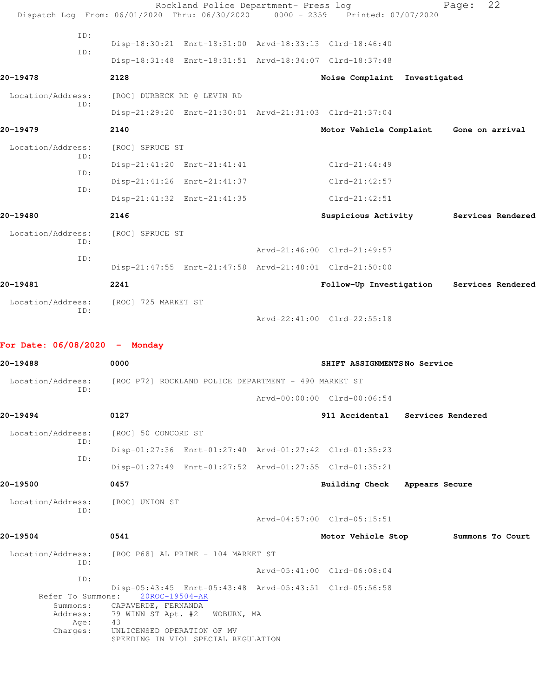|                                 | Dispatch Log From: 06/01/2020 Thru: 06/30/2020 0000 - 2359 Printed: 07/07/2020 | Rockland Police Department- Press log |                                         | 22<br>Page:       |  |
|---------------------------------|--------------------------------------------------------------------------------|---------------------------------------|-----------------------------------------|-------------------|--|
| ID:                             | Disp-18:30:21 Enrt-18:31:00 Arvd-18:33:13 Clrd-18:46:40                        |                                       |                                         |                   |  |
| ID:                             | Disp-18:31:48 Enrt-18:31:51 Arvd-18:34:07 Clrd-18:37:48                        |                                       |                                         |                   |  |
| 20-19478                        | 2128                                                                           |                                       | Noise Complaint Investigated            |                   |  |
| Location/Address:               | [ROC] DURBECK RD @ LEVIN RD                                                    |                                       |                                         |                   |  |
| ID:                             | Disp-21:29:20 Enrt-21:30:01 Arvd-21:31:03 Clrd-21:37:04                        |                                       |                                         |                   |  |
| 20-19479                        | 2140                                                                           |                                       | Motor Vehicle Complaint Gone on arrival |                   |  |
| Location/Address:               | [ROC] SPRUCE ST                                                                |                                       |                                         |                   |  |
| ID:                             | Disp-21:41:20 Enrt-21:41:41                                                    |                                       | $Clrd-21:44:49$                         |                   |  |
| ID:                             | Disp-21:41:26 Enrt-21:41:37                                                    |                                       | $Clrd-21:42:57$                         |                   |  |
| ID:                             | Disp-21:41:32 Enrt-21:41:35                                                    |                                       | $Clrd-21:42:51$                         |                   |  |
| 20-19480                        | 2146                                                                           |                                       | Suspicious Activity Services Rendered   |                   |  |
| Location/Address:               | [ROC] SPRUCE ST                                                                |                                       |                                         |                   |  |
| ID:                             |                                                                                |                                       | Arvd-21:46:00 Clrd-21:49:57             |                   |  |
| ID:                             | Disp-21:47:55 Enrt-21:47:58 Arvd-21:48:01 Clrd-21:50:00                        |                                       |                                         |                   |  |
| 20-19481                        | 2241                                                                           |                                       | Follow-Up Investigation                 | Services Rendered |  |
| Location/Address:               | [ROC] 725 MARKET ST                                                            |                                       |                                         |                   |  |
| ID:                             |                                                                                |                                       | Arvd-22:41:00 Clrd-22:55:18             |                   |  |
| For Date: $06/08/2020 -$ Monday |                                                                                |                                       |                                         |                   |  |
| 20-19488                        | 0000                                                                           |                                       | SHIFT ASSIGNMENTSNo Service             |                   |  |
| Location/Address:               | [ROC P72] ROCKLAND POLICE DEPARTMENT - 490 MARKET ST                           |                                       |                                         |                   |  |
|                                 |                                                                                |                                       |                                         |                   |  |
| ID:                             |                                                                                |                                       | Arvd-00:00:00 Clrd-00:06:54             |                   |  |
| 20-19494                        | 0127                                                                           |                                       | 911 Accidental Services Rendered        |                   |  |
| Location/Address:               | [ROC] 50 CONCORD ST                                                            |                                       |                                         |                   |  |
| ID:                             | Disp-01:27:36 Enrt-01:27:40 Arvd-01:27:42 Clrd-01:35:23                        |                                       |                                         |                   |  |
| ID:                             | Disp-01:27:49 Enrt-01:27:52 Arvd-01:27:55 Clrd-01:35:21                        |                                       |                                         |                   |  |
| 20-19500                        | 0457                                                                           |                                       | Building Check Appears Secure           |                   |  |
| Location/Address:               | [ROC] UNION ST                                                                 |                                       |                                         |                   |  |
| ID:                             |                                                                                |                                       | Arvd-04:57:00 Clrd-05:15:51             |                   |  |
| 20-19504                        | 0541                                                                           |                                       | Motor Vehicle Stop                      | Summons To Court  |  |
| Location/Address:<br>ID:        | [ROC P68] AL PRIME - 104 MARKET ST                                             |                                       |                                         |                   |  |

 ID: Disp-05:43:45 Enrt-05:43:48 Arvd-05:43:51 Clrd-05:56:58 Refer To Summons: 20ROC-19504-AR Summons: CAPAVERDE, FERNANDA Address: 79 WINN ST Apt. #2 WOBURN, MA

Age: 43 Charges: UNLICENSED OPERATION OF MV SPEEDING IN VIOL SPECIAL REGULATION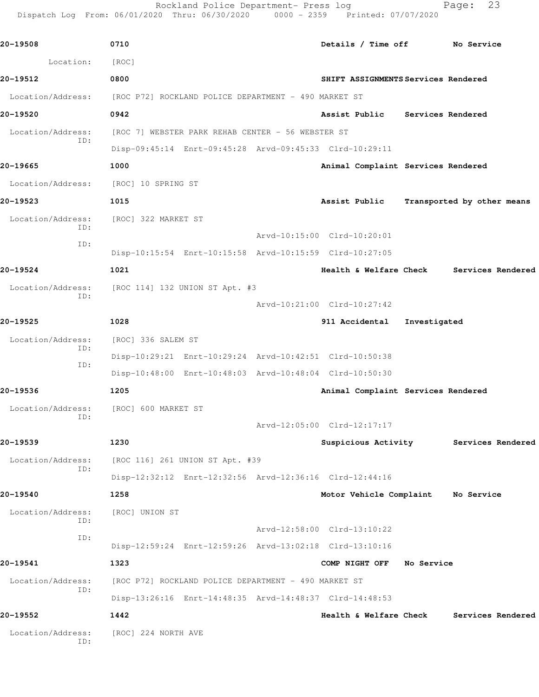Rockland Police Department- Press log Fage: 23 Dispatch Log From: 06/01/2020 Thru: 06/30/2020 0000 - 2359 Printed: 07/07/2020

**20-19508 0710 Details / Time off No Service** Location: [ROC] **20-19512 0800 SHIFT ASSIGNMENTS Services Rendered** Location/Address: [ROC P72] ROCKLAND POLICE DEPARTMENT - 490 MARKET ST **20-19520 0942 Assist Public Services Rendered** Location/Address: [ROC 7] WEBSTER PARK REHAB CENTER - 56 WEBSTER ST ID: Disp-09:45:14 Enrt-09:45:28 Arvd-09:45:33 Clrd-10:29:11 **20-19665 1000 Animal Complaint Services Rendered** Location/Address: [ROC] 10 SPRING ST **20-19523 1015 Assist Public Transported by other means** Location/Address: [ROC] 322 MARKET ST ID: Arvd-10:15:00 Clrd-10:20:01 ID: Disp-10:15:54 Enrt-10:15:58 Arvd-10:15:59 Clrd-10:27:05 **20-19524 1021 Health & Welfare Check Services Rendered** Location/Address: [ROC 114] 132 UNION ST Apt. #3 ID: Arvd-10:21:00 Clrd-10:27:42 **20-19525 1028 911 Accidental Investigated** Location/Address: [ROC] 336 SALEM ST ID: Disp-10:29:21 Enrt-10:29:24 Arvd-10:42:51 Clrd-10:50:38 ID: Disp-10:48:00 Enrt-10:48:03 Arvd-10:48:04 Clrd-10:50:30 **20-19536 1205 Animal Complaint Services Rendered** Location/Address: [ROC] 600 MARKET ST ID: Arvd-12:05:00 Clrd-12:17:17 **20-19539 1230 Suspicious Activity Services Rendered** Location/Address: [ROC 116] 261 UNION ST Apt. #39 ID: Disp-12:32:12 Enrt-12:32:56 Arvd-12:36:16 Clrd-12:44:16 **20-19540 1258 Motor Vehicle Complaint No Service** Location/Address: [ROC] UNION ST ID: Arvd-12:58:00 Clrd-13:10:22 ID: Disp-12:59:24 Enrt-12:59:26 Arvd-13:02:18 Clrd-13:10:16 **20-19541 1323 COMP NIGHT OFF No Service** Location/Address: [ROC P72] ROCKLAND POLICE DEPARTMENT - 490 MARKET ST ID: Disp-13:26:16 Enrt-14:48:35 Arvd-14:48:37 Clrd-14:48:53 **20-19552 1442 Health & Welfare Check Services Rendered** Location/Address: [ROC] 224 NORTH AVE ID: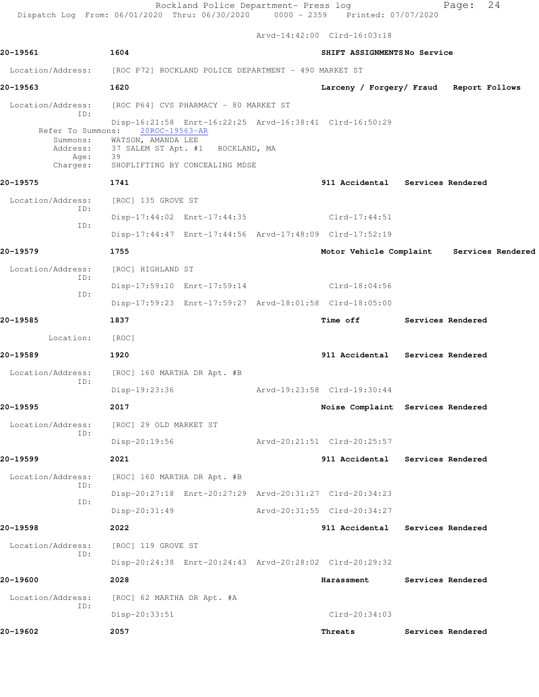Arvd-14:42:00 Clrd-16:03:18

|                                                                        |                                                                                                                           |  |  | ALVU-14.44.00 CILU-10.03.10                             |  |                                           |
|------------------------------------------------------------------------|---------------------------------------------------------------------------------------------------------------------------|--|--|---------------------------------------------------------|--|-------------------------------------------|
| 20-19561                                                               | 1604<br>SHIFT ASSIGNMENTSNo Service                                                                                       |  |  |                                                         |  |                                           |
| Location/Address: [ROC P72] ROCKLAND POLICE DEPARTMENT - 490 MARKET ST |                                                                                                                           |  |  |                                                         |  |                                           |
| 20-19563                                                               | 1620                                                                                                                      |  |  | Larceny / Forgery/ Fraud Report Follows                 |  |                                           |
| Location/Address:<br>ID:                                               | [ROC P64] CVS PHARMACY - 80 MARKET ST                                                                                     |  |  |                                                         |  |                                           |
| Refer To Summons:<br>Address:<br>Age:<br>Charges:                      | 20ROC-19563-AR<br>Summons: WATSON, AMANDA LEE<br>37 SALEM ST Apt. #1 ROCKLAND, MA<br>39<br>SHOPLIFTING BY CONCEALING MDSE |  |  | Disp-16:21:58 Enrt-16:22:25 Arvd-16:38:41 Clrd-16:50:29 |  |                                           |
| 20-19575                                                               | 1741                                                                                                                      |  |  | 911 Accidental Services Rendered                        |  |                                           |
| Location/Address:                                                      | [ROC] 135 GROVE ST                                                                                                        |  |  |                                                         |  |                                           |
| ID:                                                                    |                                                                                                                           |  |  | Disp-17:44:02 Enrt-17:44:35 Clrd-17:44:51               |  |                                           |
| ID:                                                                    |                                                                                                                           |  |  | Disp-17:44:47 Enrt-17:44:56 Arvd-17:48:09 Clrd-17:52:19 |  |                                           |
| 20-19579                                                               | 1755                                                                                                                      |  |  |                                                         |  | Motor Vehicle Complaint Services Rendered |
| Location/Address:                                                      | [ROC] HIGHLAND ST                                                                                                         |  |  |                                                         |  |                                           |
| ID:                                                                    |                                                                                                                           |  |  | Disp-17:59:10 Enrt-17:59:14 Clrd-18:04:56               |  |                                           |
| ID:                                                                    |                                                                                                                           |  |  | Disp-17:59:23 Enrt-17:59:27 Arvd-18:01:58 Clrd-18:05:00 |  |                                           |
| 20-19585                                                               | 1837                                                                                                                      |  |  | <b>Time off</b>                                         |  | Services Rendered                         |
| Location:                                                              | [ROC]                                                                                                                     |  |  |                                                         |  |                                           |
| 20-19589                                                               | 1920                                                                                                                      |  |  | 911 Accidental Services Rendered                        |  |                                           |
| Location/Address:<br>ID:                                               | [ROC] 160 MARTHA DR Apt. #B                                                                                               |  |  |                                                         |  |                                           |
|                                                                        | Disp-19:23:36                                                                                                             |  |  | Arvd-19:23:58 Clrd-19:30:44                             |  |                                           |
| 20-19595                                                               | 2017                                                                                                                      |  |  | Noise Complaint Services Rendered                       |  |                                           |
| Location/Address: [ROC] 29 OLD MARKET ST<br>ID:                        |                                                                                                                           |  |  |                                                         |  |                                           |
|                                                                        | Disp-20:19:56                                                                                                             |  |  | Arvd-20:21:51 Clrd-20:25:57                             |  |                                           |
| 20-19599                                                               | 2021                                                                                                                      |  |  | 911 Accidental                                          |  | Services Rendered                         |
| Location/Address:<br>ID:                                               | [ROC] 160 MARTHA DR Apt. #B                                                                                               |  |  |                                                         |  |                                           |
| ID:                                                                    |                                                                                                                           |  |  | Disp-20:27:18 Enrt-20:27:29 Arvd-20:31:27 Clrd-20:34:23 |  |                                           |
|                                                                        | $Disp-20:31:49$                                                                                                           |  |  | Arvd-20:31:55 Clrd-20:34:27                             |  |                                           |
| 20-19598                                                               | 2022                                                                                                                      |  |  | 911 Accidental                                          |  | Services Rendered                         |
| Location/Address:<br>ID:                                               | [ROC] 119 GROVE ST                                                                                                        |  |  |                                                         |  |                                           |
|                                                                        |                                                                                                                           |  |  | Disp-20:24:38 Enrt-20:24:43 Arvd-20:28:02 Clrd-20:29:32 |  |                                           |
| 20-19600                                                               | 2028                                                                                                                      |  |  | Harassment                                              |  | Services Rendered                         |
| Location/Address:<br>ID:                                               | [ROC] 62 MARTHA DR Apt. #A                                                                                                |  |  |                                                         |  |                                           |
|                                                                        | Disp-20:33:51                                                                                                             |  |  | Clrd-20:34:03                                           |  |                                           |
| 20-19602                                                               | 2057                                                                                                                      |  |  | Threats                                                 |  | Services Rendered                         |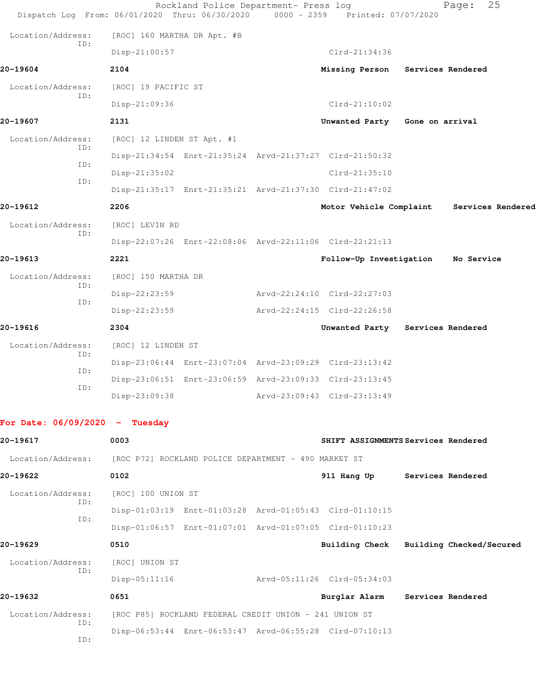| Dispatch Log From: 06/01/2020 Thru: 06/30/2020 |                                                      | Rockland Police Department- Press log                  | 0000 - 2359 Printed: 07/07/2020                         |                   | 25<br>Page:                               |
|------------------------------------------------|------------------------------------------------------|--------------------------------------------------------|---------------------------------------------------------|-------------------|-------------------------------------------|
| Location/Address:                              | [ROC] 160 MARTHA DR Apt. #B                          |                                                        |                                                         |                   |                                           |
| ID:                                            | Disp-21:00:57                                        |                                                        | $Clrd-21:34:36$                                         |                   |                                           |
| 20-19604                                       | 2104                                                 |                                                        | Missing Person                                          | Services Rendered |                                           |
| Location/Address:                              | [ROC] 19 PACIFIC ST                                  |                                                        |                                                         |                   |                                           |
| ID:                                            | Disp-21:09:36                                        |                                                        | $Clrd-21:10:02$                                         |                   |                                           |
| 20-19607                                       | 2131                                                 |                                                        | Unwanted Party Gone on arrival                          |                   |                                           |
| Location/Address:                              | [ROC] 12 LINDEN ST Apt. #1                           |                                                        |                                                         |                   |                                           |
| ID:                                            |                                                      |                                                        | Disp-21:34:54 Enrt-21:35:24 Arvd-21:37:27 Clrd-21:50:32 |                   |                                           |
| ID:                                            | Disp-21:35:02                                        |                                                        | $Clrd-21:35:10$                                         |                   |                                           |
| ID:                                            |                                                      |                                                        | Disp-21:35:17 Enrt-21:35:21 Arvd-21:37:30 Clrd-21:47:02 |                   |                                           |
| 20-19612                                       | 2206                                                 |                                                        |                                                         |                   | Motor Vehicle Complaint Services Rendered |
| Location/Address:                              | [ROC] LEVIN RD                                       |                                                        |                                                         |                   |                                           |
| ID:                                            |                                                      |                                                        | Disp-22:07:26 Enrt-22:08:06 Arvd-22:11:06 Clrd-22:21:13 |                   |                                           |
| 20-19613                                       | 2221                                                 |                                                        | Follow-Up Investigation                                 |                   | No Service                                |
| Location/Address:                              | [ROC] 150 MARTHA DR                                  |                                                        |                                                         |                   |                                           |
| ID:                                            | Disp-22:23:59                                        |                                                        | Arvd-22:24:10 Clrd-22:27:03                             |                   |                                           |
| ID:                                            | Disp-22:23:59                                        |                                                        | Arvd-22:24:15 Clrd-22:26:58                             |                   |                                           |
| 20-19616                                       | 2304                                                 |                                                        | Unwanted Party Services Rendered                        |                   |                                           |
| Location/Address:                              | [ROC] 12 LINDEN ST                                   |                                                        |                                                         |                   |                                           |
| ID:                                            |                                                      |                                                        | Disp-23:06:44 Enrt-23:07:04 Arvd-23:09:29 Clrd-23:13:42 |                   |                                           |
| ID:                                            |                                                      |                                                        | Disp-23:06:51 Enrt-23:06:59 Arvd-23:09:33 Clrd-23:13:45 |                   |                                           |
| ID:                                            | Disp-23:09:38                                        |                                                        | Arvd-23:09:43 Clrd-23:13:49                             |                   |                                           |
|                                                |                                                      |                                                        |                                                         |                   |                                           |
| For Date: $06/09/2020 - Tuesday$               |                                                      |                                                        |                                                         |                   |                                           |
| 20-19617                                       | 0003                                                 |                                                        | SHIFT ASSIGNMENTS Services Rendered                     |                   |                                           |
| Location/Address:                              | [ROC P72] ROCKLAND POLICE DEPARTMENT - 490 MARKET ST |                                                        |                                                         |                   |                                           |
| 20-19622                                       | 0102                                                 |                                                        | 911 Hang Up                                             |                   | Services Rendered                         |
| Location/Address:                              | [ROC] 100 UNION ST                                   |                                                        |                                                         |                   |                                           |
| ID:                                            |                                                      |                                                        | Disp-01:03:19 Enrt-01:03:28 Arvd-01:05:43 Clrd-01:10:15 |                   |                                           |
| ID:                                            |                                                      |                                                        | Disp-01:06:57 Enrt-01:07:01 Arvd-01:07:05 Clrd-01:10:23 |                   |                                           |
| 20-19629                                       | 0510                                                 |                                                        | <b>Building Check</b>                                   |                   | Building Checked/Secured                  |
| Location/Address:                              | [ROC] UNION ST                                       |                                                        |                                                         |                   |                                           |
| ID:                                            | $Disp-05:11:16$                                      |                                                        | Arvd-05:11:26 Clrd-05:34:03                             |                   |                                           |
| 20-19632                                       | 0651                                                 |                                                        | Burglar Alarm                                           | Services Rendered |                                           |
| Location/Address:                              |                                                      | [ROC P85] ROCKLAND FEDERAL CREDIT UNION - 241 UNION ST |                                                         |                   |                                           |
| ID:                                            |                                                      |                                                        | Disp-06:53:44 Enrt-06:53:47 Arvd-06:55:28 Clrd-07:10:13 |                   |                                           |

ID: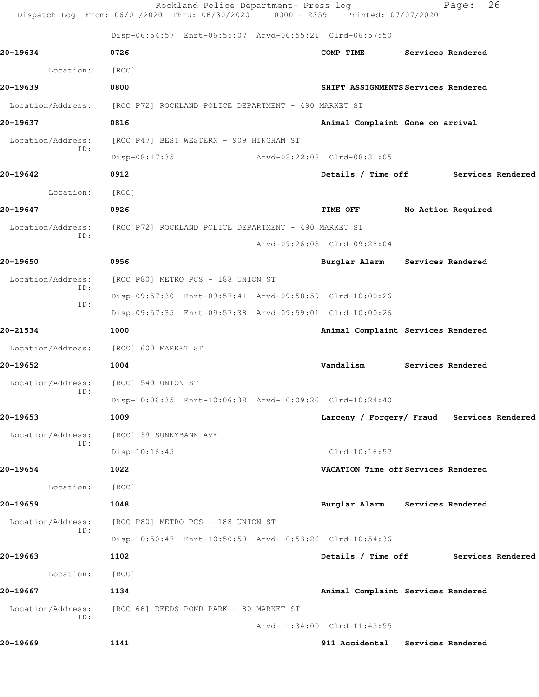|                          | Rockland Police Department- Press log<br>Dispatch Log From: 06/01/2020 Thru: 06/30/2020 0000 - 2359 Printed: 07/07/2020 |                                            |  | Page:              | 26                |
|--------------------------|-------------------------------------------------------------------------------------------------------------------------|--------------------------------------------|--|--------------------|-------------------|
|                          | Disp-06:54:57 Enrt-06:55:07 Arvd-06:55:21 Clrd-06:57:50                                                                 |                                            |  |                    |                   |
| 20-19634                 | 0726                                                                                                                    | COMP TIME                                  |  | Services Rendered  |                   |
| Location:                | [ROC]                                                                                                                   |                                            |  |                    |                   |
| 20-19639                 | 0800                                                                                                                    | SHIFT ASSIGNMENTS Services Rendered        |  |                    |                   |
| Location/Address:        | [ROC P72] ROCKLAND POLICE DEPARTMENT - 490 MARKET ST                                                                    |                                            |  |                    |                   |
| 20-19637                 | 0816                                                                                                                    | Animal Complaint Gone on arrival           |  |                    |                   |
| Location/Address:        | [ROC P47] BEST WESTERN - 909 HINGHAM ST                                                                                 |                                            |  |                    |                   |
| ID:                      | $Disp-08:17:35$                                                                                                         | Arvd-08:22:08 Clrd-08:31:05                |  |                    |                   |
| 20-19642                 | 0912                                                                                                                    | Details / Time off                         |  |                    | Services Rendered |
| Location:                | [ROC]                                                                                                                   |                                            |  |                    |                   |
| 20-19647                 | 0926                                                                                                                    | TIME OFF                                   |  | No Action Required |                   |
| Location/Address:<br>ID: | [ROC P72] ROCKLAND POLICE DEPARTMENT - 490 MARKET ST                                                                    |                                            |  |                    |                   |
|                          |                                                                                                                         | Arvd-09:26:03 Clrd-09:28:04                |  |                    |                   |
| 20-19650                 | 0956                                                                                                                    | Burglar Alarm                              |  | Services Rendered  |                   |
| Location/Address:<br>ID: | [ROC P80] METRO PCS - 188 UNION ST                                                                                      |                                            |  |                    |                   |
| ID:                      | Disp-09:57:30 Enrt-09:57:41 Arvd-09:58:59 Clrd-10:00:26                                                                 |                                            |  |                    |                   |
|                          | Disp-09:57:35 Enrt-09:57:38 Arvd-09:59:01 Clrd-10:00:26                                                                 |                                            |  |                    |                   |
| 20-21534                 | 1000                                                                                                                    | Animal Complaint Services Rendered         |  |                    |                   |
|                          | Location/Address: [ROC] 600 MARKET ST                                                                                   |                                            |  |                    |                   |
| 20-19652                 | 1004                                                                                                                    | Vandalism                                  |  | Services Rendered  |                   |
| Location/Address:<br>ID: | [ROC] 540 UNION ST                                                                                                      |                                            |  |                    |                   |
|                          | Disp-10:06:35 Enrt-10:06:38 Arvd-10:09:26 Clrd-10:24:40                                                                 |                                            |  |                    |                   |
| 20-19653                 | 1009                                                                                                                    | Larceny / Forgery/ Fraud Services Rendered |  |                    |                   |
| Location/Address:<br>ID: | [ROC] 39 SUNNYBANK AVE                                                                                                  |                                            |  |                    |                   |
|                          | $Disp-10:16:45$                                                                                                         | $Clrd-10:16:57$                            |  |                    |                   |
| 20-19654                 | 1022                                                                                                                    | VACATION Time off Services Rendered        |  |                    |                   |
| Location:                | [ROC]                                                                                                                   |                                            |  |                    |                   |
| 20-19659                 | 1048                                                                                                                    | Burglar Alarm Services Rendered            |  |                    |                   |
| Location/Address:<br>ID: | [ROC P80] METRO PCS - 188 UNION ST                                                                                      |                                            |  |                    |                   |
|                          | Disp-10:50:47 Enrt-10:50:50 Arvd-10:53:26 Clrd-10:54:36                                                                 |                                            |  |                    |                   |
| 20-19663                 | 1102                                                                                                                    | Details / Time off                         |  |                    | Services Rendered |
| Location:                | [ROC]                                                                                                                   |                                            |  |                    |                   |
| 20-19667                 | 1134                                                                                                                    | Animal Complaint Services Rendered         |  |                    |                   |
| Location/Address:<br>ID: | [ROC 66] REEDS POND PARK - 80 MARKET ST                                                                                 |                                            |  |                    |                   |
|                          |                                                                                                                         | Arvd-11:34:00 Clrd-11:43:55                |  |                    |                   |
| 20–19669                 | 1141                                                                                                                    | 911 Accidental Services Rendered           |  |                    |                   |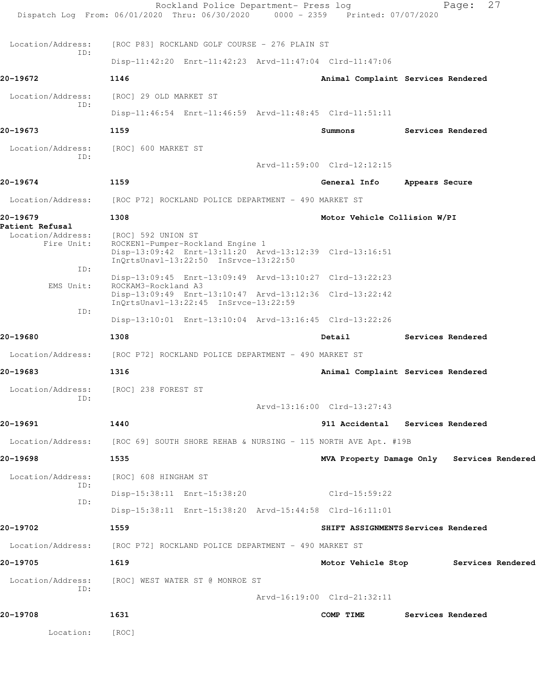|                                                                | Rockland Police Department- Press log<br>Dispatch Log From: 06/01/2020 Thru: 06/30/2020                                   | 0000 - 2359 Printed: 07/07/2020            |                | Page: 27          |  |
|----------------------------------------------------------------|---------------------------------------------------------------------------------------------------------------------------|--------------------------------------------|----------------|-------------------|--|
| Location/Address:                                              | [ROC P83] ROCKLAND GOLF COURSE - 276 PLAIN ST                                                                             |                                            |                |                   |  |
| ID:                                                            | Disp-11:42:20 Enrt-11:42:23 Arvd-11:47:04 Clrd-11:47:06                                                                   |                                            |                |                   |  |
| 20-19672                                                       | 1146                                                                                                                      | Animal Complaint Services Rendered         |                |                   |  |
| Location/Address:                                              | [ROC] 29 OLD MARKET ST                                                                                                    |                                            |                |                   |  |
| ID:                                                            | Disp-11:46:54 Enrt-11:46:59 Arvd-11:48:45 Clrd-11:51:11                                                                   |                                            |                |                   |  |
| 20-19673                                                       | 1159                                                                                                                      | Summons                                    |                | Services Rendered |  |
| Location/Address:                                              | [ROC] 600 MARKET ST                                                                                                       |                                            |                |                   |  |
| ID:                                                            |                                                                                                                           | Arvd-11:59:00 Clrd-12:12:15                |                |                   |  |
| 20-19674                                                       | 1159                                                                                                                      | General Info                               | Appears Secure |                   |  |
|                                                                |                                                                                                                           |                                            |                |                   |  |
| Location/Address:                                              | [ROC P72] ROCKLAND POLICE DEPARTMENT - 490 MARKET ST                                                                      |                                            |                |                   |  |
| 20-19679<br>Patient Refusal<br>Location/Address:<br>Fire Unit: | 1308<br>[ROC] 592 UNION ST<br>ROCKEN1-Pumper-Rockland Engine 1<br>Disp-13:09:42 Enrt-13:11:20 Arvd-13:12:39 Clrd-13:16:51 | Motor Vehicle Collision W/PI               |                |                   |  |
| ID:                                                            | InQrtsUnavl-13:22:50 InSrvce-13:22:50                                                                                     |                                            |                |                   |  |
| EMS Unit:                                                      | Disp-13:09:45 Enrt-13:09:49 Arvd-13:10:27 Clrd-13:22:23<br>ROCKAM3-Rockland A3                                            |                                            |                |                   |  |
|                                                                | Disp-13:09:49 Enrt-13:10:47 Arvd-13:12:36 Clrd-13:22:42<br>InQrtsUnavl-13:22:45 InSrvce-13:22:59                          |                                            |                |                   |  |
| ID:                                                            | Disp-13:10:01 Enrt-13:10:04 Arvd-13:16:45 Clrd-13:22:26                                                                   |                                            |                |                   |  |
| 20-19680                                                       | 1308                                                                                                                      | Detail                                     |                | Services Rendered |  |
|                                                                | Location/Address: [ROC P72] ROCKLAND POLICE DEPARTMENT - 490 MARKET ST                                                    |                                            |                |                   |  |
| 20-19683                                                       | 1316                                                                                                                      | Animal Complaint Services Rendered         |                |                   |  |
| Location/Address:                                              | [ROC] 238 FOREST ST                                                                                                       |                                            |                |                   |  |
| ID:                                                            |                                                                                                                           | Arvd-13:16:00 Clrd-13:27:43                |                |                   |  |
| 20-19691                                                       | 1440                                                                                                                      | 911 Accidental Services Rendered           |                |                   |  |
|                                                                |                                                                                                                           |                                            |                |                   |  |
|                                                                | Location/Address: [ROC 69] SOUTH SHORE REHAB & NURSING - 115 NORTH AVE Apt. #19B                                          |                                            |                |                   |  |
| 20-19698                                                       | 1535                                                                                                                      | MVA Property Damage Only Services Rendered |                |                   |  |
| Location/Address:<br>ID:                                       | [ROC] 608 HINGHAM ST                                                                                                      |                                            |                |                   |  |
| ID:                                                            | Disp-15:38:11 Enrt-15:38:20                                                                                               | $Clrd-15:59:22$                            |                |                   |  |
|                                                                | Disp-15:38:11 Enrt-15:38:20 Arvd-15:44:58 Clrd-16:11:01                                                                   |                                            |                |                   |  |
| 20-19702                                                       | 1559                                                                                                                      | SHIFT ASSIGNMENTS Services Rendered        |                |                   |  |
|                                                                | Location/Address: [ROC P72] ROCKLAND POLICE DEPARTMENT - 490 MARKET ST                                                    |                                            |                |                   |  |
| 20-19705                                                       | 1619                                                                                                                      | Motor Vehicle Stop Services Rendered       |                |                   |  |
| Location/Address:                                              | [ROC] WEST WATER ST @ MONROE ST                                                                                           |                                            |                |                   |  |
| ID:                                                            |                                                                                                                           | Arvd-16:19:00 Clrd-21:32:11                |                |                   |  |
| 20-19708                                                       | 1631                                                                                                                      | COMP TIME                                  |                | Services Rendered |  |
| Location:                                                      | [ROC]                                                                                                                     |                                            |                |                   |  |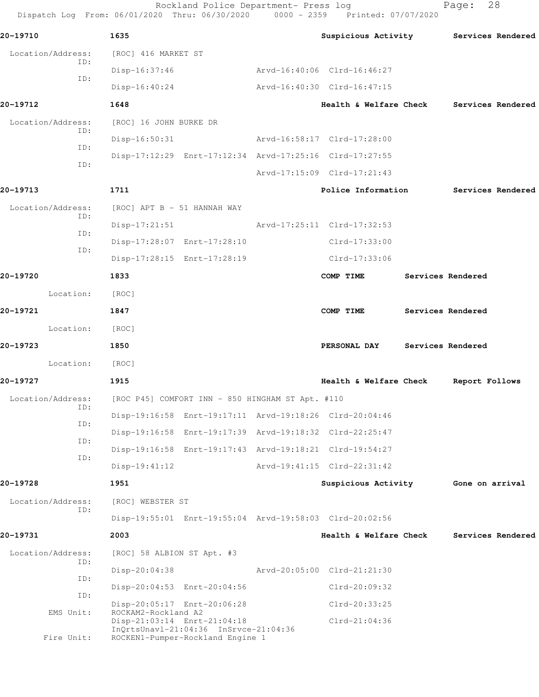Rockland Police Department- Press log entitled and Page: 28 Dispatch Log From: 06/01/2020 Thru: 06/30/2020 0000 - 2359 Printed: 07/07/2020

| 20-19710                                 | 1635                                               |                                                                           | Suspicious Activity Services Rendered                   |                   |                   |
|------------------------------------------|----------------------------------------------------|---------------------------------------------------------------------------|---------------------------------------------------------|-------------------|-------------------|
| Location/Address:                        | [ROC] 416 MARKET ST                                |                                                                           |                                                         |                   |                   |
| ID:                                      | $Disp-16:37:46$                                    |                                                                           | Arvd-16:40:06 Clrd-16:46:27                             |                   |                   |
| ID:                                      | Disp-16:40:24                                      |                                                                           | Arvd-16:40:30 Clrd-16:47:15                             |                   |                   |
| 20-19712                                 | 1648                                               |                                                                           | Health & Welfare Check Services Rendered                |                   |                   |
| Location/Address: [ROC] 16 JOHN BURKE DR |                                                    |                                                                           |                                                         |                   |                   |
| ID:                                      |                                                    | Disp-16:50:31 Arvd-16:58:17 Clrd-17:28:00                                 |                                                         |                   |                   |
| ID:                                      |                                                    |                                                                           | Disp-17:12:29 Enrt-17:12:34 Arvd-17:25:16 Clrd-17:27:55 |                   |                   |
| ID:                                      |                                                    |                                                                           | Arvd-17:15:09 Clrd-17:21:43                             |                   |                   |
| 20-19713                                 | 1711                                               |                                                                           | Police Information 5ervices Rendered                    |                   |                   |
| Location/Address:                        | [ROC] APT B - 51 HANNAH WAY                        |                                                                           |                                                         |                   |                   |
| ID:                                      |                                                    |                                                                           | Disp-17:21:51 Arvd-17:25:11 Clrd-17:32:53               |                   |                   |
| ID:                                      |                                                    | Disp-17:28:07 Enrt-17:28:10                                               | $Clrd-17:33:00$                                         |                   |                   |
| ID:                                      |                                                    | Disp-17:28:15 Enrt-17:28:19                                               | Clrd-17:33:06                                           |                   |                   |
| 20-19720                                 | 1833                                               |                                                                           | COMP TIME                                               | Services Rendered |                   |
| Location:                                | [ROC]                                              |                                                                           |                                                         |                   |                   |
| 20-19721                                 | 1847                                               |                                                                           | COMP TIME                                               | Services Rendered |                   |
| Location: [ROC]                          |                                                    |                                                                           |                                                         |                   |                   |
| 20-19723                                 | 1850                                               |                                                                           | PERSONAL DAY Services Rendered                          |                   |                   |
| Location: [ROC]                          |                                                    |                                                                           |                                                         |                   |                   |
| 20-19727                                 | 1915                                               |                                                                           | Health & Welfare Check Report Follows                   |                   |                   |
| Location/Address:                        | [ROC P45] COMFORT INN - 850 HINGHAM ST Apt. #110   |                                                                           |                                                         |                   |                   |
| ID:                                      |                                                    | Disp-19:16:58 Enrt-19:17:11 Arvd-19:18:26 Clrd-20:04:46                   |                                                         |                   |                   |
| ID:                                      |                                                    |                                                                           | Disp-19:16:58 Enrt-19:17:39 Arvd-19:18:32 Clrd-22:25:47 |                   |                   |
| ID:                                      |                                                    |                                                                           | Disp-19:16:58 Enrt-19:17:43 Arvd-19:18:21 Clrd-19:54:27 |                   |                   |
| ID:                                      | $Disp-19:41:12$                                    |                                                                           | Arvd-19:41:15 Clrd-22:31:42                             |                   |                   |
| 20-19728                                 | 1951                                               |                                                                           | Suspicious Activity                                     | Gone on arrival   |                   |
| Location/Address:                        | [ROC] WEBSTER ST                                   |                                                                           |                                                         |                   |                   |
| ID:                                      |                                                    |                                                                           |                                                         |                   |                   |
| 20-19731                                 | 2003                                               |                                                                           | Health & Welfare Check                                  |                   | Services Rendered |
| Location/Address:                        |                                                    |                                                                           |                                                         |                   |                   |
| ID:                                      | [ROC] 58 ALBION ST Apt. #3                         |                                                                           | Arvd-20:05:00 Clrd-21:21:30                             |                   |                   |
| ID:                                      | Disp-20:04:38                                      |                                                                           |                                                         |                   |                   |
| ID:                                      |                                                    | Disp-20:04:53 Enrt-20:04:56                                               | $Clrd-20:09:32$                                         |                   |                   |
| EMS Unit:                                | ROCKAM2-Rockland A2<br>Disp-21:03:14 Enrt-21:04:18 | Disp-20:05:17 Enrt-20:06:28                                               | Clrd-20:33:25<br>$Clrd-21:04:36$                        |                   |                   |
| Fire Unit:                               |                                                    | InQrtsUnavl-21:04:36 InSrvce-21:04:36<br>ROCKEN1-Pumper-Rockland Engine 1 |                                                         |                   |                   |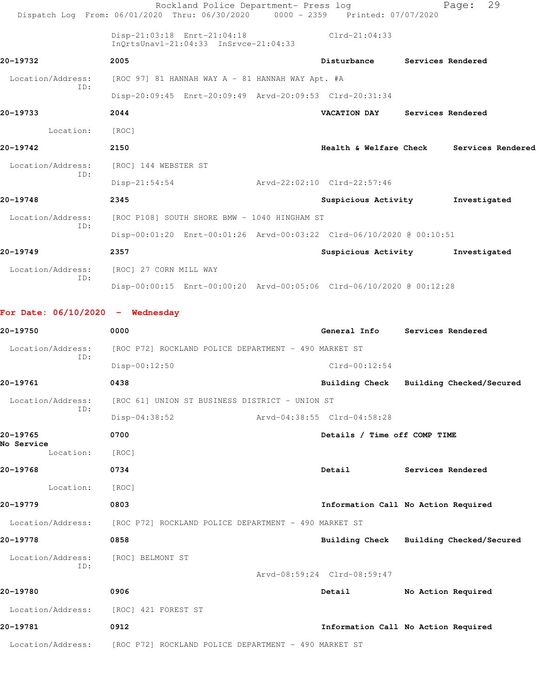|                                    | Rockland Police Department- Press log<br>Dispatch Log From: 06/01/2020 Thru: 06/30/2020 | $0000 - 2359$ | Printed: 07/07/2020                     |                              | 29<br>Page:              |  |
|------------------------------------|-----------------------------------------------------------------------------------------|---------------|-----------------------------------------|------------------------------|--------------------------|--|
|                                    | Disp-21:03:18 Enrt-21:04:18<br>InQrtsUnavl-21:04:33 InSrvce-21:04:33                    |               | $Clrd-21:04:33$                         |                              |                          |  |
| 20-19732                           | 2005                                                                                    |               | Disturbance                             |                              | Services Rendered        |  |
| Location/Address:                  | $[ROC 97] 81$ HANNAH WAY A - 81 HANNAH WAY Apt. #A                                      |               |                                         |                              |                          |  |
| ID:                                | Disp-20:09:45 Enrt-20:09:49 Arvd-20:09:53 Clrd-20:31:34                                 |               |                                         |                              |                          |  |
| 20-19733                           | 2044                                                                                    |               | <b>VACATION DAY</b>                     |                              | Services Rendered        |  |
| Location:                          | [ROC]                                                                                   |               |                                         |                              |                          |  |
| 20-19742                           | 2150                                                                                    |               | <b>Health &amp; Welfare Check</b>       |                              | Services Rendered        |  |
| Location/Address:                  | [ROC] 144 WEBSTER ST                                                                    |               |                                         |                              |                          |  |
| ID:                                | $Disp-21:54:54$                                                                         |               | Arvd-22:02:10 Clrd-22:57:46             |                              |                          |  |
| 20-19748                           | 2345                                                                                    |               | Suspicious Activity                     |                              | Investigated             |  |
| Location/Address:                  | [ROC P108] SOUTH SHORE BMW - 1040 HINGHAM ST                                            |               |                                         |                              |                          |  |
| ID:                                | Disp-00:01:20 Enrt-00:01:26 Arvd-00:03:22 Clrd-06/10/2020 @ 00:10:51                    |               |                                         |                              |                          |  |
| 20-19749                           | 2357                                                                                    |               | Suspicious Activity                     |                              | Investigated             |  |
| Location/Address:                  | [ROC] 27 CORN MILL WAY                                                                  |               |                                         |                              |                          |  |
| ID:                                | Disp-00:00:15 Enrt-00:00:20 Arvd-00:05:06 Clrd-06/10/2020 @ 00:12:28                    |               |                                         |                              |                          |  |
| For Date: $06/10/2020 -$ Wednesday |                                                                                         |               |                                         |                              |                          |  |
| 20-19750                           | 0000                                                                                    |               | General Info                            |                              | Services Rendered        |  |
| Location/Address:<br>ID:           | [ROC P72] ROCKLAND POLICE DEPARTMENT - 490 MARKET ST                                    |               |                                         |                              |                          |  |
|                                    | Disp-00:12:50                                                                           |               | $Clrd-00:12:54$                         |                              |                          |  |
| 20-19761                           | 0438                                                                                    |               | Building Check                          |                              | Building Checked/Secured |  |
| Location/Address:<br>ID:           | [ROC 61] UNION ST BUSINESS DISTRICT - UNION ST                                          |               |                                         |                              |                          |  |
|                                    | Disp-04:38:52                                                                           |               | Arvd-04:38:55 Clrd-04:58:28             |                              |                          |  |
| 20-19765<br>No Service             | 0700                                                                                    |               |                                         | Details / Time off COMP TIME |                          |  |
| Location:                          | [ROC]                                                                                   |               |                                         |                              |                          |  |
| 20-19768                           | 0734                                                                                    |               | Detail                                  | Services Rendered            |                          |  |
| Location:                          | [ROC]                                                                                   |               |                                         |                              |                          |  |
| 20-19779                           | 0803                                                                                    |               | Information Call No Action Required     |                              |                          |  |
|                                    | Location/Address: [ROC P72] ROCKLAND POLICE DEPARTMENT - 490 MARKET ST                  |               |                                         |                              |                          |  |
| 20-19778                           | 0858                                                                                    |               | Building Check Building Checked/Secured |                              |                          |  |
| Location/Address:                  | [ROC] BELMONT ST                                                                        |               |                                         |                              |                          |  |
| ID:                                |                                                                                         |               | Arvd-08:59:24 Clrd-08:59:47             |                              |                          |  |
| 20-19780                           | 0906                                                                                    |               | Detail                                  |                              | No Action Required       |  |
| Location/Address:                  | [ROC] 421 FOREST ST                                                                     |               |                                         |                              |                          |  |
| 20-19781                           | 0912                                                                                    |               | Information Call No Action Required     |                              |                          |  |
|                                    | Location/Address: [ROC P72] ROCKLAND POLICE DEPARTMENT - 490 MARKET ST                  |               |                                         |                              |                          |  |
|                                    |                                                                                         |               |                                         |                              |                          |  |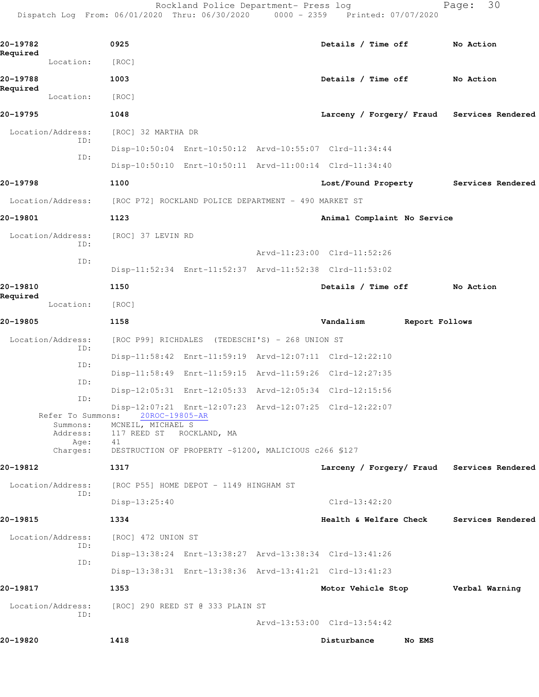Rockland Police Department- Press log Fage: 30 Dispatch Log From: 06/01/2020 Thru: 06/30/2020 0000 - 2359 Printed: 07/07/2020

**20-19782 0925 Details / Time off No Action Required**  Location: [ROC] **20-19788 1003 Details / Time off No Action Required**  Location: [ROC] **20-19795 1048 Larceny / Forgery/ Fraud Services Rendered** Location/Address: [ROC] 32 MARTHA DR ID: Disp-10:50:04 Enrt-10:50:12 Arvd-10:55:07 Clrd-11:34:44 ID: Disp-10:50:10 Enrt-10:50:11 Arvd-11:00:14 Clrd-11:34:40 **20-19798 1100 Lost/Found Property Services Rendered** Location/Address: [ROC P72] ROCKLAND POLICE DEPARTMENT - 490 MARKET ST **20-19801 1123 Animal Complaint No Service** Location/Address: [ROC] 37 LEVIN RD ID: Arvd-11:23:00 Clrd-11:52:26 ID: Disp-11:52:34 Enrt-11:52:37 Arvd-11:52:38 Clrd-11:53:02 **20-19810 1150 Details / Time off No Action Required**  Location: [ROC] **20-19805 1158 Vandalism Report Follows** Location/Address: [ROC P99] RICHDALES (TEDESCHI'S) - 268 UNION ST ID: Disp-11:58:42 Enrt-11:59:19 Arvd-12:07:11 Clrd-12:22:10 ID: Disp-11:58:49 Enrt-11:59:15 Arvd-11:59:26 Clrd-12:27:35 ID: Disp-12:05:31 Enrt-12:05:33 Arvd-12:05:34 Clrd-12:15:56 ID: Disp-12:07:21 Enrt-12:07:23 Arvd-12:07:25 Clrd-12:22:07 Refer To Summons: Summons: MCNEIL, MICHAEL S Address: 117 REED ST ROCKLAND, MA Age: 41 Charges: DESTRUCTION OF PROPERTY -\$1200, MALICIOUS c266 §127 **20-19812 1317 Larceny / Forgery/ Fraud Services Rendered** Location/Address: [ROC P55] HOME DEPOT - 1149 HINGHAM ST ID: Disp-13:25:40 Clrd-13:42:20 **20-19815 1334 Health & Welfare Check Services Rendered** Location/Address: [ROC] 472 UNION ST ID: Disp-13:38:24 Enrt-13:38:27 Arvd-13:38:34 Clrd-13:41:26 ID: Disp-13:38:31 Enrt-13:38:36 Arvd-13:41:21 Clrd-13:41:23 **20-19817 1353 Motor Vehicle Stop Verbal Warning** Location/Address: [ROC] 290 REED ST @ 333 PLAIN ST ID: Arvd-13:53:00 Clrd-13:54:42 **20-19820 1418 Disturbance No EMS**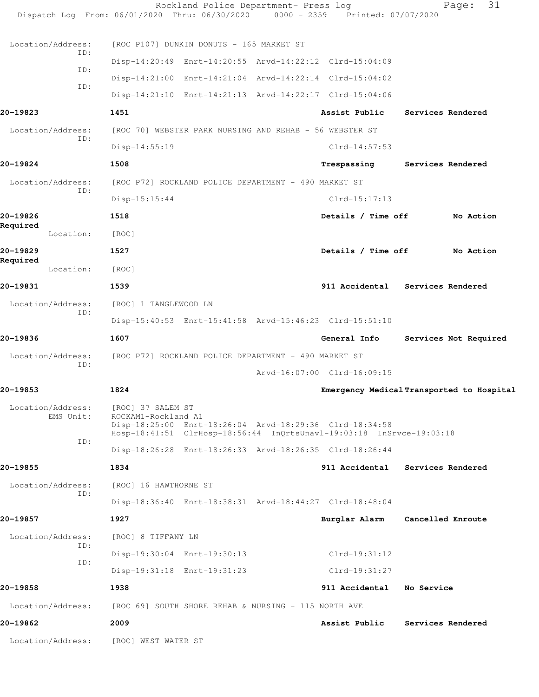|                                | Rockland Police Department- Press log<br>Dispatch Log From: 06/01/2020 Thru: 06/30/2020 0000 - 2359 Printed: 07/07/2020                                                     |                             | 31<br>Page:                               |
|--------------------------------|-----------------------------------------------------------------------------------------------------------------------------------------------------------------------------|-----------------------------|-------------------------------------------|
| Location/Address:              | [ROC P107] DUNKIN DONUTS - 165 MARKET ST                                                                                                                                    |                             |                                           |
| ID:                            | Disp-14:20:49 Enrt-14:20:55 Arvd-14:22:12 Clrd-15:04:09                                                                                                                     |                             |                                           |
| ID:                            | Disp-14:21:00 Enrt-14:21:04 Arvd-14:22:14 Clrd-15:04:02                                                                                                                     |                             |                                           |
| ID:                            | Disp-14:21:10 Enrt-14:21:13 Arvd-14:22:17 Clrd-15:04:06                                                                                                                     |                             |                                           |
| 20-19823                       | 1451                                                                                                                                                                        | Assist Public               | Services Rendered                         |
| Location/Address:              | [ROC 70] WEBSTER PARK NURSING AND REHAB - 56 WEBSTER ST                                                                                                                     |                             |                                           |
| ID:                            | $Disp-14:55:19$                                                                                                                                                             | $Clrd-14:57:53$             |                                           |
| 20-19824                       | 1508                                                                                                                                                                        |                             | Trespassing Services Rendered             |
| Location/Address:              | [ROC P72] ROCKLAND POLICE DEPARTMENT - 490 MARKET ST                                                                                                                        |                             |                                           |
| ID:                            | $Disp-15:15:44$                                                                                                                                                             | $Clrd-15:17:13$             |                                           |
| 20-19826                       | 1518                                                                                                                                                                        | Details / Time off          | No Action                                 |
| Required<br>Location:          | [ROC]                                                                                                                                                                       |                             |                                           |
| 20-19829                       | 1527                                                                                                                                                                        | Details / Time off          | No Action                                 |
| Required<br>Location:          | [ROC]                                                                                                                                                                       |                             |                                           |
| 20-19831                       | 1539                                                                                                                                                                        |                             | 911 Accidental Services Rendered          |
| Location/Address:              | [ROC] 1 TANGLEWOOD LN                                                                                                                                                       |                             |                                           |
| ID:                            | Disp-15:40:53 Enrt-15:41:58 Arvd-15:46:23 Clrd-15:51:10                                                                                                                     |                             |                                           |
| 20-19836                       | 1607                                                                                                                                                                        | General Info                | Services Not Required                     |
| Location/Address:              | [ROC P72] ROCKLAND POLICE DEPARTMENT - 490 MARKET ST                                                                                                                        |                             |                                           |
| ID:                            |                                                                                                                                                                             | Arvd-16:07:00 Clrd-16:09:15 |                                           |
| 20-19853                       | 1824                                                                                                                                                                        |                             | Emergency Medical Transported to Hospital |
| Location/Address:<br>EMS Unit: | [ROC] 37 SALEM ST<br>ROCKAM1-Rockland A1<br>Disp-18:25:00 Enrt-18:26:04 Arvd-18:29:36 Clrd-18:34:58<br>Hosp-18:41:51 ClrHosp-18:56:44 InQrtsUnavl-19:03:18 InSrvce-19:03:18 |                             |                                           |
| ID:                            | Disp-18:26:28 Enrt-18:26:33 Arvd-18:26:35 Clrd-18:26:44                                                                                                                     |                             |                                           |
| 20-19855                       | 1834                                                                                                                                                                        |                             | 911 Accidental Services Rendered          |
| Location/Address:              | [ROC] 16 HAWTHORNE ST                                                                                                                                                       |                             |                                           |
| ID:                            | Disp-18:36:40 Enrt-18:38:31 Arvd-18:44:27 Clrd-18:48:04                                                                                                                     |                             |                                           |
| 20-19857                       | 1927                                                                                                                                                                        | Burglar Alarm               | Cancelled Enroute                         |
| Location/Address:              | [ROC] 8 TIFFANY LN                                                                                                                                                          |                             |                                           |
| ID:                            | Disp-19:30:04 Enrt-19:30:13                                                                                                                                                 | $Clrd-19:31:12$             |                                           |
| ID:                            | Disp-19:31:18 Enrt-19:31:23                                                                                                                                                 | $Clrd-19:31:27$             |                                           |
| 20-19858                       | 1938                                                                                                                                                                        | 911 Accidental              | No Service                                |
| Location/Address:              | [ROC 69] SOUTH SHORE REHAB & NURSING - 115 NORTH AVE                                                                                                                        |                             |                                           |
| 20-19862                       | 2009                                                                                                                                                                        | Assist Public               | Services Rendered                         |
| Location/Address:              | [ROC] WEST WATER ST                                                                                                                                                         |                             |                                           |
|                                |                                                                                                                                                                             |                             |                                           |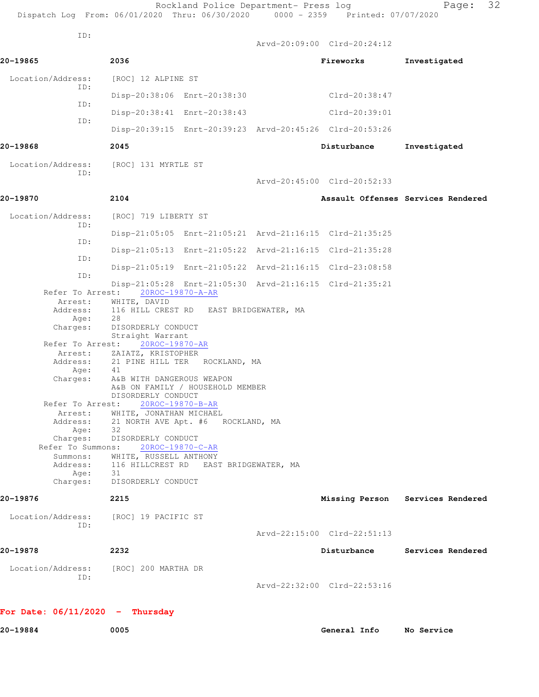| Dispatch Log From: 06/01/2020 Thru: 06/30/2020 0000 - 2359 Printed: 07/07/2020 |                                                                 | Rockland Police Department- Press log  |                                                         | 32<br>Page:                        |
|--------------------------------------------------------------------------------|-----------------------------------------------------------------|----------------------------------------|---------------------------------------------------------|------------------------------------|
| ID:                                                                            |                                                                 |                                        | Arvd-20:09:00 Clrd-20:24:12                             |                                    |
| 20-19865                                                                       | 2036                                                            |                                        | Fireworks                                               | Investigated                       |
| Location/Address:                                                              | [ROC] 12 ALPINE ST                                              |                                        |                                                         |                                    |
| ID:                                                                            |                                                                 | Disp-20:38:06 Enrt-20:38:30            | Clrd-20:38:47                                           |                                    |
| ID:                                                                            |                                                                 | Disp-20:38:41 Enrt-20:38:43            | Clrd-20:39:01                                           |                                    |
| ID:                                                                            |                                                                 |                                        | Disp-20:39:15 Enrt-20:39:23 Arvd-20:45:26 Clrd-20:53:26 |                                    |
| 20-19868                                                                       | 2045                                                            |                                        | Disturbance                                             | Investigated                       |
| Location/Address: [ROC] 131 MYRTLE ST                                          |                                                                 |                                        |                                                         |                                    |
| ID:                                                                            |                                                                 |                                        | Arvd-20:45:00 Clrd-20:52:33                             |                                    |
| 20-19870                                                                       | 2104                                                            |                                        |                                                         | Assault Offenses Services Rendered |
| Location/Address:                                                              | [ROC] 719 LIBERTY ST                                            |                                        |                                                         |                                    |
| ID:                                                                            |                                                                 |                                        | Disp-21:05:05 Enrt-21:05:21 Arvd-21:16:15 Clrd-21:35:25 |                                    |
| ID:                                                                            |                                                                 |                                        | Disp-21:05:13 Enrt-21:05:22 Arvd-21:16:15 Clrd-21:35:28 |                                    |
| ID:                                                                            |                                                                 |                                        | Disp-21:05:19 Enrt-21:05:22 Arvd-21:16:15 Clrd-23:08:58 |                                    |
| ID:                                                                            |                                                                 |                                        | Disp-21:05:28 Enrt-21:05:30 Arvd-21:16:15 Clrd-21:35:21 |                                    |
| Refer To Arrest:<br>Arrest:                                                    | 20ROC-19870-A-AR<br>WHITE, DAVID                                |                                        |                                                         |                                    |
| Address:<br>Age:                                                               | 28                                                              | 116 HILL CREST RD EAST BRIDGEWATER, MA |                                                         |                                    |
| Charges:                                                                       | DISORDERLY CONDUCT<br>Straight Warrant                          |                                        |                                                         |                                    |
| Refer To Arrest:<br>Arrest:                                                    | 20ROC-19870-AR<br>ZAIATZ, KRISTOPHER                            |                                        |                                                         |                                    |
| Address:                                                                       | 41                                                              | 21 PINE HILL TER ROCKLAND, MA          |                                                         |                                    |
| Age:<br>Charges:                                                               | A&B WITH DANGEROUS WEAPON                                       | A&B ON FAMILY / HOUSEHOLD MEMBER       |                                                         |                                    |
| Refer To Arrest:                                                               | DISORDERLY CONDUCT                                              | 20ROC-19870-B-AR                       |                                                         |                                    |
| Arrest:                                                                        | WHITE, JONATHAN MICHAEL                                         |                                        |                                                         |                                    |
| Address:                                                                       | 32                                                              | 21 NORTH AVE Apt. #6 ROCKLAND, MA      |                                                         |                                    |
| Age:<br>Charges:                                                               | DISORDERLY CONDUCT                                              |                                        |                                                         |                                    |
| Refer To Summons:                                                              | 20ROC-19870-C-AR                                                |                                        |                                                         |                                    |
| Summons:<br>Address:                                                           | WHITE, RUSSELL ANTHONY<br>116 HILLCREST RD EAST BRIDGEWATER, MA |                                        |                                                         |                                    |
| Age:                                                                           | 31                                                              |                                        |                                                         |                                    |
| Charges:                                                                       | DISORDERLY CONDUCT                                              |                                        |                                                         |                                    |
| 20-19876                                                                       | 2215                                                            |                                        |                                                         | Missing Person Services Rendered   |
| Location/Address:                                                              | [ROC] 19 PACIFIC ST                                             |                                        |                                                         |                                    |
| ID:                                                                            |                                                                 |                                        | Arvd-22:15:00 Clrd-22:51:13                             |                                    |
| 20-19878                                                                       | 2232                                                            |                                        | Disturbance                                             | Services Rendered                  |
| Location/Address:                                                              | [ROC] 200 MARTHA DR                                             |                                        |                                                         |                                    |
| ID:                                                                            |                                                                 |                                        | Arvd-22:32:00 Clrd-22:53:16                             |                                    |
| For Date: $06/11/2020 -$ Thursday                                              |                                                                 |                                        |                                                         |                                    |
| 20-19884                                                                       | 0005                                                            |                                        | General Info                                            | No Service                         |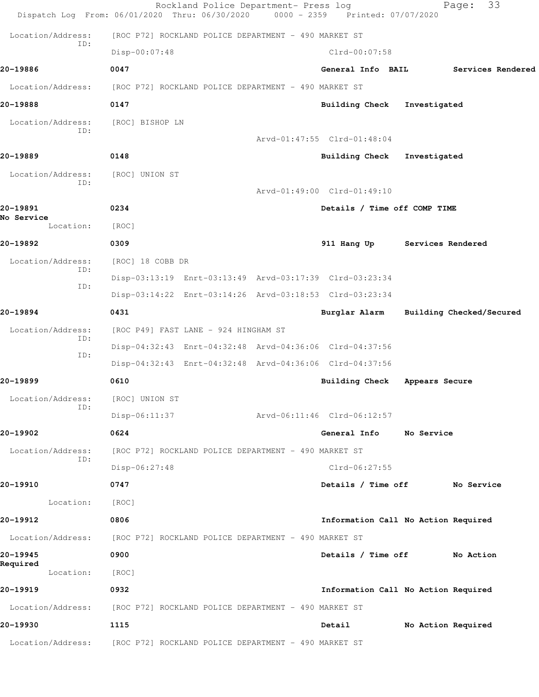|                          | Rockland Police Department- Press log<br>Dispatch Log From: 06/01/2020 Thru: 06/30/2020 | 0000 - 2359 Printed: 07/07/2020     | Page:              | 33                       |
|--------------------------|-----------------------------------------------------------------------------------------|-------------------------------------|--------------------|--------------------------|
| Location/Address:        | [ROC P72] ROCKLAND POLICE DEPARTMENT - 490 MARKET ST                                    |                                     |                    |                          |
| ID:                      | Disp-00:07:48                                                                           | Clrd-00:07:58                       |                    |                          |
| 20-19886                 | 0047                                                                                    | General Info BAIL                   |                    | Services Rendered        |
|                          | Location/Address: [ROC P72] ROCKLAND POLICE DEPARTMENT - 490 MARKET ST                  |                                     |                    |                          |
| 20-19888                 | 0147                                                                                    | <b>Building Check</b>               | Investigated       |                          |
| Location/Address:        | [ROC] BISHOP LN                                                                         |                                     |                    |                          |
| ID:                      |                                                                                         | Arvd-01:47:55 Clrd-01:48:04         |                    |                          |
| 20-19889                 | 0148                                                                                    | <b>Building Check</b>               | Investigated       |                          |
| Location/Address:        | [ROC] UNION ST                                                                          |                                     |                    |                          |
| ID:                      |                                                                                         | Arvd-01:49:00 Clrd-01:49:10         |                    |                          |
| 20-19891<br>No Service   | 0234                                                                                    | Details / Time off COMP TIME        |                    |                          |
| Location:                | [ROC]                                                                                   |                                     |                    |                          |
| 20-19892                 | 0309                                                                                    | 911 Hang Up Services Rendered       |                    |                          |
| Location/Address:<br>ID: | [ROC] 18 COBB DR                                                                        |                                     |                    |                          |
| ID:                      | Disp-03:13:19 Enrt-03:13:49 Arvd-03:17:39 Clrd-03:23:34                                 |                                     |                    |                          |
|                          | Disp-03:14:22 Enrt-03:14:26 Arvd-03:18:53 Clrd-03:23:34                                 |                                     |                    |                          |
| 20-19894                 | 0431                                                                                    | Burglar Alarm                       |                    | Building Checked/Secured |
| Location/Address:<br>ID: | [ROC P49] FAST LANE - 924 HINGHAM ST                                                    |                                     |                    |                          |
| ID:                      | Disp-04:32:43 Enrt-04:32:48 Arvd-04:36:06 Clrd-04:37:56                                 |                                     |                    |                          |
|                          | Disp-04:32:43 Enrt-04:32:48 Arvd-04:36:06 Clrd-04:37:56                                 |                                     |                    |                          |
| 20-19899                 | 0610                                                                                    | Building Check                      | Appears Secure     |                          |
| Location/Address:<br>ID: | [ROC] UNION ST                                                                          |                                     |                    |                          |
|                          | $Disp-06:11:37$                                                                         | Arvd-06:11:46 Clrd-06:12:57         |                    |                          |
| 20-19902                 | 0624                                                                                    | General Info                        | No Service         |                          |
| Location/Address:<br>ID: | [ROC P72] ROCKLAND POLICE DEPARTMENT - 490 MARKET ST                                    |                                     |                    |                          |
|                          | Disp-06:27:48                                                                           | Clrd-06:27:55                       |                    |                          |
| 20-19910                 | 0747                                                                                    | Details / Time off                  |                    | No Service               |
| Location:                | [ROC]                                                                                   |                                     |                    |                          |
| 20-19912                 | 0806                                                                                    | Information Call No Action Required |                    |                          |
| Location/Address:        | [ROC P72] ROCKLAND POLICE DEPARTMENT - 490 MARKET ST                                    |                                     |                    |                          |
| 20-19945<br>Required     | 0900                                                                                    | Details / Time off                  |                    | No Action                |
| Location:                | [ROC]                                                                                   |                                     |                    |                          |
| 20-19919                 | 0932                                                                                    | Information Call No Action Required |                    |                          |
| Location/Address:        | [ROC P72] ROCKLAND POLICE DEPARTMENT - 490 MARKET ST                                    |                                     |                    |                          |
| 20-19930                 | 1115                                                                                    | Detail                              | No Action Required |                          |
| Location/Address:        | [ROC P72] ROCKLAND POLICE DEPARTMENT - 490 MARKET ST                                    |                                     |                    |                          |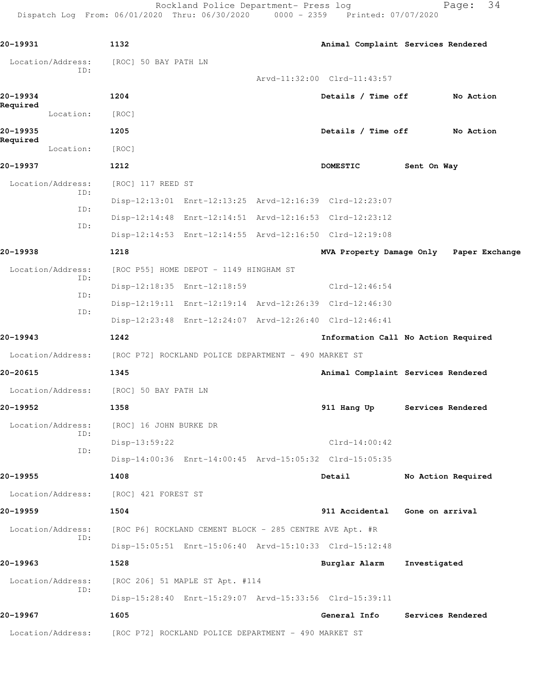Rockland Police Department- Press log Fage: 34 Dispatch Log From: 06/01/2020 Thru: 06/30/2020 0000 - 2359 Printed: 07/07/2020 **20-19931 1132 Animal Complaint Services Rendered** Location/Address: [ROC] 50 BAY PATH LN ID: Arvd-11:32:00 Clrd-11:43:57 **20-19934 1204 Details / Time off No Action Required**  Location: [ROC] **20-19935 1205 Details / Time off No Action Required**  Location: [ROC] **20-19937 1212 DOMESTIC Sent On Way** Location/Address: [ROC] 117 REED ST ID: Disp-12:13:01 Enrt-12:13:25 Arvd-12:16:39 Clrd-12:23:07 ID: Disp-12:14:48 Enrt-12:14:51 Arvd-12:16:53 Clrd-12:23:12 ID: Disp-12:14:53 Enrt-12:14:55 Arvd-12:16:50 Clrd-12:19:08 **20-19938 1218 MVA Property Damage Only Paper Exchange** Location/Address: [ROC P55] HOME DEPOT - 1149 HINGHAM ST ID: Disp-12:18:35 Enrt-12:18:59 Clrd-12:46:54 ID: Disp-12:19:11 Enrt-12:19:14 Arvd-12:26:39 Clrd-12:46:30 ID: Disp-12:23:48 Enrt-12:24:07 Arvd-12:26:40 Clrd-12:46:41 **20-19943 1242 Information Call No Action Required** Location/Address: [ROC P72] ROCKLAND POLICE DEPARTMENT - 490 MARKET ST **20-20615 1345 Animal Complaint Services Rendered** Location/Address: [ROC] 50 BAY PATH LN **20-19952 1358 911 Hang Up Services Rendered** Location/Address: [ROC] 16 JOHN BURKE DR ID: Disp-13:59:22 Clrd-14:00:42 ID: Disp-14:00:36 Enrt-14:00:45 Arvd-15:05:32 Clrd-15:05:35 **20-19955 1408 Detail No Action Required** Location/Address: [ROC] 421 FOREST ST **20-19959 1504 911 Accidental Gone on arrival** Location/Address: [ROC P6] ROCKLAND CEMENT BLOCK - 285 CENTRE AVE Apt. #R ID: Disp-15:05:51 Enrt-15:06:40 Arvd-15:10:33 Clrd-15:12:48 **20-19963 1528 Burglar Alarm Investigated** Location/Address: [ROC 206] 51 MAPLE ST Apt. #114

Disp-15:28:40 Enrt-15:29:07 Arvd-15:33:56 Clrd-15:39:11

**20-19967 1605 General Info Services Rendered**

Location/Address: [ROC P72] ROCKLAND POLICE DEPARTMENT - 490 MARKET ST

ID: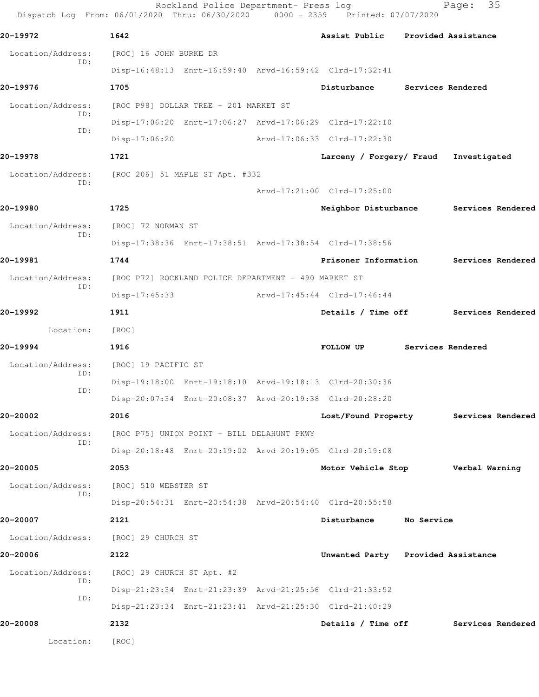| 20-19972          | 1642                                                    | Assist Public Provided Assistance  |                   |                                        |
|-------------------|---------------------------------------------------------|------------------------------------|-------------------|----------------------------------------|
| Location/Address: | [ROC] 16 JOHN BURKE DR                                  |                                    |                   |                                        |
| ID:               | Disp-16:48:13 Enrt-16:59:40 Arvd-16:59:42 Clrd-17:32:41 |                                    |                   |                                        |
| 20-19976          | 1705                                                    | Disturbance Services Rendered      |                   |                                        |
| Location/Address: | [ROC P98] DOLLAR TREE - 201 MARKET ST                   |                                    |                   |                                        |
| ID:               | Disp-17:06:20 Enrt-17:06:27 Arvd-17:06:29 Clrd-17:22:10 |                                    |                   |                                        |
| ID:               | $Disp-17:06:20$                                         | Arvd-17:06:33 Clrd-17:22:30        |                   |                                        |
| 20-19978          | 1721                                                    | Larceny / Forgery/ Fraud           |                   | Investigated                           |
| Location/Address: | [ROC 206] 51 MAPLE ST Apt. #332                         |                                    |                   |                                        |
| ID:               |                                                         | Arvd-17:21:00 Clrd-17:25:00        |                   |                                        |
| 20-19980          | 1725                                                    |                                    |                   | Neighbor Disturbance Services Rendered |
| Location/Address: | [ROC] 72 NORMAN ST                                      |                                    |                   |                                        |
| ID:               | Disp-17:38:36 Enrt-17:38:51 Arvd-17:38:54 Clrd-17:38:56 |                                    |                   |                                        |
| 20-19981          | 1744                                                    | Prisoner Information               |                   | Services Rendered                      |
| Location/Address: | [ROC P72] ROCKLAND POLICE DEPARTMENT - 490 MARKET ST    |                                    |                   |                                        |
| ID:               | Disp-17:45:33                                           | Arvd-17:45:44 Clrd-17:46:44        |                   |                                        |
| 20-19992          | 1911                                                    |                                    |                   | Details / Time off Services Rendered   |
| Location:         | [ROC]                                                   |                                    |                   |                                        |
| 20-19994          | 1916                                                    | <b>FOLLOW UP</b>                   | Services Rendered |                                        |
| Location/Address: | [ROC] 19 PACIFIC ST                                     |                                    |                   |                                        |
| ID:               | Disp-19:18:00 Enrt-19:18:10 Arvd-19:18:13 Clrd-20:30:36 |                                    |                   |                                        |
| ID:               | Disp-20:07:34 Enrt-20:08:37 Arvd-20:19:38 Clrd-20:28:20 |                                    |                   |                                        |
| 20-20002          | 2016                                                    | Lost/Found Property                |                   | Services Rendered                      |
| Location/Address: | [ROC P75] UNION POINT - BILL DELAHUNT PKWY              |                                    |                   |                                        |
| ID:               | Disp-20:18:48 Enrt-20:19:02 Arvd-20:19:05 Clrd-20:19:08 |                                    |                   |                                        |
| 20-20005          | 2053                                                    |                                    |                   | Motor Vehicle Stop Verbal Warning      |
| Location/Address: | [ROC] 510 WEBSTER ST                                    |                                    |                   |                                        |
| ID:               | Disp-20:54:31 Enrt-20:54:38 Arvd-20:54:40 Clrd-20:55:58 |                                    |                   |                                        |
| 20-20007          | 2121                                                    | Disturbance                        | No Service        |                                        |
| Location/Address: | [ROC] 29 CHURCH ST                                      |                                    |                   |                                        |
| 20-20006          | 2122                                                    | Unwanted Party Provided Assistance |                   |                                        |
| Location/Address: | [ROC] 29 CHURCH ST Apt. #2                              |                                    |                   |                                        |
| ID:               | Disp-21:23:34 Enrt-21:23:39 Arvd-21:25:56 Clrd-21:33:52 |                                    |                   |                                        |
| ID:               | Disp-21:23:34 Enrt-21:23:41 Arvd-21:25:30 Clrd-21:40:29 |                                    |                   |                                        |
|                   |                                                         |                                    |                   |                                        |
| 20-20008          | 2132                                                    | Details / Time off                 |                   | Services Rendered                      |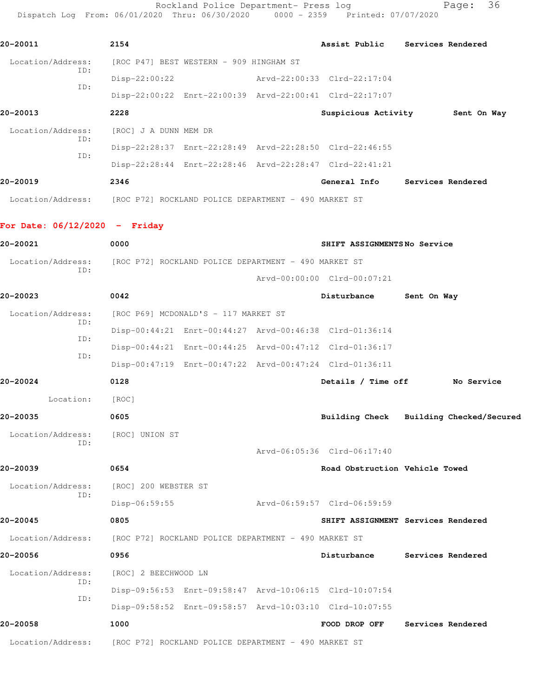Rockland Police Department- Press log entitled Page: 36 Dispatch Log From: 06/01/2020 Thru: 06/30/2020 0000 - 2359 Printed: 07/07/2020

| 20-20011                 | 2154                                                    | Assist Public               | Services Rendered |
|--------------------------|---------------------------------------------------------|-----------------------------|-------------------|
| Location/Address:<br>ID: | [ROC P47] BEST WESTERN - 909 HINGHAM ST                 |                             |                   |
| ID:                      | $Disp-22:00:22$                                         | Arvd-22:00:33 Clrd-22:17:04 |                   |
|                          | Disp-22:00:22 Enrt-22:00:39 Arvd-22:00:41 Clrd-22:17:07 |                             |                   |
| 20-20013                 | 2228                                                    | Suspicious Activity         | Sent On Way       |
| Location/Address:        | [ROC] J A DUNN MEM DR                                   |                             |                   |
| ID:<br>ID:               | Disp-22:28:37 Enrt-22:28:49 Arvd-22:28:50 Clrd-22:46:55 |                             |                   |
|                          | Disp-22:28:44 Enrt-22:28:46 Arvd-22:28:47 Clrd-22:41:21 |                             |                   |
| 20-20019                 | 2346                                                    | General Info                | Services Rendered |
| Location/Address:        | [ROC P72] ROCKLAND POLICE DEPARTMENT - 490 MARKET ST    |                             |                   |

## **For Date: 06/12/2020 - Friday**

| 20-20021                 | 0000                 |                                                      | SHIFT ASSIGNMENTSNo Service                             |             |                   |
|--------------------------|----------------------|------------------------------------------------------|---------------------------------------------------------|-------------|-------------------|
| Location/Address:<br>ID: |                      | [ROC P72] ROCKLAND POLICE DEPARTMENT - 490 MARKET ST |                                                         |             |                   |
|                          |                      |                                                      | Arvd-00:00:00 Clrd-00:07:21                             |             |                   |
| 20-20023                 | 0042                 |                                                      | Disturbance                                             | Sent On Way |                   |
| Location/Address:<br>ID: |                      | [ROC P69] MCDONALD'S - 117 MARKET ST                 |                                                         |             |                   |
| ID:                      |                      |                                                      | Disp-00:44:21 Enrt-00:44:27 Arvd-00:46:38 Clrd-01:36:14 |             |                   |
| ID:                      |                      |                                                      | Disp-00:44:21 Enrt-00:44:25 Arvd-00:47:12 Clrd-01:36:17 |             |                   |
|                          |                      |                                                      | Disp-00:47:19 Enrt-00:47:22 Arvd-00:47:24 Clrd-01:36:11 |             |                   |
| 20-20024                 | 0128                 |                                                      | Details / Time off No Service                           |             |                   |
| Location:                | [ROC]                |                                                      |                                                         |             |                   |
| 20-20035                 | 0605                 |                                                      | Building Check Building Checked/Secured                 |             |                   |
| Location/Address:<br>TD: | [ROC] UNION ST       |                                                      |                                                         |             |                   |
|                          |                      |                                                      | Arvd-06:05:36 Clrd-06:17:40                             |             |                   |
| 20-20039                 | 0654                 |                                                      | Road Obstruction Vehicle Towed                          |             |                   |
| Location/Address:        | [ROC] 200 WEBSTER ST |                                                      |                                                         |             |                   |
| ID:                      | Disp-06:59:55        |                                                      | Arvd-06:59:57 Clrd-06:59:59                             |             |                   |
| 20-20045                 | 0805                 |                                                      | SHIFT ASSIGNMENT Services Rendered                      |             |                   |
| Location/Address:        |                      | [ROC P72] ROCKLAND POLICE DEPARTMENT - 490 MARKET ST |                                                         |             |                   |
| 20-20056                 | 0956                 |                                                      | Disturbance                                             |             | Services Rendered |
| Location/Address:        | [ROC] 2 BEECHWOOD LN |                                                      |                                                         |             |                   |
| TD:                      |                      |                                                      | Disp-09:56:53 Enrt-09:58:47 Arvd-10:06:15 Clrd-10:07:54 |             |                   |
| ID:                      |                      |                                                      | Disp-09:58:52 Enrt-09:58:57 Arvd-10:03:10 Clrd-10:07:55 |             |                   |
| 20-20058                 | 1000                 |                                                      | FOOD DROP OFF                                           |             | Services Rendered |
| Location/Address:        |                      | [ROC P72] ROCKLAND POLICE DEPARTMENT - 490 MARKET ST |                                                         |             |                   |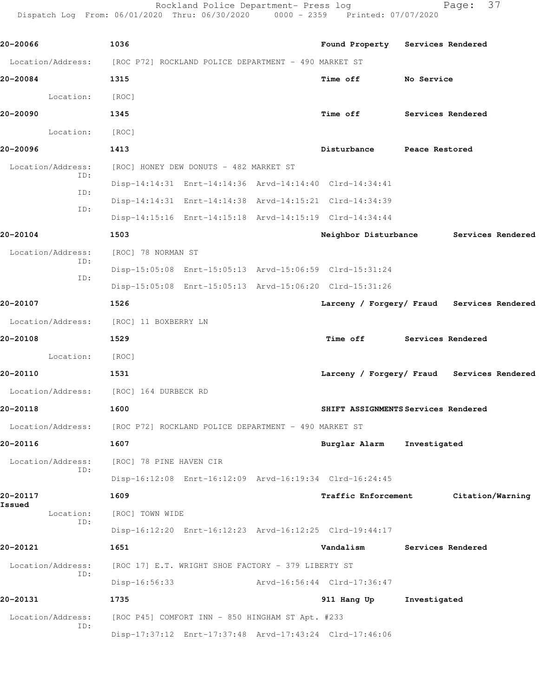Rockland Police Department- Press log Fage: 37 Dispatch Log From: 06/01/2020 Thru: 06/30/2020 0000 - 2359 Printed: 07/07/2020

**20-20066 1036 Found Property Services Rendered** Location/Address: [ROC P72] ROCKLAND POLICE DEPARTMENT - 490 MARKET ST **20-20084 1315 Time off No Service** Location: [ROC] **20-20090 1345 Time off Services Rendered** Location: [ROC] **20-20096 1413 Disturbance Peace Restored** Location/Address: [ROC] HONEY DEW DONUTS - 482 MARKET ST ID: Disp-14:14:31 Enrt-14:14:36 Arvd-14:14:40 Clrd-14:34:41 ID: Disp-14:14:31 Enrt-14:14:38 Arvd-14:15:21 Clrd-14:34:39 ID: Disp-14:15:16 Enrt-14:15:18 Arvd-14:15:19 Clrd-14:34:44 **20-20104 1503 Neighbor Disturbance Services Rendered** Location/Address: [ROC] 78 NORMAN ST ID: Disp-15:05:08 Enrt-15:05:13 Arvd-15:06:59 Clrd-15:31:24 ID: Disp-15:05:08 Enrt-15:05:13 Arvd-15:06:20 Clrd-15:31:26 **20-20107 1526 Larceny / Forgery/ Fraud Services Rendered** Location/Address: [ROC] 11 BOXBERRY LN **20-20108 1529 Time off Services Rendered** Location: [ROC] **20-20110 1531 Larceny / Forgery/ Fraud Services Rendered** Location/Address: [ROC] 164 DURBECK RD **20-20118 1600 SHIFT ASSIGNMENTS Services Rendered** Location/Address: [ROC P72] ROCKLAND POLICE DEPARTMENT - 490 MARKET ST **20-20116 1607 Burglar Alarm Investigated** Location/Address: [ROC] 78 PINE HAVEN CIR ID: Disp-16:12:08 Enrt-16:12:09 Arvd-16:19:34 Clrd-16:24:45 **20-20117 1609 Traffic Enforcement Citation/Warning Issued**  Location: [ROC] TOWN WIDE ID: Disp-16:12:20 Enrt-16:12:23 Arvd-16:12:25 Clrd-19:44:17 **20-20121 1651 Vandalism Services Rendered** Location/Address: [ROC 17] E.T. WRIGHT SHOE FACTORY - 379 LIBERTY ST ID: Disp-16:56:33 Arvd-16:56:44 Clrd-17:36:47 **20-20131 1735 911 Hang Up Investigated** Location/Address: [ROC P45] COMFORT INN - 850 HINGHAM ST Apt. #233 ID: Disp-17:37:12 Enrt-17:37:48 Arvd-17:43:24 Clrd-17:46:06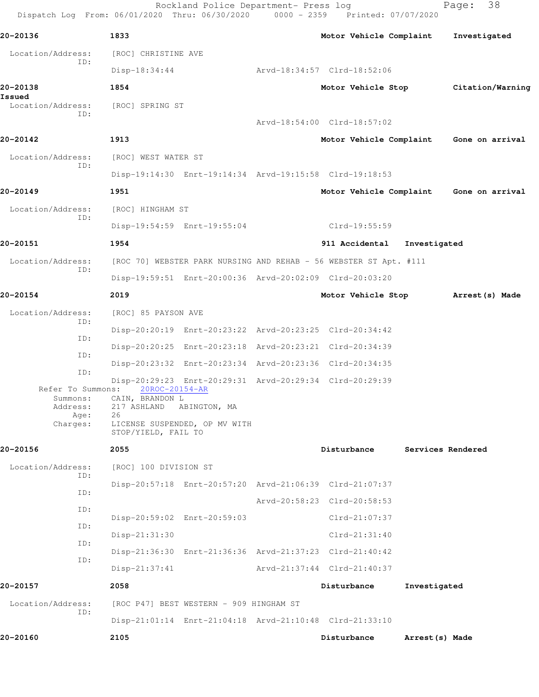|                              | Rockland Police Department- Press log<br>Dispatch Log From: 06/01/2020 Thru: 06/30/2020 0000 - 2359 Printed: 07/07/2020 |                                         | Page:             | 38               |
|------------------------------|-------------------------------------------------------------------------------------------------------------------------|-----------------------------------------|-------------------|------------------|
| 20-20136                     | 1833                                                                                                                    | Motor Vehicle Complaint                 |                   | Investigated     |
| Location/Address:            | [ROC] CHRISTINE AVE                                                                                                     |                                         |                   |                  |
| ID:                          | $Disp-18:34:44$                                                                                                         | Arvd-18:34:57 Clrd-18:52:06             |                   |                  |
| 20-20138                     | 1854                                                                                                                    | Motor Vehicle Stop                      |                   | Citation/Warning |
| Issued<br>Location/Address:  | [ROC] SPRING ST                                                                                                         |                                         |                   |                  |
| ID:                          |                                                                                                                         | Arvd-18:54:00 Clrd-18:57:02             |                   |                  |
| 20-20142                     | 1913                                                                                                                    | Motor Vehicle Complaint Gone on arrival |                   |                  |
| Location/Address:            | [ROC] WEST WATER ST                                                                                                     |                                         |                   |                  |
| ID:                          | Disp-19:14:30 Enrt-19:14:34 Arvd-19:15:58 Clrd-19:18:53                                                                 |                                         |                   |                  |
| 20-20149                     | 1951                                                                                                                    | Motor Vehicle Complaint Gone on arrival |                   |                  |
| Location/Address:            | [ROC] HINGHAM ST                                                                                                        |                                         |                   |                  |
| ID:                          | Disp-19:54:59 Enrt-19:55:04                                                                                             | Clrd-19:55:59                           |                   |                  |
| 20-20151                     | 1954                                                                                                                    | 911 Accidental                          | Investigated      |                  |
| Location/Address:<br>ID:     | [ROC 70] WEBSTER PARK NURSING AND REHAB - 56 WEBSTER ST Apt. #111                                                       |                                         |                   |                  |
|                              | Disp-19:59:51 Enrt-20:00:36 Arvd-20:02:09 Clrd-20:03:20                                                                 |                                         |                   |                  |
| 20-20154                     | 2019                                                                                                                    | Motor Vehicle Stop                      |                   | Arrest(s) Made   |
| Location/Address:<br>ID:     | [ROC] 85 PAYSON AVE                                                                                                     |                                         |                   |                  |
| ID:                          | Disp-20:20:19 Enrt-20:23:22 Arvd-20:23:25 Clrd-20:34:42                                                                 |                                         |                   |                  |
| ID:                          | Disp-20:20:25 Enrt-20:23:18 Arvd-20:23:21 Clrd-20:34:39                                                                 |                                         |                   |                  |
| ID:                          | Disp-20:23:32 Enrt-20:23:34 Arvd-20:23:36 Clrd-20:34:35                                                                 |                                         |                   |                  |
| Refer To Summons:            | Disp-20:29:23 Enrt-20:29:31 Arvd-20:29:34 Clrd-20:29:39<br>20ROC-20154-AR                                               |                                         |                   |                  |
| Summons:<br>Address:<br>Age: | CAIN, BRANDON L<br>217 ASHLAND ABINGTON, MA<br>26                                                                       |                                         |                   |                  |
| Charges:                     | LICENSE SUSPENDED, OP MV WITH<br>STOP/YIELD, FAIL TO                                                                    |                                         |                   |                  |
| 20-20156                     | 2055                                                                                                                    | Disturbance                             | Services Rendered |                  |
| Location/Address:<br>ID:     | [ROC] 100 DIVISION ST                                                                                                   |                                         |                   |                  |
| ID:                          | Disp-20:57:18 Enrt-20:57:20 Arvd-21:06:39 Clrd-21:07:37                                                                 |                                         |                   |                  |
| ID:                          |                                                                                                                         | Arvd-20:58:23 Clrd-20:58:53             |                   |                  |
| ID:                          | Disp-20:59:02 Enrt-20:59:03                                                                                             | $Clrd-21:07:37$                         |                   |                  |
| ID:                          | Disp-21:31:30                                                                                                           | $Clrd-21:31:40$                         |                   |                  |
| ID:                          | Disp-21:36:30 Enrt-21:36:36 Arvd-21:37:23 Clrd-21:40:42                                                                 |                                         |                   |                  |
|                              | $Disp-21:37:41$                                                                                                         | Arvd-21:37:44 Clrd-21:40:37             |                   |                  |
| 20-20157                     | 2058                                                                                                                    | Disturbance                             | Investigated      |                  |
| Location/Address:<br>ID:     | [ROC P47] BEST WESTERN - 909 HINGHAM ST                                                                                 |                                         |                   |                  |
|                              | Disp-21:01:14 Enrt-21:04:18 Arvd-21:10:48 Clrd-21:33:10                                                                 |                                         |                   |                  |
| 20-20160                     | 2105                                                                                                                    | Disturbance                             | Arrest (s) Made   |                  |
|                              |                                                                                                                         |                                         |                   |                  |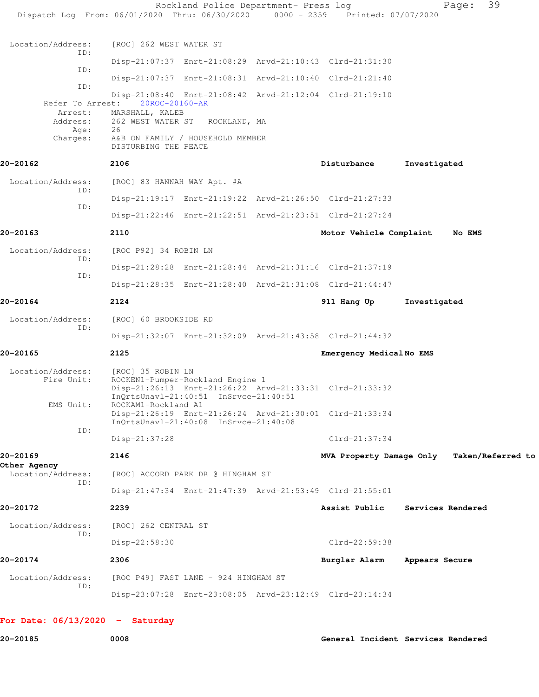|                                   | Rockland Police Department- Press log<br>Dispatch Log From: 06/01/2020 Thru: 06/30/2020 0000 - 2359 Printed: 07/07/2020                                   |                          | 39<br>Page:       |
|-----------------------------------|-----------------------------------------------------------------------------------------------------------------------------------------------------------|--------------------------|-------------------|
| Location/Address:                 | [ROC] 262 WEST WATER ST                                                                                                                                   |                          |                   |
| ID:                               | Disp-21:07:37 Enrt-21:08:29 Arvd-21:10:43 Clrd-21:31:30                                                                                                   |                          |                   |
| ID:                               | Disp-21:07:37 Enrt-21:08:31 Arvd-21:10:40 Clrd-21:21:40                                                                                                   |                          |                   |
| ID:<br>Refer To Arrest:           | Disp-21:08:40 Enrt-21:08:42 Arvd-21:12:04 Clrd-21:19:10<br>20ROC-20160-AR                                                                                 |                          |                   |
| Arrest:<br>Age:                   | MARSHALL, KALEB<br>Address: 262 WEST WATER ST ROCKLAND, MA<br>26                                                                                          |                          |                   |
| Charges:                          | A&B ON FAMILY / HOUSEHOLD MEMBER<br>DISTURBING THE PEACE                                                                                                  |                          |                   |
| 20-20162                          | 2106                                                                                                                                                      | Disturbance              | Investigated      |
| Location/Address:<br>ID:          | [ROC] 83 HANNAH WAY Apt. #A                                                                                                                               |                          |                   |
| ID:                               | Disp-21:19:17 Enrt-21:19:22 Arvd-21:26:50 Clrd-21:27:33                                                                                                   |                          |                   |
|                                   | Disp-21:22:46 Enrt-21:22:51 Arvd-21:23:51 Clrd-21:27:24                                                                                                   |                          |                   |
| 20-20163                          | 2110                                                                                                                                                      | Motor Vehicle Complaint  | No EMS            |
| Location/Address:<br>ID:          | [ROC P92] 34 ROBIN LN                                                                                                                                     |                          |                   |
|                                   | Disp-21:28:28 Enrt-21:28:44 Arvd-21:31:16 Clrd-21:37:19                                                                                                   |                          |                   |
| ID:                               | Disp-21:28:35 Enrt-21:28:40 Arvd-21:31:08 Clrd-21:44:47                                                                                                   |                          |                   |
| 20-20164                          | 2124                                                                                                                                                      | 911 Hang Up              | Investigated      |
| Location/Address:                 | [ROC] 60 BROOKSIDE RD                                                                                                                                     |                          |                   |
| ID:                               | Disp-21:32:07 Enrt-21:32:09 Arvd-21:43:58 Clrd-21:44:32                                                                                                   |                          |                   |
| 20-20165                          | 2125                                                                                                                                                      | Emergency MedicalNo EMS  |                   |
| Location/Address:<br>Fire Unit:   | [ROC] 35 ROBIN LN<br>ROCKEN1-Pumper-Rockland Engine 1<br>Disp-21:26:13 Enrt-21:26:22 Arvd-21:33:31 Clrd-21:33:32<br>InQrtsUnavl-21:40:51 InSrvce-21:40:51 |                          |                   |
| EMS Unit:                         | ROCKAM1-Rockland A1<br>Disp-21:26:19 Enrt-21:26:24 Arvd-21:30:01 Clrd-21:33:34<br>InOrtsUnavl-21:40:08 InSrvce-21:40:08                                   |                          |                   |
| ID:                               | Disp-21:37:28                                                                                                                                             | $Clrd-21:37:34$          |                   |
| 20-20169                          | 2146                                                                                                                                                      | MVA Property Damage Only | Taken/Referred to |
| Other Agency<br>Location/Address: | [ROC] ACCORD PARK DR @ HINGHAM ST                                                                                                                         |                          |                   |
| ID:                               | Disp-21:47:34 Enrt-21:47:39 Arvd-21:53:49 Clrd-21:55:01                                                                                                   |                          |                   |
| 20-20172                          | 2239                                                                                                                                                      | Assist Public            | Services Rendered |
| Location/Address:<br>ID:          | [ROC] 262 CENTRAL ST                                                                                                                                      |                          |                   |
|                                   | Disp-22:58:30                                                                                                                                             | Clrd-22:59:38            |                   |
| 20-20174                          | 2306                                                                                                                                                      | Burglar Alarm            | Appears Secure    |
| Location/Address:<br>ID:          | [ROC P49] FAST LANE - 924 HINGHAM ST                                                                                                                      |                          |                   |
|                                   | Disp-23:07:28 Enrt-23:08:05 Arvd-23:12:49 Clrd-23:14:34                                                                                                   |                          |                   |
| For Date: $06/13/2020 -$ Saturday |                                                                                                                                                           |                          |                   |

**20-20185 0008 General Incident Services Rendered**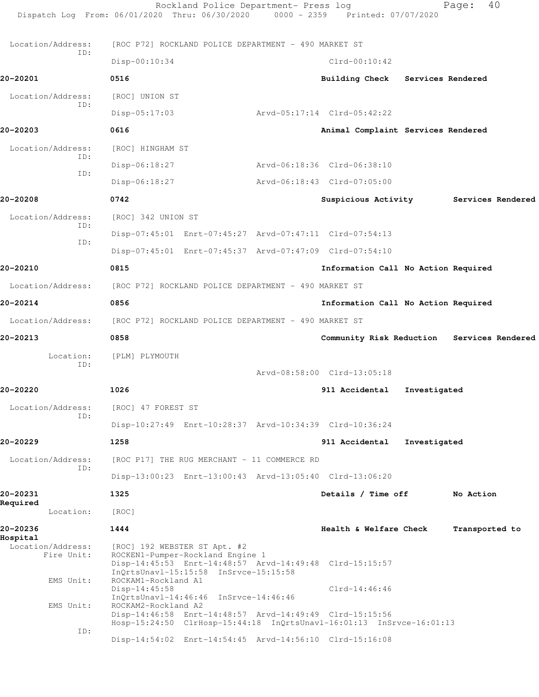|                                             | Rockland Police Department- Press log<br>Dispatch Log From: 06/01/2020 Thru: 06/30/2020 0000 - 2359 Printed: 07/07/2020                                              |                                            |              | 40<br>Page:       |  |
|---------------------------------------------|----------------------------------------------------------------------------------------------------------------------------------------------------------------------|--------------------------------------------|--------------|-------------------|--|
| Location/Address:                           | [ROC P72] ROCKLAND POLICE DEPARTMENT - 490 MARKET ST                                                                                                                 |                                            |              |                   |  |
| ID:                                         | Disp-00:10:34                                                                                                                                                        | $Clrd-00:10:42$                            |              |                   |  |
| 20-20201                                    | 0516                                                                                                                                                                 | Building Check Services Rendered           |              |                   |  |
| Location/Address:                           | [ROC] UNION ST                                                                                                                                                       |                                            |              |                   |  |
| ID:                                         | $Disp-05:17:03$                                                                                                                                                      | Arvd-05:17:14 Clrd-05:42:22                |              |                   |  |
| 20-20203                                    | 0616                                                                                                                                                                 | Animal Complaint Services Rendered         |              |                   |  |
| Location/Address:                           | [ROC] HINGHAM ST                                                                                                                                                     |                                            |              |                   |  |
| ID:                                         | Disp-06:18:27                                                                                                                                                        | Arvd-06:18:36 Clrd-06:38:10                |              |                   |  |
| ID:                                         | Disp-06:18:27                                                                                                                                                        | Arvd-06:18:43 Clrd-07:05:00                |              |                   |  |
| 20-20208                                    | 0742                                                                                                                                                                 | Suspicious Activity                        |              | Services Rendered |  |
| Location/Address:                           | [ROC] 342 UNION ST                                                                                                                                                   |                                            |              |                   |  |
| ID:                                         | Disp-07:45:01 Enrt-07:45:27 Arvd-07:47:11 Clrd-07:54:13                                                                                                              |                                            |              |                   |  |
| ID:                                         | Disp-07:45:01 Enrt-07:45:37 Arvd-07:47:09 Clrd-07:54:10                                                                                                              |                                            |              |                   |  |
| 20-20210                                    | 0815                                                                                                                                                                 | Information Call No Action Required        |              |                   |  |
| Location/Address:                           | [ROC P72] ROCKLAND POLICE DEPARTMENT - 490 MARKET ST                                                                                                                 |                                            |              |                   |  |
| 20-20214                                    | 0856                                                                                                                                                                 | Information Call No Action Required        |              |                   |  |
| Location/Address:                           | [ROC P72] ROCKLAND POLICE DEPARTMENT - 490 MARKET ST                                                                                                                 |                                            |              |                   |  |
| 20-20213                                    | 0858                                                                                                                                                                 | Community Risk Reduction Services Rendered |              |                   |  |
| Location:                                   | [PLM] PLYMOUTH                                                                                                                                                       |                                            |              |                   |  |
| ID:                                         |                                                                                                                                                                      | Arvd-08:58:00 Clrd-13:05:18                |              |                   |  |
| 20-20220                                    | 1026                                                                                                                                                                 | 911 Accidental                             | Investigated |                   |  |
| Location/Address:                           | [ROC] 47 FOREST ST                                                                                                                                                   |                                            |              |                   |  |
| ID:                                         | Disp-10:27:49 Enrt-10:28:37 Arvd-10:34:39 Clrd-10:36:24                                                                                                              |                                            |              |                   |  |
| 20-20229                                    | 1258                                                                                                                                                                 | 911 Accidental                             | Investigated |                   |  |
| Location/Address:                           | [ROC P17] THE RUG MERCHANT - 11 COMMERCE RD                                                                                                                          |                                            |              |                   |  |
| ID:                                         | Disp-13:00:23 Enrt-13:00:43 Arvd-13:05:40 Clrd-13:06:20                                                                                                              |                                            |              |                   |  |
| 20-20231                                    | 1325                                                                                                                                                                 | Details / Time off                         |              | No Action         |  |
| Required<br>Location:                       | [ROC]                                                                                                                                                                |                                            |              |                   |  |
| 20-20236                                    | 1444                                                                                                                                                                 | Health & Welfare Check                     |              | Transported to    |  |
| Hospital<br>Location/Address:<br>Fire Unit: | [ROC] 192 WEBSTER ST Apt. #2<br>ROCKEN1-Pumper-Rockland Engine 1<br>Disp-14:45:53 Enrt-14:48:57 Arvd-14:49:48 Clrd-15:15:57<br>InQrtsUnavl-15:15:58 InSrvce-15:15:58 |                                            |              |                   |  |
| EMS Unit:                                   | ROCKAM1-Rockland A1<br>$Disp-14:45:58$<br>InQrtsUnavl-14:46:46 InSrvce-14:46:46                                                                                      | $Clrd-14:46:46$                            |              |                   |  |
| EMS Unit:<br>ID:                            | ROCKAM2-Rockland A2<br>Disp-14:46:58 Enrt-14:48:57 Arvd-14:49:49 Clrd-15:15:56<br>Hosp-15:24:50 ClrHosp-15:44:18 InQrtsUnavl-16:01:13 InSrvce-16:01:13               |                                            |              |                   |  |
|                                             | Disp-14:54:02 Enrt-14:54:45 Arvd-14:56:10 Clrd-15:16:08                                                                                                              |                                            |              |                   |  |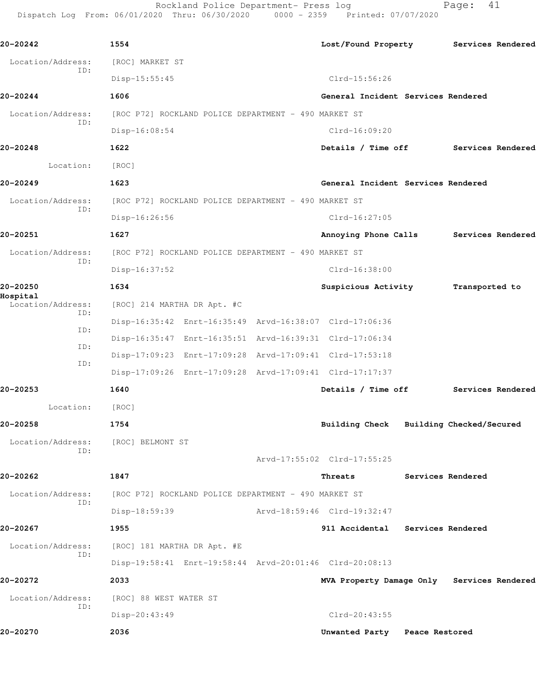Rockland Police Department- Press log entitled Page: 41 Dispatch Log From: 06/01/2020 Thru: 06/30/2020 0000 - 2359 Printed: 07/07/2020

| 20-20242                      | 1554                                                 |                                                         |                             | Lost/Found Property                        |                          | Services Rendered |
|-------------------------------|------------------------------------------------------|---------------------------------------------------------|-----------------------------|--------------------------------------------|--------------------------|-------------------|
| Location/Address:<br>ID:      | [ROC] MARKET ST                                      |                                                         |                             |                                            |                          |                   |
|                               | $Disp-15:55:45$                                      |                                                         |                             | $Clrd-15:56:26$                            |                          |                   |
| 20-20244                      | 1606                                                 |                                                         |                             | General Incident Services Rendered         |                          |                   |
| Location/Address:             |                                                      | [ROC P72] ROCKLAND POLICE DEPARTMENT - 490 MARKET ST    |                             |                                            |                          |                   |
| ID:                           | Disp-16:08:54                                        |                                                         |                             | $Clrd-16:09:20$                            |                          |                   |
| 20-20248                      | 1622                                                 |                                                         |                             | Details / Time off                         |                          | Services Rendered |
| Location:                     | [ROC]                                                |                                                         |                             |                                            |                          |                   |
| 20-20249                      | 1623                                                 |                                                         |                             | General Incident Services Rendered         |                          |                   |
| Location/Address:             | [ROC P72] ROCKLAND POLICE DEPARTMENT - 490 MARKET ST |                                                         |                             |                                            |                          |                   |
| ID:                           | Disp-16:26:56                                        |                                                         |                             | $Clrd-16:27:05$                            |                          |                   |
| 20-20251                      | 1627                                                 |                                                         |                             | Annoying Phone Calls                       |                          | Services Rendered |
| Location/Address:             |                                                      | [ROC P72] ROCKLAND POLICE DEPARTMENT - 490 MARKET ST    |                             |                                            |                          |                   |
| ID:                           | Disp-16:37:52                                        |                                                         |                             | $Clrd-16:38:00$                            |                          |                   |
| 20-20250                      | 1634                                                 |                                                         |                             | Suspicious Activity                        | Transported to           |                   |
| Hospital<br>Location/Address: | [ROC] 214 MARTHA DR Apt. #C                          |                                                         |                             |                                            |                          |                   |
| ID:                           |                                                      | Disp-16:35:42 Enrt-16:35:49 Arvd-16:38:07 Clrd-17:06:36 |                             |                                            |                          |                   |
| ID:                           |                                                      | Disp-16:35:47 Enrt-16:35:51 Arvd-16:39:31 Clrd-17:06:34 |                             |                                            |                          |                   |
| ID:                           |                                                      | Disp-17:09:23 Enrt-17:09:28 Arvd-17:09:41 Clrd-17:53:18 |                             |                                            |                          |                   |
| ID:                           |                                                      | Disp-17:09:26 Enrt-17:09:28 Arvd-17:09:41 Clrd-17:17:37 |                             |                                            |                          |                   |
| 20-20253                      | 1640                                                 |                                                         |                             | Details / Time off                         |                          | Services Rendered |
| Location:                     | [ROC]                                                |                                                         |                             |                                            |                          |                   |
| 20-20258                      | 1754                                                 |                                                         |                             | <b>Building Check</b>                      | Building Checked/Secured |                   |
| Location/Address:             | [ROC] BELMONT ST                                     |                                                         |                             |                                            |                          |                   |
| ID:                           |                                                      |                                                         |                             | Arvd-17:55:02 Clrd-17:55:25                |                          |                   |
| 20-20262                      | 1847                                                 |                                                         |                             | Threats                                    | Services Rendered        |                   |
| Location/Address:             | [ROC P72] ROCKLAND POLICE DEPARTMENT - 490 MARKET ST |                                                         |                             |                                            |                          |                   |
| ID:                           | Disp-18:59:39                                        |                                                         | Arvd-18:59:46 Clrd-19:32:47 |                                            |                          |                   |
| 20-20267                      | 1955                                                 |                                                         |                             | 911 Accidental Services Rendered           |                          |                   |
| Location/Address:             | [ROC] 181 MARTHA DR Apt. #E                          |                                                         |                             |                                            |                          |                   |
| ID:                           |                                                      | Disp-19:58:41 Enrt-19:58:44 Arvd-20:01:46 Clrd-20:08:13 |                             |                                            |                          |                   |
| 20-20272                      | 2033                                                 |                                                         |                             | MVA Property Damage Only Services Rendered |                          |                   |
| Location/Address:             | [ROC] 88 WEST WATER ST                               |                                                         |                             |                                            |                          |                   |
| ID:                           | Disp-20:43:49                                        |                                                         |                             | $Clrd-20:43:55$                            |                          |                   |
| 20-20270                      | 2036                                                 |                                                         |                             | Unwanted Party Peace Restored              |                          |                   |
|                               |                                                      |                                                         |                             |                                            |                          |                   |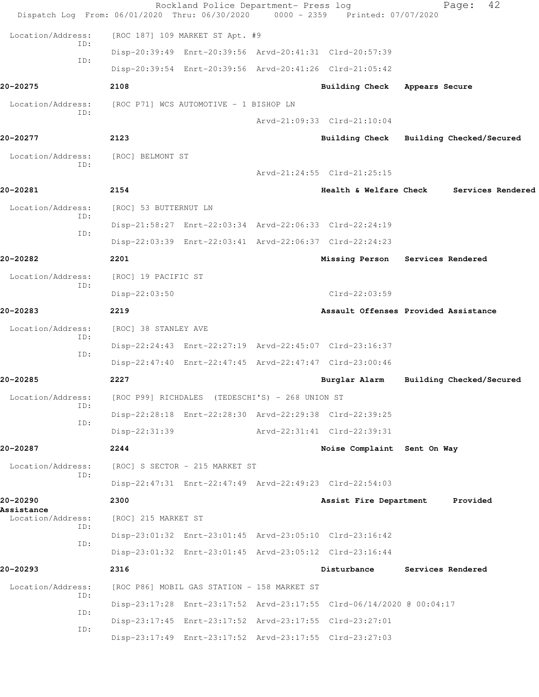| Dispatch Log From: 06/01/2020 Thru: 06/30/2020 |                                        | Rockland Police Department- Press log                   | 0000 - 2359 Printed: 07/07/2020                                      |                | 42<br>Page:              |
|------------------------------------------------|----------------------------------------|---------------------------------------------------------|----------------------------------------------------------------------|----------------|--------------------------|
| Location/Address:                              |                                        | [ROC 187] 109 MARKET ST Apt. #9                         |                                                                      |                |                          |
| ID:                                            |                                        | Disp-20:39:49 Enrt-20:39:56 Arvd-20:41:31 Clrd-20:57:39 |                                                                      |                |                          |
| ID:                                            |                                        | Disp-20:39:54 Enrt-20:39:56 Arvd-20:41:26 Clrd-21:05:42 |                                                                      |                |                          |
| 20-20275                                       | 2108                                   |                                                         | <b>Building Check</b>                                                | Appears Secure |                          |
| Location/Address:                              | [ROC P71] WCS AUTOMOTIVE - 1 BISHOP LN |                                                         |                                                                      |                |                          |
| ID:                                            |                                        |                                                         | Arvd-21:09:33 Clrd-21:10:04                                          |                |                          |
| 20-20277                                       | 2123                                   |                                                         | <b>Building Check</b>                                                |                | Building Checked/Secured |
| Location/Address:                              | [ROC] BELMONT ST                       |                                                         |                                                                      |                |                          |
| ID:                                            |                                        |                                                         | Arvd-21:24:55 Clrd-21:25:15                                          |                |                          |
| 20-20281                                       | 2154                                   |                                                         | <b>Health &amp; Welfare Check</b>                                    |                | Services Rendered        |
| Location/Address:                              | [ROC] 53 BUTTERNUT LN                  |                                                         |                                                                      |                |                          |
| ID:                                            |                                        | Disp-21:58:27 Enrt-22:03:34 Arvd-22:06:33 Clrd-22:24:19 |                                                                      |                |                          |
| TD:                                            |                                        | Disp-22:03:39 Enrt-22:03:41 Arvd-22:06:37 Clrd-22:24:23 |                                                                      |                |                          |
| 20-20282                                       | 2201                                   |                                                         | Missing Person                                                       |                | Services Rendered        |
| Location/Address:                              | [ROC] 19 PACIFIC ST                    |                                                         |                                                                      |                |                          |
| ID:                                            | Disp-22:03:50                          |                                                         | Clrd-22:03:59                                                        |                |                          |
| 20-20283                                       | 2219                                   |                                                         | Assault Offenses Provided Assistance                                 |                |                          |
| Location/Address:                              | [ROC] 38 STANLEY AVE                   |                                                         |                                                                      |                |                          |
| ID:<br>ID:                                     |                                        | Disp-22:24:43 Enrt-22:27:19 Arvd-22:45:07 Clrd-23:16:37 |                                                                      |                |                          |
|                                                |                                        | Disp-22:47:40 Enrt-22:47:45 Arvd-22:47:47 Clrd-23:00:46 |                                                                      |                |                          |
| 20-20285                                       | 2227                                   |                                                         | Burglar Alarm                                                        |                | Building Checked/Secured |
| Location/Address:<br>ID:                       |                                        | [ROC P99] RICHDALES (TEDESCHI'S) - 268 UNION ST         |                                                                      |                |                          |
| ID:                                            |                                        | Disp-22:28:18 Enrt-22:28:30 Arvd-22:29:38 Clrd-22:39:25 |                                                                      |                |                          |
|                                                | Disp-22:31:39                          |                                                         | Arvd-22:31:41 Clrd-22:39:31                                          |                |                          |
| 20-20287                                       | 2244                                   |                                                         | Noise Complaint Sent On Way                                          |                |                          |
| Location/Address:<br>ID:                       |                                        | [ROC] S SECTOR - 215 MARKET ST                          |                                                                      |                |                          |
|                                                |                                        | Disp-22:47:31 Enrt-22:47:49 Arvd-22:49:23 Clrd-22:54:03 |                                                                      |                |                          |
| 20-20290<br>Assistance                         | 2300                                   |                                                         | Assist Fire Department                                               |                | Provided                 |
| Location/Address:<br>ID:                       | [ROC] 215 MARKET ST                    |                                                         |                                                                      |                |                          |
| ID:                                            |                                        | Disp-23:01:32 Enrt-23:01:45 Arvd-23:05:10 Clrd-23:16:42 |                                                                      |                |                          |
|                                                |                                        |                                                         | Disp-23:01:32 Enrt-23:01:45 Arvd-23:05:12 Clrd-23:16:44              |                |                          |
| 20-20293                                       | 2316                                   |                                                         | Disturbance                                                          |                | Services Rendered        |
| Location/Address:<br>ID:                       |                                        | [ROC P86] MOBIL GAS STATION - 158 MARKET ST             |                                                                      |                |                          |
| ID:                                            |                                        |                                                         | Disp-23:17:28 Enrt-23:17:52 Arvd-23:17:55 Clrd-06/14/2020 @ 00:04:17 |                |                          |
| ID:                                            |                                        | Disp-23:17:45 Enrt-23:17:52 Arvd-23:17:55 Clrd-23:27:01 |                                                                      |                |                          |
|                                                |                                        |                                                         | Disp-23:17:49 Enrt-23:17:52 Arvd-23:17:55 Clrd-23:27:03              |                |                          |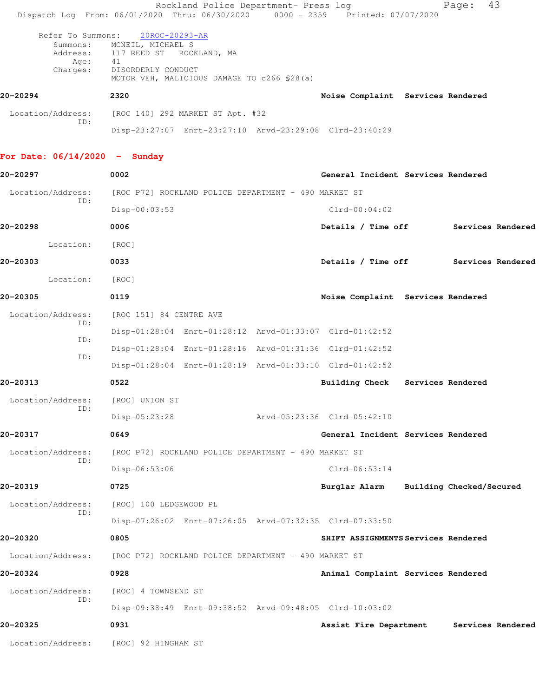|                                 | Rockland Police Department- Press log<br>Dispatch Log From: 06/01/2020 Thru: 06/30/2020 0000 - 2359 Printed: 07/07/2020 |                                          | 43<br>Page:       |
|---------------------------------|-------------------------------------------------------------------------------------------------------------------------|------------------------------------------|-------------------|
| Refer To Summons:<br>Summons:   | 20ROC-20293-AR<br>MCNEIL, MICHAEL S                                                                                     |                                          |                   |
| Age:<br>Charges:                | Address: 117 REED ST ROCKLAND, MA<br>41<br>DISORDERLY CONDUCT                                                           |                                          |                   |
| 20-20294                        | MOTOR VEH, MALICIOUS DAMAGE TO c266 \$28(a)<br>2320                                                                     | Noise Complaint Services Rendered        |                   |
| Location/Address:               |                                                                                                                         |                                          |                   |
| ID:                             | [ROC 140] 292 MARKET ST Apt. #32<br>Disp-23:27:07 Enrt-23:27:10 Arvd-23:29:08 Clrd-23:40:29                             |                                          |                   |
| For Date: $06/14/2020 -$ Sunday |                                                                                                                         |                                          |                   |
| 20-20297                        | 0002                                                                                                                    | General Incident Services Rendered       |                   |
| Location/Address:               | [ROC P72] ROCKLAND POLICE DEPARTMENT - 490 MARKET ST                                                                    |                                          |                   |
| ID:                             | Disp-00:03:53                                                                                                           | $Clrd-00:04:02$                          |                   |
| 20-20298                        | 0006                                                                                                                    | Details / Time off                       | Services Rendered |
| Location:                       | [ROC]                                                                                                                   |                                          |                   |
| 20-20303                        | 0033                                                                                                                    | Details / Time off                       | Services Rendered |
| Location:                       | [ROC]                                                                                                                   |                                          |                   |
| 20-20305                        | 0119                                                                                                                    | Noise Complaint Services Rendered        |                   |
| Location/Address:               | [ROC 151] 84 CENTRE AVE                                                                                                 |                                          |                   |
| ID:<br>ID:                      | Disp-01:28:04 Enrt-01:28:12 Arvd-01:33:07 Clrd-01:42:52                                                                 |                                          |                   |
| ID:                             | Disp-01:28:04 Enrt-01:28:16 Arvd-01:31:36 Clrd-01:42:52                                                                 |                                          |                   |
|                                 | Disp-01:28:04 Enrt-01:28:19 Arvd-01:33:10 Clrd-01:42:52                                                                 |                                          |                   |
| 20-20313                        | 0522                                                                                                                    | Services Rendered<br>Building Check      |                   |
| Location/Address:<br>ID:        | [ROC] UNION ST                                                                                                          |                                          |                   |
|                                 | Disp-05:23:28                                                                                                           | Arvd-05:23:36 Clrd-05:42:10              |                   |
| 20-20317                        | 0649                                                                                                                    | General Incident Services Rendered       |                   |
| Location/Address:<br>ID:        | [ROC P72] ROCKLAND POLICE DEPARTMENT - 490 MARKET ST                                                                    |                                          |                   |
|                                 | Disp-06:53:06                                                                                                           | $Clrd-06:53:14$                          |                   |
| 20-20319                        | 0725                                                                                                                    | Burglar Alarm Building Checked/Secured   |                   |
| Location/Address:<br>ID:        | [ROC] 100 LEDGEWOOD PL                                                                                                  |                                          |                   |
|                                 | Disp-07:26:02 Enrt-07:26:05 Arvd-07:32:35 Clrd-07:33:50                                                                 |                                          |                   |
| 20-20320                        | 0805                                                                                                                    | SHIFT ASSIGNMENTS Services Rendered      |                   |
| Location/Address:               | [ROC P72] ROCKLAND POLICE DEPARTMENT - 490 MARKET ST                                                                    |                                          |                   |
| 20-20324                        | 0928                                                                                                                    | Animal Complaint Services Rendered       |                   |
| Location/Address:<br>ID:        | [ROC] 4 TOWNSEND ST                                                                                                     |                                          |                   |
|                                 | Disp-09:38:49 Enrt-09:38:52 Arvd-09:48:05 Clrd-10:03:02                                                                 |                                          |                   |
| 20-20325                        | 0931                                                                                                                    | Assist Fire Department Services Rendered |                   |
| Location/Address:               | [ROC] 92 HINGHAM ST                                                                                                     |                                          |                   |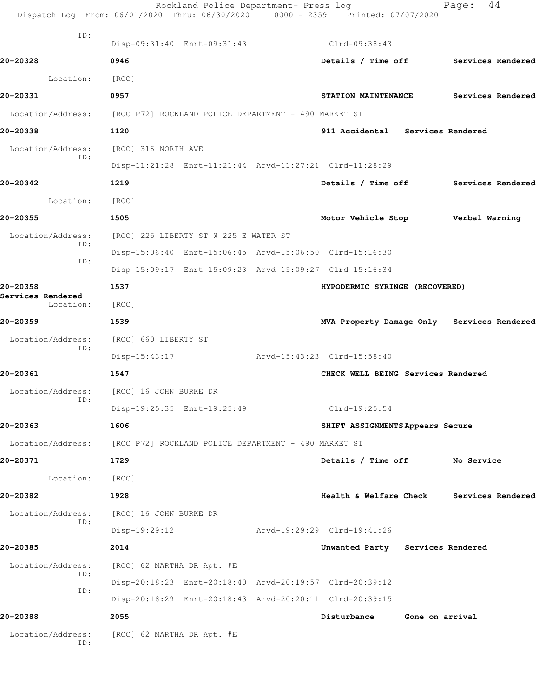|                                | Rockland Police Department- Press log<br>Dispatch Log From: 06/01/2020 Thru: 06/30/2020 0000 - 2359 Printed: 07/07/2020 |                                            |                 | Page: | 44                       |
|--------------------------------|-------------------------------------------------------------------------------------------------------------------------|--------------------------------------------|-----------------|-------|--------------------------|
| ID:                            | Disp-09:31:40 Enrt-09:31:43                                                                                             | $Clrd-09:38:43$                            |                 |       |                          |
| 20-20328                       | 0946                                                                                                                    | Details / Time off Services Rendered       |                 |       |                          |
| Location:                      | [ROC]                                                                                                                   |                                            |                 |       |                          |
| 20-20331                       | 0957                                                                                                                    | STATION MAINTENANCE                        |                 |       | <b>Services Rendered</b> |
|                                | Location/Address: [ROC P72] ROCKLAND POLICE DEPARTMENT - 490 MARKET ST                                                  |                                            |                 |       |                          |
| 20-20338                       | 1120                                                                                                                    | 911 Accidental Services Rendered           |                 |       |                          |
| Location/Address:              | [ROC] 316 NORTH AVE                                                                                                     |                                            |                 |       |                          |
| ID:                            | Disp-11:21:28 Enrt-11:21:44 Arvd-11:27:21 Clrd-11:28:29                                                                 |                                            |                 |       |                          |
| 20-20342                       | 1219                                                                                                                    | Details / Time off Services Rendered       |                 |       |                          |
| Location:                      | [ROC]                                                                                                                   |                                            |                 |       |                          |
| 20-20355                       | 1505                                                                                                                    | Motor Vehicle Stop Verbal Warning          |                 |       |                          |
| Location/Address:              | [ROC] 225 LIBERTY ST @ 225 E WATER ST                                                                                   |                                            |                 |       |                          |
| ID:                            | Disp-15:06:40 Enrt-15:06:45 Arvd-15:06:50 Clrd-15:16:30                                                                 |                                            |                 |       |                          |
| ID:                            | Disp-15:09:17 Enrt-15:09:23 Arvd-15:09:27 Clrd-15:16:34                                                                 |                                            |                 |       |                          |
| 20-20358                       | 1537                                                                                                                    | HYPODERMIC SYRINGE (RECOVERED)             |                 |       |                          |
| Services Rendered<br>Location: | [ROC]                                                                                                                   |                                            |                 |       |                          |
| 20-20359                       | 1539                                                                                                                    | MVA Property Damage Only Services Rendered |                 |       |                          |
| Location/Address:              | [ROC] 660 LIBERTY ST                                                                                                    |                                            |                 |       |                          |
| ID:                            | $Disp-15:43:17$                                                                                                         | Arvd-15:43:23 Clrd-15:58:40                |                 |       |                          |
| 20-20361                       | 1547                                                                                                                    | CHECK WELL BEING Services Rendered         |                 |       |                          |
| Location/Address:              | [ROC] 16 JOHN BURKE DR                                                                                                  |                                            |                 |       |                          |
| ID:                            | Disp-19:25:35 Enrt-19:25:49                                                                                             | Clrd-19:25:54                              |                 |       |                          |
| 20-20363                       | 1606                                                                                                                    | SHIFT ASSIGNMENTS Appears Secure           |                 |       |                          |
|                                | Location/Address: [ROC P72] ROCKLAND POLICE DEPARTMENT - 490 MARKET ST                                                  |                                            |                 |       |                          |
| 20-20371                       | 1729                                                                                                                    | Details / Time off No Service              |                 |       |                          |
| Location:                      | [ROC]                                                                                                                   |                                            |                 |       |                          |
| 20-20382                       | 1928                                                                                                                    | Health & Welfare Check Services Rendered   |                 |       |                          |
| Location/Address:              | [ROC] 16 JOHN BURKE DR                                                                                                  |                                            |                 |       |                          |
| ID:                            | $Disp-19:29:12$                                                                                                         | Arvd-19:29:29 Clrd-19:41:26                |                 |       |                          |
| 20-20385                       | 2014                                                                                                                    | Unwanted Party Services Rendered           |                 |       |                          |
| Location/Address:              | [ROC] 62 MARTHA DR Apt. #E                                                                                              |                                            |                 |       |                          |
| ID:                            | Disp-20:18:23 Enrt-20:18:40 Arvd-20:19:57 Clrd-20:39:12                                                                 |                                            |                 |       |                          |
| ID:                            | Disp-20:18:29 Enrt-20:18:43 Arvd-20:20:11 Clrd-20:39:15                                                                 |                                            |                 |       |                          |
| 20-20388                       | 2055                                                                                                                    | Disturbance                                | Gone on arrival |       |                          |
| Location/Address:<br>ID:       | [ROC] 62 MARTHA DR Apt. #E                                                                                              |                                            |                 |       |                          |
|                                |                                                                                                                         |                                            |                 |       |                          |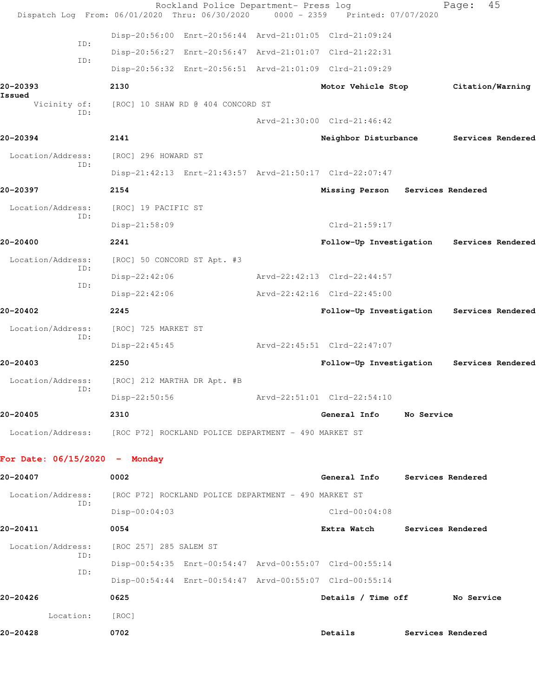|                                                                        |     |                             | Rockland Police Department- Press log<br>Dispatch Log From: 06/01/2020 Thru: 06/30/2020 | $0000 - 2359$ | Printed: 07/07/2020                                     |                   | Page:             | 45                |
|------------------------------------------------------------------------|-----|-----------------------------|-----------------------------------------------------------------------------------------|---------------|---------------------------------------------------------|-------------------|-------------------|-------------------|
|                                                                        |     |                             |                                                                                         |               | Disp-20:56:00 Enrt-20:56:44 Arvd-21:01:05 Clrd-21:09:24 |                   |                   |                   |
|                                                                        | ID: |                             |                                                                                         |               | Disp-20:56:27 Enrt-20:56:47 Arvd-21:01:07 Clrd-21:22:31 |                   |                   |                   |
|                                                                        | ID: |                             |                                                                                         |               | Disp-20:56:32 Enrt-20:56:51 Arvd-21:01:09 Clrd-21:09:29 |                   |                   |                   |
| 20-20393                                                               |     | 2130                        |                                                                                         |               | Motor Vehicle Stop                                      |                   | Citation/Warning  |                   |
| Issued<br>Vicinity of:                                                 |     |                             | [ROC] 10 SHAW RD @ 404 CONCORD ST                                                       |               |                                                         |                   |                   |                   |
|                                                                        | ID: |                             |                                                                                         |               | Arvd-21:30:00 Clrd-21:46:42                             |                   |                   |                   |
| 20-20394                                                               |     | 2141                        |                                                                                         |               | Neighbor Disturbance                                    |                   |                   | Services Rendered |
| Location/Address:                                                      |     | [ROC] 296 HOWARD ST         |                                                                                         |               |                                                         |                   |                   |                   |
|                                                                        | ID: |                             |                                                                                         |               | Disp-21:42:13 Enrt-21:43:57 Arvd-21:50:17 Clrd-22:07:47 |                   |                   |                   |
| 20-20397                                                               |     | 2154                        |                                                                                         |               | Missing Person                                          | Services Rendered |                   |                   |
| Location/Address:                                                      |     | [ROC] 19 PACIFIC ST         |                                                                                         |               |                                                         |                   |                   |                   |
|                                                                        | ID: | Disp-21:58:09               |                                                                                         |               | $Clrd-21:59:17$                                         |                   |                   |                   |
| 20-20400                                                               |     | 2241                        |                                                                                         |               | Follow-Up Investigation                                 |                   |                   | Services Rendered |
| Location/Address:                                                      |     | [ROC] 50 CONCORD ST Apt. #3 |                                                                                         |               |                                                         |                   |                   |                   |
|                                                                        | ID: | Disp-22:42:06               |                                                                                         |               | Arvd-22:42:13 Clrd-22:44:57                             |                   |                   |                   |
|                                                                        | ID: | $Disp-22:42:06$             |                                                                                         |               | Arvd-22:42:16 Clrd-22:45:00                             |                   |                   |                   |
| 20-20402                                                               |     | 2245                        |                                                                                         |               | Follow-Up Investigation Services Rendered               |                   |                   |                   |
| Location/Address:                                                      |     | [ROC] 725 MARKET ST         |                                                                                         |               |                                                         |                   |                   |                   |
|                                                                        | ID: | Disp-22:45:45               |                                                                                         |               | Arvd-22:45:51 Clrd-22:47:07                             |                   |                   |                   |
| 20-20403                                                               |     | 2250                        |                                                                                         |               | Follow-Up Investigation                                 |                   |                   | Services Rendered |
| Location/Address:                                                      |     | [ROC] 212 MARTHA DR Apt. #B |                                                                                         |               |                                                         |                   |                   |                   |
| ID:                                                                    |     | Disp-22:50:56               |                                                                                         |               | Arvd-22:51:01 Clrd-22:54:10                             |                   |                   |                   |
| 20-20405                                                               |     | 2310                        |                                                                                         |               | General Info                                            | No Service        |                   |                   |
| Location/Address: [ROC P72] ROCKLAND POLICE DEPARTMENT - 490 MARKET ST |     |                             |                                                                                         |               |                                                         |                   |                   |                   |
| For Date: $06/15/2020 -$ Monday                                        |     |                             |                                                                                         |               |                                                         |                   |                   |                   |
| 20-20407                                                               |     | 0002                        |                                                                                         |               | General Info Services Rendered                          |                   |                   |                   |
| Location/Address:                                                      |     |                             | [ROC P72] ROCKLAND POLICE DEPARTMENT - 490 MARKET ST                                    |               |                                                         |                   |                   |                   |
|                                                                        | ID: | $Disp-00:04:03$             |                                                                                         |               | $Clrd-00:04:08$                                         |                   |                   |                   |
| 20-20411                                                               |     | 0054                        |                                                                                         |               | Extra Watch                                             |                   | Services Rendered |                   |
| Location/Address:                                                      |     | [ROC 257] 285 SALEM ST      |                                                                                         |               |                                                         |                   |                   |                   |
|                                                                        | ID: |                             |                                                                                         |               | Disp-00:54:35 Enrt-00:54:47 Arvd-00:55:07 Clrd-00:55:14 |                   |                   |                   |
|                                                                        | ID: |                             |                                                                                         |               | Disp-00:54:44 Enrt-00:54:47 Arvd-00:55:07 Clrd-00:55:14 |                   |                   |                   |
| 20-20426                                                               |     | 0625                        |                                                                                         |               | Details / Time off                                      |                   | No Service        |                   |
| Location:                                                              |     | [ROC]                       |                                                                                         |               |                                                         |                   |                   |                   |
| 20-20428                                                               |     | 0702                        |                                                                                         |               | Details                                                 |                   | Services Rendered |                   |
|                                                                        |     |                             |                                                                                         |               |                                                         |                   |                   |                   |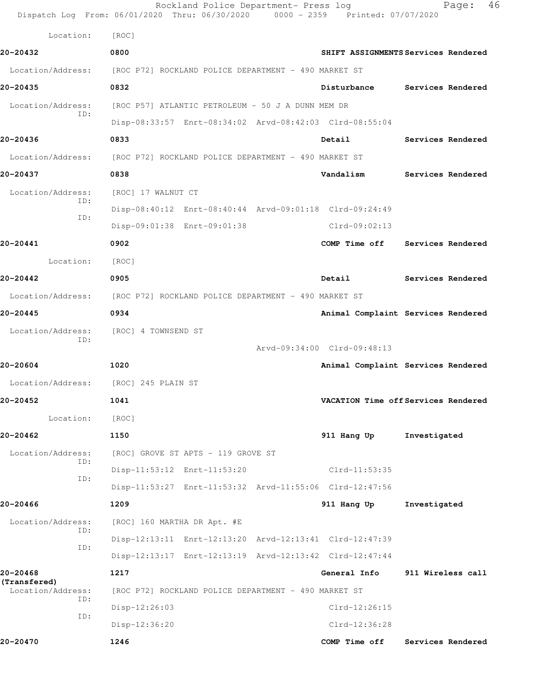|                          | Rockland Police Department- Press log<br>Dispatch Log From: 06/01/2020 Thru: 06/30/2020 0000 - 2359 Printed: 07/07/2020 |                             | 46<br>Page:                         |
|--------------------------|-------------------------------------------------------------------------------------------------------------------------|-----------------------------|-------------------------------------|
| Location:                | [ROC]                                                                                                                   |                             |                                     |
| 20-20432                 | 0800                                                                                                                    |                             | SHIFT ASSIGNMENTS Services Rendered |
| Location/Address:        | [ROC P72] ROCKLAND POLICE DEPARTMENT - 490 MARKET ST                                                                    |                             |                                     |
| 20-20435                 | 0832                                                                                                                    | Disturbance                 | Services Rendered                   |
| Location/Address:        | [ROC P57] ATLANTIC PETROLEUM - 50 J A DUNN MEM DR                                                                       |                             |                                     |
| ID:                      | Disp-08:33:57 Enrt-08:34:02 Arvd-08:42:03 Clrd-08:55:04                                                                 |                             |                                     |
| 20-20436                 | 0833                                                                                                                    | Detail                      | Services Rendered                   |
|                          | Location/Address: [ROC P72] ROCKLAND POLICE DEPARTMENT - 490 MARKET ST                                                  |                             |                                     |
| 20-20437                 | 0838                                                                                                                    | Vandalism                   | Services Rendered                   |
| Location/Address:        | [ROC] 17 WALNUT CT                                                                                                      |                             |                                     |
| ID:                      | Disp-08:40:12 Enrt-08:40:44 Arvd-09:01:18 Clrd-09:24:49                                                                 |                             |                                     |
| ID:                      | Disp-09:01:38 Enrt-09:01:38                                                                                             | $Clrd-09:02:13$             |                                     |
| 20-20441                 | 0902                                                                                                                    | COMP Time off               | Services Rendered                   |
| Location:                | [ROC]                                                                                                                   |                             |                                     |
| 20-20442                 | 0905                                                                                                                    | Detail                      | Services Rendered                   |
|                          | Location/Address: [ROC P72] ROCKLAND POLICE DEPARTMENT - 490 MARKET ST                                                  |                             |                                     |
| 20-20445                 | 0934                                                                                                                    |                             | Animal Complaint Services Rendered  |
| Location/Address:        | [ROC] 4 TOWNSEND ST                                                                                                     |                             |                                     |
| ID:                      |                                                                                                                         | Arvd-09:34:00 Clrd-09:48:13 |                                     |
| 20-20604                 | 1020                                                                                                                    |                             | Animal Complaint Services Rendered  |
| Location/Address:        | [ROC] 245 PLAIN ST                                                                                                      |                             |                                     |
| 20-20452                 | 1041                                                                                                                    |                             | VACATION Time off Services Rendered |
| Location:                | [ROC]                                                                                                                   |                             |                                     |
| 20-20462                 | 1150                                                                                                                    | 911 Hang Up                 | Investigated                        |
| Location/Address:        | [ROC] GROVE ST APTS - 119 GROVE ST                                                                                      |                             |                                     |
| ID:<br>ID:               | Disp-11:53:12 Enrt-11:53:20                                                                                             | Clrd-11:53:35               |                                     |
|                          | Disp-11:53:27 Enrt-11:53:32 Arvd-11:55:06 Clrd-12:47:56                                                                 |                             |                                     |
| 20-20466                 | 1209                                                                                                                    | 911 Hang Up                 | Investigated                        |
| Location/Address:<br>ID: | [ROC] 160 MARTHA DR Apt. #E                                                                                             |                             |                                     |
| ID:                      | Disp-12:13:11 Enrt-12:13:20 Arvd-12:13:41 Clrd-12:47:39                                                                 |                             |                                     |
|                          | Disp-12:13:17 Enrt-12:13:19 Arvd-12:13:42 Clrd-12:47:44                                                                 |                             |                                     |
| 20-20468<br>(Transfered) | 1217                                                                                                                    | General Info                | 911 Wireless call                   |
| Location/Address:<br>ID: | [ROC P72] ROCKLAND POLICE DEPARTMENT - 490 MARKET ST                                                                    |                             |                                     |
| ID:                      | Disp-12:26:03                                                                                                           | Clrd-12:26:15               |                                     |
|                          | Disp-12:36:20                                                                                                           | Clrd-12:36:28               |                                     |
| 20-20470                 | 1246                                                                                                                    | COMP Time off               | Services Rendered                   |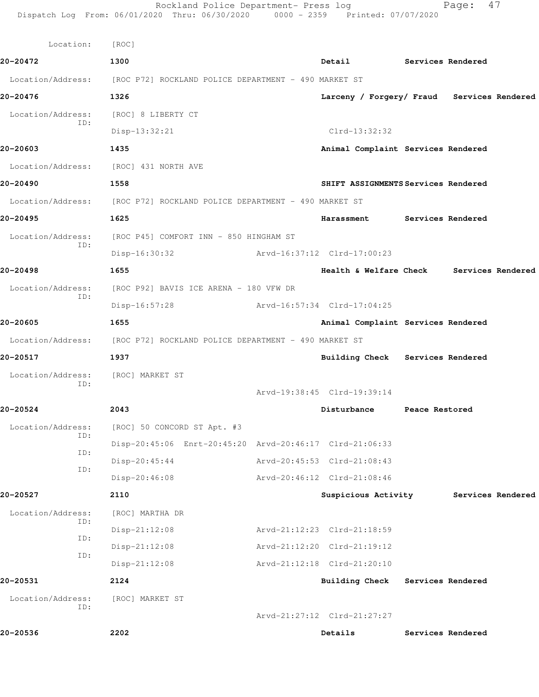|                          | Rockland Police Department- Press log<br>Dispatch Log From: 06/01/2020 Thru: 06/30/2020 0000 - 2359 Printed: 07/07/2020 |                                            |                   | Page:             | 47 |
|--------------------------|-------------------------------------------------------------------------------------------------------------------------|--------------------------------------------|-------------------|-------------------|----|
| Location:                | [ROC]                                                                                                                   |                                            |                   |                   |    |
| 20-20472                 | 1300                                                                                                                    | Detail                                     | Services Rendered |                   |    |
|                          | Location/Address: [ROC P72] ROCKLAND POLICE DEPARTMENT - 490 MARKET ST                                                  |                                            |                   |                   |    |
| 20-20476                 | 1326                                                                                                                    | Larceny / Forgery/ Fraud Services Rendered |                   |                   |    |
| Location/Address:        | [ROC] 8 LIBERTY CT                                                                                                      |                                            |                   |                   |    |
| ID:                      | $Disp-13:32:21$                                                                                                         | $Clrd-13:32:32$                            |                   |                   |    |
| 20-20603                 | 1435                                                                                                                    | Animal Complaint Services Rendered         |                   |                   |    |
| Location/Address:        | [ROC] 431 NORTH AVE                                                                                                     |                                            |                   |                   |    |
| 20-20490                 | 1558                                                                                                                    | SHIFT ASSIGNMENTS Services Rendered        |                   |                   |    |
|                          | Location/Address: [ROC P72] ROCKLAND POLICE DEPARTMENT - 490 MARKET ST                                                  |                                            |                   |                   |    |
| 20-20495                 | 1625                                                                                                                    | Harassment Services Rendered               |                   |                   |    |
| Location/Address:        | [ROC P45] COMFORT INN - 850 HINGHAM ST                                                                                  |                                            |                   |                   |    |
| ID:                      | Disp-16:30:32                                                                                                           | Arvd-16:37:12 Clrd-17:00:23                |                   |                   |    |
| 20-20498                 | 1655                                                                                                                    | Health & Welfare Check Services Rendered   |                   |                   |    |
| Location/Address:        | [ROC P92] BAVIS ICE ARENA - 180 VFW DR                                                                                  |                                            |                   |                   |    |
| ID:                      | $Disp-16:57:28$                                                                                                         | Arvd-16:57:34 Clrd-17:04:25                |                   |                   |    |
| 20-20605                 | 1655                                                                                                                    | Animal Complaint Services Rendered         |                   |                   |    |
|                          | Location/Address: [ROC P72] ROCKLAND POLICE DEPARTMENT - 490 MARKET ST                                                  |                                            |                   |                   |    |
| 20-20517                 | 1937                                                                                                                    | Building Check Services Rendered           |                   |                   |    |
| Location/Address:<br>ID: | [ROC] MARKET ST                                                                                                         |                                            |                   |                   |    |
|                          |                                                                                                                         | Arvd-19:38:45 Clrd-19:39:14                |                   |                   |    |
| 20-20524                 | 2043                                                                                                                    | Disturbance                                | Peace Restored    |                   |    |
| Location/Address:<br>ID: | [ROC] 50 CONCORD ST Apt. #3                                                                                             |                                            |                   |                   |    |
| ID:                      | Disp-20:45:06 Enrt-20:45:20 Arvd-20:46:17 Clrd-21:06:33                                                                 |                                            |                   |                   |    |
| ID:                      | $Disp-20:45:44$                                                                                                         | Arvd-20:45:53 Clrd-21:08:43                |                   |                   |    |
|                          | Disp-20:46:08                                                                                                           | Arvd-20:46:12 Clrd-21:08:46                |                   |                   |    |
| 20-20527                 | 2110                                                                                                                    | Suspicious Activity                        |                   | Services Rendered |    |
| Location/Address:<br>ID: | [ROC] MARTHA DR                                                                                                         |                                            |                   |                   |    |
| ID:                      | $Disp-21:12:08$                                                                                                         | Arvd-21:12:23 Clrd-21:18:59                |                   |                   |    |
| ID:                      | $Disp-21:12:08$                                                                                                         | Arvd-21:12:20 Clrd-21:19:12                |                   |                   |    |
|                          | $Disp-21:12:08$                                                                                                         | Arvd-21:12:18 Clrd-21:20:10                |                   |                   |    |
| 20-20531                 | 2124                                                                                                                    | <b>Building Check</b>                      | Services Rendered |                   |    |
| Location/Address:<br>ID: | [ROC] MARKET ST                                                                                                         |                                            |                   |                   |    |
|                          |                                                                                                                         | Arvd-21:27:12 Clrd-21:27:27                |                   |                   |    |
| 20-20536                 | 2202                                                                                                                    | Details                                    |                   | Services Rendered |    |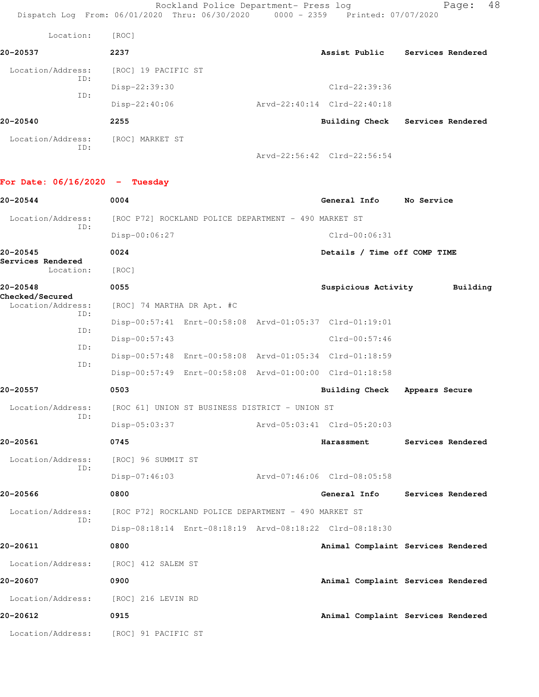Rockland Police Department- Press log Page: 48 Dispatch Log From: 06/01/2020 Thru: 06/30/2020 0000 - 2359 Printed: 07/07/2020

| Location:                | [ROC]               |                             |                   |
|--------------------------|---------------------|-----------------------------|-------------------|
| 20-20537                 | 2237                | Assist Public               | Services Rendered |
| Location/Address:<br>ID: | [ROC] 19 PACIFIC ST |                             |                   |
|                          | Disp-22:39:30       | $Clrd-22:39:36$             |                   |
| ID:                      | $Disp-22:40:06$     | Arvd-22:40:14 Clrd-22:40:18 |                   |
| 20-20540                 | 2255                | Building Check              | Services Rendered |
| Location/Address:<br>ID: | [ROC] MARKET ST     |                             |                   |

Arvd-22:56:42 Clrd-22:56:54

## **For Date: 06/16/2020 - Tuesday**

| 20-20544                             |            | 0004                                  |                                                      | General Info                                            | No Service                         |
|--------------------------------------|------------|---------------------------------------|------------------------------------------------------|---------------------------------------------------------|------------------------------------|
| Location/Address:                    | ID:        |                                       | [ROC P72] ROCKLAND POLICE DEPARTMENT - 490 MARKET ST |                                                         |                                    |
|                                      |            | Disp-00:06:27                         |                                                      | Clrd-00:06:31                                           |                                    |
| 20-20545                             |            | 0024                                  |                                                      | Details / Time off COMP TIME                            |                                    |
| Services Rendered<br>Location:       |            | [ROC]                                 |                                                      |                                                         |                                    |
| 20-20548                             |            | 0055                                  |                                                      | Suspicious Activity                                     | Building                           |
| Checked/Secured<br>Location/Address: |            | [ROC] 74 MARTHA DR Apt. #C            |                                                      |                                                         |                                    |
|                                      | TD:        |                                       |                                                      | Disp-00:57:41 Enrt-00:58:08 Arvd-01:05:37 Clrd-01:19:01 |                                    |
|                                      | ID:        | $Disp-00:57:43$                       |                                                      | Clrd-00:57:46                                           |                                    |
|                                      | ID:<br>ID: |                                       |                                                      | Disp-00:57:48 Enrt-00:58:08 Arvd-01:05:34 Clrd-01:18:59 |                                    |
|                                      |            |                                       |                                                      | Disp-00:57:49 Enrt-00:58:08 Arvd-01:00:00 Clrd-01:18:58 |                                    |
| 20-20557                             |            | 0503                                  |                                                      | <b>Building Check</b>                                   | Appears Secure                     |
| Location/Address:                    |            |                                       | [ROC 61] UNION ST BUSINESS DISTRICT - UNION ST       |                                                         |                                    |
|                                      | TD:        | $Disp-05:03:37$                       |                                                      | Arvd-05:03:41 Clrd-05:20:03                             |                                    |
| 20-20561                             |            | 0745                                  |                                                      | Harassment                                              | Services Rendered                  |
| Location/Address:                    | ID:        | [ROC] 96 SUMMIT ST                    |                                                      |                                                         |                                    |
|                                      |            | $Disp-07:46:03$                       |                                                      | Arvd-07:46:06 Clrd-08:05:58                             |                                    |
| 20-20566                             |            | 0800                                  |                                                      | General Info                                            | Services Rendered                  |
| Location/Address:                    | ID:        |                                       | [ROC P72] ROCKLAND POLICE DEPARTMENT - 490 MARKET ST |                                                         |                                    |
|                                      |            |                                       |                                                      | Disp-08:18:14 Enrt-08:18:19 Arvd-08:18:22 Clrd-08:18:30 |                                    |
| 20-20611                             |            | 0800                                  |                                                      |                                                         | Animal Complaint Services Rendered |
| Location/Address:                    |            | [ROC] 412 SALEM ST                    |                                                      |                                                         |                                    |
| 20-20607                             |            | 0900                                  |                                                      |                                                         | Animal Complaint Services Rendered |
| Location/Address:                    |            | [ROC] 216 LEVIN RD                    |                                                      |                                                         |                                    |
| 20-20612                             |            | 0915                                  |                                                      |                                                         | Animal Complaint Services Rendered |
|                                      |            | Location/Address: [ROC] 91 PACIFIC ST |                                                      |                                                         |                                    |
|                                      |            |                                       |                                                      |                                                         |                                    |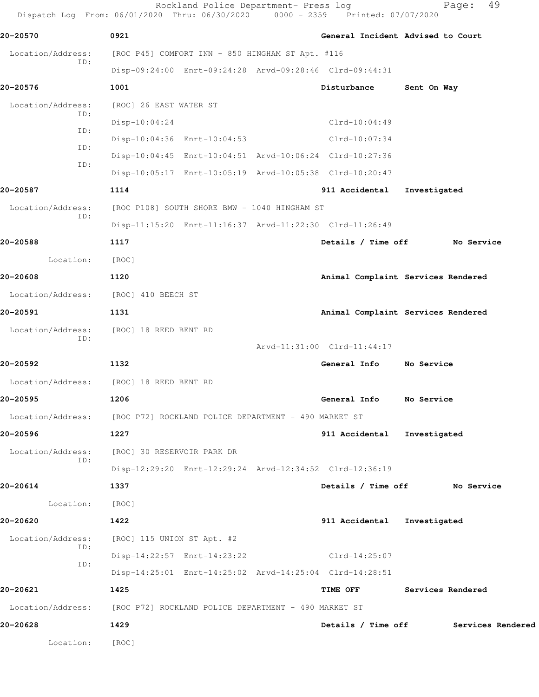Rockland Police Department- Press log Fage: 49 Dispatch Log From: 06/01/2020 Thru: 06/30/2020 0000 - 2359 Printed: 07/07/2020

**20-20570 0921 General Incident Advised to Court** Location/Address: [ROC P45] COMFORT INN - 850 HINGHAM ST Apt. #116 ID: Disp-09:24:00 Enrt-09:24:28 Arvd-09:28:46 Clrd-09:44:31 **20-20576 1001 Disturbance Sent On Way** Location/Address: [ROC] 26 EAST WATER ST ID: Disp-10:04:24 Clrd-10:04:49 ID: Disp-10:04:36 Enrt-10:04:53 Clrd-10:07:34 ID: Disp-10:04:45 Enrt-10:04:51 Arvd-10:06:24 Clrd-10:27:36 ID: Disp-10:05:17 Enrt-10:05:19 Arvd-10:05:38 Clrd-10:20:47 **20-20587 1114 911 Accidental Investigated** Location/Address: [ROC P108] SOUTH SHORE BMW - 1040 HINGHAM ST ID: Disp-11:15:20 Enrt-11:16:37 Arvd-11:22:30 Clrd-11:26:49 **20-20588 1117 Details / Time off No Service** Location: [ROC] **20-20608 1120 Animal Complaint Services Rendered** Location/Address: [ROC] 410 BEECH ST **20-20591 1131 Animal Complaint Services Rendered** Location/Address: [ROC] 18 REED BENT RD ID: Arvd-11:31:00 Clrd-11:44:17 **20-20592 1132 General Info No Service** Location/Address: [ROC] 18 REED BENT RD **20-20595 1206 General Info No Service** Location/Address: [ROC P72] ROCKLAND POLICE DEPARTMENT - 490 MARKET ST **20-20596 1227 911 Accidental Investigated** Location/Address: [ROC] 30 RESERVOIR PARK DR ID: Disp-12:29:20 Enrt-12:29:24 Arvd-12:34:52 Clrd-12:36:19 **20-20614 1337 Details / Time off No Service** Location: [ROC] **20-20620 1422 911 Accidental Investigated** Location/Address: [ROC] 115 UNION ST Apt. #2 ID: Disp-14:22:57 Enrt-14:23:22 Clrd-14:25:07 ID: Disp-14:25:01 Enrt-14:25:02 Arvd-14:25:04 Clrd-14:28:51 **20-20621 1425 TIME OFF Services Rendered** Location/Address: [ROC P72] ROCKLAND POLICE DEPARTMENT - 490 MARKET ST **20-20628 1429 Details / Time off Services Rendered** Location: [ROC]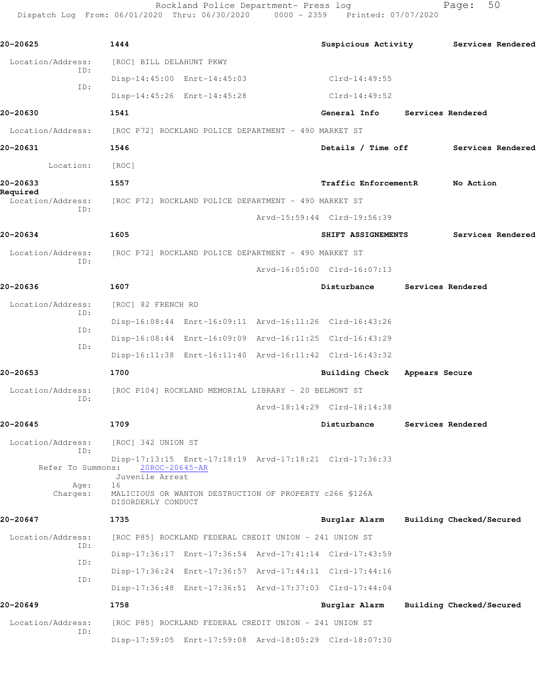Rockland Police Department- Press log entitled Page: 50 Dispatch Log From: 06/01/2020 Thru: 06/30/2020 0000 - 2359 Printed: 07/07/2020

| 20-20625                                                               | 1444                                                 |                                                         | Suspicious Activity Services Rendered                   |                |                          |  |
|------------------------------------------------------------------------|------------------------------------------------------|---------------------------------------------------------|---------------------------------------------------------|----------------|--------------------------|--|
| Location/Address:                                                      | [ROC] BILL DELAHUNT PKWY                             |                                                         |                                                         |                |                          |  |
| ID:                                                                    |                                                      | Disp-14:45:00 Enrt-14:45:03                             | $Clrd-14:49:55$                                         |                |                          |  |
| ID:                                                                    |                                                      | Disp-14:45:26 Enrt-14:45:28                             | Clrd-14:49:52                                           |                |                          |  |
| 20-20630                                                               | 1541                                                 |                                                         | General Info                                            |                | Services Rendered        |  |
| Location/Address: [ROC P72] ROCKLAND POLICE DEPARTMENT - 490 MARKET ST |                                                      |                                                         |                                                         |                |                          |  |
| 20-20631                                                               | 1546                                                 |                                                         | Details / Time off Services Rendered                    |                |                          |  |
| Location:                                                              | [ROC]                                                |                                                         |                                                         |                |                          |  |
| 20-20633                                                               | 1557                                                 |                                                         | Traffic EnforcementR No Action                          |                |                          |  |
| Required<br>Location/Address:                                          | [ROC P72] ROCKLAND POLICE DEPARTMENT - 490 MARKET ST |                                                         |                                                         |                |                          |  |
| ID:                                                                    |                                                      |                                                         | Arvd-15:59:44 Clrd-19:56:39                             |                |                          |  |
| 20-20634                                                               | 1605                                                 |                                                         | SHIFT ASSIGNEMENTS                                      |                | <b>Services Rendered</b> |  |
| Location/Address:                                                      | [ROC P72] ROCKLAND POLICE DEPARTMENT - 490 MARKET ST |                                                         |                                                         |                |                          |  |
| ID:                                                                    |                                                      |                                                         | Arvd-16:05:00 Clrd-16:07:13                             |                |                          |  |
| 20-20636                                                               | 1607                                                 |                                                         | Disturbance                                             |                | Services Rendered        |  |
| Location/Address:                                                      | [ROC] 82 FRENCH RD                                   |                                                         |                                                         |                |                          |  |
| ID:                                                                    |                                                      |                                                         | Disp-16:08:44 Enrt-16:09:11 Arvd-16:11:26 Clrd-16:43:26 |                |                          |  |
| ID:                                                                    |                                                      |                                                         | Disp-16:08:44 Enrt-16:09:09 Arvd-16:11:25 Clrd-16:43:29 |                |                          |  |
| ID:                                                                    |                                                      |                                                         | Disp-16:11:38 Enrt-16:11:40 Arvd-16:11:42 Clrd-16:43:32 |                |                          |  |
| 20-20653                                                               | 1700                                                 |                                                         | <b>Building Check</b>                                   | Appears Secure |                          |  |
| Location/Address:                                                      | [ROC P104] ROCKLAND MEMORIAL LIBRARY - 20 BELMONT ST |                                                         |                                                         |                |                          |  |
| ID:                                                                    |                                                      |                                                         | Arvd-18:14:29 Clrd-18:14:38                             |                |                          |  |
| 20-20645                                                               | 1709                                                 |                                                         | Disturbance                                             |                | Services Rendered        |  |
| Location/Address:                                                      | [ROC] 342 UNION ST                                   |                                                         |                                                         |                |                          |  |
| ID:<br>Refer To Summons:                                               | 20ROC-20645-AR                                       |                                                         | Disp-17:13:15 Enrt-17:18:19 Arvd-17:18:21 Clrd-17:36:33 |                |                          |  |
| Age:<br>Charges:                                                       | Juvenile Arrest<br>16<br>DISORDERLY CONDUCT          | MALICIOUS OR WANTON DESTRUCTION OF PROPERTY c266 \$126A |                                                         |                |                          |  |
| 20-20647                                                               | 1735                                                 |                                                         | Burglar Alarm                                           |                | Building Checked/Secured |  |
| Location/Address:                                                      |                                                      | [ROC P85] ROCKLAND FEDERAL CREDIT UNION - 241 UNION ST  |                                                         |                |                          |  |
| ID:                                                                    |                                                      |                                                         | Disp-17:36:17 Enrt-17:36:54 Arvd-17:41:14 Clrd-17:43:59 |                |                          |  |
| ID:                                                                    |                                                      |                                                         | Disp-17:36:24 Enrt-17:36:57 Arvd-17:44:11 Clrd-17:44:16 |                |                          |  |
| ID:                                                                    |                                                      |                                                         | Disp-17:36:48 Enrt-17:36:51 Arvd-17:37:03 Clrd-17:44:04 |                |                          |  |
| 20-20649                                                               | 1758                                                 |                                                         | Burglar Alarm                                           |                | Building Checked/Secured |  |
| Location/Address:                                                      |                                                      | [ROC P85] ROCKLAND FEDERAL CREDIT UNION - 241 UNION ST  |                                                         |                |                          |  |
| ID:                                                                    |                                                      |                                                         | Disp-17:59:05 Enrt-17:59:08 Arvd-18:05:29 Clrd-18:07:30 |                |                          |  |
|                                                                        |                                                      |                                                         |                                                         |                |                          |  |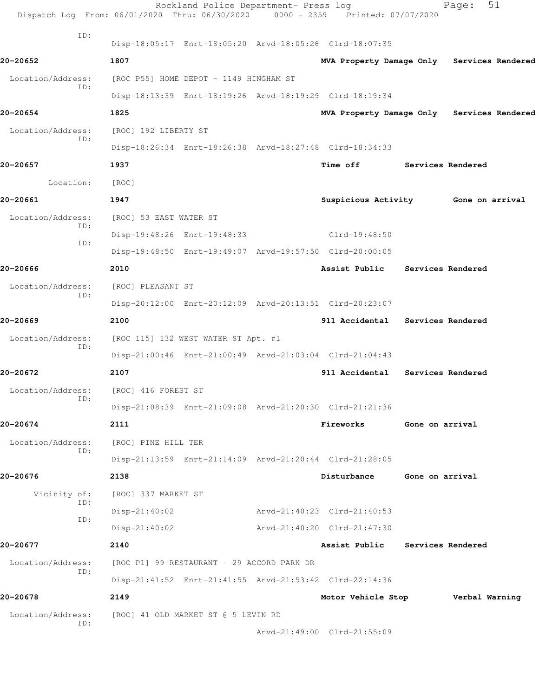| Dispatch Log From: 06/01/2020 Thru: 06/30/2020 0000 - 2359 Printed: 07/07/2020 |                                        | Rockland Police Department- Press log      |                                                         |                   | 51<br>Page:       |  |
|--------------------------------------------------------------------------------|----------------------------------------|--------------------------------------------|---------------------------------------------------------|-------------------|-------------------|--|
| ID:                                                                            |                                        |                                            |                                                         |                   |                   |  |
|                                                                                |                                        |                                            | Disp-18:05:17 Enrt-18:05:20 Arvd-18:05:26 Clrd-18:07:35 |                   |                   |  |
| 20-20652                                                                       | 1807                                   |                                            | MVA Property Damage Only Services Rendered              |                   |                   |  |
| Location/Address:<br>ID:                                                       | [ROC P55] HOME DEPOT - 1149 HINGHAM ST |                                            |                                                         |                   |                   |  |
|                                                                                |                                        |                                            | Disp-18:13:39 Enrt-18:19:26 Arvd-18:19:29 Clrd-18:19:34 |                   |                   |  |
| 20-20654                                                                       | 1825                                   |                                            | MVA Property Damage Only Services Rendered              |                   |                   |  |
| Location/Address:<br>ID:                                                       | [ROC] 192 LIBERTY ST                   |                                            |                                                         |                   |                   |  |
|                                                                                |                                        |                                            | Disp-18:26:34 Enrt-18:26:38 Arvd-18:27:48 Clrd-18:34:33 |                   |                   |  |
| 20-20657                                                                       | 1937                                   |                                            | <b>Time off</b>                                         | Services Rendered |                   |  |
| Location:                                                                      | [ROC]                                  |                                            |                                                         |                   |                   |  |
| 20-20661                                                                       | 1947                                   |                                            | Suspicious Activity 6one on arrival                     |                   |                   |  |
| Location/Address:<br>ID:                                                       | [ROC] 53 EAST WATER ST                 |                                            |                                                         |                   |                   |  |
| ID:                                                                            |                                        | Disp-19:48:26 Enrt-19:48:33                | Clrd-19:48:50                                           |                   |                   |  |
|                                                                                |                                        |                                            | Disp-19:48:50 Enrt-19:49:07 Arvd-19:57:50 Clrd-20:00:05 |                   |                   |  |
| 20-20666                                                                       | 2010                                   |                                            | Assist Public                                           |                   | Services Rendered |  |
| Location/Address:<br>ID:                                                       | [ROC] PLEASANT ST                      |                                            |                                                         |                   |                   |  |
|                                                                                |                                        |                                            | Disp-20:12:00 Enrt-20:12:09 Arvd-20:13:51 Clrd-20:23:07 |                   |                   |  |
| 20-20669                                                                       | 2100                                   |                                            | 911 Accidental Services Rendered                        |                   |                   |  |
| Location/Address:<br>ID:                                                       |                                        | [ROC 115] 132 WEST WATER ST Apt. #1        |                                                         |                   |                   |  |
|                                                                                |                                        |                                            | Disp-21:00:46 Enrt-21:00:49 Arvd-21:03:04 Clrd-21:04:43 |                   |                   |  |
| 20-20672                                                                       | 2107                                   |                                            | 911 Accidental                                          |                   | Services Rendered |  |
| Location/Address:                                                              | [ROC] 416 FOREST ST                    |                                            |                                                         |                   |                   |  |
| ID:                                                                            |                                        |                                            | Disp-21:08:39 Enrt-21:09:08 Arvd-21:20:30 Clrd-21:21:36 |                   |                   |  |
| 20-20674                                                                       | 2111                                   |                                            | Fireworks                                               | Gone on arrival   |                   |  |
| Location/Address:                                                              | [ROC] PINE HILL TER                    |                                            |                                                         |                   |                   |  |
| ID:                                                                            |                                        |                                            | Disp-21:13:59 Enrt-21:14:09 Arvd-21:20:44 Clrd-21:28:05 |                   |                   |  |
| 20-20676                                                                       | 2138                                   |                                            | Disturbance                                             | Gone on arrival   |                   |  |
| Vicinity of:                                                                   | [ROC] 337 MARKET ST                    |                                            |                                                         |                   |                   |  |
| ID:                                                                            | $Disp-21:40:02$                        |                                            | Arvd-21:40:23 Clrd-21:40:53                             |                   |                   |  |
| ID:                                                                            | $Disp-21:40:02$                        |                                            | Arvd-21:40:20 Clrd-21:47:30                             |                   |                   |  |
| 20-20677                                                                       | 2140                                   |                                            | Assist Public                                           | Services Rendered |                   |  |
| Location/Address:                                                              |                                        | [ROC P1] 99 RESTAURANT - 29 ACCORD PARK DR |                                                         |                   |                   |  |
| ID:                                                                            |                                        |                                            | Disp-21:41:52 Enrt-21:41:55 Arvd-21:53:42 Clrd-22:14:36 |                   |                   |  |
| 20-20678                                                                       | 2149                                   |                                            | Motor Vehicle Stop Verbal Warning                       |                   |                   |  |
| Location/Address:                                                              | [ROC] 41 OLD MARKET ST @ 5 LEVIN RD    |                                            |                                                         |                   |                   |  |
| ID:                                                                            |                                        |                                            | Arvd-21:49:00 Clrd-21:55:09                             |                   |                   |  |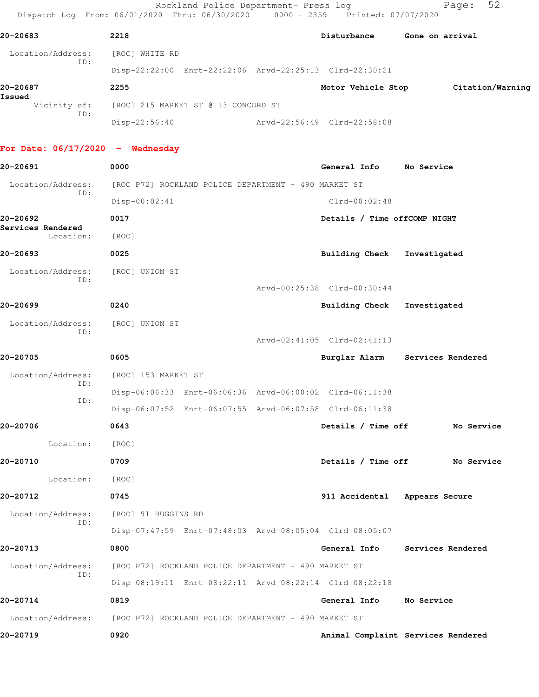| 20-20683                                | 2218                                                    |                              | Disturbance Gone on arrival     |
|-----------------------------------------|---------------------------------------------------------|------------------------------|---------------------------------|
| Location/Address: [ROC] WHITE RD        |                                                         |                              |                                 |
| ID:                                     | Disp-22:22:00 Enrt-22:22:06 Arvd-22:25:13 Clrd-22:30:21 |                              |                                 |
| 20-20687                                | 2255                                                    | Motor Vehicle Stop           | Citation/Warning                |
| Issued                                  | Vicinity of: [ROC] 215 MARKET ST @ 13 CONCORD ST        |                              |                                 |
| ID:                                     | Disp-22:56:40                                           | Arvd-22:56:49 Clrd-22:58:08  |                                 |
|                                         |                                                         |                              |                                 |
| For Date: $06/17/2020 -$ Wednesday      |                                                         |                              |                                 |
| 20-20691                                | 0000                                                    | General Info No Service      |                                 |
| Location/Address:<br>ID:                | [ROC P72] ROCKLAND POLICE DEPARTMENT - 490 MARKET ST    |                              |                                 |
|                                         | $Disp-00:02:41$                                         | $Clrd-00:02:48$              |                                 |
| 20-20692<br>Services Rendered           | 0017                                                    | Details / Time offCOMP NIGHT |                                 |
| Location:                               | [ROC]                                                   |                              |                                 |
| 20-20693                                | 0025                                                    | Building Check Investigated  |                                 |
| Location/Address:<br>ID:                | [ROC] UNION ST                                          |                              |                                 |
|                                         |                                                         | Arvd-00:25:38 Clrd-00:30:44  |                                 |
| 20-20699                                | 0240                                                    | Building Check Investigated  |                                 |
| Location/Address: [ROC] UNION ST<br>ID: |                                                         |                              |                                 |
|                                         |                                                         | Arvd-02:41:05 Clrd-02:41:13  |                                 |
| 20-20705                                | 0605                                                    |                              | Burglar Alarm Services Rendered |
| Location/Address:<br>ID:                | [ROC] 153 MARKET ST                                     |                              |                                 |
| ID:                                     | Disp-06:06:33 Enrt-06:06:36 Arvd-06:08:02 Clrd-06:11:38 |                              |                                 |
|                                         | Disp-06:07:52 Enrt-06:07:55 Arvd-06:07:58 Clrd-06:11:38 |                              |                                 |
| 20-20706                                | 0643                                                    | Details / Time off           | No Service                      |
| Location:                               | [ROC]                                                   |                              |                                 |
| 20-20710                                | 0709                                                    | Details / Time off           | No Service                      |
| Location:                               | [ROC]                                                   |                              |                                 |
| 20-20712                                | 0745                                                    |                              | 911 Accidental Appears Secure   |
| Location/Address:<br>ID:                | [ROC] 91 HUGGINS RD                                     |                              |                                 |
|                                         | Disp-07:47:59 Enrt-07:48:03 Arvd-08:05:04 Clrd-08:05:07 |                              |                                 |
| 20-20713                                | 0800                                                    | General Info                 | Services Rendered               |
| Location/Address:<br>ID:                | [ROC P72] ROCKLAND POLICE DEPARTMENT - 490 MARKET ST    |                              |                                 |
|                                         | Disp-08:19:11 Enrt-08:22:11 Arvd-08:22:14 Clrd-08:22:18 |                              |                                 |
| 20-20714                                | 0819                                                    | General Info                 | No Service                      |

Location/Address: [ROC P72] ROCKLAND POLICE DEPARTMENT - 490 MARKET ST

**20-20719 0920 Animal Complaint Services Rendered**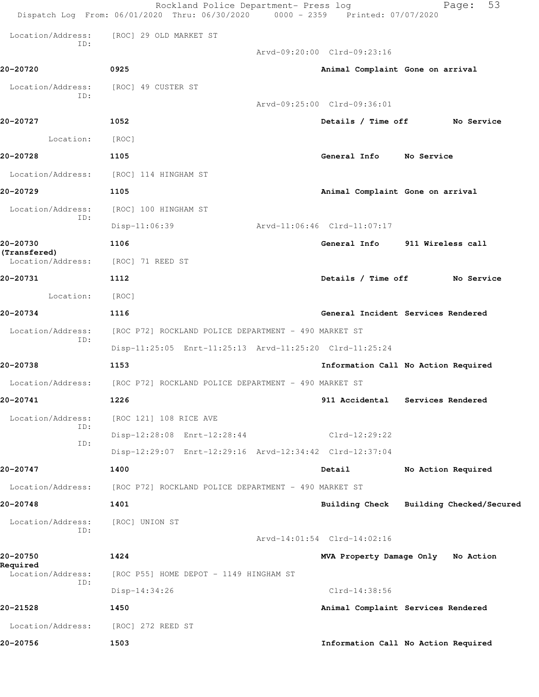|                             |                                        | 53<br>Page:                                                                                                                                                                                                                                                                                                                                                                                                                                                                                                                                                                                                                                                                        |
|-----------------------------|----------------------------------------|------------------------------------------------------------------------------------------------------------------------------------------------------------------------------------------------------------------------------------------------------------------------------------------------------------------------------------------------------------------------------------------------------------------------------------------------------------------------------------------------------------------------------------------------------------------------------------------------------------------------------------------------------------------------------------|
| [ROC] 29 OLD MARKET ST      |                                        |                                                                                                                                                                                                                                                                                                                                                                                                                                                                                                                                                                                                                                                                                    |
|                             |                                        |                                                                                                                                                                                                                                                                                                                                                                                                                                                                                                                                                                                                                                                                                    |
| 0925                        |                                        |                                                                                                                                                                                                                                                                                                                                                                                                                                                                                                                                                                                                                                                                                    |
| [ROC] 49 CUSTER ST          |                                        |                                                                                                                                                                                                                                                                                                                                                                                                                                                                                                                                                                                                                                                                                    |
|                             |                                        |                                                                                                                                                                                                                                                                                                                                                                                                                                                                                                                                                                                                                                                                                    |
| 1052                        |                                        | Details / Time off No Service                                                                                                                                                                                                                                                                                                                                                                                                                                                                                                                                                                                                                                                      |
| [ROC]                       |                                        |                                                                                                                                                                                                                                                                                                                                                                                                                                                                                                                                                                                                                                                                                    |
| 1105                        | General Info                           | No Service                                                                                                                                                                                                                                                                                                                                                                                                                                                                                                                                                                                                                                                                         |
| [ROC] 114 HINGHAM ST        |                                        |                                                                                                                                                                                                                                                                                                                                                                                                                                                                                                                                                                                                                                                                                    |
| 1105                        |                                        |                                                                                                                                                                                                                                                                                                                                                                                                                                                                                                                                                                                                                                                                                    |
| [ROC] 100 HINGHAM ST        |                                        |                                                                                                                                                                                                                                                                                                                                                                                                                                                                                                                                                                                                                                                                                    |
| Disp-11:06:39               |                                        |                                                                                                                                                                                                                                                                                                                                                                                                                                                                                                                                                                                                                                                                                    |
| 1106                        | General Info                           | 911 Wireless call                                                                                                                                                                                                                                                                                                                                                                                                                                                                                                                                                                                                                                                                  |
| [ROC] 71 REED ST            |                                        |                                                                                                                                                                                                                                                                                                                                                                                                                                                                                                                                                                                                                                                                                    |
| 1112                        |                                        | <b>No Service</b>                                                                                                                                                                                                                                                                                                                                                                                                                                                                                                                                                                                                                                                                  |
| [ROC]                       |                                        |                                                                                                                                                                                                                                                                                                                                                                                                                                                                                                                                                                                                                                                                                    |
| 1116                        |                                        | General Incident Services Rendered                                                                                                                                                                                                                                                                                                                                                                                                                                                                                                                                                                                                                                                 |
|                             |                                        |                                                                                                                                                                                                                                                                                                                                                                                                                                                                                                                                                                                                                                                                                    |
|                             |                                        |                                                                                                                                                                                                                                                                                                                                                                                                                                                                                                                                                                                                                                                                                    |
| 1153                        |                                        | Information Call No Action Required                                                                                                                                                                                                                                                                                                                                                                                                                                                                                                                                                                                                                                                |
|                             |                                        |                                                                                                                                                                                                                                                                                                                                                                                                                                                                                                                                                                                                                                                                                    |
| 1226                        | 911 Accidental                         | Services Rendered                                                                                                                                                                                                                                                                                                                                                                                                                                                                                                                                                                                                                                                                  |
| [ROC 121] 108 RICE AVE      |                                        |                                                                                                                                                                                                                                                                                                                                                                                                                                                                                                                                                                                                                                                                                    |
| Disp-12:28:08 Enrt-12:28:44 | Clrd-12:29:22                          |                                                                                                                                                                                                                                                                                                                                                                                                                                                                                                                                                                                                                                                                                    |
|                             |                                        |                                                                                                                                                                                                                                                                                                                                                                                                                                                                                                                                                                                                                                                                                    |
| 1400                        |                                        | No Action Required                                                                                                                                                                                                                                                                                                                                                                                                                                                                                                                                                                                                                                                                 |
|                             |                                        |                                                                                                                                                                                                                                                                                                                                                                                                                                                                                                                                                                                                                                                                                    |
| 1401                        |                                        | Building Checked/Secured                                                                                                                                                                                                                                                                                                                                                                                                                                                                                                                                                                                                                                                           |
| [ROC] UNION ST              |                                        |                                                                                                                                                                                                                                                                                                                                                                                                                                                                                                                                                                                                                                                                                    |
|                             |                                        |                                                                                                                                                                                                                                                                                                                                                                                                                                                                                                                                                                                                                                                                                    |
| 1424                        |                                        | MVA Property Damage Only No Action                                                                                                                                                                                                                                                                                                                                                                                                                                                                                                                                                                                                                                                 |
|                             |                                        |                                                                                                                                                                                                                                                                                                                                                                                                                                                                                                                                                                                                                                                                                    |
| Disp-14:34:26               | $Clrd-14:38:56$                        |                                                                                                                                                                                                                                                                                                                                                                                                                                                                                                                                                                                                                                                                                    |
| 1450                        |                                        | Animal Complaint Services Rendered                                                                                                                                                                                                                                                                                                                                                                                                                                                                                                                                                                                                                                                 |
| [ROC] 272 REED ST           |                                        |                                                                                                                                                                                                                                                                                                                                                                                                                                                                                                                                                                                                                                                                                    |
| 1503                        |                                        | Information Call No Action Required                                                                                                                                                                                                                                                                                                                                                                                                                                                                                                                                                                                                                                                |
|                             | [ROC P55] HOME DEPOT - 1149 HINGHAM ST | Rockland Police Department- Press log<br>Dispatch Log From: 06/01/2020 Thru: 06/30/2020 0000 - 2359 Printed: 07/07/2020<br>Arvd-09:20:00 Clrd-09:23:16<br>Animal Complaint Gone on arrival<br>Arvd-09:25:00 Clrd-09:36:01<br>Animal Complaint Gone on arrival<br>Arvd-11:06:46 Clrd-11:07:17<br>Details / Time off<br>[ROC P72] ROCKLAND POLICE DEPARTMENT - 490 MARKET ST<br>Disp-11:25:05 Enrt-11:25:13 Arvd-11:25:20 Clrd-11:25:24<br>[ROC P72] ROCKLAND POLICE DEPARTMENT - 490 MARKET ST<br>Disp-12:29:07 Enrt-12:29:16 Arvd-12:34:42 Clrd-12:37:04<br>Detail<br>[ROC P72] ROCKLAND POLICE DEPARTMENT - 490 MARKET ST<br><b>Building Check</b><br>Arvd-14:01:54 Clrd-14:02:16 |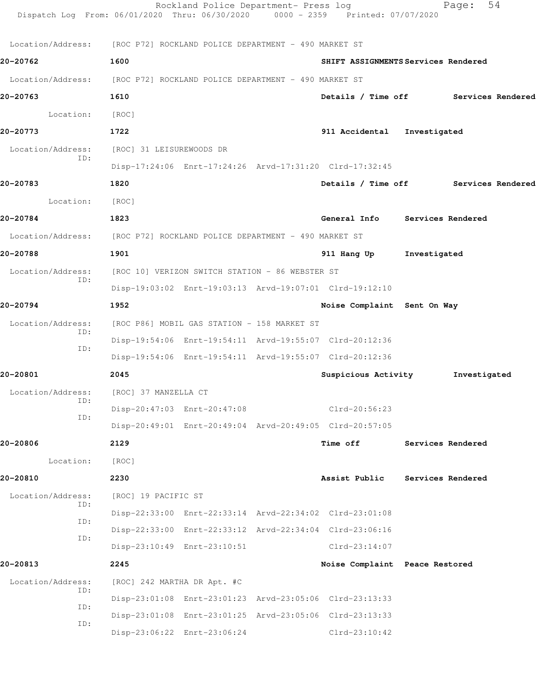| Dispatch Log From: 06/01/2020 Thru: 06/30/2020 0000 - 2359 Printed: 07/07/2020 |                                             | Rockland Police Department- Press log           |  |                                                         |              | 54<br>Page:       |  |  |  |
|--------------------------------------------------------------------------------|---------------------------------------------|-------------------------------------------------|--|---------------------------------------------------------|--------------|-------------------|--|--|--|
| Location/Address: [ROC P72] ROCKLAND POLICE DEPARTMENT - 490 MARKET ST         |                                             |                                                 |  |                                                         |              |                   |  |  |  |
| 20-20762                                                                       | 1600                                        |                                                 |  | SHIFT ASSIGNMENTS Services Rendered                     |              |                   |  |  |  |
| Location/Address: [ROC P72] ROCKLAND POLICE DEPARTMENT - 490 MARKET ST         |                                             |                                                 |  |                                                         |              |                   |  |  |  |
| 20-20763                                                                       | 1610                                        |                                                 |  | Details / Time off Services Rendered                    |              |                   |  |  |  |
| Location:                                                                      | [ROC]                                       |                                                 |  |                                                         |              |                   |  |  |  |
| 20-20773                                                                       | 1722                                        |                                                 |  | 911 Accidental Investigated                             |              |                   |  |  |  |
| Location/Address:                                                              | [ROC] 31 LEISUREWOODS DR                    |                                                 |  |                                                         |              |                   |  |  |  |
| ID:                                                                            |                                             |                                                 |  | Disp-17:24:06 Enrt-17:24:26 Arvd-17:31:20 Clrd-17:32:45 |              |                   |  |  |  |
| 20-20783                                                                       | 1820                                        |                                                 |  | Details / Time off Services Rendered                    |              |                   |  |  |  |
| Location:                                                                      | [ROC]                                       |                                                 |  |                                                         |              |                   |  |  |  |
| 20-20784                                                                       | 1823                                        |                                                 |  | General Info Services Rendered                          |              |                   |  |  |  |
| Location/Address: [ROC P72] ROCKLAND POLICE DEPARTMENT - 490 MARKET ST         |                                             |                                                 |  |                                                         |              |                   |  |  |  |
| 20-20788                                                                       | 1901                                        |                                                 |  | 911 Hang Up                                             | Investigated |                   |  |  |  |
| Location/Address:                                                              |                                             | [ROC 10] VERIZON SWITCH STATION - 86 WEBSTER ST |  |                                                         |              |                   |  |  |  |
| ID:                                                                            |                                             |                                                 |  | Disp-19:03:02 Enrt-19:03:13 Arvd-19:07:01 Clrd-19:12:10 |              |                   |  |  |  |
| 20-20794                                                                       | 1952                                        |                                                 |  | Noise Complaint Sent On Way                             |              |                   |  |  |  |
| Location/Address:                                                              | [ROC P86] MOBIL GAS STATION - 158 MARKET ST |                                                 |  |                                                         |              |                   |  |  |  |
| ID:                                                                            |                                             |                                                 |  | Disp-19:54:06 Enrt-19:54:11 Arvd-19:55:07 Clrd-20:12:36 |              |                   |  |  |  |
| ID:                                                                            |                                             |                                                 |  | Disp-19:54:06 Enrt-19:54:11 Arvd-19:55:07 Clrd-20:12:36 |              |                   |  |  |  |
| 20-20801                                                                       | 2045                                        |                                                 |  | Suspicious Activity                                     |              | Investigated      |  |  |  |
| Location/Address:                                                              | [ROC] 37 MANZELLA CT                        |                                                 |  |                                                         |              |                   |  |  |  |
| ID:<br>ID:                                                                     |                                             | Disp-20:47:03 Enrt-20:47:08                     |  | Clrd-20:56:23                                           |              |                   |  |  |  |
|                                                                                |                                             |                                                 |  | Disp-20:49:01 Enrt-20:49:04 Arvd-20:49:05 Clrd-20:57:05 |              |                   |  |  |  |
| 20-20806                                                                       | 2129                                        |                                                 |  | Time off                                                |              | Services Rendered |  |  |  |
| Location:                                                                      | [ROC]                                       |                                                 |  |                                                         |              |                   |  |  |  |
| 20-20810                                                                       | 2230                                        |                                                 |  | Assist Public                                           |              | Services Rendered |  |  |  |
| Location/Address:<br>ID:                                                       | [ROC] 19 PACIFIC ST                         |                                                 |  |                                                         |              |                   |  |  |  |
| ID:                                                                            |                                             |                                                 |  | Disp-22:33:00 Enrt-22:33:14 Arvd-22:34:02 Clrd-23:01:08 |              |                   |  |  |  |
| ID:                                                                            |                                             |                                                 |  | Disp-22:33:00 Enrt-22:33:12 Arvd-22:34:04 Clrd-23:06:16 |              |                   |  |  |  |
|                                                                                |                                             | Disp-23:10:49 Enrt-23:10:51                     |  | $Clrd-23:14:07$                                         |              |                   |  |  |  |
| 20-20813                                                                       | 2245                                        |                                                 |  | Noise Complaint Peace Restored                          |              |                   |  |  |  |
| Location/Address:<br>ID:                                                       | [ROC] 242 MARTHA DR Apt. #C                 |                                                 |  |                                                         |              |                   |  |  |  |
| ID:                                                                            |                                             |                                                 |  | Disp-23:01:08 Enrt-23:01:23 Arvd-23:05:06 Clrd-23:13:33 |              |                   |  |  |  |
| ID:                                                                            |                                             |                                                 |  | Disp-23:01:08 Enrt-23:01:25 Arvd-23:05:06 Clrd-23:13:33 |              |                   |  |  |  |
|                                                                                |                                             | Disp-23:06:22 Enrt-23:06:24                     |  | $Clrd-23:10:42$                                         |              |                   |  |  |  |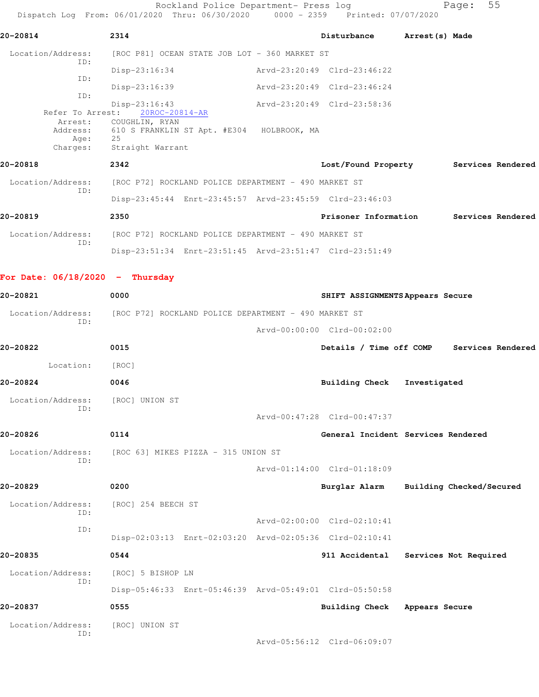Rockland Police Department- Press log Fage: 55 Dispatch Log From: 06/01/2020 Thru: 06/30/2020 0000 - 2359 Printed: 07/07/2020 **20-20814 2314 Disturbance Arrest(s) Made** Location/Address: [ROC P81] OCEAN STATE JOB LOT - 360 MARKET ST ID: Disp-23:16:34 Arvd-23:20:49 Clrd-23:46:22 ID: Disp-23:16:39 Arvd-23:20:49 Clrd-23:46:24 ID: Disp-23:16:43 Arvd-23:20:49 Clrd-23:58:36<br>Refer To Arrest: 20ROC-20814-AR Refer To Arrest: 20ROC-20814-AR Arrest: COUGHLIN, RYAN Address: 610 S FRANKLIN ST Apt. #E304 HOLBROOK, MA Age: 25 Charges: Straight Warrant **20-20818 2342 Lost/Found Property Services Rendered** Location/Address: [ROC P72] ROCKLAND POLICE DEPARTMENT - 490 MARKET ST ID: Disp-23:45:44 Enrt-23:45:57 Arvd-23:45:59 Clrd-23:46:03 **20-20819 2350 Prisoner Information Services Rendered** Location/Address: [ROC P72] ROCKLAND POLICE DEPARTMENT - 490 MARKET ST ID: Disp-23:51:34 Enrt-23:51:45 Arvd-23:51:47 Clrd-23:51:49 **For Date: 06/18/2020 - Thursday 20-20821 0000 SHIFT ASSIGNMENTS Appears Secure** Location/Address: [ROC P72] ROCKLAND POLICE DEPARTMENT - 490 MARKET ST ID: Arvd-00:00:00 Clrd-00:02:00 **20-20822 0015 Details / Time off COMP Services Rendered** Location: [ROC] **20-20824 0046 Building Check Investigated** Location/Address: [ROC] UNION ST ID: Arvd-00:47:28 Clrd-00:47:37 **20-20826 0114 General Incident Services Rendered** Location/Address: [ROC 63] MIKES PIZZA - 315 UNION ST ID: Arvd-01:14:00 Clrd-01:18:09 **20-20829 0200 Burglar Alarm Building Checked/Secured** Location/Address: [ROC] 254 BEECH ST ID: Arvd-02:00:00 Clrd-02:10:41 ID: Disp-02:03:13 Enrt-02:03:20 Arvd-02:05:36 Clrd-02:10:41 **20-20835 0544 911 Accidental Services Not Required** Location/Address: [ROC] 5 BISHOP LN ID: Disp-05:46:33 Enrt-05:46:39 Arvd-05:49:01 Clrd-05:50:58 **20-20837 0555 Building Check Appears Secure** Location/Address: [ROC] UNION ST ID: Arvd-05:56:12 Clrd-06:09:07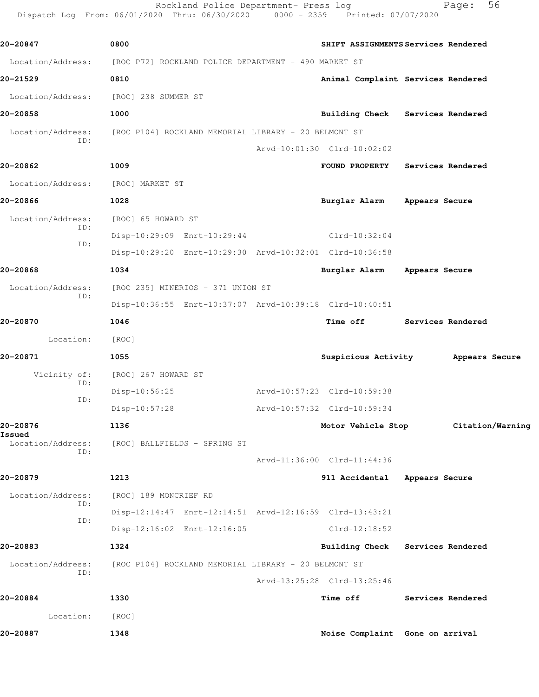Rockland Police Department- Press log Fage: 56 Dispatch Log From: 06/01/2020 Thru: 06/30/2020 0000 - 2359 Printed: 07/07/2020

**20-20847 0800 SHIFT ASSIGNMENTS Services Rendered** Location/Address: [ROC P72] ROCKLAND POLICE DEPARTMENT - 490 MARKET ST **20-21529 0810 Animal Complaint Services Rendered** Location/Address: [ROC] 238 SUMMER ST **20-20858 1000 Building Check Services Rendered** Location/Address: [ROC P104] ROCKLAND MEMORIAL LIBRARY - 20 BELMONT ST ID: Arvd-10:01:30 Clrd-10:02:02 **20-20862 1009 FOUND PROPERTY Services Rendered** Location/Address: [ROC] MARKET ST **20-20866 1028 Burglar Alarm Appears Secure** Location/Address: [ROC] 65 HOWARD ST ID: Disp-10:29:09 Enrt-10:29:44 Clrd-10:32:04 ID: Disp-10:29:20 Enrt-10:29:30 Arvd-10:32:01 Clrd-10:36:58 **20-20868 1034 Burglar Alarm Appears Secure** Location/Address: [ROC 235] MINERIOS - 371 UNION ST ID: Disp-10:36:55 Enrt-10:37:07 Arvd-10:39:18 Clrd-10:40:51 **20-20870 1046 Time off Services Rendered** Location: [ROC] **20-20871 1055 Suspicious Activity Appears Secure** Vicinity of: [ROC] 267 HOWARD ST ID: Disp-10:56:25 Arvd-10:57:23 Clrd-10:59:38 ID: Disp-10:57:28 Arvd-10:57:32 Clrd-10:59:34 **20-20876 1136 Motor Vehicle Stop Citation/Warning Issued**  Location/Address: [ROC] BALLFIELDS - SPRING ST ID: Arvd-11:36:00 Clrd-11:44:36 **20-20879 1213 911 Accidental Appears Secure** Location/Address: [ROC] 189 MONCRIEF RD ID: Disp-12:14:47 Enrt-12:14:51 Arvd-12:16:59 Clrd-13:43:21 ID: Disp-12:16:02 Enrt-12:16:05 Clrd-12:18:52 **20-20883 1324 Building Check Services Rendered** Location/Address: [ROC P104] ROCKLAND MEMORIAL LIBRARY - 20 BELMONT ST ID: Arvd-13:25:28 Clrd-13:25:46 **20-20884 1330 Time off Services Rendered** Location: [ROC] **20-20887 1348 Noise Complaint Gone on arrival**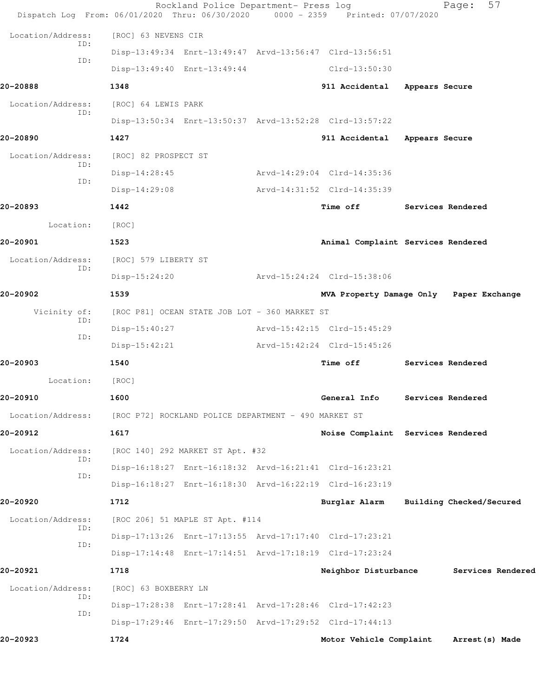|                          | Rockland Police Department- Press log<br>Dispatch Log From: 06/01/2020 Thru: 06/30/2020 0000 - 2359 Printed: 07/07/2020 |                                         |                   | 57<br>Page:              |
|--------------------------|-------------------------------------------------------------------------------------------------------------------------|-----------------------------------------|-------------------|--------------------------|
| Location/Address:        | [ROC] 63 NEVENS CIR                                                                                                     |                                         |                   |                          |
| ID:                      | Disp-13:49:34 Enrt-13:49:47 Arvd-13:56:47 Clrd-13:56:51                                                                 |                                         |                   |                          |
| ID:                      | Disp-13:49:40 Enrt-13:49:44                                                                                             | Clrd-13:50:30                           |                   |                          |
| 20-20888                 | 1348                                                                                                                    | 911 Accidental                          | Appears Secure    |                          |
| Location/Address:        | [ROC] 64 LEWIS PARK                                                                                                     |                                         |                   |                          |
| ID:                      | Disp-13:50:34 Enrt-13:50:37 Arvd-13:52:28 Clrd-13:57:22                                                                 |                                         |                   |                          |
| 20-20890                 | 1427                                                                                                                    | 911 Accidental                          | Appears Secure    |                          |
| Location/Address:        | [ROC] 82 PROSPECT ST                                                                                                    |                                         |                   |                          |
| ID:                      | $Disp-14:28:45$                                                                                                         | Arvd-14:29:04 Clrd-14:35:36             |                   |                          |
| ID:                      | $Disp-14:29:08$                                                                                                         | Arvd-14:31:52 Clrd-14:35:39             |                   |                          |
| 20-20893                 | 1442                                                                                                                    | Time off                                | Services Rendered |                          |
| Location:                | [ROC]                                                                                                                   |                                         |                   |                          |
| 20-20901                 | 1523                                                                                                                    | Animal Complaint Services Rendered      |                   |                          |
| Location/Address:<br>ID: | [ROC] 579 LIBERTY ST                                                                                                    |                                         |                   |                          |
|                          | $Disp-15:24:20$                                                                                                         | Arvd-15:24:24 Clrd-15:38:06             |                   |                          |
| 20-20902                 | 1539                                                                                                                    | MVA Property Damage Only Paper Exchange |                   |                          |
| Vicinity of:<br>ID:      | [ROC P81] OCEAN STATE JOB LOT - 360 MARKET ST                                                                           |                                         |                   |                          |
| ID:                      | $Disp-15:40:27$                                                                                                         | Arvd-15:42:15 Clrd-15:45:29             |                   |                          |
|                          | $Disp-15:42:21$                                                                                                         | Arvd-15:42:24 Clrd-15:45:26             |                   |                          |
| 20-20903                 | 1540                                                                                                                    | Time off                                | Services Rendered |                          |
| Location:                | [ROC]                                                                                                                   |                                         |                   |                          |
| 20-20910                 | 1600                                                                                                                    | General Info                            |                   | Services Rendered        |
| Location/Address:        | [ROC P72] ROCKLAND POLICE DEPARTMENT - 490 MARKET ST                                                                    |                                         |                   |                          |
| 20-20912                 | 1617                                                                                                                    | Noise Complaint Services Rendered       |                   |                          |
| Location/Address:<br>ID: | [ROC 140] 292 MARKET ST Apt. #32                                                                                        |                                         |                   |                          |
| ID:                      | Disp-16:18:27 Enrt-16:18:32 Arvd-16:21:41 Clrd-16:23:21                                                                 |                                         |                   |                          |
|                          | Disp-16:18:27 Enrt-16:18:30 Arvd-16:22:19 Clrd-16:23:19                                                                 |                                         |                   |                          |
| 20-20920                 | 1712                                                                                                                    | Burglar Alarm                           |                   | Building Checked/Secured |
| Location/Address:<br>ID: | [ROC 206] 51 MAPLE ST Apt. #114                                                                                         |                                         |                   |                          |
| ID:                      | Disp-17:13:26 Enrt-17:13:55 Arvd-17:17:40 Clrd-17:23:21                                                                 |                                         |                   |                          |
|                          | Disp-17:14:48 Enrt-17:14:51 Arvd-17:18:19 Clrd-17:23:24                                                                 |                                         |                   |                          |
| 20-20921                 | 1718                                                                                                                    | Neighbor Disturbance                    |                   | Services Rendered        |
| Location/Address:<br>ID: | [ROC] 63 BOXBERRY LN                                                                                                    |                                         |                   |                          |
| ID:                      | Disp-17:28:38 Enrt-17:28:41 Arvd-17:28:46 Clrd-17:42:23                                                                 |                                         |                   |                          |
|                          | Disp-17:29:46 Enrt-17:29:50 Arvd-17:29:52 Clrd-17:44:13                                                                 |                                         |                   |                          |
| 20-20923                 | 1724                                                                                                                    | Motor Vehicle Complaint                 |                   | Arrest (s) Made          |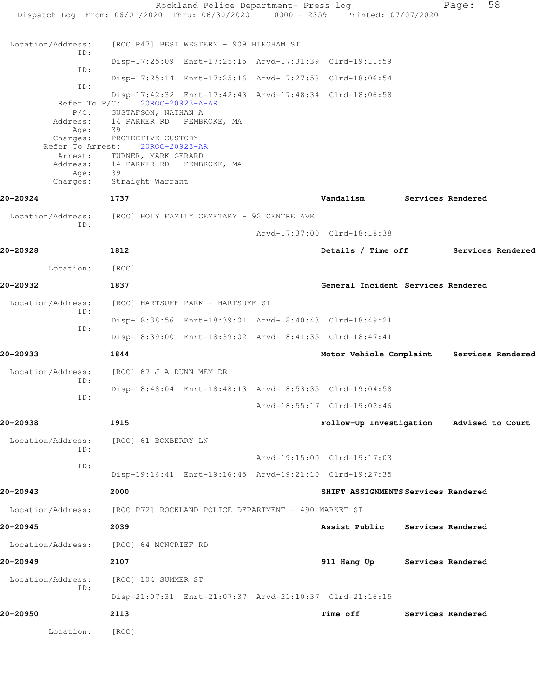Rockland Police Department- Press log Fage: 58 Dispatch Log From: 06/01/2020 Thru: 06/30/2020 0000 - 2359 Printed: 07/07/2020 Location/Address: [ROC P47] BEST WESTERN - 909 HINGHAM ST ID: Disp-17:25:09 Enrt-17:25:15 Arvd-17:31:39 Clrd-19:11:59 ID: Disp-17:25:14 Enrt-17:25:16 Arvd-17:27:58 Clrd-18:06:54 ID: Disp-17:42:32 Enrt-17:42:43 Arvd-17:48:34 Clrd-18:06:58 Refer To P/C: 20ROC-20923-A-AR P/C: GUSTAFSON, NATHAN A<br>Address: 14 PARKER RD PEMBI 14 PARKER RD PEMBROKE, MA Age: 39 Charges: PROTECTIVE CUSTODY Refer To Arrest: 20ROC-20923-AR Arrest: TURNER, MARK GERARD Address: 14 PARKER RD PEMBROKE, MA<br>Age: 39 Age: Charges: Straight Warrant **20-20924 1737 Vandalism Services Rendered** Location/Address: [ROC] HOLY FAMILY CEMETARY - 92 CENTRE AVE ID: Arvd-17:37:00 Clrd-18:18:38 **20-20928 1812 Details / Time off Services Rendered** Location: [ROC] **20-20932 1837 General Incident Services Rendered** Location/Address: [ROC] HARTSUFF PARK - HARTSUFF ST ID: Disp-18:38:56 Enrt-18:39:01 Arvd-18:40:43 Clrd-18:49:21 ID: Disp-18:39:00 Enrt-18:39:02 Arvd-18:41:35 Clrd-18:47:41 **20-20933 1844 Motor Vehicle Complaint Services Rendered** Location/Address: [ROC] 67 J A DUNN MEM DR ID: Disp-18:48:04 Enrt-18:48:13 Arvd-18:53:35 Clrd-19:04:58 ID: Arvd-18:55:17 Clrd-19:02:46 **20-20938 1915 Follow-Up Investigation Advised to Court** Location/Address: [ROC] 61 BOXBERRY LN ID: Arvd-19:15:00 Clrd-19:17:03 ID: Disp-19:16:41 Enrt-19:16:45 Arvd-19:21:10 Clrd-19:27:35 **20-20943 2000 SHIFT ASSIGNMENTS Services Rendered** Location/Address: [ROC P72] ROCKLAND POLICE DEPARTMENT - 490 MARKET ST **20-20945 2039 Assist Public Services Rendered** Location/Address: [ROC] 64 MONCRIEF RD **20-20949 2107 911 Hang Up Services Rendered** Location/Address: [ROC] 104 SUMMER ST ID: Disp-21:07:31 Enrt-21:07:37 Arvd-21:10:37 Clrd-21:16:15 **20-20950 2113 Time off Services Rendered** Location: [ROC]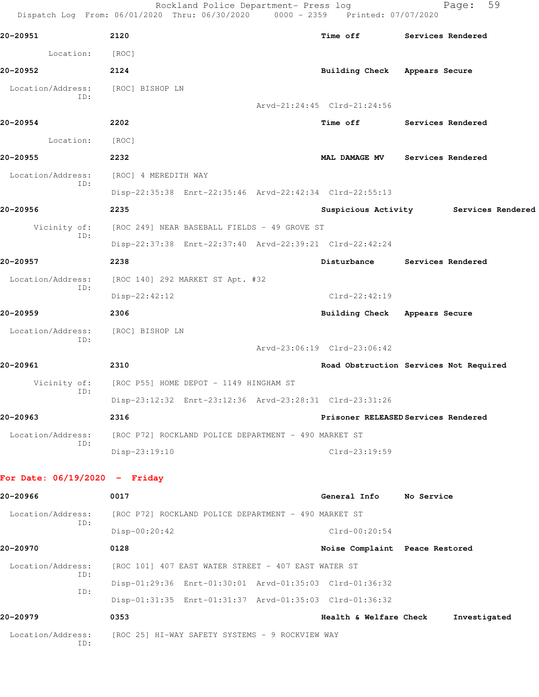Rockland Police Department- Press log Fage: 59 Dispatch Log From: 06/01/2020 Thru: 06/30/2020 0000 - 2359 Printed: 07/07/2020 **20-20951 2120 Time off Services Rendered** Location: [ROC] **20-20952 2124 Building Check Appears Secure** Location/Address: [ROC] BISHOP LN ID: Arvd-21:24:45 Clrd-21:24:56 **20-20954 2202 Time off Services Rendered** Location: [ROC] **20-20955 2232 MAL DAMAGE MV Services Rendered** Location/Address: [ROC] 4 MEREDITH WAY ID: Disp-22:35:38 Enrt-22:35:46 Arvd-22:42:34 Clrd-22:55:13 **20-20956 2235 Suspicious Activity Services Rendered** Vicinity of: [ROC 249] NEAR BASEBALL FIELDS - 49 GROVE ST ID: Disp-22:37:38 Enrt-22:37:40 Arvd-22:39:21 Clrd-22:42:24 **20-20957 2238 Disturbance Services Rendered** Location/Address: [ROC 140] 292 MARKET ST Apt. #32 ID: Disp-22:42:12 Clrd-22:42:19 **20-20959 2306 Building Check Appears Secure** Location/Address: [ROC] BISHOP LN ID: Arvd-23:06:19 Clrd-23:06:42 **20-20961 2310 Road Obstruction Services Not Required** Vicinity of: [ROC P55] HOME DEPOT - 1149 HINGHAM ST ID: Disp-23:12:32 Enrt-23:12:36 Arvd-23:28:31 Clrd-23:31:26 **20-20963 2316 Prisoner RELEASED Services Rendered** Location/Address: [ROC P72] ROCKLAND POLICE DEPARTMENT - 490 MARKET ST ID: Disp-23:19:10 Clrd-23:19:59 **For Date: 06/19/2020 - Friday 20-20966 0017 General Info No Service** Location/Address: [ROC P72] ROCKLAND POLICE DEPARTMENT - 490 MARKET ST ID: Disp-00:20:42 Clrd-00:20:54

**20-20970 0128 Noise Complaint Peace Restored** Location/Address: [ROC 101] 407 EAST WATER STREET - 407 EAST WATER ST ID: Disp-01:29:36 Enrt-01:30:01 Arvd-01:35:03 Clrd-01:36:32 ID: Disp-01:31:35 Enrt-01:31:37 Arvd-01:35:03 Clrd-01:36:32 **20-20979 0353 Health & Welfare Check Investigated** Location/Address: [ROC 25] HI-WAY SAFETY SYSTEMS - 9 ROCKVIEW WAY ID: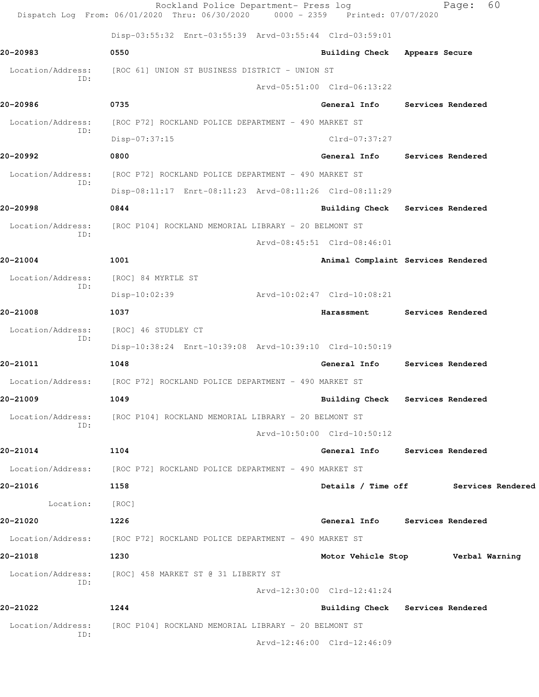|                          | Rockland Police Department- Press log<br>Dispatch Log From: 06/01/2020 Thru: 06/30/2020 0000 - 2359 Printed: 07/07/2020 |                                    |                          | 60<br>Page:                          |
|--------------------------|-------------------------------------------------------------------------------------------------------------------------|------------------------------------|--------------------------|--------------------------------------|
|                          | Disp-03:55:32 Enrt-03:55:39 Arvd-03:55:44 Clrd-03:59:01                                                                 |                                    |                          |                                      |
| 20-20983                 | 0550                                                                                                                    | Building Check                     | Appears Secure           |                                      |
| Location/Address:        | [ROC 61] UNION ST BUSINESS DISTRICT - UNION ST                                                                          |                                    |                          |                                      |
| ID:                      |                                                                                                                         | Arvd-05:51:00 Clrd-06:13:22        |                          |                                      |
| 20-20986                 | 0735                                                                                                                    | General Info                       |                          | Services Rendered                    |
| Location/Address:        | [ROC P72] ROCKLAND POLICE DEPARTMENT - 490 MARKET ST                                                                    |                                    |                          |                                      |
| TD:                      | Disp-07:37:15                                                                                                           | Clrd-07:37:27                      |                          |                                      |
| 20-20992                 | 0800                                                                                                                    | General Info Services Rendered     |                          |                                      |
| Location/Address:        | [ROC P72] ROCKLAND POLICE DEPARTMENT - 490 MARKET ST                                                                    |                                    |                          |                                      |
| ID:                      | Disp-08:11:17 Enrt-08:11:23 Arvd-08:11:26 Clrd-08:11:29                                                                 |                                    |                          |                                      |
| 20-20998                 | 0844                                                                                                                    | Building Check Services Rendered   |                          |                                      |
| Location/Address:        | [ROC P104] ROCKLAND MEMORIAL LIBRARY - 20 BELMONT ST                                                                    |                                    |                          |                                      |
| ID:                      |                                                                                                                         | Arvd-08:45:51 Clrd-08:46:01        |                          |                                      |
| 20-21004                 | 1001                                                                                                                    | Animal Complaint Services Rendered |                          |                                      |
| Location/Address:        | [ROC] 84 MYRTLE ST                                                                                                      |                                    |                          |                                      |
| ID:                      | Disp-10:02:39                                                                                                           | Arvd-10:02:47 Clrd-10:08:21        |                          |                                      |
| 20-21008                 | 1037                                                                                                                    | Harassment                         | <b>Services Rendered</b> |                                      |
| Location/Address:<br>ID: | [ROC] 46 STUDLEY CT                                                                                                     |                                    |                          |                                      |
|                          | Disp-10:38:24 Enrt-10:39:08 Arvd-10:39:10 Clrd-10:50:19                                                                 |                                    |                          |                                      |
| 20-21011                 | 1048                                                                                                                    | General Info                       |                          | Services Rendered                    |
| Location/Address:        | [ROC P72] ROCKLAND POLICE DEPARTMENT - 490 MARKET ST                                                                    |                                    |                          |                                      |
| 20-21009                 | 1049                                                                                                                    | Building Check Services Rendered   |                          |                                      |
| Location/Address:<br>ID: | [ROC P104] ROCKLAND MEMORIAL LIBRARY - 20 BELMONT ST                                                                    |                                    |                          |                                      |
|                          |                                                                                                                         | Arvd-10:50:00 Clrd-10:50:12        |                          |                                      |
| 20-21014                 | 1104                                                                                                                    | General Info Services Rendered     |                          |                                      |
|                          | Location/Address: [ROC P72] ROCKLAND POLICE DEPARTMENT - 490 MARKET ST                                                  |                                    |                          |                                      |
| 20-21016                 | 1158                                                                                                                    |                                    |                          | Details / Time off Services Rendered |
| Location:                | [ROC]                                                                                                                   |                                    |                          |                                      |
| 20-21020                 | 1226                                                                                                                    | General Info Services Rendered     |                          |                                      |
|                          | Location/Address: [ROC P72] ROCKLAND POLICE DEPARTMENT - 490 MARKET ST                                                  |                                    |                          |                                      |
| 20-21018                 | 1230                                                                                                                    | Motor Vehicle Stop Verbal Warning  |                          |                                      |
| Location/Address:<br>ID: | [ROC] 458 MARKET ST @ 31 LIBERTY ST                                                                                     |                                    |                          |                                      |
|                          |                                                                                                                         | Arvd-12:30:00 Clrd-12:41:24        |                          |                                      |
| 20-21022                 | 1244                                                                                                                    | Building Check Services Rendered   |                          |                                      |
| Location/Address:<br>ID: | [ROC P104] ROCKLAND MEMORIAL LIBRARY - 20 BELMONT ST                                                                    |                                    |                          |                                      |
|                          |                                                                                                                         | Arvd-12:46:00 Clrd-12:46:09        |                          |                                      |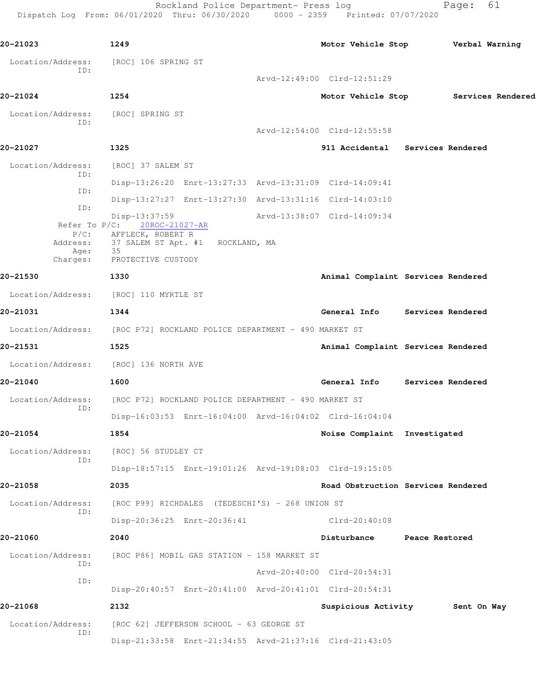Rockland Police Department- Press log Fage: 61 Dispatch Log From: 06/01/2020 Thru: 06/30/2020 0000 - 2359 Printed: 07/07/2020

**20-21023 1249 Motor Vehicle Stop Verbal Warning** Location/Address: [ROC] 106 SPRING ST ID: Arvd-12:49:00 Clrd-12:51:29 **20-21024 1254 Motor Vehicle Stop Services Rendered** Location/Address: [ROC] SPRING ST ID: Arvd-12:54:00 Clrd-12:55:58 **20-21027 1325 911 Accidental Services Rendered** Location/Address: [ROC] 37 SALEM ST ID: Disp-13:26:20 Enrt-13:27:33 Arvd-13:31:09 Clrd-14:09:41 ID: Disp-13:27:27 Enrt-13:27:30 Arvd-13:31:16 Clrd-14:03:10 ID: Disp-13:37:59 Arvd-13:38:07 Clrd-14:09:34 Refer To P/C: 20ROC-21027-AR P/C: AFFLECK, ROBERT R<br>Address: 37 SALEM ST Apt. # 37 SALEM ST Apt. #1 ROCKLAND, MA Age: 35 Charges: PROTECTIVE CUSTODY **20-21530 1330 Animal Complaint Services Rendered** Location/Address: [ROC] 110 MYRTLE ST **20-21031 1344 General Info Services Rendered** Location/Address: [ROC P72] ROCKLAND POLICE DEPARTMENT - 490 MARKET ST **20-21531 1525 Animal Complaint Services Rendered** Location/Address: [ROC] 136 NORTH AVE **20-21040 1600 General Info Services Rendered** Location/Address: [ROC P72] ROCKLAND POLICE DEPARTMENT - 490 MARKET ST ID: Disp-16:03:53 Enrt-16:04:00 Arvd-16:04:02 Clrd-16:04:04 **20-21054 1854 Noise Complaint Investigated** Location/Address: [ROC] 56 STUDLEY CT ID: Disp-18:57:15 Enrt-19:01:26 Arvd-19:08:03 Clrd-19:15:05 **20-21058 2035 Road Obstruction Services Rendered** Location/Address: [ROC P99] RICHDALES (TEDESCHI'S) - 268 UNION ST ID: Disp-20:36:25 Enrt-20:36:41 Clrd-20:40:08 **20-21060 2040 Disturbance Peace Restored** Location/Address: [ROC P86] MOBIL GAS STATION - 158 MARKET ST ID: Arvd-20:40:00 Clrd-20:54:31 ID: Disp-20:40:57 Enrt-20:41:00 Arvd-20:41:01 Clrd-20:54:31 **20-21068 2132 Suspicious Activity Sent On Way** Location/Address: [ROC 62] JEFFERSON SCHOOL - 63 GEORGE ST ID: Disp-21:33:58 Enrt-21:34:55 Arvd-21:37:16 Clrd-21:43:05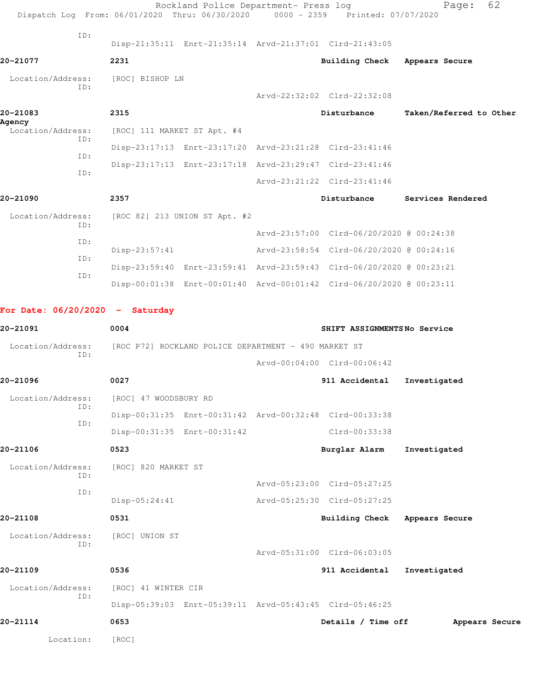|                                   |            |                                                      | Rockland Police Department- Press log |  | Dispatch Log From: 06/01/2020 Thru: 06/30/2020 0000 - 2359 Printed: 07/07/2020 | 62<br>Page:             |  |  |
|-----------------------------------|------------|------------------------------------------------------|---------------------------------------|--|--------------------------------------------------------------------------------|-------------------------|--|--|
|                                   | ID:        |                                                      |                                       |  | Disp-21:35:11 Enrt-21:35:14 Arvd-21:37:01 Clrd-21:43:05                        |                         |  |  |
| 20-21077                          |            | 2231                                                 |                                       |  | Building Check Appears Secure                                                  |                         |  |  |
| Location/Address:                 |            | [ROC] BISHOP LN                                      |                                       |  |                                                                                |                         |  |  |
|                                   | ID:        |                                                      |                                       |  | Arvd-22:32:02 Clrd-22:32:08                                                    |                         |  |  |
| 20-21083                          |            | 2315                                                 |                                       |  | Disturbance                                                                    | Taken/Referred to Other |  |  |
| Agency<br>Location/Address:       |            | [ROC] 111 MARKET ST Apt. #4                          |                                       |  |                                                                                |                         |  |  |
|                                   | TD:        |                                                      |                                       |  | Disp-23:17:13 Enrt-23:17:20 Arvd-23:21:28 Clrd-23:41:46                        |                         |  |  |
|                                   | ID:        |                                                      |                                       |  | Disp-23:17:13 Enrt-23:17:18 Arvd-23:29:47 Clrd-23:41:46                        |                         |  |  |
|                                   | ID:        |                                                      |                                       |  | Arvd-23:21:22 Clrd-23:41:46                                                    |                         |  |  |
| 20-21090                          |            | 2357                                                 |                                       |  | Disturbance                                                                    | Services Rendered       |  |  |
| Location/Address:                 |            |                                                      | [ROC 82] 213 UNION ST Apt. #2         |  |                                                                                |                         |  |  |
|                                   | ID:        |                                                      |                                       |  | Arvd-23:57:00 Clrd-06/20/2020 @ 00:24:38                                       |                         |  |  |
|                                   | ID:<br>ID: | $Disp-23:57:41$                                      |                                       |  | Arvd-23:58:54 Clrd-06/20/2020 @ 00:24:16                                       |                         |  |  |
|                                   |            |                                                      |                                       |  | Disp-23:59:40 Enrt-23:59:41 Arvd-23:59:43 Clrd-06/20/2020 @ 00:23:21           |                         |  |  |
| ID:                               |            |                                                      |                                       |  | Disp-00:01:38 Enrt-00:01:40 Arvd-00:01:42 Clrd-06/20/2020 @ 00:23:11           |                         |  |  |
| For Date: $06/20/2020 -$ Saturday |            |                                                      |                                       |  |                                                                                |                         |  |  |
| 20-21091                          |            | 0004                                                 |                                       |  | SHIFT ASSIGNMENTSNo Service                                                    |                         |  |  |
| Location/Address:                 |            | [ROC P72] ROCKLAND POLICE DEPARTMENT - 490 MARKET ST |                                       |  |                                                                                |                         |  |  |
|                                   | ID:        |                                                      |                                       |  | Arvd-00:04:00 Clrd-00:06:42                                                    |                         |  |  |
| 20-21096                          |            | 0027                                                 |                                       |  | 911 Accidental                                                                 | Investigated            |  |  |
| Location/Address:                 |            | [ROC] 47 WOODSBURY RD                                |                                       |  |                                                                                |                         |  |  |
|                                   | ID:        |                                                      |                                       |  | Disp-00:31:35 Enrt-00:31:42 Arvd-00:32:48 Clrd-00:33:38                        |                         |  |  |
|                                   | ID:        |                                                      | Disp-00:31:35 Enrt-00:31:42           |  | Clrd-00:33:38                                                                  |                         |  |  |
| 20-21106                          |            | 0523                                                 |                                       |  | Burglar Alarm                                                                  | Investigated            |  |  |
| Location/Address:                 |            | [ROC] 820 MARKET ST                                  |                                       |  |                                                                                |                         |  |  |
|                                   | ID:        |                                                      |                                       |  | Arvd-05:23:00 Clrd-05:27:25                                                    |                         |  |  |
|                                   | ID:        | Disp-05:24:41                                        |                                       |  | Arvd-05:25:30 Clrd-05:27:25                                                    |                         |  |  |
| 20-21108                          |            | 0531                                                 |                                       |  | <b>Building Check</b>                                                          | Appears Secure          |  |  |
| Location/Address:                 |            | [ROC] UNION ST                                       |                                       |  |                                                                                |                         |  |  |
|                                   | ID:        |                                                      |                                       |  | Arvd-05:31:00 Clrd-06:03:05                                                    |                         |  |  |
| 20-21109                          |            | 0536                                                 |                                       |  | 911 Accidental                                                                 | Investigated            |  |  |
| Location/Address:                 |            | [ROC] 41 WINTER CIR                                  |                                       |  |                                                                                |                         |  |  |

 ID: Disp-05:39:03 Enrt-05:39:11 Arvd-05:43:45 Clrd-05:46:25

Location: [ROC]

**20-21114 0653 Details / Time off Appears Secure**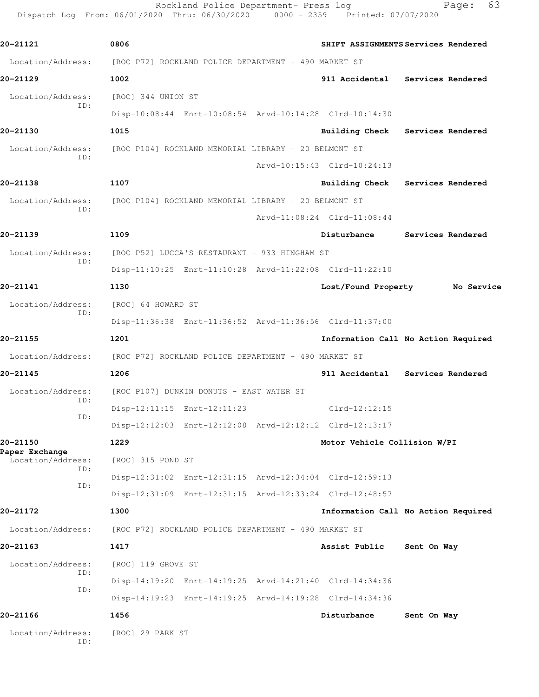Rockland Police Department- Press log Fage: 63 Dispatch Log From: 06/01/2020 Thru: 06/30/2020 0000 - 2359 Printed: 07/07/2020

**20-21121 0806 SHIFT ASSIGNMENTS Services Rendered** Location/Address: [ROC P72] ROCKLAND POLICE DEPARTMENT - 490 MARKET ST **20-21129 1002 911 Accidental Services Rendered** Location/Address: [ROC] 344 UNION ST ID: Disp-10:08:44 Enrt-10:08:54 Arvd-10:14:28 Clrd-10:14:30 **20-21130 1015 Building Check Services Rendered** Location/Address: [ROC P104] ROCKLAND MEMORIAL LIBRARY - 20 BELMONT ST ID: Arvd-10:15:43 Clrd-10:24:13 **20-21138 1107 Building Check Services Rendered** Location/Address: [ROC P104] ROCKLAND MEMORIAL LIBRARY - 20 BELMONT ST ID: Arvd-11:08:24 Clrd-11:08:44 **20-21139 1109 Disturbance Services Rendered** Location/Address: [ROC P52] LUCCA'S RESTAURANT - 933 HINGHAM ST ID: Disp-11:10:25 Enrt-11:10:28 Arvd-11:22:08 Clrd-11:22:10 **20-21141 1130 Lost/Found Property No Service** Location/Address: [ROC] 64 HOWARD ST ID: Disp-11:36:38 Enrt-11:36:52 Arvd-11:36:56 Clrd-11:37:00 **20-21155 1201 Information Call No Action Required** Location/Address: [ROC P72] ROCKLAND POLICE DEPARTMENT - 490 MARKET ST **20-21145 1206 911 Accidental Services Rendered** Location/Address: [ROC P107] DUNKIN DONUTS - EAST WATER ST ID: Disp-12:11:15 Enrt-12:11:23 Clrd-12:12:15 ID: Disp-12:12:03 Enrt-12:12:08 Arvd-12:12:12 Clrd-12:13:17 **20-21150 1229 Motor Vehicle Collision W/PI Paper Exchange**  Location/Address: [ROC] 315 POND ST ID: Disp-12:31:02 Enrt-12:31:15 Arvd-12:34:04 Clrd-12:59:13 ID: Disp-12:31:09 Enrt-12:31:15 Arvd-12:33:24 Clrd-12:48:57 **20-21172 1300 Information Call No Action Required** Location/Address: [ROC P72] ROCKLAND POLICE DEPARTMENT - 490 MARKET ST **20-21163 1417 Assist Public Sent On Way** Location/Address: [ROC] 119 GROVE ST ID: Disp-14:19:20 Enrt-14:19:25 Arvd-14:21:40 Clrd-14:34:36 ID: Disp-14:19:23 Enrt-14:19:25 Arvd-14:19:28 Clrd-14:34:36 **20-21166 1456 Disturbance Sent On Way** Location/Address: [ROC] 29 PARK ST ID: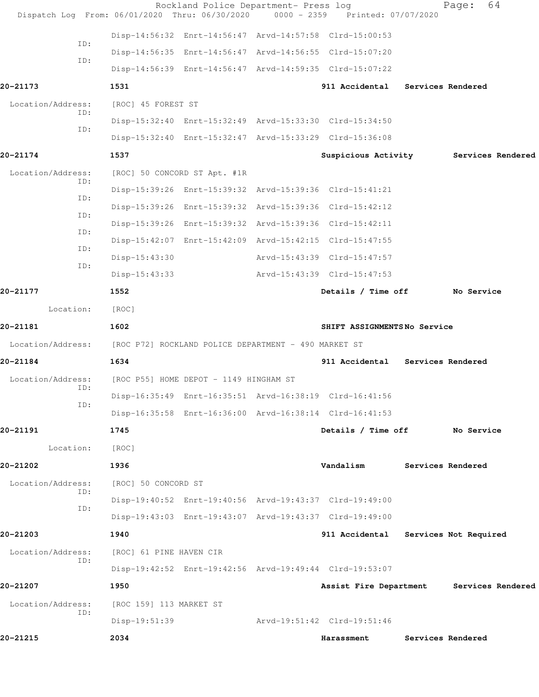| Dispatch Log From: 06/01/2020 Thru: 06/30/2020 0000 - 2359 Printed: 07/07/2020 |                                        | Rockland Police Department- Press log                   |                                                         | 64<br>Page:           |  |
|--------------------------------------------------------------------------------|----------------------------------------|---------------------------------------------------------|---------------------------------------------------------|-----------------------|--|
|                                                                                |                                        |                                                         | Disp-14:56:32 Enrt-14:56:47 Arvd-14:57:58 Clrd-15:00:53 |                       |  |
| ID:                                                                            |                                        | Disp-14:56:35 Enrt-14:56:47 Arvd-14:56:55 Clrd-15:07:20 |                                                         |                       |  |
| ID:                                                                            |                                        |                                                         | Disp-14:56:39 Enrt-14:56:47 Arvd-14:59:35 Clrd-15:07:22 |                       |  |
| 20-21173                                                                       | 1531                                   |                                                         | 911 Accidental Services Rendered                        |                       |  |
| Location/Address:                                                              | [ROC] 45 FOREST ST                     |                                                         |                                                         |                       |  |
| ID:                                                                            |                                        |                                                         | Disp-15:32:40 Enrt-15:32:49 Arvd-15:33:30 Clrd-15:34:50 |                       |  |
| ID:                                                                            |                                        |                                                         | Disp-15:32:40 Enrt-15:32:47 Arvd-15:33:29 Clrd-15:36:08 |                       |  |
| 20-21174                                                                       | 1537                                   |                                                         | Suspicious Activity Services Rendered                   |                       |  |
| Location/Address:                                                              |                                        | [ROC] 50 CONCORD ST Apt. #1R                            |                                                         |                       |  |
| ID:                                                                            |                                        |                                                         | Disp-15:39:26 Enrt-15:39:32 Arvd-15:39:36 Clrd-15:41:21 |                       |  |
| ID:                                                                            |                                        |                                                         | Disp-15:39:26 Enrt-15:39:32 Arvd-15:39:36 Clrd-15:42:12 |                       |  |
| ID:                                                                            |                                        |                                                         | Disp-15:39:26 Enrt-15:39:32 Arvd-15:39:36 Clrd-15:42:11 |                       |  |
| ID:                                                                            |                                        |                                                         | Disp-15:42:07 Enrt-15:42:09 Arvd-15:42:15 Clrd-15:47:55 |                       |  |
| ID:<br>ID:                                                                     | $Disp-15:43:30$                        |                                                         | Arvd-15:43:39 Clrd-15:47:57                             |                       |  |
|                                                                                | $Disp-15:43:33$                        |                                                         | Arvd-15:43:39 Clrd-15:47:53                             |                       |  |
| 20-21177                                                                       | 1552                                   |                                                         | Details / Time off                                      | No Service            |  |
| Location:                                                                      | [ROC]                                  |                                                         |                                                         |                       |  |
| 20-21181                                                                       | 1602                                   |                                                         | SHIFT ASSIGNMENTSNo Service                             |                       |  |
| Location/Address: [ROC P72] ROCKLAND POLICE DEPARTMENT - 490 MARKET ST         |                                        |                                                         |                                                         |                       |  |
| 20-21184                                                                       | 1634                                   |                                                         | 911 Accidental Services Rendered                        |                       |  |
| Location/Address:<br>ID:                                                       | [ROC P55] HOME DEPOT - 1149 HINGHAM ST |                                                         |                                                         |                       |  |
| ID:                                                                            |                                        |                                                         | Disp-16:35:49 Enrt-16:35:51 Arvd-16:38:19 Clrd-16:41:56 |                       |  |
|                                                                                |                                        |                                                         | Disp-16:35:58 Enrt-16:36:00 Arvd-16:38:14 Clrd-16:41:53 |                       |  |
| 20-21191                                                                       | 1745                                   |                                                         | Details / Time off                                      | No Service            |  |
| Location:                                                                      | [ROC]                                  |                                                         |                                                         |                       |  |
| 20-21202                                                                       | 1936                                   |                                                         | Vandalism                                               | Services Rendered     |  |
| Location/Address:<br>ID:                                                       | [ROC] 50 CONCORD ST                    |                                                         |                                                         |                       |  |
| ID:                                                                            |                                        | Disp-19:40:52 Enrt-19:40:56 Arvd-19:43:37 Clrd-19:49:00 |                                                         |                       |  |
|                                                                                |                                        | Disp-19:43:03 Enrt-19:43:07 Arvd-19:43:37 Clrd-19:49:00 |                                                         |                       |  |
| 20-21203                                                                       | 1940                                   |                                                         | 911 Accidental                                          | Services Not Required |  |
| Location/Address:<br>ID:                                                       | [ROC] 61 PINE HAVEN CIR                |                                                         |                                                         |                       |  |
|                                                                                |                                        |                                                         | Disp-19:42:52 Enrt-19:42:56 Arvd-19:49:44 Clrd-19:53:07 |                       |  |
| 20-21207                                                                       | 1950                                   |                                                         | Assist Fire Department                                  | Services Rendered     |  |
| Location/Address:<br>ID:                                                       | [ROC 159] 113 MARKET ST                |                                                         |                                                         |                       |  |
|                                                                                | Disp-19:51:39                          |                                                         | Arvd-19:51:42 Clrd-19:51:46                             |                       |  |
| 20-21215                                                                       | 2034                                   |                                                         | Harassment                                              | Services Rendered     |  |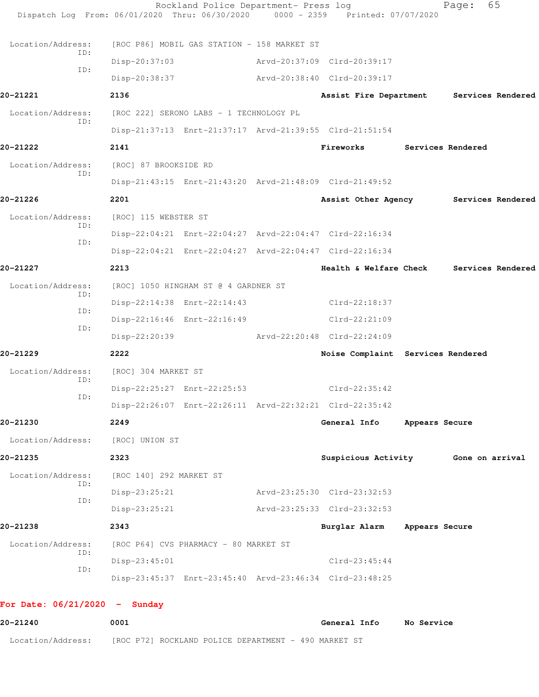| Dispatch Log From: 06/01/2020 Thru: 06/30/2020 0000 - 2359 Printed: 07/07/2020 |                                         |                                                         |                                       |                |                   |                   |
|--------------------------------------------------------------------------------|-----------------------------------------|---------------------------------------------------------|---------------------------------------|----------------|-------------------|-------------------|
| Location/Address:                                                              |                                         | [ROC P86] MOBIL GAS STATION - 158 MARKET ST             |                                       |                |                   |                   |
| TD:                                                                            | $Disp-20:37:03$                         |                                                         | Arvd-20:37:09 Clrd-20:39:17           |                |                   |                   |
| ID:                                                                            | Disp-20:38:37                           |                                                         | Arvd-20:38:40 Clrd-20:39:17           |                |                   |                   |
| 20-21221                                                                       | 2136                                    |                                                         | Assist Fire Department                |                |                   | Services Rendered |
| Location/Address:                                                              | [ROC 222] SERONO LABS - 1 TECHNOLOGY PL |                                                         |                                       |                |                   |                   |
| ID:                                                                            |                                         | Disp-21:37:13 Enrt-21:37:17 Arvd-21:39:55 Clrd-21:51:54 |                                       |                |                   |                   |
| 20-21222                                                                       | 2141                                    |                                                         | Fireworks                             |                | Services Rendered |                   |
| Location/Address:                                                              | [ROC] 87 BROOKSIDE RD                   |                                                         |                                       |                |                   |                   |
| ID:                                                                            |                                         | Disp-21:43:15 Enrt-21:43:20 Arvd-21:48:09 Clrd-21:49:52 |                                       |                |                   |                   |
| 20-21226                                                                       | 2201                                    |                                                         | Assist Other Agency Services Rendered |                |                   |                   |
| Location/Address:                                                              | [ROC] 115 WEBSTER ST                    |                                                         |                                       |                |                   |                   |
| ID:                                                                            |                                         | Disp-22:04:21 Enrt-22:04:27 Arvd-22:04:47 Clrd-22:16:34 |                                       |                |                   |                   |
| ID:                                                                            |                                         | Disp-22:04:21 Enrt-22:04:27 Arvd-22:04:47 Clrd-22:16:34 |                                       |                |                   |                   |
| 20-21227                                                                       | 2213                                    |                                                         | Health & Welfare Check                |                |                   | Services Rendered |
| Location/Address:                                                              |                                         | [ROC] 1050 HINGHAM ST @ 4 GARDNER ST                    |                                       |                |                   |                   |
| TD:                                                                            |                                         | Disp-22:14:38 Enrt-22:14:43                             | Clrd-22:18:37                         |                |                   |                   |
| ID:                                                                            |                                         | Disp-22:16:46 Enrt-22:16:49                             | $Clrd-22:21:09$                       |                |                   |                   |
| ID:                                                                            | Disp-22:20:39                           |                                                         | Arvd-22:20:48 Clrd-22:24:09           |                |                   |                   |
| 20-21229                                                                       | 2222                                    |                                                         | Noise Complaint Services Rendered     |                |                   |                   |
| Location/Address:                                                              | [ROC] 304 MARKET ST                     |                                                         |                                       |                |                   |                   |
| ID:                                                                            |                                         | Disp-22:25:27 Enrt-22:25:53                             | $Clrd-22:35:42$                       |                |                   |                   |
| ID:                                                                            |                                         | Disp-22:26:07 Enrt-22:26:11 Arvd-22:32:21 Clrd-22:35:42 |                                       |                |                   |                   |
| 20-21230                                                                       | 2249                                    |                                                         | General Info                          | Appears Secure |                   |                   |
| Location/Address:                                                              | [ROC] UNION ST                          |                                                         |                                       |                |                   |                   |
| 20-21235                                                                       | 2323                                    |                                                         | Suspicious Activity 6one on arrival   |                |                   |                   |
| Location/Address:                                                              | [ROC 140] 292 MARKET ST                 |                                                         |                                       |                |                   |                   |
| ID:                                                                            | $Disp-23:25:21$                         |                                                         | Arvd-23:25:30 Clrd-23:32:53           |                |                   |                   |
| ID:                                                                            | $Disp-23:25:21$                         |                                                         | Arvd-23:25:33 Clrd-23:32:53           |                |                   |                   |
| 20-21238                                                                       | 2343                                    |                                                         | Burglar Alarm                         | Appears Secure |                   |                   |
| Location/Address:                                                              |                                         | [ROC P64] CVS PHARMACY - 80 MARKET ST                   |                                       |                |                   |                   |
| ID:                                                                            | $Disp-23:45:01$                         |                                                         | $Clrd-23:45:44$                       |                |                   |                   |
| ID:                                                                            |                                         | Disp-23:45:37 Enrt-23:45:40 Arvd-23:46:34 Clrd-23:48:25 |                                       |                |                   |                   |
| For Date: $06/21/2020 -$ Sunday                                                |                                         |                                                         |                                       |                |                   |                   |
| 20-21240                                                                       | 0001                                    |                                                         | General Info                          | No Service     |                   |                   |

Location/Address: [ROC P72] ROCKLAND POLICE DEPARTMENT - 490 MARKET ST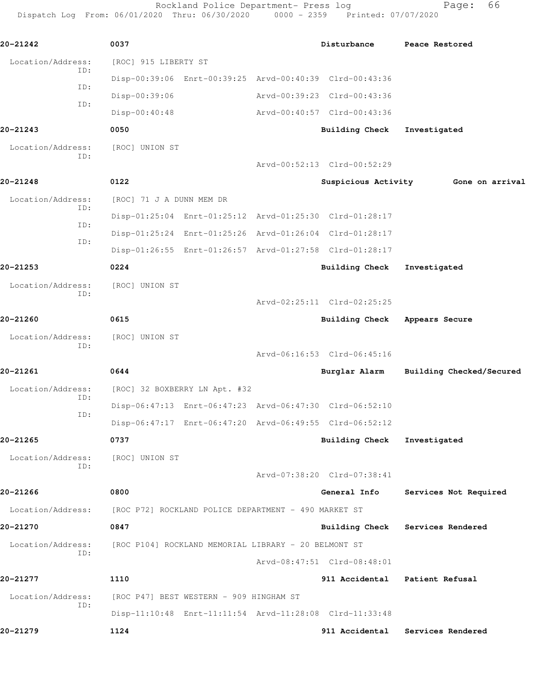Rockland Police Department- Press log entitled and Page: 66

Dispatch Log From: 06/01/2020 Thru: 06/30/2020 0000 - 2359 Printed: 07/07/2020

| 20-21242                 | 0037                     |                                                      | Disturbance                                             | Peace Restored                   |
|--------------------------|--------------------------|------------------------------------------------------|---------------------------------------------------------|----------------------------------|
| Location/Address:        | [ROC] 915 LIBERTY ST     |                                                      |                                                         |                                  |
| ID:                      |                          |                                                      | Disp-00:39:06 Enrt-00:39:25 Arvd-00:40:39 Clrd-00:43:36 |                                  |
| ID:                      | Disp-00:39:06            |                                                      | Arvd-00:39:23 Clrd-00:43:36                             |                                  |
| ID:                      | Disp-00:40:48            |                                                      | Arvd-00:40:57 Clrd-00:43:36                             |                                  |
| 20-21243                 | 0050                     |                                                      | Building Check                                          | Investigated                     |
| Location/Address:<br>ID: | [ROC] UNION ST           |                                                      |                                                         |                                  |
|                          |                          |                                                      | Arvd-00:52:13 Clrd-00:52:29                             |                                  |
| 20-21248                 | 0122                     |                                                      | Suspicious Activity                                     | Gone on arrival                  |
| Location/Address:<br>ID: | [ROC] 71 J A DUNN MEM DR |                                                      |                                                         |                                  |
| ID:                      |                          |                                                      | Disp-01:25:04 Enrt-01:25:12 Arvd-01:25:30 Clrd-01:28:17 |                                  |
| ID:                      |                          |                                                      | Disp-01:25:24 Enrt-01:25:26 Arvd-01:26:04 Clrd-01:28:17 |                                  |
|                          |                          |                                                      | Disp-01:26:55 Enrt-01:26:57 Arvd-01:27:58 Clrd-01:28:17 |                                  |
| 20-21253                 | 0224                     |                                                      | <b>Building Check</b>                                   | Investigated                     |
| Location/Address:<br>ID: | [ROC] UNION ST           |                                                      |                                                         |                                  |
|                          |                          |                                                      | Arvd-02:25:11 Clrd-02:25:25                             |                                  |
| 20-21260                 | 0615                     |                                                      | Building Check                                          | Appears Secure                   |
| Location/Address:<br>ID: | [ROC] UNION ST           |                                                      |                                                         |                                  |
|                          |                          |                                                      | Arvd-06:16:53 Clrd-06:45:16                             |                                  |
| 20-21261                 | 0644                     |                                                      | Burglar Alarm                                           | Building Checked/Secured         |
| Location/Address:<br>ID: |                          | [ROC] 32 BOXBERRY LN Apt. #32                        |                                                         |                                  |
| ID:                      |                          |                                                      | Disp-06:47:13 Enrt-06:47:23 Arvd-06:47:30 Clrd-06:52:10 |                                  |
|                          |                          |                                                      | Disp-06:47:17 Enrt-06:47:20 Arvd-06:49:55 Clrd-06:52:12 |                                  |
| 20-21265                 | 0737                     |                                                      | <b>Building Check</b>                                   | Investigated                     |
| Location/Address:<br>ID: | [ROC] UNION ST           |                                                      |                                                         |                                  |
|                          |                          |                                                      | Arvd-07:38:20 Clrd-07:38:41                             |                                  |
| 20-21266                 | 0800                     |                                                      | General Info                                            | Services Not Required            |
| Location/Address:        |                          | [ROC P72] ROCKLAND POLICE DEPARTMENT - 490 MARKET ST |                                                         |                                  |
| 20-21270                 | 0847                     |                                                      |                                                         | Building Check Services Rendered |
| Location/Address:<br>ID: |                          | [ROC P104] ROCKLAND MEMORIAL LIBRARY - 20 BELMONT ST |                                                         |                                  |
|                          |                          |                                                      | Arvd-08:47:51 Clrd-08:48:01                             |                                  |
| 20-21277                 | 1110                     |                                                      |                                                         | 911 Accidental Patient Refusal   |
| Location/Address:<br>ID: |                          | [ROC P47] BEST WESTERN - 909 HINGHAM ST              |                                                         |                                  |
|                          |                          |                                                      | Disp-11:10:48 Enrt-11:11:54 Arvd-11:28:08 Clrd-11:33:48 |                                  |
| 20-21279                 | 1124                     |                                                      | 911 Accidental                                          | Services Rendered                |
|                          |                          |                                                      |                                                         |                                  |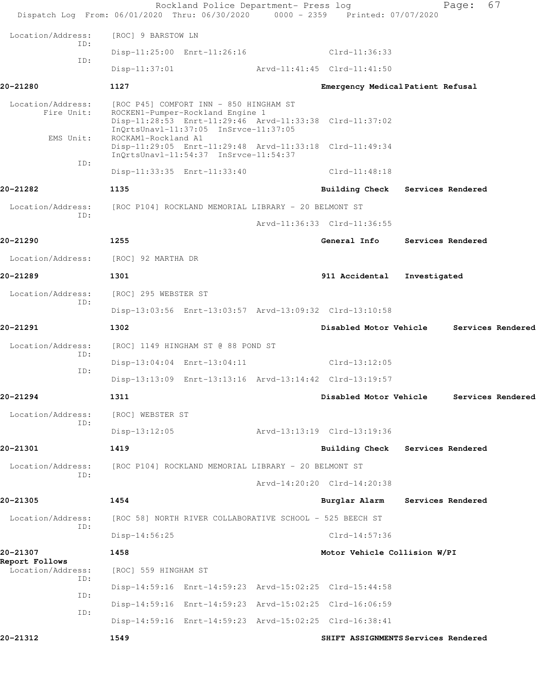|                                 | Rockland Police Department- Press log<br>Dispatch Log From: 06/01/2020 Thru: 06/30/2020 0000 - 2359 Printed: 07/07/2020               |                                          |                   | Page: 67          |  |
|---------------------------------|---------------------------------------------------------------------------------------------------------------------------------------|------------------------------------------|-------------------|-------------------|--|
| Location/Address:               | [ROC] 9 BARSTOW LN                                                                                                                    |                                          |                   |                   |  |
| ID:                             | Disp-11:25:00 Enrt-11:26:16                                                                                                           | $Clrd-11:36:33$                          |                   |                   |  |
| ID:                             | Disp-11:37:01                                                                                                                         | Arvd-11:41:45 Clrd-11:41:50              |                   |                   |  |
| 20-21280                        | 1127                                                                                                                                  | Emergency Medical Patient Refusal        |                   |                   |  |
| Location/Address:<br>Fire Unit: | [ROC P45] COMFORT INN - 850 HINGHAM ST<br>ROCKEN1-Pumper-Rockland Engine 1<br>Disp-11:28:53 Enrt-11:29:46 Arvd-11:33:38 Clrd-11:37:02 |                                          |                   |                   |  |
| EMS Unit:                       | ROCKAM1-Rockland A1<br>Disp-11:29:05 Enrt-11:29:48 Arvd-11:33:18 Clrd-11:49:34<br>InQrtsUnavl-11:54:37 InSrvce-11:54:37               |                                          |                   |                   |  |
| ID:                             | Disp-11:33:35 Enrt-11:33:40 Clrd-11:48:18                                                                                             |                                          |                   |                   |  |
| 20-21282                        | 1135                                                                                                                                  | Building Check Services Rendered         |                   |                   |  |
| Location/Address:               | [ROC P104] ROCKLAND MEMORIAL LIBRARY - 20 BELMONT ST                                                                                  |                                          |                   |                   |  |
| TD:                             |                                                                                                                                       | Arvd-11:36:33 Clrd-11:36:55              |                   |                   |  |
| 20-21290                        | 1255                                                                                                                                  | General Info                             |                   | Services Rendered |  |
|                                 | Location/Address: [ROC] 92 MARTHA DR                                                                                                  |                                          |                   |                   |  |
| 20-21289                        | 1301                                                                                                                                  | 911 Accidental                           | Investigated      |                   |  |
| Location/Address:               | [ROC] 295 WEBSTER ST                                                                                                                  |                                          |                   |                   |  |
| ID:                             | Disp-13:03:56 Enrt-13:03:57 Arvd-13:09:32 Clrd-13:10:58                                                                               |                                          |                   |                   |  |
| 20-21291                        | 1302                                                                                                                                  | Disabled Motor Vehicle                   |                   | Services Rendered |  |
| Location/Address:               | [ROC] 1149 HINGHAM ST @ 88 POND ST                                                                                                    |                                          |                   |                   |  |
| ID:                             | Disp-13:04:04 Enrt-13:04:11                                                                                                           | $Clrd-13:12:05$                          |                   |                   |  |
| ID:                             | Disp-13:13:09 Enrt-13:13:16 Arvd-13:14:42 Clrd-13:19:57                                                                               |                                          |                   |                   |  |
| 20-21294                        | 1311                                                                                                                                  | Disabled Motor Vehicle Services Rendered |                   |                   |  |
| Location/Address:<br>ID:        | [ROC] WEBSTER ST                                                                                                                      |                                          |                   |                   |  |
|                                 | $Disp-13:12:05$                                                                                                                       | Arvd-13:13:19 Clrd-13:19:36              |                   |                   |  |
| 20-21301                        | 1419                                                                                                                                  | <b>Building Check</b>                    | Services Rendered |                   |  |
| Location/Address:<br>ID:        | [ROC P104] ROCKLAND MEMORIAL LIBRARY - 20 BELMONT ST                                                                                  |                                          |                   |                   |  |
|                                 |                                                                                                                                       | Arvd-14:20:20 Clrd-14:20:38              |                   |                   |  |
| 20-21305                        | 1454                                                                                                                                  | Burglar Alarm                            | Services Rendered |                   |  |
| Location/Address:<br>TD:        | [ROC 58] NORTH RIVER COLLABORATIVE SCHOOL - 525 BEECH ST                                                                              |                                          |                   |                   |  |
|                                 | Disp-14:56:25                                                                                                                         | $Clrd-14:57:36$                          |                   |                   |  |
| 20-21307<br>Report Follows      | 1458                                                                                                                                  | Motor Vehicle Collision W/PI             |                   |                   |  |
| Location/Address:<br>ID:        | [ROC] 559 HINGHAM ST                                                                                                                  |                                          |                   |                   |  |
| ID:                             | Disp-14:59:16 Enrt-14:59:23 Arvd-15:02:25 Clrd-15:44:58                                                                               |                                          |                   |                   |  |
| ID:                             | Disp-14:59:16 Enrt-14:59:23 Arvd-15:02:25 Clrd-16:06:59                                                                               |                                          |                   |                   |  |
|                                 | Disp-14:59:16 Enrt-14:59:23 Arvd-15:02:25 Clrd-16:38:41                                                                               |                                          |                   |                   |  |
| 20-21312                        | 1549                                                                                                                                  | SHIFT ASSIGNMENTS Services Rendered      |                   |                   |  |
|                                 |                                                                                                                                       |                                          |                   |                   |  |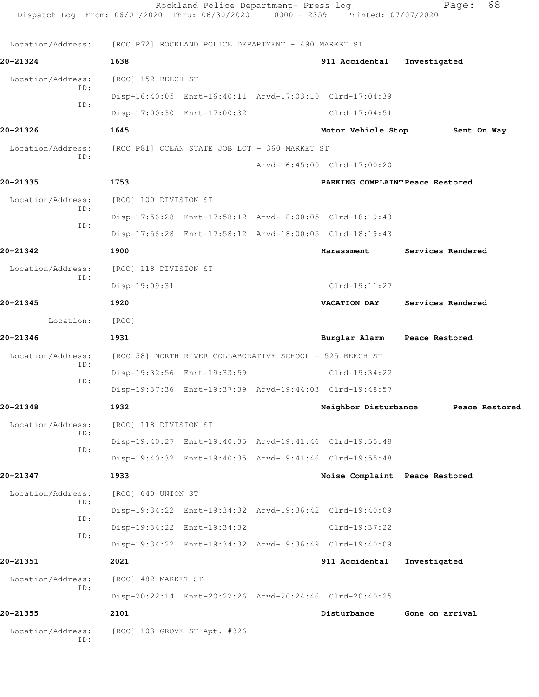| Dispatch Log From: 06/01/2020 Thru: 06/30/2020 0000 - 2359 Printed: 07/07/2020 |                                                                        | Rockland Police Department- Press log                    |  |                                                         | 68<br>Page:                         |
|--------------------------------------------------------------------------------|------------------------------------------------------------------------|----------------------------------------------------------|--|---------------------------------------------------------|-------------------------------------|
|                                                                                | Location/Address: [ROC P72] ROCKLAND POLICE DEPARTMENT - 490 MARKET ST |                                                          |  |                                                         |                                     |
| 20-21324                                                                       | 1638                                                                   |                                                          |  | 911 Accidental                                          | Investigated                        |
| Location/Address:                                                              | [ROC] 152 BEECH ST                                                     |                                                          |  |                                                         |                                     |
| ID:                                                                            |                                                                        |                                                          |  | Disp-16:40:05 Enrt-16:40:11 Arvd-17:03:10 Clrd-17:04:39 |                                     |
| ID:                                                                            |                                                                        | Disp-17:00:30 Enrt-17:00:32                              |  | Clrd-17:04:51                                           |                                     |
| 20-21326                                                                       | 1645                                                                   |                                                          |  | Motor Vehicle Stop                                      | Sent On Way                         |
| Location/Address:                                                              | [ROC P81] OCEAN STATE JOB LOT - 360 MARKET ST                          |                                                          |  |                                                         |                                     |
| ID:                                                                            |                                                                        |                                                          |  | Arvd-16:45:00 Clrd-17:00:20                             |                                     |
| 20-21335                                                                       | 1753                                                                   |                                                          |  | PARKING COMPLAINT Peace Restored                        |                                     |
| Location/Address:                                                              | [ROC] 100 DIVISION ST                                                  |                                                          |  |                                                         |                                     |
| ID:<br>ID:                                                                     |                                                                        |                                                          |  | Disp-17:56:28 Enrt-17:58:12 Arvd-18:00:05 Clrd-18:19:43 |                                     |
|                                                                                |                                                                        |                                                          |  | Disp-17:56:28 Enrt-17:58:12 Arvd-18:00:05 Clrd-18:19:43 |                                     |
| 20-21342                                                                       | 1900                                                                   |                                                          |  | Harassment                                              | Services Rendered                   |
| Location/Address:<br>ID:                                                       | [ROC] 118 DIVISION ST                                                  |                                                          |  |                                                         |                                     |
|                                                                                | Disp-19:09:31                                                          |                                                          |  | $Clrd-19:11:27$                                         |                                     |
| 20-21345                                                                       | 1920                                                                   |                                                          |  | <b>VACATION DAY</b>                                     | Services Rendered                   |
| Location:                                                                      | [ROC]                                                                  |                                                          |  |                                                         |                                     |
| 20-21346                                                                       | 1931                                                                   |                                                          |  | Burglar Alarm Peace Restored                            |                                     |
| Location/Address:<br>ID:                                                       |                                                                        | [ROC 58] NORTH RIVER COLLABORATIVE SCHOOL - 525 BEECH ST |  |                                                         |                                     |
| ID:                                                                            |                                                                        | Disp-19:32:56 Enrt-19:33:59                              |  | Clrd-19:34:22                                           |                                     |
|                                                                                |                                                                        |                                                          |  | Disp-19:37:36 Enrt-19:37:39 Arvd-19:44:03 Clrd-19:48:57 |                                     |
| 20-21348                                                                       | 1932                                                                   |                                                          |  |                                                         | Neighbor Disturbance Peace Restored |
| Location/Address:<br>ID:                                                       | [ROC] 118 DIVISION ST                                                  |                                                          |  |                                                         |                                     |
| ID:                                                                            |                                                                        |                                                          |  | Disp-19:40:27 Enrt-19:40:35 Arvd-19:41:46 Clrd-19:55:48 |                                     |
|                                                                                |                                                                        |                                                          |  | Disp-19:40:32 Enrt-19:40:35 Arvd-19:41:46 Clrd-19:55:48 |                                     |
| 20-21347                                                                       | 1933                                                                   |                                                          |  | Noise Complaint Peace Restored                          |                                     |
| Location/Address:<br>ID:                                                       | [ROC] 640 UNION ST                                                     |                                                          |  |                                                         |                                     |
| ID:                                                                            |                                                                        |                                                          |  | Disp-19:34:22 Enrt-19:34:32 Arvd-19:36:42 Clrd-19:40:09 |                                     |
| ID:                                                                            |                                                                        | Disp-19:34:22 Enrt-19:34:32                              |  | Clrd-19:37:22                                           |                                     |
|                                                                                |                                                                        |                                                          |  | Disp-19:34:22 Enrt-19:34:32 Arvd-19:36:49 Clrd-19:40:09 |                                     |
| 20-21351                                                                       | 2021                                                                   |                                                          |  | 911 Accidental                                          | Investigated                        |
| Location/Address:<br>ID:                                                       | [ROC] 482 MARKET ST                                                    |                                                          |  |                                                         |                                     |
|                                                                                |                                                                        |                                                          |  | Disp-20:22:14 Enrt-20:22:26 Arvd-20:24:46 Clrd-20:40:25 |                                     |
| 20-21355                                                                       | 2101                                                                   |                                                          |  | Disturbance                                             | Gone on arrival                     |
| Location/Address:<br>ID:                                                       |                                                                        | [ROC] 103 GROVE ST Apt. #326                             |  |                                                         |                                     |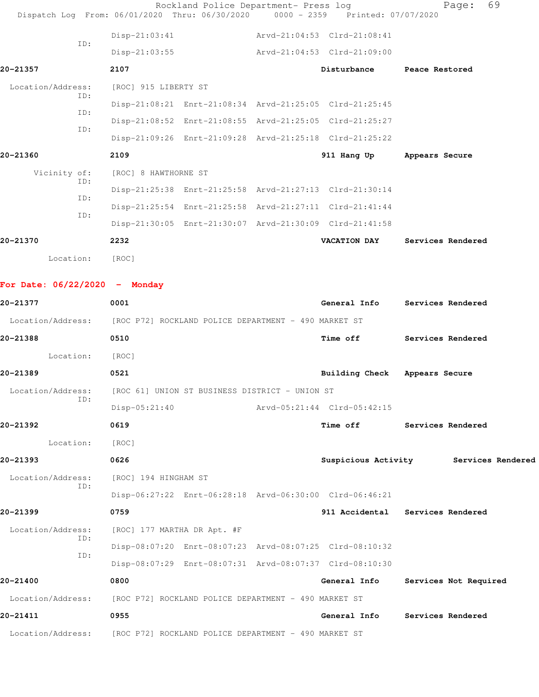| Dispatch Log From: 06/01/2020 Thru: 06/30/2020 0000 - 2359 Printed: 07/07/2020 |                                                      | Rockland Police Department- Press log |  |                                                         | 69<br>Page:                           |
|--------------------------------------------------------------------------------|------------------------------------------------------|---------------------------------------|--|---------------------------------------------------------|---------------------------------------|
|                                                                                | $Disp-21:03:41$                                      |                                       |  | Arvd-21:04:53 Clrd-21:08:41                             |                                       |
| ID:                                                                            | $Disp-21:03:55$                                      |                                       |  | Arvd-21:04:53 Clrd-21:09:00                             |                                       |
| 20-21357                                                                       | 2107                                                 |                                       |  | Disturbance                                             | Peace Restored                        |
| Location/Address:                                                              | [ROC] 915 LIBERTY ST                                 |                                       |  |                                                         |                                       |
| ID:                                                                            |                                                      |                                       |  | Disp-21:08:21 Enrt-21:08:34 Arvd-21:25:05 Clrd-21:25:45 |                                       |
| ID:                                                                            |                                                      |                                       |  | Disp-21:08:52 Enrt-21:08:55 Arvd-21:25:05 Clrd-21:25:27 |                                       |
| ID:                                                                            |                                                      |                                       |  | Disp-21:09:26 Enrt-21:09:28 Arvd-21:25:18 Clrd-21:25:22 |                                       |
| 20-21360                                                                       | 2109                                                 |                                       |  | 911 Hang Up                                             | Appears Secure                        |
| Vicinity of:                                                                   | [ROC] 8 HAWTHORNE ST                                 |                                       |  |                                                         |                                       |
| ID:<br>ID:                                                                     |                                                      |                                       |  | Disp-21:25:38 Enrt-21:25:58 Arvd-21:27:13 Clrd-21:30:14 |                                       |
| ID:                                                                            |                                                      |                                       |  | Disp-21:25:54 Enrt-21:25:58 Arvd-21:27:11 Clrd-21:41:44 |                                       |
|                                                                                |                                                      |                                       |  | Disp-21:30:05 Enrt-21:30:07 Arvd-21:30:09 Clrd-21:41:58 |                                       |
| 20-21370                                                                       | 2232                                                 |                                       |  | <b>VACATION DAY</b>                                     | Services Rendered                     |
| Location:                                                                      | [ROC]                                                |                                       |  |                                                         |                                       |
| For Date: $06/22/2020 -$ Monday                                                |                                                      |                                       |  |                                                         |                                       |
| 20-21377                                                                       | 0001                                                 |                                       |  |                                                         | General Info Services Rendered        |
| Location/Address: [ROC P72] ROCKLAND POLICE DEPARTMENT - 490 MARKET ST         |                                                      |                                       |  |                                                         |                                       |
| 20-21388                                                                       | 0510                                                 |                                       |  | Time off                                                | Services Rendered                     |
| Location:                                                                      | [ROC]                                                |                                       |  |                                                         |                                       |
| 20-21389                                                                       | 0521                                                 |                                       |  | <b>Building Check</b>                                   | Appears Secure                        |
| Location/Address:                                                              | [ROC 61] UNION ST BUSINESS DISTRICT - UNION ST       |                                       |  |                                                         |                                       |
| ID:                                                                            | $Disp-05:21:40$                                      |                                       |  | Arvd-05:21:44 Clrd-05:42:15                             |                                       |
| 20-21392                                                                       | 0619                                                 |                                       |  | Time off                                                | Services Rendered                     |
| Location:                                                                      | [ROC]                                                |                                       |  |                                                         |                                       |
| 20-21393                                                                       | 0626                                                 |                                       |  |                                                         | Suspicious Activity Services Rendered |
| Location/Address:<br>ID:                                                       | [ROC] 194 HINGHAM ST                                 |                                       |  |                                                         |                                       |
|                                                                                |                                                      |                                       |  | Disp-06:27:22 Enrt-06:28:18 Arvd-06:30:00 Clrd-06:46:21 |                                       |
| 20-21399                                                                       | 0759                                                 |                                       |  |                                                         | 911 Accidental Services Rendered      |
| Location/Address:                                                              | [ROC] 177 MARTHA DR Apt. #F                          |                                       |  |                                                         |                                       |
| ID:<br>ID:                                                                     |                                                      |                                       |  | Disp-08:07:20 Enrt-08:07:23 Arvd-08:07:25 Clrd-08:10:32 |                                       |
|                                                                                |                                                      |                                       |  | Disp-08:07:29 Enrt-08:07:31 Arvd-08:07:37 Clrd-08:10:30 |                                       |
| 20-21400                                                                       | 0800                                                 |                                       |  | General Info                                            | Services Not Required                 |
| Location/Address:                                                              | [ROC P72] ROCKLAND POLICE DEPARTMENT - 490 MARKET ST |                                       |  |                                                         |                                       |
| 20-21411                                                                       | 0955                                                 |                                       |  | General Info                                            | Services Rendered                     |
| Location/Address:                                                              | [ROC P72] ROCKLAND POLICE DEPARTMENT - 490 MARKET ST |                                       |  |                                                         |                                       |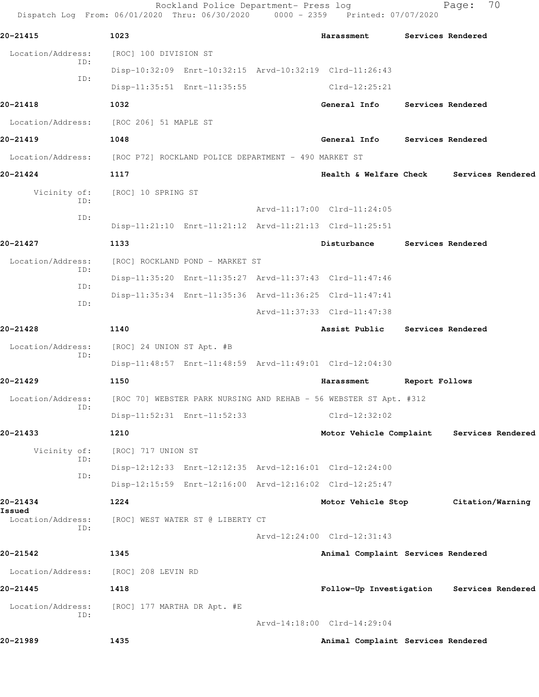|                             | Rockland Police Department- Press log<br>Dispatch Log From: 06/01/2020 Thru: 06/30/2020 0000 - 2359 Printed: 07/07/2020 |                                    |                | 70<br>Page:                               |
|-----------------------------|-------------------------------------------------------------------------------------------------------------------------|------------------------------------|----------------|-------------------------------------------|
| 20-21415                    | 1023                                                                                                                    | Harassment                         |                | Services Rendered                         |
| Location/Address:<br>ID:    | [ROC] 100 DIVISION ST                                                                                                   |                                    |                |                                           |
| ID:                         | Disp-10:32:09 Enrt-10:32:15 Arvd-10:32:19 Clrd-11:26:43                                                                 |                                    |                |                                           |
|                             | Disp-11:35:51 Enrt-11:35:55                                                                                             | $Clrd-12:25:21$                    |                |                                           |
| 20-21418                    | 1032                                                                                                                    | General Info                       |                | Services Rendered                         |
| Location/Address:           | [ROC 206] 51 MAPLE ST                                                                                                   |                                    |                |                                           |
| 20-21419                    | 1048                                                                                                                    | General Info                       |                | Services Rendered                         |
|                             | Location/Address: [ROC P72] ROCKLAND POLICE DEPARTMENT - 490 MARKET ST                                                  |                                    |                |                                           |
| 20-21424                    | 1117                                                                                                                    | Health & Welfare Check             |                | Services Rendered                         |
| Vicinity of:                | [ROC] 10 SPRING ST                                                                                                      |                                    |                |                                           |
| ID:                         |                                                                                                                         | Arvd-11:17:00 Clrd-11:24:05        |                |                                           |
| ID:                         | Disp-11:21:10 Enrt-11:21:12 Arvd-11:21:13 Clrd-11:25:51                                                                 |                                    |                |                                           |
| 20-21427                    | 1133                                                                                                                    | Disturbance                        |                | Services Rendered                         |
| Location/Address:           | [ROC] ROCKLAND POND - MARKET ST                                                                                         |                                    |                |                                           |
| ID:                         | Disp-11:35:20 Enrt-11:35:27 Arvd-11:37:43 Clrd-11:47:46                                                                 |                                    |                |                                           |
| ID:                         | Disp-11:35:34 Enrt-11:35:36 Arvd-11:36:25 Clrd-11:47:41                                                                 |                                    |                |                                           |
| ID:                         |                                                                                                                         | Arvd-11:37:33 Clrd-11:47:38        |                |                                           |
| 20-21428                    | 1140                                                                                                                    | Assist Public                      |                | Services Rendered                         |
| Location/Address:           | [ROC] 24 UNION ST Apt. #B                                                                                               |                                    |                |                                           |
| ID:                         | Disp-11:48:57 Enrt-11:48:59 Arvd-11:49:01 Clrd-12:04:30                                                                 |                                    |                |                                           |
| 20-21429                    | 1150                                                                                                                    | Harassment                         | Report Follows |                                           |
| Location/Address:           | [ROC 70] WEBSTER PARK NURSING AND REHAB - 56 WEBSTER ST Apt. #312                                                       |                                    |                |                                           |
| ID:                         | Disp-11:52:31 Enrt-11:52:33                                                                                             | $Clrd-12:32:02$                    |                |                                           |
| 20-21433                    | 1210                                                                                                                    | Motor Vehicle Complaint            |                | Services Rendered                         |
| Vicinity of:                | [ROC] 717 UNION ST                                                                                                      |                                    |                |                                           |
| ID:                         | Disp-12:12:33 Enrt-12:12:35 Arvd-12:16:01 Clrd-12:24:00                                                                 |                                    |                |                                           |
| ID:                         | Disp-12:15:59 Enrt-12:16:00 Arvd-12:16:02 Clrd-12:25:47                                                                 |                                    |                |                                           |
| 20-21434                    | 1224                                                                                                                    | Motor Vehicle Stop                 |                | Citation/Warning                          |
| Issued<br>Location/Address: | [ROC] WEST WATER ST @ LIBERTY CT                                                                                        |                                    |                |                                           |
| ID:                         |                                                                                                                         | Arvd-12:24:00 Clrd-12:31:43        |                |                                           |
| 20-21542                    | 1345                                                                                                                    | Animal Complaint Services Rendered |                |                                           |
| Location/Address:           | [ROC] 208 LEVIN RD                                                                                                      |                                    |                |                                           |
| 20-21445                    | 1418                                                                                                                    |                                    |                | Follow-Up Investigation Services Rendered |
| Location/Address:           | [ROC] 177 MARTHA DR Apt. #E                                                                                             |                                    |                |                                           |
| ID:                         |                                                                                                                         | Arvd-14:18:00 Clrd-14:29:04        |                |                                           |
| 20-21989                    | 1435                                                                                                                    | Animal Complaint Services Rendered |                |                                           |
|                             |                                                                                                                         |                                    |                |                                           |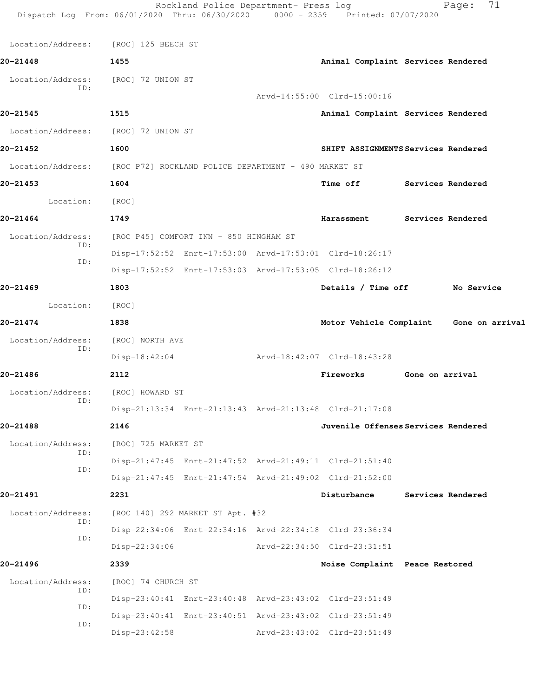| Dispatch Log From: 06/01/2020 Thru: 06/30/2020 0000 - 2359 Printed: 07/07/2020 |                                                      | Rockland Police Department- Press log                   |  |                                                         | 71<br>Page:                         |
|--------------------------------------------------------------------------------|------------------------------------------------------|---------------------------------------------------------|--|---------------------------------------------------------|-------------------------------------|
| Location/Address:                                                              | [ROC] 125 BEECH ST                                   |                                                         |  |                                                         |                                     |
| 20-21448                                                                       | 1455                                                 |                                                         |  |                                                         | Animal Complaint Services Rendered  |
| Location/Address:                                                              | [ROC] 72 UNION ST                                    |                                                         |  |                                                         |                                     |
| TD:                                                                            |                                                      |                                                         |  | Arvd-14:55:00 Clrd-15:00:16                             |                                     |
| 20-21545                                                                       | 1515                                                 |                                                         |  |                                                         | Animal Complaint Services Rendered  |
| Location/Address:                                                              | [ROC] 72 UNION ST                                    |                                                         |  |                                                         |                                     |
| 20-21452                                                                       | 1600                                                 |                                                         |  |                                                         | SHIFT ASSIGNMENTS Services Rendered |
| Location/Address:                                                              | [ROC P72] ROCKLAND POLICE DEPARTMENT - 490 MARKET ST |                                                         |  |                                                         |                                     |
| 20-21453                                                                       | 1604                                                 |                                                         |  | <b>Time off</b>                                         | Services Rendered                   |
| Location:                                                                      | [ROC]                                                |                                                         |  |                                                         |                                     |
| 20-21464                                                                       | 1749                                                 |                                                         |  | Harassment                                              | Services Rendered                   |
| Location/Address:                                                              | [ROC P45] COMFORT INN - 850 HINGHAM ST               |                                                         |  |                                                         |                                     |
| ID:                                                                            |                                                      | Disp-17:52:52 Enrt-17:53:00 Arvd-17:53:01 Clrd-18:26:17 |  |                                                         |                                     |
| ID:                                                                            |                                                      | Disp-17:52:52 Enrt-17:53:03 Arvd-17:53:05 Clrd-18:26:12 |  |                                                         |                                     |
| 20-21469                                                                       | 1803                                                 |                                                         |  | Details / Time off                                      | No Service                          |
| Location:                                                                      | [ROC]                                                |                                                         |  |                                                         |                                     |
| 20-21474                                                                       | 1838                                                 |                                                         |  | Motor Vehicle Complaint                                 | Gone on arrival                     |
| Location/Address:<br>ID:                                                       | [ROC] NORTH AVE                                      |                                                         |  |                                                         |                                     |
|                                                                                | $Disp-18:42:04$                                      |                                                         |  | Arvd-18:42:07 Clrd-18:43:28                             |                                     |
| 20-21486                                                                       | 2112                                                 |                                                         |  | Fireworks                                               | Gone on arrival                     |
| Location/Address:<br>ID:                                                       | [ROC] HOWARD ST                                      |                                                         |  |                                                         |                                     |
|                                                                                |                                                      |                                                         |  | Disp-21:13:34 Enrt-21:13:43 Arvd-21:13:48 Clrd-21:17:08 |                                     |
| 20-21488                                                                       | 2146                                                 |                                                         |  |                                                         | Juvenile Offenses Services Rendered |
| Location/Address:<br>ID:                                                       | [ROC] 725 MARKET ST                                  |                                                         |  |                                                         |                                     |
| ID:                                                                            |                                                      |                                                         |  | Disp-21:47:45 Enrt-21:47:52 Arvd-21:49:11 Clrd-21:51:40 |                                     |
|                                                                                |                                                      |                                                         |  | Disp-21:47:45 Enrt-21:47:54 Arvd-21:49:02 Clrd-21:52:00 |                                     |
| 20-21491                                                                       | 2231                                                 |                                                         |  | Disturbance                                             | Services Rendered                   |
| Location/Address:<br>ID:<br>ID:                                                |                                                      | [ROC 140] 292 MARKET ST Apt. #32                        |  |                                                         |                                     |
|                                                                                |                                                      |                                                         |  | Disp-22:34:06 Enrt-22:34:16 Arvd-22:34:18 Clrd-23:36:34 |                                     |
|                                                                                | $Disp-22:34:06$                                      |                                                         |  | Arvd-22:34:50 Clrd-23:31:51                             |                                     |
| 20-21496                                                                       | 2339                                                 |                                                         |  | Noise Complaint Peace Restored                          |                                     |
| Location/Address:<br>ID:                                                       | [ROC] 74 CHURCH ST                                   |                                                         |  |                                                         |                                     |
| ID:                                                                            |                                                      |                                                         |  | Disp-23:40:41 Enrt-23:40:48 Arvd-23:43:02 Clrd-23:51:49 |                                     |
| ID:                                                                            |                                                      |                                                         |  | Disp-23:40:41 Enrt-23:40:51 Arvd-23:43:02 Clrd-23:51:49 |                                     |
|                                                                                | $Disp-23:42:58$                                      |                                                         |  | Arvd-23:43:02 Clrd-23:51:49                             |                                     |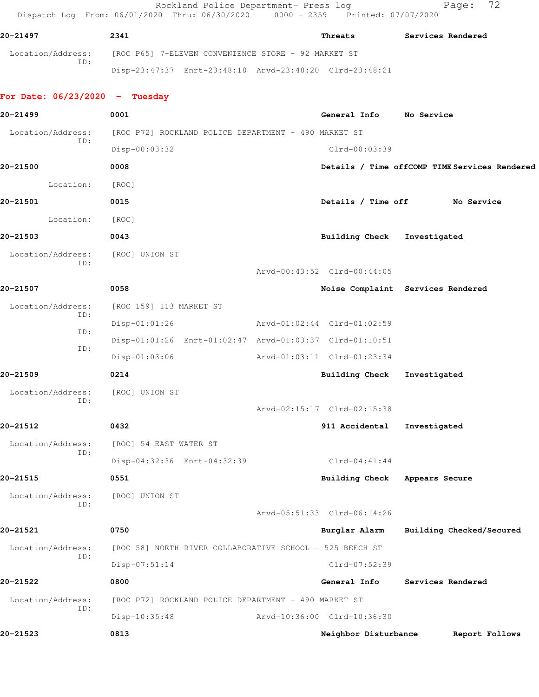Rockland Police Department- Press log entitled Page: 72 Dispatch Log From: 06/01/2020 Thru: 06/30/2020 0000 - 2359 Printed: 07/07/2020

| 20-21497                 | 2341                                                    | Threats | Services Rendered |
|--------------------------|---------------------------------------------------------|---------|-------------------|
| Location/Address:<br>TD: | [ROC P65] 7-ELEVEN CONVENIENCE STORE - 92 MARKET ST     |         |                   |
|                          | Disp-23:47:37 Enrt-23:48:18 Arvd-23:48:20 Clrd-23:48:21 |         |                   |

## **For Date: 06/23/2020 - Tuesday**

| 20-21499                 | 0001                                                     | General Info No Service       |                                               |
|--------------------------|----------------------------------------------------------|-------------------------------|-----------------------------------------------|
| Location/Address:        | [ROC P72] ROCKLAND POLICE DEPARTMENT - 490 MARKET ST     |                               |                                               |
| ID:                      | Disp-00:03:32                                            | Clrd-00:03:39                 |                                               |
| 20-21500                 | 0008                                                     |                               | Details / Time offCOMP TIME Services Rendered |
| Location:                | [ROC]                                                    |                               |                                               |
| 20-21501                 | 0015                                                     |                               | Details / Time off No Service                 |
| Location:                | [ROC]                                                    |                               |                                               |
| 20-21503                 | 0043                                                     | Building Check Investigated   |                                               |
| Location/Address:        | [ROC] UNION ST                                           |                               |                                               |
| ID:                      |                                                          | Arvd-00:43:52 Clrd-00:44:05   |                                               |
| 20-21507                 | 0058                                                     |                               | Noise Complaint Services Rendered             |
| Location/Address:        | [ROC 159] 113 MARKET ST                                  |                               |                                               |
| ID:                      | $Disp-01:01:26$                                          | Arvd-01:02:44 Clrd-01:02:59   |                                               |
| ID:                      | Disp-01:01:26 Enrt-01:02:47 Arvd-01:03:37 Clrd-01:10:51  |                               |                                               |
| ID:                      | $Disp-01:03:06$                                          | Arvd-01:03:11 Clrd-01:23:34   |                                               |
| 20-21509                 | 0214                                                     | Building Check Investigated   |                                               |
| Location/Address:        | [ROC] UNION ST                                           |                               |                                               |
| ID:                      |                                                          | Arvd-02:15:17 Clrd-02:15:38   |                                               |
| 20-21512                 | 0432                                                     | 911 Accidental                | Investigated                                  |
| Location/Address:        | [ROC] 54 EAST WATER ST                                   |                               |                                               |
| ID:                      | Disp-04:32:36 Enrt-04:32:39                              | $Clrd-04:41:44$               |                                               |
| 20-21515                 | 0551                                                     | Building Check Appears Secure |                                               |
| Location/Address:<br>ID: | [ROC] UNION ST                                           |                               |                                               |
|                          |                                                          | Arvd-05:51:33 Clrd-06:14:26   |                                               |
| 20-21521                 | 0750                                                     | Burglar Alarm                 | Building Checked/Secured                      |
| Location/Address:<br>ID: | [ROC 58] NORTH RIVER COLLABORATIVE SCHOOL - 525 BEECH ST |                               |                                               |
|                          | Disp-07:51:14                                            | Clrd-07:52:39                 |                                               |
| 20-21522                 | 0800                                                     | General Info                  | Services Rendered                             |
| Location/Address:<br>ID: | [ROC P72] ROCKLAND POLICE DEPARTMENT - 490 MARKET ST     |                               |                                               |
|                          | Disp-10:35:48                                            | Arvd-10:36:00 Clrd-10:36:30   |                                               |
| 20-21523                 | 0813                                                     | Neighbor Disturbance          | Report Follows                                |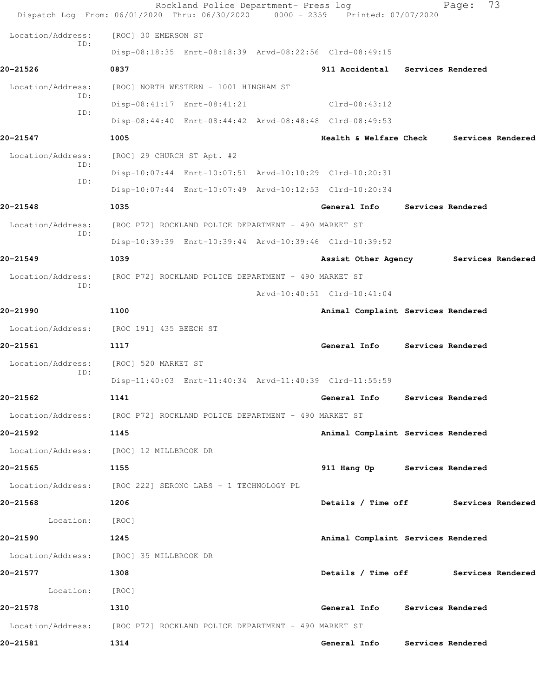|                          | Rockland Police Department- Press log<br>Dispatch Log From: 06/01/2020 Thru: 06/30/2020 0000 - 2359 Printed: 07/07/2020 |                                      | 73<br>Page:       |
|--------------------------|-------------------------------------------------------------------------------------------------------------------------|--------------------------------------|-------------------|
| Location/Address:        | [ROC] 30 EMERSON ST                                                                                                     |                                      |                   |
| ID:                      | Disp-08:18:35 Enrt-08:18:39 Arvd-08:22:56 Clrd-08:49:15                                                                 |                                      |                   |
| 20-21526                 | 0837                                                                                                                    | 911 Accidental Services Rendered     |                   |
| Location/Address:        | [ROC] NORTH WESTERN - 1001 HINGHAM ST                                                                                   |                                      |                   |
| ID:                      | Disp-08:41:17 Enrt-08:41:21                                                                                             | $Clrd-08:43:12$                      |                   |
| ID:                      | Disp-08:44:40 Enrt-08:44:42 Arvd-08:48:48 Clrd-08:49:53                                                                 |                                      |                   |
| 20-21547                 | 1005                                                                                                                    | <b>Health &amp; Welfare Check</b>    | Services Rendered |
| Location/Address:        | [ROC] 29 CHURCH ST Apt. #2                                                                                              |                                      |                   |
| ID:                      | Disp-10:07:44 Enrt-10:07:51 Arvd-10:10:29 Clrd-10:20:31                                                                 |                                      |                   |
| ID:                      | Disp-10:07:44 Enrt-10:07:49 Arvd-10:12:53 Clrd-10:20:34                                                                 |                                      |                   |
| 20-21548                 | 1035                                                                                                                    | General Info                         | Services Rendered |
| Location/Address:<br>ID: | [ROC P72] ROCKLAND POLICE DEPARTMENT - 490 MARKET ST                                                                    |                                      |                   |
|                          | Disp-10:39:39 Enrt-10:39:44 Arvd-10:39:46 Clrd-10:39:52                                                                 |                                      |                   |
| 20-21549                 | 1039                                                                                                                    | Assist Other Agency                  | Services Rendered |
| Location/Address:        | [ROC P72] ROCKLAND POLICE DEPARTMENT - 490 MARKET ST                                                                    |                                      |                   |
| ID:                      |                                                                                                                         | Arvd-10:40:51 Clrd-10:41:04          |                   |
| 20-21990                 | 1100                                                                                                                    | Animal Complaint Services Rendered   |                   |
|                          | Location/Address: [ROC 191] 435 BEECH ST                                                                                |                                      |                   |
| 20-21561                 | 1117                                                                                                                    | General Info                         | Services Rendered |
| Location/Address:        | [ROC] 520 MARKET ST                                                                                                     |                                      |                   |
| ID:                      | Disp-11:40:03 Enrt-11:40:34 Arvd-11:40:39 Clrd-11:55:59                                                                 |                                      |                   |
| 20-21562                 | 1141                                                                                                                    | General Info Services Rendered       |                   |
|                          | Location/Address: [ROC P72] ROCKLAND POLICE DEPARTMENT - 490 MARKET ST                                                  |                                      |                   |
| 20-21592<br>1145         |                                                                                                                         | Animal Complaint Services Rendered   |                   |
|                          | Location/Address: [ROC] 12 MILLBROOK DR                                                                                 |                                      |                   |
| 20-21565<br>$\sim$ 1155  |                                                                                                                         | 911 Hang Up Services Rendered        |                   |
|                          | Location/Address: [ROC 222] SERONO LABS - 1 TECHNOLOGY PL                                                               |                                      |                   |
| 20-21568<br>$\sim$ 1206  |                                                                                                                         | Details / Time off Services Rendered |                   |
| Location: [ROC]          |                                                                                                                         |                                      |                   |
| 20-21590<br>1245         |                                                                                                                         | Animal Complaint Services Rendered   |                   |
|                          | Location/Address: [ROC] 35 MILLBROOK DR                                                                                 |                                      |                   |
| 20-21577<br>$\sim$ 1308  |                                                                                                                         | Details / Time off Services Rendered |                   |
| Location: [ROC]          |                                                                                                                         |                                      |                   |
| 20-21578                 | 1310                                                                                                                    | General Info Services Rendered       |                   |
|                          | Location/Address: [ROC P72] ROCKLAND POLICE DEPARTMENT - 490 MARKET ST                                                  |                                      |                   |
| 20-21581                 | 1314                                                                                                                    | General Info Services Rendered       |                   |
|                          |                                                                                                                         |                                      |                   |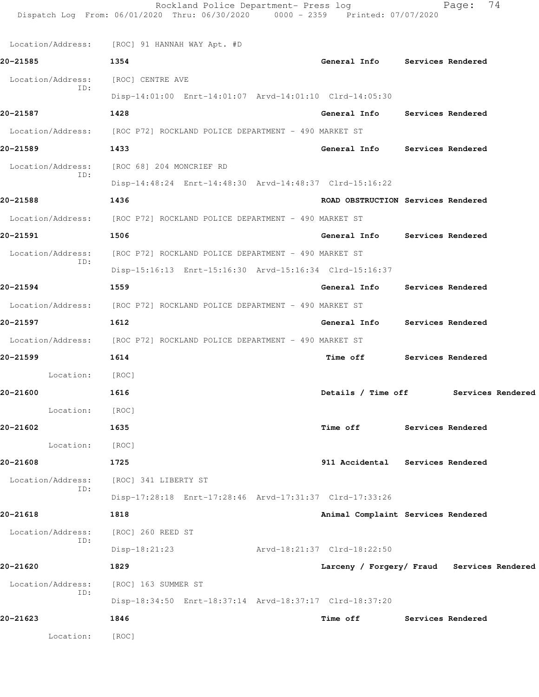|                          | Rockland Police Department- Press log<br>Dispatch Log From: 06/01/2020 Thru: 06/30/2020 0000 - 2359 Printed: 07/07/2020 |                                    | 74<br>Page:                                |
|--------------------------|-------------------------------------------------------------------------------------------------------------------------|------------------------------------|--------------------------------------------|
|                          | Location/Address: [ROC] 91 HANNAH WAY Apt. #D                                                                           |                                    |                                            |
| 20-21585                 | 1354                                                                                                                    | General Info Services Rendered     |                                            |
| Location/Address:        | [ROC] CENTRE AVE                                                                                                        |                                    |                                            |
| ID:                      | Disp-14:01:00 Enrt-14:01:07 Arvd-14:01:10 Clrd-14:05:30                                                                 |                                    |                                            |
| 20-21587                 | 1428                                                                                                                    | General Info Services Rendered     |                                            |
|                          | Location/Address: [ROC P72] ROCKLAND POLICE DEPARTMENT - 490 MARKET ST                                                  |                                    |                                            |
| 20-21589                 | 1433                                                                                                                    | General Info Services Rendered     |                                            |
| Location/Address:        | [ROC 68] 204 MONCRIEF RD                                                                                                |                                    |                                            |
| ID:                      | Disp-14:48:24 Enrt-14:48:30 Arvd-14:48:37 Clrd-15:16:22                                                                 |                                    |                                            |
| 20-21588                 | 1436                                                                                                                    | ROAD OBSTRUCTION Services Rendered |                                            |
| Location/Address:        | [ROC P72] ROCKLAND POLICE DEPARTMENT - 490 MARKET ST                                                                    |                                    |                                            |
| 20-21591                 | 1506                                                                                                                    | General Info Services Rendered     |                                            |
| Location/Address:        | [ROC P72] ROCKLAND POLICE DEPARTMENT - 490 MARKET ST                                                                    |                                    |                                            |
| ID:                      | Disp-15:16:13 Enrt-15:16:30 Arvd-15:16:34 Clrd-15:16:37                                                                 |                                    |                                            |
| 20-21594                 | 1559                                                                                                                    | General Info                       | <b>Services Rendered</b>                   |
|                          | Location/Address: [ROC P72] ROCKLAND POLICE DEPARTMENT - 490 MARKET ST                                                  |                                    |                                            |
| 20-21597                 | 1612                                                                                                                    | General Info Services Rendered     |                                            |
|                          | Location/Address: [ROC P72] ROCKLAND POLICE DEPARTMENT - 490 MARKET ST                                                  |                                    |                                            |
| 20-21599                 | 1614                                                                                                                    | <b>Time off</b>                    | Services Rendered                          |
| Location:                | [ROC]                                                                                                                   |                                    |                                            |
| 20-21600                 | 1616                                                                                                                    | Details / Time off                 | Services Rendered                          |
| Location:                | [ROC]                                                                                                                   |                                    |                                            |
| 20-21602                 | 1635                                                                                                                    | <b>Time off</b>                    | Services Rendered                          |
| Location:                | [ROC]                                                                                                                   |                                    |                                            |
| 20-21608                 | 1725                                                                                                                    | 911 Accidental Services Rendered   |                                            |
| Location/Address:<br>ID: | [ROC] 341 LIBERTY ST                                                                                                    |                                    |                                            |
|                          | Disp-17:28:18 Enrt-17:28:46 Arvd-17:31:37 Clrd-17:33:26                                                                 |                                    |                                            |
| 20-21618                 | 1818                                                                                                                    | Animal Complaint Services Rendered |                                            |
| Location/Address:<br>ID: | [ROC] 260 REED ST                                                                                                       |                                    |                                            |
|                          | $Disp-18:21:23$                                                                                                         | Arvd-18:21:37 Clrd-18:22:50        |                                            |
| 20-21620                 | 1829                                                                                                                    |                                    | Larceny / Forgery/ Fraud Services Rendered |
| Location/Address:<br>ID: | [ROC] 163 SUMMER ST                                                                                                     |                                    |                                            |
|                          | Disp-18:34:50 Enrt-18:37:14 Arvd-18:37:17 Clrd-18:37:20                                                                 |                                    |                                            |
| 20-21623                 | 1846                                                                                                                    | Time off                           | Services Rendered                          |
| Location:                | [ROC]                                                                                                                   |                                    |                                            |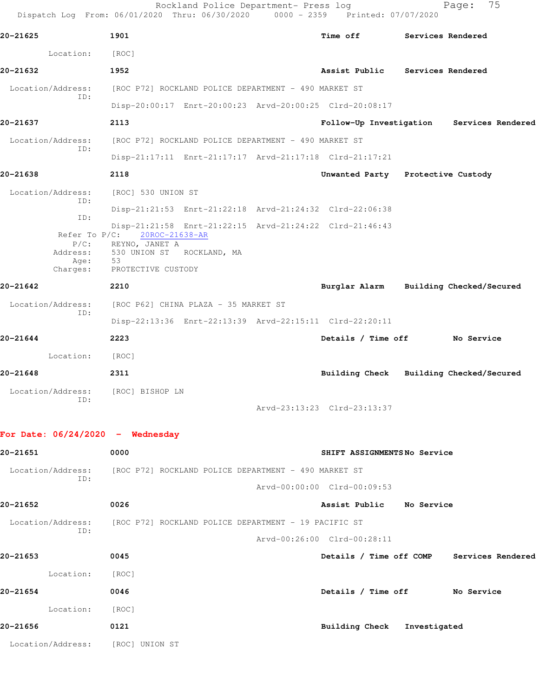| 20-21625                                 | 1901                                                                                                         |  | <b>Time off</b>                                         | Services Rendered                         |
|------------------------------------------|--------------------------------------------------------------------------------------------------------------|--|---------------------------------------------------------|-------------------------------------------|
| Location:                                | [ROC]                                                                                                        |  |                                                         |                                           |
| 20-21632                                 | 1952                                                                                                         |  | Assist Public Services Rendered                         |                                           |
| Location/Address:                        | [ROC P72] ROCKLAND POLICE DEPARTMENT - 490 MARKET ST                                                         |  |                                                         |                                           |
| TD:                                      |                                                                                                              |  | Disp-20:00:17 Enrt-20:00:23 Arvd-20:00:25 Clrd-20:08:17 |                                           |
| 20-21637                                 | 2113                                                                                                         |  |                                                         | Follow-Up Investigation Services Rendered |
| Location/Address:<br>ID:                 | [ROC P72] ROCKLAND POLICE DEPARTMENT - 490 MARKET ST                                                         |  |                                                         |                                           |
|                                          |                                                                                                              |  | Disp-21:17:11 Enrt-21:17:17 Arvd-21:17:18 Clrd-21:17:21 |                                           |
| 20-21638                                 | 2118                                                                                                         |  | Unwanted Party Protective Custody                       |                                           |
| Location/Address:<br>ID:                 | [ROC] 530 UNION ST                                                                                           |  |                                                         |                                           |
| ID:                                      |                                                                                                              |  | Disp-21:21:53 Enrt-21:22:18 Arvd-21:24:32 Clrd-22:06:38 |                                           |
| Address:<br>Age:<br>Charges:             | Refer To P/C: 20ROC-21638-AR<br>P/C: REYNO, JANET A<br>530 UNION ST ROCKLAND, MA<br>53<br>PROTECTIVE CUSTODY |  | Disp-21:21:58 Enrt-21:22:15 Arvd-21:24:22 Clrd-21:46:43 |                                           |
| 20-21642                                 | 2210                                                                                                         |  |                                                         | Burglar Alarm Building Checked/Secured    |
| Location/Address:                        | [ROC P62] CHINA PLAZA - 35 MARKET ST                                                                         |  |                                                         |                                           |
| ID:                                      |                                                                                                              |  | Disp-22:13:36 Enrt-22:13:39 Arvd-22:15:11 Clrd-22:20:11 |                                           |
| 20-21644                                 | 2223                                                                                                         |  | Details / Time off                                      | No Service                                |
| Location:                                | [ROC]                                                                                                        |  |                                                         |                                           |
| 20-21648                                 | 2311                                                                                                         |  |                                                         | Building Check Building Checked/Secured   |
| Location/Address: [ROC] BISHOP LN<br>ID: |                                                                                                              |  |                                                         |                                           |
|                                          |                                                                                                              |  | Arvd-23:13:23 Clrd-23:13:37                             |                                           |
| For Date: $06/24/2020 -$ Wednesday       |                                                                                                              |  |                                                         |                                           |
| 20-21651                                 | 0000                                                                                                         |  | SHIFT ASSIGNMENTSNo Service                             |                                           |
| Location/Address:                        | [ROC P72] ROCKLAND POLICE DEPARTMENT - 490 MARKET ST                                                         |  |                                                         |                                           |
| ID:                                      |                                                                                                              |  | Arvd-00:00:00 Clrd-00:09:53                             |                                           |
| 20-21652                                 | 0026                                                                                                         |  | Assist Public No Service                                |                                           |
|                                          |                                                                                                              |  |                                                         |                                           |
| Location/Address:<br>ID:                 | [ROC P72] ROCKLAND POLICE DEPARTMENT - 19 PACIFIC ST                                                         |  |                                                         |                                           |

| 20-21653 |                   | 0045              | Details / Time off COMP |  |              | Services Rendered |
|----------|-------------------|-------------------|-------------------------|--|--------------|-------------------|
|          | Location:         | [ROC]             |                         |  |              |                   |
| 20-21654 |                   | 0046              | Details / Time off      |  |              | No Service        |
|          | Location:         | [ROC]             |                         |  |              |                   |
| 20-21656 |                   | 0121              | Building Check          |  | Investigated |                   |
|          | Location/Address: | [ROC]<br>UNION ST |                         |  |              |                   |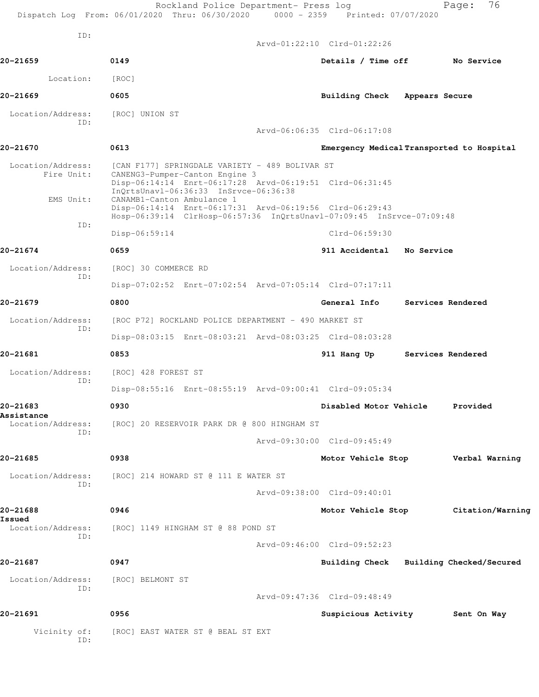|                          | Rockland Police Department- Press log<br>Dispatch Log From: 06/01/2020 Thru: 06/30/2020 0000 - 2359 Printed: 07/07/2020                                          |                                           | 76<br>Page:                             |
|--------------------------|------------------------------------------------------------------------------------------------------------------------------------------------------------------|-------------------------------------------|-----------------------------------------|
| ID:                      |                                                                                                                                                                  | Arvd-01:22:10 Clrd-01:22:26               |                                         |
| 20-21659                 | 0149                                                                                                                                                             | Details / Time off                        | No Service                              |
| Location:                | [ROC]                                                                                                                                                            |                                           |                                         |
| 20-21669                 | 0605                                                                                                                                                             | Building Check Appears Secure             |                                         |
| Location/Address:        | [ROC] UNION ST                                                                                                                                                   |                                           |                                         |
| ID:                      |                                                                                                                                                                  | Arvd-06:06:35 Clrd-06:17:08               |                                         |
| 20-21670                 | 0613                                                                                                                                                             | Emergency Medical Transported to Hospital |                                         |
| Location/Address:        | [CAN F177] SPRINGDALE VARIETY - 489 BOLIVAR ST                                                                                                                   |                                           |                                         |
| Fire Unit:<br>EMS Unit:  | CANENG3-Pumper-Canton Engine 3<br>Disp-06:14:14 Enrt-06:17:28 Arvd-06:19:51 Clrd-06:31:45<br>InQrtsUnavl-06:36:33 InSrvce-06:36:38<br>CANAMB1-Canton Ambulance 1 |                                           |                                         |
| ID:                      | Disp-06:14:14 Enrt-06:17:31 Arvd-06:19:56 Clrd-06:29:43<br>Hosp-06:39:14 ClrHosp-06:57:36 InQrtsUnavl-07:09:45 InSrvce-07:09:48                                  |                                           |                                         |
|                          | Disp-06:59:14                                                                                                                                                    | $Clrd-06:59:30$                           |                                         |
| 20-21674                 | 0659                                                                                                                                                             | 911 Accidental No Service                 |                                         |
| Location/Address:<br>ID: | [ROC] 30 COMMERCE RD                                                                                                                                             |                                           |                                         |
|                          | Disp-07:02:52 Enrt-07:02:54 Arvd-07:05:14 Clrd-07:17:11                                                                                                          |                                           |                                         |
| 20-21679                 | 0800                                                                                                                                                             | <b>General Info</b>                       | Services Rendered                       |
| Location/Address:<br>ID: | [ROC P72] ROCKLAND POLICE DEPARTMENT - 490 MARKET ST                                                                                                             |                                           |                                         |
|                          | Disp-08:03:15 Enrt-08:03:21 Arvd-08:03:25 Clrd-08:03:28                                                                                                          |                                           |                                         |
| 20-21681                 | 0853                                                                                                                                                             | 911 Hang Up                               | Services Rendered                       |
| Location/Address:<br>ID: | [ROC] 428 FOREST ST                                                                                                                                              |                                           |                                         |
|                          | Disp-08:55:16 Enrt-08:55:19 Arvd-09:00:41 Clrd-09:05:34                                                                                                          |                                           |                                         |
| 20-21683<br>Assistance   | 0930                                                                                                                                                             | Disabled Motor Vehicle                    | Provided                                |
| Location/Address:<br>ID: | [ROC] 20 RESERVOIR PARK DR @ 800 HINGHAM ST                                                                                                                      |                                           |                                         |
|                          |                                                                                                                                                                  | Arvd-09:30:00 Clrd-09:45:49               |                                         |
| 20-21685                 | 0938                                                                                                                                                             | Motor Vehicle Stop                        | Verbal Warning                          |
| Location/Address:<br>TD: | [ROC] 214 HOWARD ST @ 111 E WATER ST                                                                                                                             |                                           |                                         |
|                          |                                                                                                                                                                  | Arvd-09:38:00 Clrd-09:40:01               |                                         |
| 20-21688<br>Issued       | 0946                                                                                                                                                             | Motor Vehicle Stop                        | Citation/Warning                        |
| Location/Address:<br>ID: | [ROC] 1149 HINGHAM ST @ 88 POND ST                                                                                                                               |                                           |                                         |
|                          |                                                                                                                                                                  | Arvd-09:46:00 Clrd-09:52:23               |                                         |
| 20-21687                 | 0947                                                                                                                                                             |                                           | Building Check Building Checked/Secured |
| Location/Address:<br>ID: | [ROC] BELMONT ST                                                                                                                                                 |                                           |                                         |
|                          |                                                                                                                                                                  | Arvd-09:47:36 Clrd-09:48:49               |                                         |
| 20-21691                 | 0956                                                                                                                                                             | Suspicious Activity                       | Sent On Way                             |
| Vicinity of:<br>ID:      | [ROC] EAST WATER ST @ BEAL ST EXT                                                                                                                                |                                           |                                         |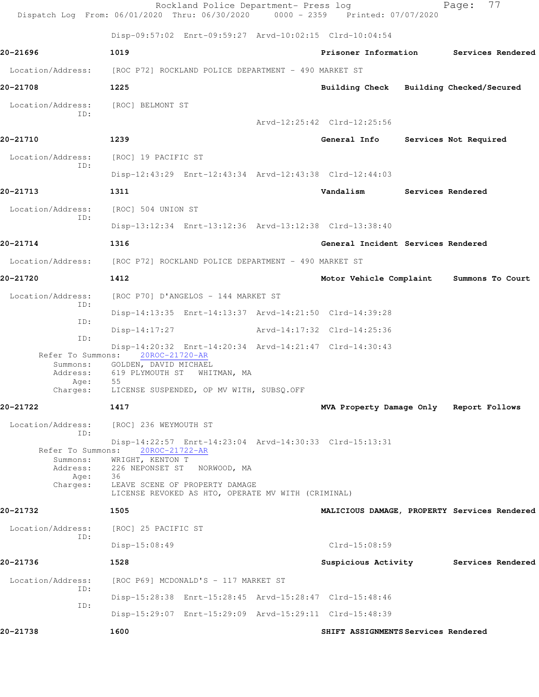|                                                                                           | Rockland Police Department- Press log<br>Dispatch Log From: 06/01/2020 Thru: 06/30/2020 0000 - 2359 Printed: 07/07/2020                                                                                                                                |                                         | 77<br>Page:                                  |
|-------------------------------------------------------------------------------------------|--------------------------------------------------------------------------------------------------------------------------------------------------------------------------------------------------------------------------------------------------------|-----------------------------------------|----------------------------------------------|
|                                                                                           | Disp-09:57:02 Enrt-09:59:27 Arvd-10:02:15 Clrd-10:04:54                                                                                                                                                                                                |                                         |                                              |
| 20-21696                                                                                  | 1019                                                                                                                                                                                                                                                   | Prisoner Information                    | Services Rendered                            |
| Location/Address:                                                                         | [ROC P72] ROCKLAND POLICE DEPARTMENT - 490 MARKET ST                                                                                                                                                                                                   |                                         |                                              |
| 20-21708                                                                                  | 1225                                                                                                                                                                                                                                                   | Building Check Building Checked/Secured |                                              |
| Location/Address:                                                                         | [ROC] BELMONT ST                                                                                                                                                                                                                                       |                                         |                                              |
| ID:                                                                                       |                                                                                                                                                                                                                                                        | Arvd-12:25:42 Clrd-12:25:56             |                                              |
| 20-21710                                                                                  | 1239                                                                                                                                                                                                                                                   | General Info                            | Services Not Required                        |
| Location/Address:<br>ID:                                                                  | [ROC] 19 PACIFIC ST                                                                                                                                                                                                                                    |                                         |                                              |
|                                                                                           | Disp-12:43:29 Enrt-12:43:34 Arvd-12:43:38 Clrd-12:44:03                                                                                                                                                                                                |                                         |                                              |
| 20-21713                                                                                  | 1311                                                                                                                                                                                                                                                   | Vandalism                               | Services Rendered                            |
| Location/Address:<br>ID:                                                                  | [ROC] 504 UNION ST                                                                                                                                                                                                                                     |                                         |                                              |
|                                                                                           | Disp-13:12:34 Enrt-13:12:36 Arvd-13:12:38 Clrd-13:38:40                                                                                                                                                                                                |                                         |                                              |
| 20-21714                                                                                  | 1316                                                                                                                                                                                                                                                   | General Incident Services Rendered      |                                              |
| Location/Address:                                                                         | [ROC P72] ROCKLAND POLICE DEPARTMENT - 490 MARKET ST                                                                                                                                                                                                   |                                         |                                              |
| 20-21720                                                                                  | 1412                                                                                                                                                                                                                                                   | Motor Vehicle Complaint                 | Summons To Court                             |
| Location/Address:<br>ID:                                                                  | [ROC P70] D'ANGELOS - 144 MARKET ST                                                                                                                                                                                                                    |                                         |                                              |
| ID:                                                                                       | Disp-14:13:35 Enrt-14:13:37 Arvd-14:21:50 Clrd-14:39:28                                                                                                                                                                                                |                                         |                                              |
| ID:                                                                                       | Disp-14:17:27                                                                                                                                                                                                                                          | Arvd-14:17:32 Clrd-14:25:36             |                                              |
| Refer To Summons:<br>Summons:<br>Address:<br>Age:<br>Charges:                             | Disp-14:20:32 Enrt-14:20:34 Arvd-14:21:47 Clrd-14:30:43<br>20ROC-21720-AR<br>GOLDEN, DAVID MICHAEL<br>619 PLYMOUTH ST WHITMAN, MA<br>55<br>LICENSE SUSPENDED, OP MV WITH, SUBSQ.OFF                                                                    |                                         |                                              |
| 20-21722                                                                                  | 1417                                                                                                                                                                                                                                                   | MVA Property Damage Only Report Follows |                                              |
| Location/Address:<br>ID:<br>Refer To Summons:<br>Summons:<br>Address:<br>Age:<br>Charges: | [ROC] 236 WEYMOUTH ST<br>Disp-14:22:57 Enrt-14:23:04 Arvd-14:30:33 Clrd-15:13:31<br>20ROC-21722-AR<br>WRIGHT, KENTON T<br>226 NEPONSET ST<br>NORWOOD, MA<br>36<br>LEAVE SCENE OF PROPERTY DAMAGE<br>LICENSE REVOKED AS HTO, OPERATE MV WITH (CRIMINAL) |                                         |                                              |
| 20-21732                                                                                  | 1505                                                                                                                                                                                                                                                   |                                         | MALICIOUS DAMAGE, PROPERTY Services Rendered |
| Location/Address:<br>ID:                                                                  | [ROC] 25 PACIFIC ST                                                                                                                                                                                                                                    |                                         |                                              |
|                                                                                           | Disp-15:08:49                                                                                                                                                                                                                                          | $Clrd-15:08:59$                         |                                              |
| 20-21736                                                                                  | 1528                                                                                                                                                                                                                                                   | Suspicious Activity                     | Services Rendered                            |
| Location/Address:<br>ID:                                                                  | [ROC P69] MCDONALD'S - 117 MARKET ST                                                                                                                                                                                                                   |                                         |                                              |
| ID:                                                                                       | Disp-15:28:38 Enrt-15:28:45 Arvd-15:28:47 Clrd-15:48:46                                                                                                                                                                                                |                                         |                                              |
|                                                                                           | Disp-15:29:07 Enrt-15:29:09 Arvd-15:29:11 Clrd-15:48:39                                                                                                                                                                                                |                                         |                                              |
| 20-21738                                                                                  | 1600                                                                                                                                                                                                                                                   | SHIFT ASSIGNMENTS Services Rendered     |                                              |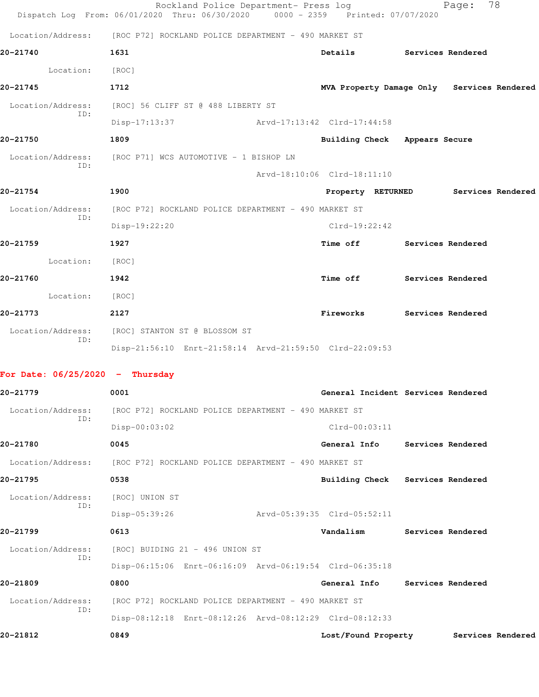|                                   | Rockland Police Department- Press log<br>Dispatch Log From: 06/01/2020 Thru: 06/30/2020 0000 - 2359 Printed: 07/07/2020 |                             |                                            |                   | 78<br>Page: |  |
|-----------------------------------|-------------------------------------------------------------------------------------------------------------------------|-----------------------------|--------------------------------------------|-------------------|-------------|--|
| Location/Address:                 | [ROC P72] ROCKLAND POLICE DEPARTMENT - 490 MARKET ST                                                                    |                             |                                            |                   |             |  |
| 20-21740                          | 1631                                                                                                                    |                             | Details                                    | Services Rendered |             |  |
| Location:                         | [ROC]                                                                                                                   |                             |                                            |                   |             |  |
| 20-21745                          | 1712                                                                                                                    |                             | MVA Property Damage Only Services Rendered |                   |             |  |
| Location/Address:                 | [ROC] 56 CLIFF ST @ 488 LIBERTY ST                                                                                      |                             |                                            |                   |             |  |
| ID:                               | Disp-17:13:37                                                                                                           | Arvd-17:13:42 Clrd-17:44:58 |                                            |                   |             |  |
| 20-21750                          | 1809                                                                                                                    |                             | Building Check Appears Secure              |                   |             |  |
| Location/Address:                 | [ROC P71] WCS AUTOMOTIVE - 1 BISHOP LN                                                                                  |                             |                                            |                   |             |  |
| ID:                               |                                                                                                                         | Arvd-18:10:06 Clrd-18:11:10 |                                            |                   |             |  |
| 20-21754                          | 1900                                                                                                                    |                             | Property RETURNED Services Rendered        |                   |             |  |
| Location/Address:<br>ID:          | [ROC P72] ROCKLAND POLICE DEPARTMENT - 490 MARKET ST                                                                    |                             |                                            |                   |             |  |
|                                   | Disp-19:22:20                                                                                                           |                             | Clrd-19:22:42                              |                   |             |  |
| 20-21759                          | 1927                                                                                                                    |                             | Time off                                   | Services Rendered |             |  |
| Location:                         | [ROC]                                                                                                                   |                             |                                            |                   |             |  |
| 20-21760                          | 1942                                                                                                                    |                             | <b>Time off</b>                            | Services Rendered |             |  |
| Location:                         | [ROC]                                                                                                                   |                             |                                            |                   |             |  |
| 20-21773                          | 2127                                                                                                                    |                             | Fireworks                                  | Services Rendered |             |  |
| Location/Address:<br>ID:          | [ROC] STANTON ST @ BLOSSOM ST                                                                                           |                             |                                            |                   |             |  |
|                                   | Disp-21:56:10 Enrt-21:58:14 Arvd-21:59:50 Clrd-22:09:53                                                                 |                             |                                            |                   |             |  |
| For Date: $06/25/2020$ - Thursday |                                                                                                                         |                             |                                            |                   |             |  |
| 20-21779                          | 0001                                                                                                                    |                             | General Incident Services Rendered         |                   |             |  |
| Location/Address:                 | [ROC P72] ROCKLAND POLICE DEPARTMENT - 490 MARKET ST                                                                    |                             |                                            |                   |             |  |
| ID:                               | $Disp-00:03:02$                                                                                                         |                             | $Clrd-00:03:11$                            |                   |             |  |
| 20-21780                          | 0045                                                                                                                    |                             | General Info                               | Services Rendered |             |  |
| Location/Address:                 | [ROC P72] ROCKLAND POLICE DEPARTMENT - 490 MARKET ST                                                                    |                             |                                            |                   |             |  |
| 20-21795                          | 0538                                                                                                                    |                             | Building Check Services Rendered           |                   |             |  |
| Location/Address:                 | [ROC] UNION ST                                                                                                          |                             |                                            |                   |             |  |
| ID:                               | $Disp-05:39:26$                                                                                                         | Arvd-05:39:35 Clrd-05:52:11 |                                            |                   |             |  |
| 20-21799                          | 0613                                                                                                                    |                             | Vandalism                                  | Services Rendered |             |  |
| Location/Address:                 | [ROC] BUIDING 21 - 496 UNION ST                                                                                         |                             |                                            |                   |             |  |
| ID:                               | Disp-06:15:06 Enrt-06:16:09 Arvd-06:19:54 Clrd-06:35:18                                                                 |                             |                                            |                   |             |  |
| 20-21809                          | 0800                                                                                                                    |                             | General Info                               | Services Rendered |             |  |
| Location/Address:                 | [ROC P72] ROCKLAND POLICE DEPARTMENT - 490 MARKET ST                                                                    |                             |                                            |                   |             |  |
| ID:                               | Disp-08:12:18 Enrt-08:12:26 Arvd-08:12:29 Clrd-08:12:33                                                                 |                             |                                            |                   |             |  |
| 20-21812                          | 0849                                                                                                                    |                             | Lost/Found Property Services Rendered      |                   |             |  |
|                                   |                                                                                                                         |                             |                                            |                   |             |  |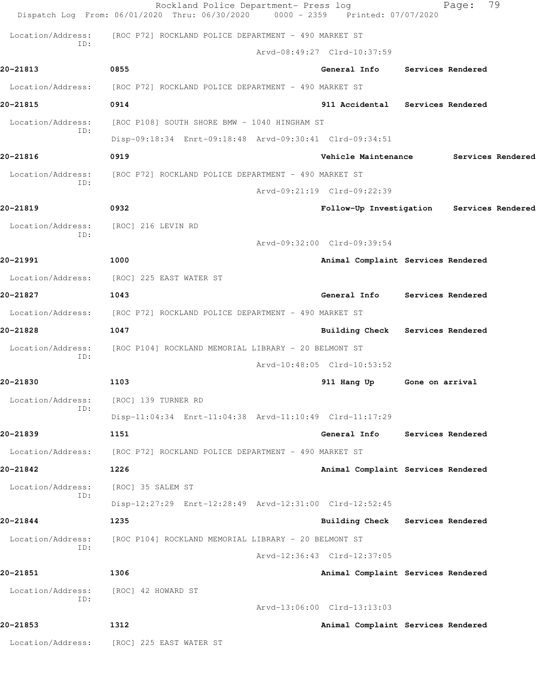|                          | Rockland Police Department- Press log<br>Dispatch Log From: 06/01/2020 Thru: 06/30/2020 0000 - 2359 Printed: 07/07/2020 |                             |             |                                           |                 | Page:             | 79                |
|--------------------------|-------------------------------------------------------------------------------------------------------------------------|-----------------------------|-------------|-------------------------------------------|-----------------|-------------------|-------------------|
| Location/Address:        | [ROC P72] ROCKLAND POLICE DEPARTMENT - 490 MARKET ST                                                                    |                             |             |                                           |                 |                   |                   |
| ID:                      |                                                                                                                         | Arvd-08:49:27 Clrd-10:37:59 |             |                                           |                 |                   |                   |
| 20-21813                 | 0855                                                                                                                    |                             |             | General Info Services Rendered            |                 |                   |                   |
| Location/Address:        | [ROC P72] ROCKLAND POLICE DEPARTMENT - 490 MARKET ST                                                                    |                             |             |                                           |                 |                   |                   |
| 20-21815                 | 0914                                                                                                                    |                             |             | 911 Accidental Services Rendered          |                 |                   |                   |
| Location/Address:<br>TD: | [ROC P108] SOUTH SHORE BMW - 1040 HINGHAM ST                                                                            |                             |             |                                           |                 |                   |                   |
|                          | Disp-09:18:34 Enrt-09:18:48 Arvd-09:30:41 Clrd-09:34:51                                                                 |                             |             |                                           |                 |                   |                   |
| 20-21816                 | 0919                                                                                                                    |                             |             | Vehicle Maintenance                       |                 |                   | Services Rendered |
| Location/Address:<br>ID: | [ROC P72] ROCKLAND POLICE DEPARTMENT - 490 MARKET ST                                                                    |                             |             |                                           |                 |                   |                   |
|                          |                                                                                                                         | Arvd-09:21:19 Clrd-09:22:39 |             |                                           |                 |                   |                   |
| 20-21819                 | 0932                                                                                                                    |                             |             | Follow-Up Investigation Services Rendered |                 |                   |                   |
| Location/Address:<br>ID: | [ROC] 216 LEVIN RD                                                                                                      |                             |             |                                           |                 |                   |                   |
|                          |                                                                                                                         | Arvd-09:32:00 Clrd-09:39:54 |             |                                           |                 |                   |                   |
| 20-21991                 | 1000                                                                                                                    |                             |             | Animal Complaint Services Rendered        |                 |                   |                   |
| Location/Address:        | [ROC] 225 EAST WATER ST                                                                                                 |                             |             |                                           |                 |                   |                   |
| 20-21827                 | 1043                                                                                                                    |                             |             | General Info Services Rendered            |                 |                   |                   |
| Location/Address:        | [ROC P72] ROCKLAND POLICE DEPARTMENT - 490 MARKET ST                                                                    |                             |             |                                           |                 |                   |                   |
| 20-21828                 | 1047                                                                                                                    |                             |             | Building Check                            |                 | Services Rendered |                   |
| Location/Address:<br>ID: | [ROC P104] ROCKLAND MEMORIAL LIBRARY - 20 BELMONT ST                                                                    |                             |             |                                           |                 |                   |                   |
|                          |                                                                                                                         | Arvd-10:48:05 Clrd-10:53:52 |             |                                           |                 |                   |                   |
| 20-21830                 | 1103                                                                                                                    |                             | 911 Hang Up |                                           | Gone on arrival |                   |                   |
| Location/Address:<br>ID: | [ROC] 139 TURNER RD                                                                                                     |                             |             |                                           |                 |                   |                   |
|                          | Disp-11:04:34 Enrt-11:04:38 Arvd-11:10:49 Clrd-11:17:29                                                                 |                             |             |                                           |                 |                   |                   |
| 20-21839                 | 1151                                                                                                                    |                             |             | General Info                              |                 | Services Rendered |                   |
| Location/Address:        | [ROC P72] ROCKLAND POLICE DEPARTMENT - 490 MARKET ST                                                                    |                             |             |                                           |                 |                   |                   |
| 20-21842                 | 1226                                                                                                                    |                             |             | Animal Complaint Services Rendered        |                 |                   |                   |
| Location/Address:<br>ID: | [ROC] 35 SALEM ST                                                                                                       |                             |             |                                           |                 |                   |                   |
|                          | Disp-12:27:29 Enrt-12:28:49 Arvd-12:31:00 Clrd-12:52:45                                                                 |                             |             |                                           |                 |                   |                   |
| 20-21844                 | 1235                                                                                                                    |                             |             | Building Check Services Rendered          |                 |                   |                   |
| Location/Address:<br>ID: | [ROC P104] ROCKLAND MEMORIAL LIBRARY - 20 BELMONT ST                                                                    |                             |             |                                           |                 |                   |                   |
|                          |                                                                                                                         | Arvd-12:36:43 Clrd-12:37:05 |             |                                           |                 |                   |                   |
| 20-21851                 | 1306                                                                                                                    |                             |             | Animal Complaint Services Rendered        |                 |                   |                   |
| Location/Address:<br>ID: | [ROC] 42 HOWARD ST                                                                                                      |                             |             |                                           |                 |                   |                   |
|                          |                                                                                                                         | Arvd-13:06:00 Clrd-13:13:03 |             |                                           |                 |                   |                   |
| 20-21853                 | 1312                                                                                                                    |                             |             | Animal Complaint Services Rendered        |                 |                   |                   |
|                          | Location/Address: [ROC] 225 EAST WATER ST                                                                               |                             |             |                                           |                 |                   |                   |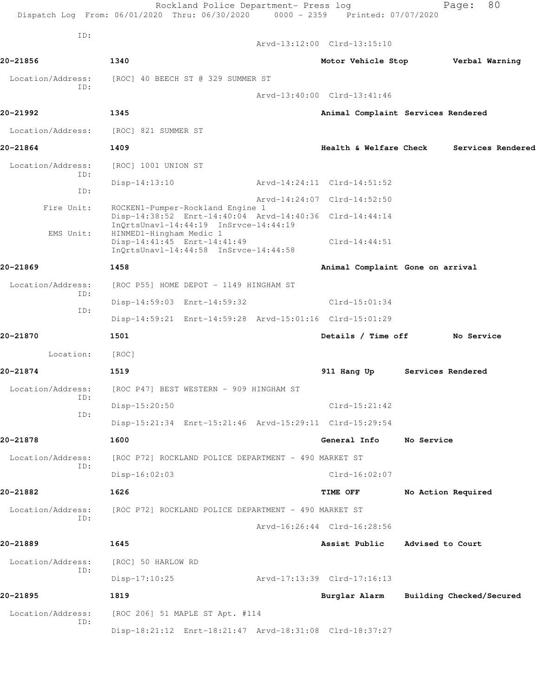|                          | Dispatch Log From: 06/01/2020 Thru: 06/30/2020 0000 - 2359 Printed: 07/07/2020                                                       |                                    |                  |                          |                   |
|--------------------------|--------------------------------------------------------------------------------------------------------------------------------------|------------------------------------|------------------|--------------------------|-------------------|
| ID:                      |                                                                                                                                      | Arvd-13:12:00 Clrd-13:15:10        |                  |                          |                   |
| 20-21856                 | 1340                                                                                                                                 | Motor Vehicle Stop Verbal Warning  |                  |                          |                   |
| Location/Address:        | [ROC] 40 BEECH ST @ 329 SUMMER ST                                                                                                    |                                    |                  |                          |                   |
| ID:                      |                                                                                                                                      | Arvd-13:40:00 Clrd-13:41:46        |                  |                          |                   |
| 20-21992                 | 1345                                                                                                                                 | Animal Complaint Services Rendered |                  |                          |                   |
| Location/Address:        | [ROC] 821 SUMMER ST                                                                                                                  |                                    |                  |                          |                   |
| 20-21864                 | 1409                                                                                                                                 | Health & Welfare Check             |                  |                          | Services Rendered |
| Location/Address:        | [ROC] 1001 UNION ST                                                                                                                  |                                    |                  |                          |                   |
| ID:<br>ID:               | $Disp-14:13:10$                                                                                                                      | Arvd-14:24:11 Clrd-14:51:52        |                  |                          |                   |
| Fire Unit:               |                                                                                                                                      | Arvd-14:24:07 Clrd-14:52:50        |                  |                          |                   |
|                          | ROCKEN1-Pumper-Rockland Engine 1<br>Disp-14:38:52 Enrt-14:40:04 Arvd-14:40:36 Clrd-14:44:14<br>InQrtsUnavl-14:44:19 InSrvce-14:44:19 |                                    |                  |                          |                   |
| EMS Unit:                | HINMED1-Hingham Medic 1<br>Disp-14:41:45 Enrt-14:41:49                                                                               | $Clrd-14:44:51$                    |                  |                          |                   |
|                          | InOrtsUnavl-14:44:58 InSrvce-14:44:58                                                                                                |                                    |                  |                          |                   |
| 20-21869                 | 1458                                                                                                                                 | Animal Complaint Gone on arrival   |                  |                          |                   |
| Location/Address:<br>ID: | [ROC P55] HOME DEPOT - 1149 HINGHAM ST                                                                                               |                                    |                  |                          |                   |
| ID:                      | Disp-14:59:03 Enrt-14:59:32                                                                                                          | $Clrd-15:01:34$                    |                  |                          |                   |
|                          | Disp-14:59:21 Enrt-14:59:28 Arvd-15:01:16 Clrd-15:01:29                                                                              |                                    |                  |                          |                   |
| 20-21870                 | 1501                                                                                                                                 | Details / Time off                 |                  | No Service               |                   |
| Location:                | [ROC]                                                                                                                                |                                    |                  |                          |                   |
| 20-21874                 | 1519                                                                                                                                 | 911 Hang Up                        |                  | Services Rendered        |                   |
| ID:                      | Location/Address: [ROC P47] BEST WESTERN - 909 HINGHAM ST                                                                            |                                    |                  |                          |                   |
| ID:                      | Disp-15:20:50                                                                                                                        | $Clrd-15:21:42$                    |                  |                          |                   |
|                          | Disp-15:21:34 Enrt-15:21:46 Arvd-15:29:11 Clrd-15:29:54                                                                              |                                    |                  |                          |                   |
| 20-21878                 | 1600                                                                                                                                 | General Info                       | No Service       |                          |                   |
| Location/Address:<br>ID: | [ROC P72] ROCKLAND POLICE DEPARTMENT - 490 MARKET ST                                                                                 |                                    |                  |                          |                   |
|                          | Disp-16:02:03                                                                                                                        | $Clrd-16:02:07$                    |                  |                          |                   |
| 20-21882                 | 1626                                                                                                                                 | TIME OFF                           |                  | No Action Required       |                   |
| Location/Address:<br>ID: | [ROC P72] ROCKLAND POLICE DEPARTMENT - 490 MARKET ST                                                                                 |                                    |                  |                          |                   |
|                          |                                                                                                                                      | Arvd-16:26:44 Clrd-16:28:56        |                  |                          |                   |
| 20-21889                 | 1645                                                                                                                                 | Assist Public                      | Advised to Court |                          |                   |
| Location/Address:<br>ID: | [ROC] 50 HARLOW RD                                                                                                                   |                                    |                  |                          |                   |
|                          | $Disp-17:10:25$                                                                                                                      | Arvd-17:13:39 Clrd-17:16:13        |                  |                          |                   |
| 20-21895                 | 1819                                                                                                                                 | Burglar Alarm                      |                  | Building Checked/Secured |                   |
| Location/Address:<br>ID: | [ROC 206] 51 MAPLE ST Apt. #114                                                                                                      |                                    |                  |                          |                   |
|                          | Disp-18:21:12 Enrt-18:21:47 Arvd-18:31:08 Clrd-18:37:27                                                                              |                                    |                  |                          |                   |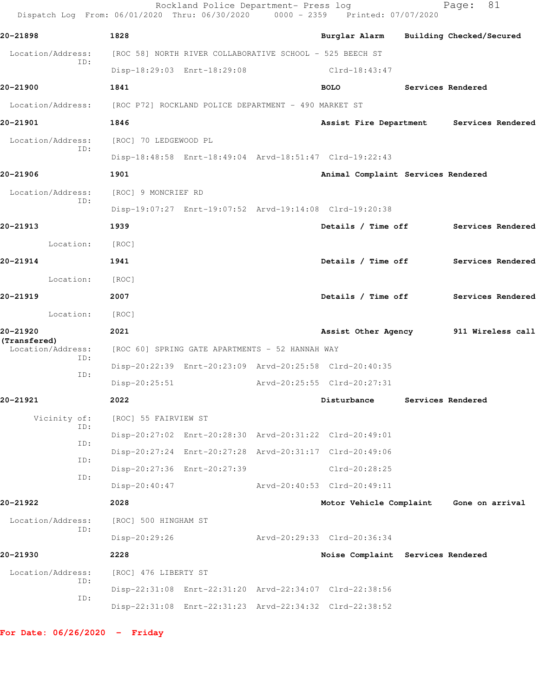| Dispatch Log From: 06/01/2020 Thru: 06/30/2020 0000 - 2359 Printed: 07/07/2020 |                                                      | Rockland Police Department- Press log                    |                                                         |                   | 81<br>Page:              |  |
|--------------------------------------------------------------------------------|------------------------------------------------------|----------------------------------------------------------|---------------------------------------------------------|-------------------|--------------------------|--|
| 20-21898                                                                       | 1828                                                 |                                                          | Burglar Alarm                                           |                   | Building Checked/Secured |  |
| Location/Address:                                                              |                                                      | [ROC 58] NORTH RIVER COLLABORATIVE SCHOOL - 525 BEECH ST |                                                         |                   |                          |  |
| ID:                                                                            |                                                      | Disp-18:29:03 Enrt-18:29:08                              | Clrd-18:43:47                                           |                   |                          |  |
| 20-21900                                                                       | 1841                                                 |                                                          | <b>BOLO</b>                                             |                   | Services Rendered        |  |
| Location/Address:                                                              | [ROC P72] ROCKLAND POLICE DEPARTMENT - 490 MARKET ST |                                                          |                                                         |                   |                          |  |
| 20-21901                                                                       | 1846                                                 |                                                          | Assist Fire Department                                  |                   | Services Rendered        |  |
| Location/Address:                                                              | [ROC] 70 LEDGEWOOD PL                                |                                                          |                                                         |                   |                          |  |
| ID:                                                                            |                                                      |                                                          | Disp-18:48:58 Enrt-18:49:04 Arvd-18:51:47 Clrd-19:22:43 |                   |                          |  |
| 20-21906                                                                       | 1901                                                 |                                                          | Animal Complaint Services Rendered                      |                   |                          |  |
| Location/Address:                                                              | [ROC] 9 MONCRIEF RD                                  |                                                          |                                                         |                   |                          |  |
| ID:                                                                            |                                                      |                                                          | Disp-19:07:27 Enrt-19:07:52 Arvd-19:14:08 Clrd-19:20:38 |                   |                          |  |
| 20-21913                                                                       | 1939                                                 |                                                          | Details / Time off                                      |                   | Services Rendered        |  |
| Location:                                                                      | [ROC]                                                |                                                          |                                                         |                   |                          |  |
| 20-21914                                                                       | 1941                                                 |                                                          | Details / Time off                                      |                   | Services Rendered        |  |
| Location:                                                                      | [ROC]                                                |                                                          |                                                         |                   |                          |  |
| 20-21919                                                                       | 2007                                                 |                                                          | Details / Time off                                      | Services Rendered |                          |  |
| Location:                                                                      | [ROC]                                                |                                                          |                                                         |                   |                          |  |
| 20-21920                                                                       | 2021                                                 |                                                          | Assist Other Agency                                     | 911 Wireless call |                          |  |
| (Transfered)<br>Location/Address:                                              |                                                      | [ROC 60] SPRING GATE APARTMENTS - 52 HANNAH WAY          |                                                         |                   |                          |  |
| ID:                                                                            |                                                      |                                                          | Disp-20:22:39 Enrt-20:23:09 Arvd-20:25:58 Clrd-20:40:35 |                   |                          |  |
| ID:                                                                            | $Disp-20:25:51$                                      |                                                          | Arvd-20:25:55 Clrd-20:27:31                             |                   |                          |  |
| 20-21921                                                                       | 2022                                                 |                                                          | Disturbance                                             |                   | Services Rendered        |  |
| Vicinity of:                                                                   | [ROC] 55 FAIRVIEW ST                                 |                                                          |                                                         |                   |                          |  |
| ID:                                                                            |                                                      |                                                          | Disp-20:27:02 Enrt-20:28:30 Arvd-20:31:22 Clrd-20:49:01 |                   |                          |  |
| ID:                                                                            |                                                      |                                                          | Disp-20:27:24 Enrt-20:27:28 Arvd-20:31:17 Clrd-20:49:06 |                   |                          |  |
| ID:                                                                            |                                                      | Disp-20:27:36 Enrt-20:27:39                              | Clrd-20:28:25                                           |                   |                          |  |
| ID:                                                                            | Disp-20:40:47                                        |                                                          | Arvd-20:40:53 Clrd-20:49:11                             |                   |                          |  |
| 20-21922                                                                       | 2028                                                 |                                                          | Motor Vehicle Complaint                                 |                   | Gone on arrival          |  |
| Location/Address:                                                              | [ROC] 500 HINGHAM ST                                 |                                                          |                                                         |                   |                          |  |
| ID:                                                                            | Disp-20:29:26                                        |                                                          | Arvd-20:29:33 Clrd-20:36:34                             |                   |                          |  |
| 20-21930                                                                       | 2228                                                 |                                                          | Noise Complaint Services Rendered                       |                   |                          |  |
| Location/Address:                                                              | [ROC] 476 LIBERTY ST                                 |                                                          |                                                         |                   |                          |  |
| ID:                                                                            |                                                      |                                                          | Disp-22:31:08 Enrt-22:31:20 Arvd-22:34:07 Clrd-22:38:56 |                   |                          |  |
| ID:                                                                            |                                                      |                                                          | Disp-22:31:08 Enrt-22:31:23 Arvd-22:34:32 Clrd-22:38:52 |                   |                          |  |
|                                                                                |                                                      |                                                          |                                                         |                   |                          |  |

**For Date: 06/26/2020 - Friday**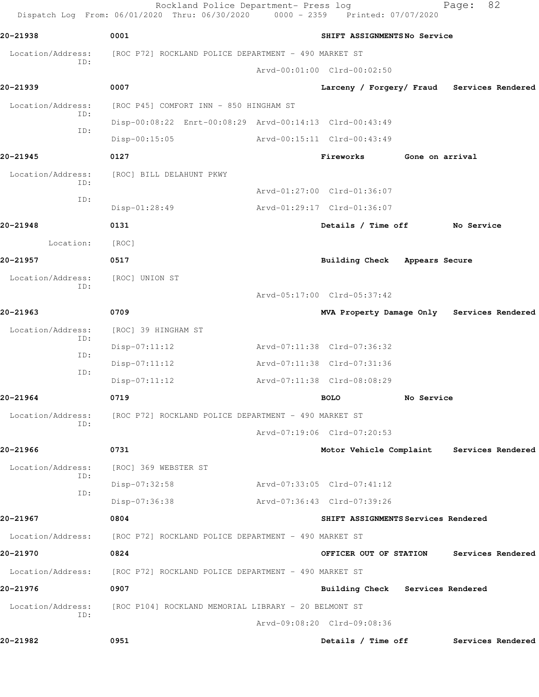|                          | Rockland Police Department- Press log<br>Dispatch Log From: 06/01/2020 Thru: 06/30/2020 | 0000 - 2359 Printed: 07/07/2020            |                 | 82<br>Page:       |  |
|--------------------------|-----------------------------------------------------------------------------------------|--------------------------------------------|-----------------|-------------------|--|
| 20-21938                 | 0001                                                                                    | SHIFT ASSIGNMENTSNo Service                |                 |                   |  |
| Location/Address:        | [ROC P72] ROCKLAND POLICE DEPARTMENT - 490 MARKET ST                                    |                                            |                 |                   |  |
| ID:                      |                                                                                         | Arvd-00:01:00 Clrd-00:02:50                |                 |                   |  |
| 20-21939                 | 0007                                                                                    | Larceny / Forgery/ Fraud Services Rendered |                 |                   |  |
| Location/Address:        | [ROC P45] COMFORT INN - 850 HINGHAM ST                                                  |                                            |                 |                   |  |
| ID:                      | Disp-00:08:22 Enrt-00:08:29 Arvd-00:14:13 Clrd-00:43:49                                 |                                            |                 |                   |  |
| ID:                      | $Disp-00:15:05$                                                                         | Arvd-00:15:11 Clrd-00:43:49                |                 |                   |  |
| 20-21945                 | 0127                                                                                    | Fireworks                                  | Gone on arrival |                   |  |
| Location/Address:<br>ID: | [ROC] BILL DELAHUNT PKWY                                                                |                                            |                 |                   |  |
| ID:                      |                                                                                         | Arvd-01:27:00 Clrd-01:36:07                |                 |                   |  |
|                          | Disp-01:28:49                                                                           | Arvd-01:29:17 Clrd-01:36:07                |                 |                   |  |
| 20-21948                 | 0131                                                                                    | Details / Time off                         |                 | No Service        |  |
| Location:                | [ROC]                                                                                   |                                            |                 |                   |  |
| 20-21957                 | 0517                                                                                    | Building Check                             | Appears Secure  |                   |  |
| Location/Address:<br>ID: | [ROC] UNION ST                                                                          |                                            |                 |                   |  |
|                          |                                                                                         | Arvd-05:17:00 Clrd-05:37:42                |                 |                   |  |
| 20-21963                 | 0709                                                                                    | MVA Property Damage Only Services Rendered |                 |                   |  |
| Location/Address:<br>ID: | [ROC] 39 HINGHAM ST                                                                     |                                            |                 |                   |  |
| ID:                      | $Disp-07:11:12$                                                                         | Arvd-07:11:38 Clrd-07:36:32                |                 |                   |  |
| ID:                      | $Disp-07:11:12$                                                                         | Arvd-07:11:38 Clrd-07:31:36                |                 |                   |  |
|                          | $Disp-07:11:12$                                                                         | Arvd-07:11:38 Clrd-08:08:29                |                 |                   |  |
| 20-21964                 | 0719                                                                                    | <b>BOLO</b>                                | No Service      |                   |  |
| Location/Address:<br>ID: | [ROC P72] ROCKLAND POLICE DEPARTMENT - 490 MARKET ST                                    |                                            |                 |                   |  |
|                          |                                                                                         | Arvd-07:19:06 Clrd-07:20:53                |                 |                   |  |
| 20-21966                 | 0731                                                                                    | Motor Vehicle Complaint Services Rendered  |                 |                   |  |
| Location/Address:<br>ID: | [ROC] 369 WEBSTER ST                                                                    |                                            |                 |                   |  |
| ID:                      | Disp-07:32:58                                                                           | Arvd-07:33:05 Clrd-07:41:12                |                 |                   |  |
|                          | Disp-07:36:38                                                                           | Arvd-07:36:43 Clrd-07:39:26                |                 |                   |  |
| 20-21967                 | 0804                                                                                    | SHIFT ASSIGNMENTS Services Rendered        |                 |                   |  |
| Location/Address:        | [ROC P72] ROCKLAND POLICE DEPARTMENT - 490 MARKET ST                                    |                                            |                 |                   |  |
| 20-21970                 | 0824                                                                                    | OFFICER OUT OF STATION                     |                 | Services Rendered |  |
| Location/Address:        | [ROC P72] ROCKLAND POLICE DEPARTMENT - 490 MARKET ST                                    |                                            |                 |                   |  |
| 20-21976                 | 0907                                                                                    | Building Check Services Rendered           |                 |                   |  |
| Location/Address:        | [ROC P104] ROCKLAND MEMORIAL LIBRARY - 20 BELMONT ST                                    |                                            |                 |                   |  |
| ID:                      |                                                                                         | Arvd-09:08:20 Clrd-09:08:36                |                 |                   |  |
| 20-21982                 | 0951                                                                                    | Details / Time off                         |                 | Services Rendered |  |
|                          |                                                                                         |                                            |                 |                   |  |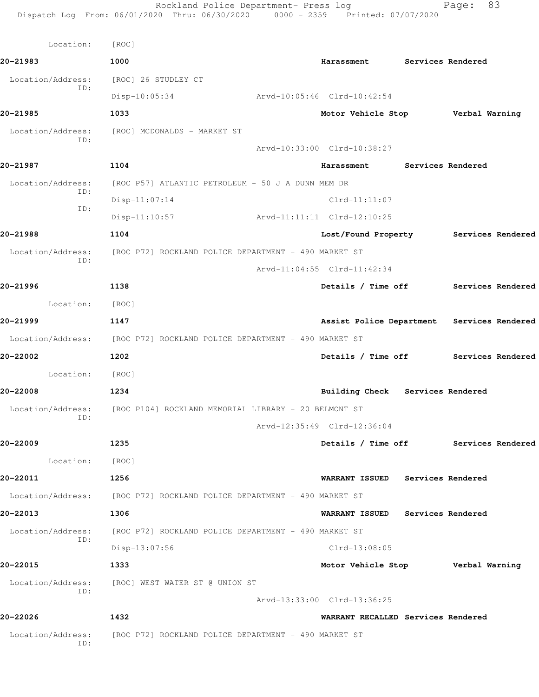| Location:                | [ROC]                                                                  |                                          |                          |                                            |  |
|--------------------------|------------------------------------------------------------------------|------------------------------------------|--------------------------|--------------------------------------------|--|
| 20-21983                 | 1000                                                                   | Harassment Services Rendered             |                          |                                            |  |
| Location/Address:        | [ROC] 26 STUDLEY CT                                                    |                                          |                          |                                            |  |
| ID:                      | $Disp-10:05:34$                                                        | Arvd-10:05:46 Clrd-10:42:54              |                          |                                            |  |
| 20-21985                 | 1033                                                                   | Motor Vehicle Stop Verbal Warning        |                          |                                            |  |
| Location/Address:<br>ID: | [ROC] MCDONALDS - MARKET ST                                            |                                          |                          |                                            |  |
|                          |                                                                        | Arvd-10:33:00 Clrd-10:38:27              |                          |                                            |  |
| 20-21987                 | 1104                                                                   | Harassment                               | <b>Services Rendered</b> |                                            |  |
| Location/Address:        | [ROC P57] ATLANTIC PETROLEUM - 50 J A DUNN MEM DR                      |                                          |                          |                                            |  |
| ID:<br>ID:               | $Disp-11:07:14$                                                        | $Clrd-11:11:07$                          |                          |                                            |  |
|                          | $Disp-11:10:57$                                                        | Arvd-11:11:11 Clrd-12:10:25              |                          |                                            |  |
| 20-21988                 | 1104                                                                   |                                          |                          | Lost/Found Property Services Rendered      |  |
|                          | Location/Address: [ROC P72] ROCKLAND POLICE DEPARTMENT - 490 MARKET ST |                                          |                          |                                            |  |
| ID:                      |                                                                        | Arvd-11:04:55 Clrd-11:42:34              |                          |                                            |  |
| 20-21996                 | 1138                                                                   |                                          |                          | Details / Time off Services Rendered       |  |
| Location:                | [ROC]                                                                  |                                          |                          |                                            |  |
| 20-21999                 | 1147                                                                   |                                          |                          | Assist Police Department Services Rendered |  |
|                          | Location/Address: [ROC P72] ROCKLAND POLICE DEPARTMENT - 490 MARKET ST |                                          |                          |                                            |  |
| 20-22002                 | 1202                                                                   |                                          |                          | Details / Time off Services Rendered       |  |
| Location: [ROC]          |                                                                        |                                          |                          |                                            |  |
| 20-22008                 | 1234                                                                   | Building Check Services Rendered         |                          |                                            |  |
| Location/Address:        | [ROC P104] ROCKLAND MEMORIAL LIBRARY - 20 BELMONT ST                   |                                          |                          |                                            |  |
| ID:                      |                                                                        | Arvd-12:35:49 Clrd-12:36:04              |                          |                                            |  |
| 20-22009                 | 1235                                                                   |                                          |                          | Details / Time off Services Rendered       |  |
| Location:                | [ROC]                                                                  |                                          |                          |                                            |  |
| 20-22011                 | 1256                                                                   | <b>WARRANT ISSUED</b>                    | Services Rendered        |                                            |  |
|                          | Location/Address: [ROC P72] ROCKLAND POLICE DEPARTMENT - 490 MARKET ST |                                          |                          |                                            |  |
| 20-22013                 | 1306                                                                   | WARRANT ISSUED Services Rendered         |                          |                                            |  |
| Location/Address:        | [ROC P72] ROCKLAND POLICE DEPARTMENT - 490 MARKET ST                   |                                          |                          |                                            |  |
| ID:                      | Disp-13:07:56                                                          | $Clrd-13:08:05$                          |                          |                                            |  |
| 20-22015                 | 1333                                                                   | Motor Vehicle Stop <b>Werbal Warning</b> |                          |                                            |  |
| Location/Address:        | [ROC] WEST WATER ST @ UNION ST                                         |                                          |                          |                                            |  |
| ID:                      |                                                                        | Arvd-13:33:00 Clrd-13:36:25              |                          |                                            |  |
| 20-22026                 | 1432                                                                   | WARRANT RECALLED Services Rendered       |                          |                                            |  |
| Location/Address:<br>ID: | [ROC P72] ROCKLAND POLICE DEPARTMENT - 490 MARKET ST                   |                                          |                          |                                            |  |
|                          |                                                                        |                                          |                          |                                            |  |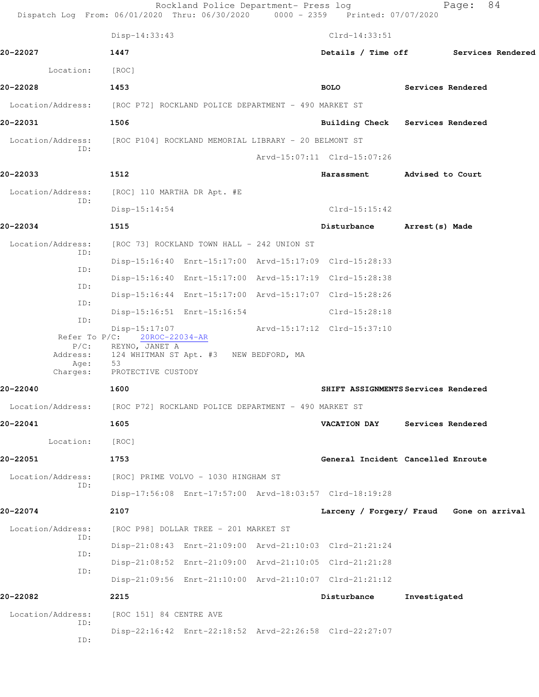|                          | Rockland Police Department- Press log<br>Dispatch Log From: 06/01/2020 Thru: 06/30/2020 0000 - 2359 Printed: 07/07/2020 |                             | 84<br>Page:                              |
|--------------------------|-------------------------------------------------------------------------------------------------------------------------|-----------------------------|------------------------------------------|
|                          | Disp-14:33:43                                                                                                           | $Clrd-14:33:51$             |                                          |
| 20-22027                 | 1447                                                                                                                    |                             | Details / Time off Services Rendered     |
| Location:                | [ROC]                                                                                                                   |                             |                                          |
| 20-22028                 | 1453                                                                                                                    | <b>BOLO</b>                 | Services Rendered                        |
|                          | Location/Address: [ROC P72] ROCKLAND POLICE DEPARTMENT - 490 MARKET ST                                                  |                             |                                          |
| 20-22031                 | 1506                                                                                                                    |                             | Building Check Services Rendered         |
| Location/Address:        | [ROC P104] ROCKLAND MEMORIAL LIBRARY - 20 BELMONT ST                                                                    |                             |                                          |
| ID:                      |                                                                                                                         | Arvd-15:07:11 Clrd-15:07:26 |                                          |
| 20-22033                 | 1512                                                                                                                    | Harassment                  | Advised to Court                         |
| Location/Address:        | [ROC] 110 MARTHA DR Apt. #E                                                                                             |                             |                                          |
| ID:                      | $Disp-15:14:54$                                                                                                         | $Clrd-15:15:42$             |                                          |
| 20-22034                 | 1515                                                                                                                    | Disturbance                 | Arrest (s) Made                          |
| Location/Address:        | [ROC 73] ROCKLAND TOWN HALL - 242 UNION ST                                                                              |                             |                                          |
| ID:                      | Disp-15:16:40 Enrt-15:17:00 Arvd-15:17:09 Clrd-15:28:33                                                                 |                             |                                          |
| ID:                      | Disp-15:16:40 Enrt-15:17:00 Arvd-15:17:19 Clrd-15:28:38                                                                 |                             |                                          |
| ID:                      | Disp-15:16:44 Enrt-15:17:00 Arvd-15:17:07 Clrd-15:28:26                                                                 |                             |                                          |
| ID:                      | Disp-15:16:51 Enrt-15:16:54                                                                                             | $Clrd-15:28:18$             |                                          |
| ID:<br>Refer To P/C:     | Disp-15:17:07<br>20ROC-22034-AR                                                                                         | Arvd-15:17:12 Clrd-15:37:10 |                                          |
| $P/C$ :                  | REYNO, JANET A                                                                                                          |                             |                                          |
| Address:<br>Age:         | 124 WHITMAN ST Apt. #3<br>NEW BEDFORD, MA<br>53<br>PROTECTIVE CUSTODY                                                   |                             |                                          |
| Charges:<br>20-22040     | 1600                                                                                                                    |                             | SHIFT ASSIGNMENTS Services Rendered      |
|                          | Location/Address: [ROC P72] ROCKLAND POLICE DEPARTMENT - 490 MARKET ST                                                  |                             |                                          |
| 20-22041                 |                                                                                                                         | VACATION DAY                |                                          |
|                          | 1605                                                                                                                    |                             | Services Rendered                        |
| Location:                | [ROC]                                                                                                                   |                             |                                          |
| 20-22051                 | 1753                                                                                                                    |                             | General Incident Cancelled Enroute       |
| Location/Address:<br>ID: | [ROC] PRIME VOLVO - 1030 HINGHAM ST                                                                                     |                             |                                          |
|                          | Disp-17:56:08 Enrt-17:57:00 Arvd-18:03:57 Clrd-18:19:28                                                                 |                             |                                          |
| 20-22074                 | 2107                                                                                                                    |                             | Larceny / Forgery/ Fraud Gone on arrival |
| Location/Address:<br>ID: | [ROC P98] DOLLAR TREE - 201 MARKET ST                                                                                   |                             |                                          |
| ID:                      | Disp-21:08:43 Enrt-21:09:00 Arvd-21:10:03 Clrd-21:21:24                                                                 |                             |                                          |
| ID:                      | Disp-21:08:52 Enrt-21:09:00 Arvd-21:10:05 Clrd-21:21:28                                                                 |                             |                                          |
|                          | Disp-21:09:56 Enrt-21:10:00 Arvd-21:10:07 Clrd-21:21:12                                                                 |                             |                                          |
| 20-22082                 | 2215                                                                                                                    | Disturbance                 | Investigated                             |
| Location/Address:<br>ID: | [ROC 151] 84 CENTRE AVE                                                                                                 |                             |                                          |
| ID:                      | Disp-22:16:42 Enrt-22:18:52 Arvd-22:26:58 Clrd-22:27:07                                                                 |                             |                                          |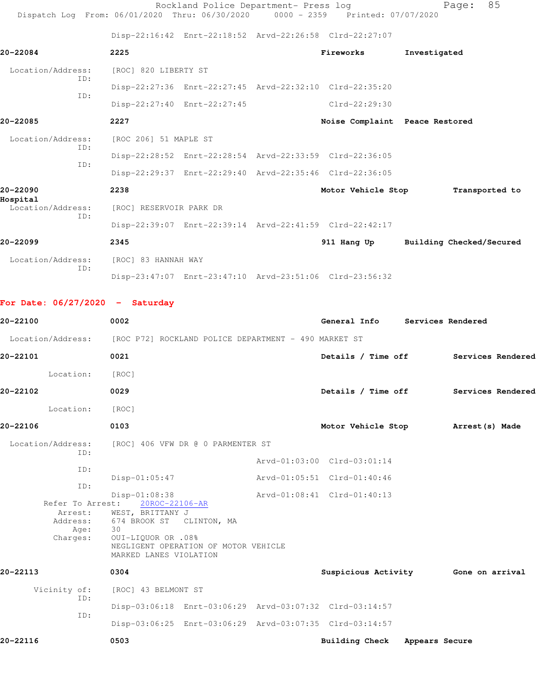|                               | Dispatch Log From: 06/01/2020 Thru: 06/30/2020 0000 - 2359 Printed: 07/07/2020 | Rockland Police Department- Press log                   |                                | 85<br>Page:              |
|-------------------------------|--------------------------------------------------------------------------------|---------------------------------------------------------|--------------------------------|--------------------------|
|                               |                                                                                | Disp-22:16:42 Enrt-22:18:52 Arvd-22:26:58 Clrd-22:27:07 |                                |                          |
| 20-22084                      | 2225                                                                           |                                                         | Fireworks                      | Investigated             |
| Location/Address:             | [ROC] 820 LIBERTY ST                                                           |                                                         |                                |                          |
| ID:                           |                                                                                | Disp-22:27:36 Enrt-22:27:45 Arvd-22:32:10 Clrd-22:35:20 |                                |                          |
| TD:                           |                                                                                | Disp-22:27:40 Enrt-22:27:45                             | Clrd-22:29:30                  |                          |
| 20-22085                      | 2227                                                                           |                                                         | Noise Complaint Peace Restored |                          |
| Location/Address:             | [ROC 206] 51 MAPLE ST                                                          |                                                         |                                |                          |
| ID:                           |                                                                                | Disp-22:28:52 Enrt-22:28:54 Arvd-22:33:59 Clrd-22:36:05 |                                |                          |
| TD:                           |                                                                                | Disp-22:29:37 Enrt-22:29:40 Arvd-22:35:46 Clrd-22:36:05 |                                |                          |
| 20-22090                      | 2238                                                                           |                                                         | Motor Vehicle Stop             | Transported to           |
| Hospital<br>Location/Address: | [ROC] RESERVOIR PARK DR                                                        |                                                         |                                |                          |
| TD:                           |                                                                                | Disp-22:39:07 Enrt-22:39:14 Arvd-22:41:59 Clrd-22:42:17 |                                |                          |
| 20-22099                      | 2345                                                                           |                                                         | 911 Hang Up                    | Building Checked/Secured |
| Location/Address:             | [ROC] 83 HANNAH WAY                                                            |                                                         |                                |                          |
| TD:                           |                                                                                | Disp-23:47:07 Enrt-23:47:10 Arvd-23:51:06 Clrd-23:56:32 |                                |                          |

**For Date: 06/27/2020 - Saturday**

| 20-22100                                                    | 0002                                                                                                                                                                          | General Info                                               | Services Rendered                    |  |
|-------------------------------------------------------------|-------------------------------------------------------------------------------------------------------------------------------------------------------------------------------|------------------------------------------------------------|--------------------------------------|--|
|                                                             | Location/Address: [ROC P72] ROCKLAND POLICE DEPARTMENT - 490 MARKET ST                                                                                                        |                                                            |                                      |  |
| 20-22101                                                    | 0021                                                                                                                                                                          |                                                            | Details / Time off Services Rendered |  |
| Location:                                                   | [ROC]                                                                                                                                                                         |                                                            |                                      |  |
| 20-22102                                                    | 0029                                                                                                                                                                          |                                                            | Details / Time off Services Rendered |  |
| Location:                                                   | [ROC]                                                                                                                                                                         |                                                            |                                      |  |
| 20-22106                                                    | 0103                                                                                                                                                                          |                                                            | Motor Vehicle Stop Arrest (s) Made   |  |
| ID:                                                         | Location/Address: [ROC] 406 VFW DR @ 0 PARMENTER ST                                                                                                                           |                                                            |                                      |  |
| TD:<br>ID:                                                  | $Disp-01:05:47$                                                                                                                                                               | Arvd-01:03:00 Clrd-03:01:14<br>Arvd-01:05:51 Clrd-01:40:46 |                                      |  |
| Refer To Arrest:<br>Arrest:<br>Address:<br>Age:<br>Charges: | Disp-01:08:38<br>20ROC-22106-AR<br>WEST, BRITTANY J<br>674 BROOK ST CLINTON, MA<br>30<br>0UI-LIQUOR OR .08%<br>NEGLIGENT OPERATION OF MOTOR VEHICLE<br>MARKED LANES VIOLATION | Arvd-01:08:41 Clrd-01:40:13                                |                                      |  |
| 20-22113                                                    | 0304                                                                                                                                                                          |                                                            | Suspicious Activity 6one on arrival  |  |
| Vicinity of:<br>ID:                                         | [ROC] 43 BELMONT ST                                                                                                                                                           |                                                            |                                      |  |
| ID:                                                         | Disp-03:06:18 Enrt-03:06:29 Arvd-03:07:32 Clrd-03:14:57                                                                                                                       |                                                            |                                      |  |
|                                                             | Disp-03:06:25 Enrt-03:06:29 Arvd-03:07:35 Clrd-03:14:57                                                                                                                       |                                                            |                                      |  |
| 20-22116                                                    | 0503                                                                                                                                                                          | Building Check Appears Secure                              |                                      |  |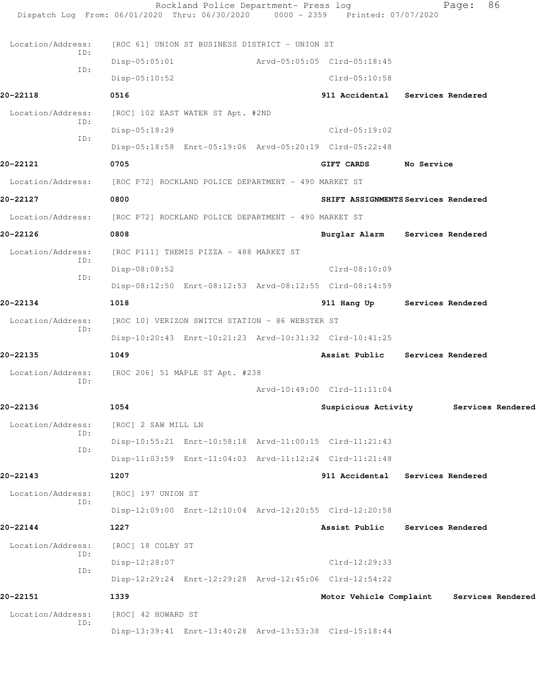| Location/Address:        | [ROC 61] UNION ST BUSINESS DISTRICT - UNION ST          |                                           |                          |  |
|--------------------------|---------------------------------------------------------|-------------------------------------------|--------------------------|--|
| ID:                      | $Disp-05:05:01$                                         | Arvd-05:05:05 Clrd-05:18:45               |                          |  |
| ID:                      | $Disp-05:10:52$                                         | $Clrd-05:10:58$                           |                          |  |
| 20-22118                 | 0516                                                    | 911 Accidental Services Rendered          |                          |  |
| Location/Address:        | [ROC] 102 EAST WATER ST Apt. #2ND                       |                                           |                          |  |
| ID:                      | Disp-05:18:29                                           | $Clrd-05:19:02$                           |                          |  |
| ID:                      | Disp-05:18:58 Enrt-05:19:06 Arvd-05:20:19 Clrd-05:22:48 |                                           |                          |  |
| 20-22121                 | 0705                                                    | <b>GIFT CARDS</b>                         | No Service               |  |
| Location/Address:        | [ROC P72] ROCKLAND POLICE DEPARTMENT - 490 MARKET ST    |                                           |                          |  |
| 20-22127                 | 0800                                                    | SHIFT ASSIGNMENTS Services Rendered       |                          |  |
| Location/Address:        | [ROC P72] ROCKLAND POLICE DEPARTMENT - 490 MARKET ST    |                                           |                          |  |
| 20-22126                 | 0808                                                    | Burglar Alarm Services Rendered           |                          |  |
| Location/Address:        | [ROC P111] THEMIS PIZZA - 488 MARKET ST                 |                                           |                          |  |
| ID:                      | Disp-08:08:52                                           | $Clrd-08:10:09$                           |                          |  |
| ID:                      | Disp-08:12:50 Enrt-08:12:53 Arvd-08:12:55 Clrd-08:14:59 |                                           |                          |  |
| 20-22134                 | 1018                                                    | 911 Hang Up Services Rendered             |                          |  |
| Location/Address:        | [ROC 10] VERIZON SWITCH STATION - 86 WEBSTER ST         |                                           |                          |  |
| ID:                      | Disp-10:20:43 Enrt-10:21:23 Arvd-10:31:32 Clrd-10:41:25 |                                           |                          |  |
| 20-22135                 | 1049                                                    | Assist Public                             | <b>Services Rendered</b> |  |
| Location/Address:        | [ROC 206] 51 MAPLE ST Apt. #238                         |                                           |                          |  |
| ID:                      |                                                         | Arvd-10:49:00 Clrd-11:11:04               |                          |  |
| 20-22136                 | 1054                                                    | Suspicious Activity Services Rendered     |                          |  |
| Location/Address:<br>ID: | [ROC] 2 SAW MILL LN                                     |                                           |                          |  |
| ID:                      | Disp-10:55:21 Enrt-10:58:18 Arvd-11:00:15 Clrd-11:21:43 |                                           |                          |  |
|                          | Disp-11:03:59 Enrt-11:04:03 Arvd-11:12:24 Clrd-11:21:48 |                                           |                          |  |
| 20-22143                 | 1207                                                    | 911 Accidental                            | Services Rendered        |  |
| Location/Address:<br>ID: | [ROC] 197 UNION ST                                      |                                           |                          |  |
|                          | Disp-12:09:00 Enrt-12:10:04 Arvd-12:20:55 Clrd-12:20:58 |                                           |                          |  |
| 20-22144                 | 1227                                                    | Assist Public                             | Services Rendered        |  |
| Location/Address:<br>ID: | [ROC] 18 COLBY ST                                       |                                           |                          |  |
| ID:                      | Disp-12:28:07                                           | $Clrd-12:29:33$                           |                          |  |
|                          | Disp-12:29:24 Enrt-12:29:28 Arvd-12:45:06 Clrd-12:54:22 |                                           |                          |  |
| 20-22151                 | 1339                                                    | Motor Vehicle Complaint Services Rendered |                          |  |
| Location/Address:<br>ID: | [ROC] 42 HOWARD ST                                      |                                           |                          |  |
|                          | Disp-13:39:41 Enrt-13:40:28 Arvd-13:53:38 Clrd-15:18:44 |                                           |                          |  |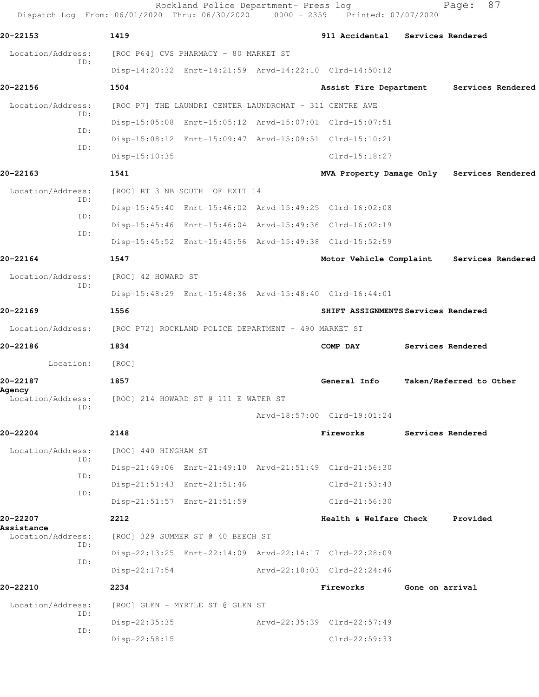Rockland Police Department- Press log Fage: 87 Dispatch Log From: 06/01/2020 Thru: 06/30/2020 0000 - 2359 Printed: 07/07/2020 **20-22153 1419 911 Accidental Services Rendered** Location/Address: [ROC P64] CVS PHARMACY - 80 MARKET ST ID: Disp-14:20:32 Enrt-14:21:59 Arvd-14:22:10 Clrd-14:50:12 **20-22156 1504 Assist Fire Department Services Rendered** Location/Address: [ROC P7] THE LAUNDRI CENTER LAUNDROMAT - 311 CENTRE AVE ID: Disp-15:05:08 Enrt-15:05:12 Arvd-15:07:01 Clrd-15:07:51 ID: Disp-15:08:12 Enrt-15:09:47 Arvd-15:09:51 Clrd-15:10:21 ID: Disp-15:10:35 Clrd-15:18:27 **20-22163 1541 MVA Property Damage Only Services Rendered** Location/Address: [ROC] RT 3 NB SOUTH OF EXIT 14 ID: Disp-15:45:40 Enrt-15:46:02 Arvd-15:49:25 Clrd-16:02:08 ID: Disp-15:45:46 Enrt-15:46:04 Arvd-15:49:36 Clrd-16:02:19 ID: Disp-15:45:52 Enrt-15:45:56 Arvd-15:49:38 Clrd-15:52:59 **20-22164 1547 Motor Vehicle Complaint Services Rendered** Location/Address: [ROC] 42 HOWARD ST ID: Disp-15:48:29 Enrt-15:48:36 Arvd-15:48:40 Clrd-16:44:01 **20-22169 1556 SHIFT ASSIGNMENTS Services Rendered** Location/Address: [ROC P72] ROCKLAND POLICE DEPARTMENT - 490 MARKET ST **20-22186 1834 COMP DAY Services Rendered** Location: [ROC] **20-22187 1857 General Info Taken/Referred to Other Agency**  Location/Address: [ROC] 214 HOWARD ST @ 111 E WATER ST ID: Arvd-18:57:00 Clrd-19:01:24 **20-22204 2148 Fireworks Services Rendered** Location/Address: [ROC] 440 HINGHAM ST ID: Disp-21:49:06 Enrt-21:49:10 Arvd-21:51:49 Clrd-21:56:30 ID: Disp-21:51:43 Enrt-21:51:46 Clrd-21:53:43 ID: Disp-21:51:57 Enrt-21:51:59 Clrd-21:56:30 **20-22207 2212 Health & Welfare Check Provided Assistance**  [ROC] 329 SUMMER ST @ 40 BEECH ST ID: Disp-22:13:25 Enrt-22:14:09 Arvd-22:14:17 Clrd-22:28:09 ID: Disp-22:17:54 Arvd-22:18:03 Clrd-22:24:46 **20-22210 2234 Fireworks Gone on arrival** Location/Address: [ROC] GLEN - MYRTLE ST @ GLEN ST ID: Disp-22:35:35 Arvd-22:35:39 Clrd-22:57:49 ID: Disp-22:58:15 Clrd-22:59:33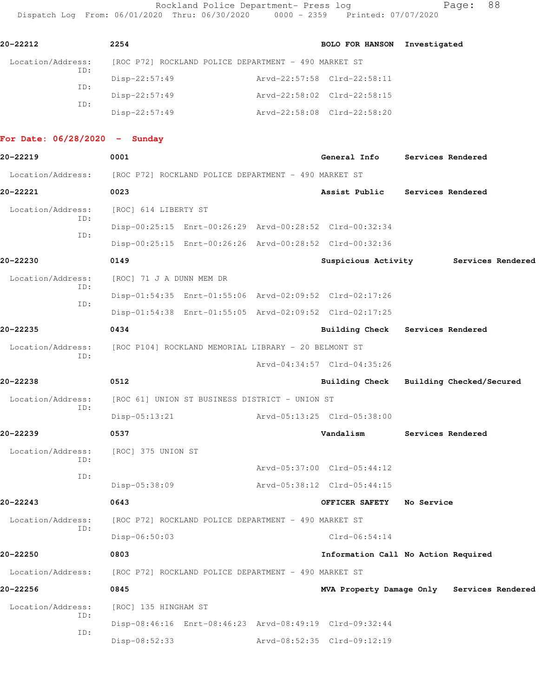Rockland Police Department- Press log Fage: 88 Dispatch Log From: 06/01/2020 Thru: 06/30/2020 0000 - 2359 Printed: 07/07/2020

| 20-22212                        | 2254                               |                                                                                                                    | BOLO FOR HANSON Investigated                               |                                  |
|---------------------------------|------------------------------------|--------------------------------------------------------------------------------------------------------------------|------------------------------------------------------------|----------------------------------|
| Location/Address:               |                                    | [ROC P72] ROCKLAND POLICE DEPARTMENT - 490 MARKET ST                                                               |                                                            |                                  |
| ID:<br>ID:                      | $Disp-22:57:49$<br>$Disp-22:57:49$ |                                                                                                                    | Arvd-22:57:58 Clrd-22:58:11<br>Arvd-22:58:02 Clrd-22:58:15 |                                  |
| ID:                             | $Disp-22:57:49$                    |                                                                                                                    | Arvd-22:58:08 Clrd-22:58:20                                |                                  |
| For Date: $06/28/2020 -$ Sunday |                                    |                                                                                                                    |                                                            |                                  |
| 20-22219                        | 0001                               |                                                                                                                    |                                                            | General Info Services Rendered   |
|                                 |                                    | Location/Address: [ROC P72] ROCKLAND POLICE DEPARTMENT - 490 MARKET ST                                             |                                                            |                                  |
| 20-22221                        | 0023                               |                                                                                                                    | Assist Public                                              | Services Rendered                |
| Location/Address:<br>ID:<br>ID: | [ROC] 614 LIBERTY ST               | Disp-00:25:15 Enrt-00:26:29 Arvd-00:28:52 Clrd-00:32:34                                                            |                                                            |                                  |
| 20-22230                        | 0149                               | Disp-00:25:15 Enrt-00:26:26 Arvd-00:28:52 Clrd-00:32:36                                                            | Suspicious Activity                                        | Services Rendered                |
| Location/Address:<br>ID:        | [ROC] 71 J A DUNN MEM DR           |                                                                                                                    |                                                            |                                  |
| TD:                             |                                    | Disp-01:54:35 Enrt-01:55:06 Arvd-02:09:52 Clrd-02:17:26<br>Disp-01:54:38 Enrt-01:55:05 Arvd-02:09:52 Clrd-02:17:25 |                                                            |                                  |
| 20-22235                        | 0434                               |                                                                                                                    |                                                            | Building Check Services Rendered |
| TD:                             |                                    | Location/Address: [ROC P104] ROCKLAND MEMORIAL LIBRARY - 20 BELMONT ST                                             |                                                            |                                  |

Arvd-04:34:57 Clrd-04:35:26

Arvd-05:37:00 Clrd-05:44:12

## **20-22238 0512 Building Check Building Checked/Secured** Location/Address: [ROC 61] UNION ST BUSINESS DISTRICT - UNION ST

 ID: Disp-05:13:21 Arvd-05:13:25 Clrd-05:38:00

## **20-22239 0537 Vandalism Services Rendered**

Location/Address: [ROC] 375 UNION ST ID: ID:

### **20-22243 0643 OFFICER SAFETY No Service**

 Location/Address: [ROC P72] ROCKLAND POLICE DEPARTMENT - 490 MARKET ST ID:

#### **20-22250 0803 Information Call No Action Required**

Location/Address: [ROC P72] ROCKLAND POLICE DEPARTMENT - 490 MARKET ST

#### **20-22256 0845 MVA Property Damage Only Services Rendered**

Location/Address: [ROC] 135 HINGHAM ST ID: ID:

# Disp-08:46:16 Enrt-08:46:23 Arvd-08:49:19 Clrd-09:32:44 Disp-08:52:33 Arvd-08:52:35 Clrd-09:12:19

Disp-05:38:09 Arvd-05:38:12 Clrd-05:44:15

Disp-06:50:03 Clrd-06:54:14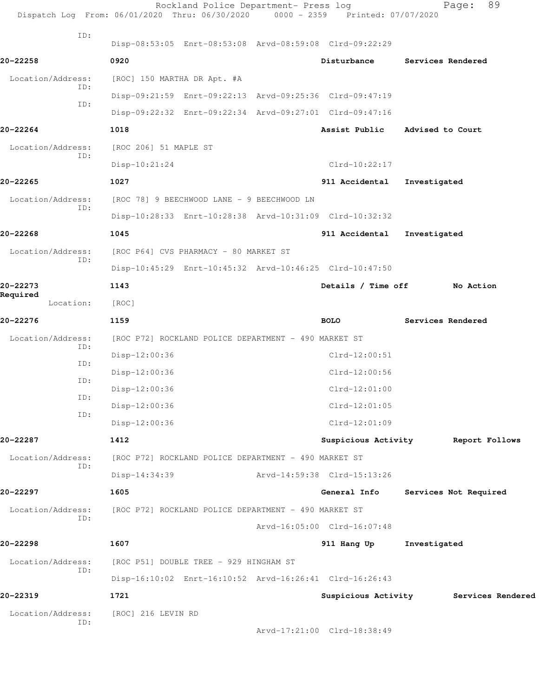|                          | Rockland Police Department- Press log<br>Dispatch Log From: 06/01/2020 Thru: 06/30/2020 0000 - 2359 Printed: 07/07/2020 |                             | Page:                                 | 89             |
|--------------------------|-------------------------------------------------------------------------------------------------------------------------|-----------------------------|---------------------------------------|----------------|
| ID:                      | Disp-08:53:05 Enrt-08:53:08 Arvd-08:59:08 Clrd-09:22:29                                                                 |                             |                                       |                |
| 20-22258                 | 0920                                                                                                                    | Disturbance                 | Services Rendered                     |                |
| Location/Address:        | [ROC] 150 MARTHA DR Apt. #A                                                                                             |                             |                                       |                |
| ID:                      | Disp-09:21:59 Enrt-09:22:13 Arvd-09:25:36 Clrd-09:47:19                                                                 |                             |                                       |                |
| ID:                      | Disp-09:22:32 Enrt-09:22:34 Arvd-09:27:01 Clrd-09:47:16                                                                 |                             |                                       |                |
| 20-22264                 | 1018                                                                                                                    | Assist Public               | Advised to Court                      |                |
| Location/Address:<br>ID: | [ROC 206] 51 MAPLE ST                                                                                                   |                             |                                       |                |
|                          | $Disp-10:21:24$                                                                                                         | $Clrd-10:22:17$             |                                       |                |
| 20-22265                 | 1027                                                                                                                    | 911 Accidental              | Investigated                          |                |
| Location/Address:<br>ID: | [ROC 78] 9 BEECHWOOD LANE - 9 BEECHWOOD LN                                                                              |                             |                                       |                |
|                          | Disp-10:28:33 Enrt-10:28:38 Arvd-10:31:09 Clrd-10:32:32                                                                 |                             |                                       |                |
| 20-22268                 | 1045                                                                                                                    | 911 Accidental              | Investigated                          |                |
| Location/Address:<br>ID: | [ROC P64] CVS PHARMACY - 80 MARKET ST                                                                                   |                             |                                       |                |
|                          | Disp-10:45:29 Enrt-10:45:32 Arvd-10:46:25 Clrd-10:47:50                                                                 |                             |                                       |                |
| 20-22273<br>Required     | 1143                                                                                                                    | Details / Time off          | No Action                             |                |
| Location:                | [ROC]                                                                                                                   |                             |                                       |                |
| 20-22276                 | 1159                                                                                                                    | <b>BOLO</b>                 | Services Rendered                     |                |
| Location/Address:<br>ID: | [ROC P72] ROCKLAND POLICE DEPARTMENT - 490 MARKET ST                                                                    |                             |                                       |                |
| ID:                      | Disp-12:00:36                                                                                                           | $Clrd-12:00:51$             |                                       |                |
| ID:                      | $Disp-12:00:36$                                                                                                         | Clrd-12:00:56               |                                       |                |
| ID:                      | $Disp-12:00:36$                                                                                                         | $Clrd-12:01:00$             |                                       |                |
| ID:                      | Disp-12:00:36                                                                                                           | $Clrd-12:01:05$             |                                       |                |
|                          | Disp-12:00:36                                                                                                           | $Clrd-12:01:09$             |                                       |                |
| 20-22287                 | 1412                                                                                                                    | Suspicious Activity         |                                       | Report Follows |
| Location/Address:<br>ID: | [ROC P72] ROCKLAND POLICE DEPARTMENT - 490 MARKET ST                                                                    |                             |                                       |                |
|                          | Disp-14:34:39                                                                                                           | Arvd-14:59:38 Clrd-15:13:26 |                                       |                |
| 20-22297                 | 1605                                                                                                                    | General Info                | Services Not Required                 |                |
| Location/Address:<br>ID: | [ROC P72] ROCKLAND POLICE DEPARTMENT - 490 MARKET ST                                                                    |                             |                                       |                |
|                          |                                                                                                                         | Arvd-16:05:00 Clrd-16:07:48 |                                       |                |
| 20-22298                 | 1607                                                                                                                    | 911 Hang Up                 | Investigated                          |                |
| Location/Address:<br>ID: | [ROC P51] DOUBLE TREE - 929 HINGHAM ST                                                                                  |                             |                                       |                |
|                          | Disp-16:10:02 Enrt-16:10:52 Arvd-16:26:41 Clrd-16:26:43                                                                 |                             |                                       |                |
| 20-22319                 | 1721                                                                                                                    |                             | Suspicious Activity Services Rendered |                |
| Location/Address:<br>ID: | [ROC] 216 LEVIN RD                                                                                                      |                             |                                       |                |
|                          |                                                                                                                         | Arvd-17:21:00 Clrd-18:38:49 |                                       |                |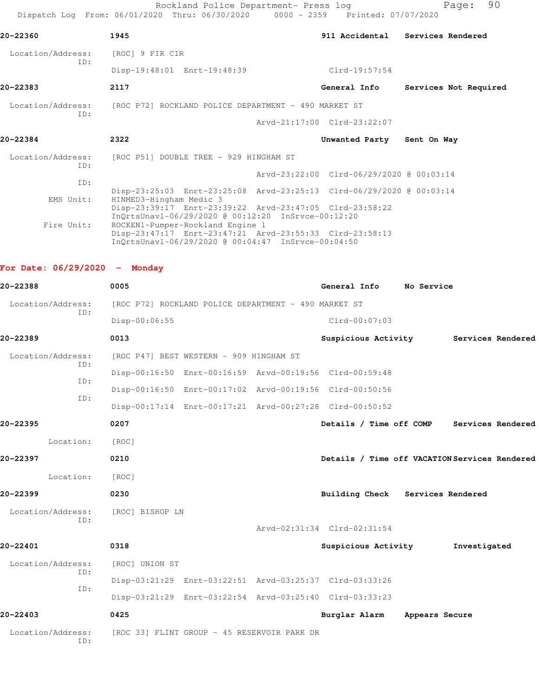Rockland Police Department- Press log entitled Page: 90 Dispatch Log From: 06/01/2020 Thru: 06/30/2020 0000 - 2359 Printed: 07/07/2020

| 20-22360                 | 1945                                                                                                                                              |                                          | 911 Accidental Services Rendered |
|--------------------------|---------------------------------------------------------------------------------------------------------------------------------------------------|------------------------------------------|----------------------------------|
| Location/Address:<br>TD: | [ROC] 9 FIR CIR                                                                                                                                   |                                          |                                  |
|                          | Disp-19:48:01 Enrt-19:48:39                                                                                                                       | Clrd-19:57:54                            |                                  |
| 20-22383                 | 2117                                                                                                                                              | General Info                             | Services Not Required            |
|                          | Location/Address: [ROC P72] ROCKLAND POLICE DEPARTMENT - 490 MARKET ST                                                                            |                                          |                                  |
| ID:                      |                                                                                                                                                   | Arvd-21:17:00 Clrd-23:22:07              |                                  |
| 20-22384                 | 2322                                                                                                                                              | Unwanted Party Sent On Way               |                                  |
| TD:                      | Location/Address: [ROC P51] DOUBLE TREE - 929 HINGHAM ST                                                                                          |                                          |                                  |
|                          |                                                                                                                                                   | Arvd-23:22:00 Clrd-06/29/2020 @ 00:03:14 |                                  |
| ID:                      |                                                                                                                                                   |                                          |                                  |
| EMS Unit:                | Disp-23:25:03 Enrt-23:25:08 Arvd-23:25:13 Clrd-06/29/2020 @ 00:03:14<br>HINMED3-Hingham Medic 3                                                   |                                          |                                  |
|                          | Disp-23:39:17 Enrt-23:39:22 Arvd-23:47:05 Clrd-23:58:22<br>InQrtsUnav1-06/29/2020 @ 00:12:20 InSrvce-00:12:20                                     |                                          |                                  |
| Fire Unit:               | ROCKEN1-Pumper-Rockland Engine 1<br>Disp-23:47:17 Enrt-23:47:21 Arvd-23:55:33 Clrd-23:58:13<br>InOrtsUnav1-06/29/2020 @ 00:04:47 InSrvce-00:04:50 |                                          |                                  |

**For Date: 06/29/2020 - Monday**

| 20-22388                 | 0005                                                    | General Info                | No Service                                    |
|--------------------------|---------------------------------------------------------|-----------------------------|-----------------------------------------------|
| Location/Address:        | [ROC P72] ROCKLAND POLICE DEPARTMENT - 490 MARKET ST    |                             |                                               |
| ID:                      | Disp-00:06:55                                           | $Clrd-00:07:03$             |                                               |
| 20-22389                 | 0013                                                    |                             | Suspicious Activity Services Rendered         |
| Location/Address:        | [ROC P47] BEST WESTERN - 909 HINGHAM ST                 |                             |                                               |
| ID:                      | Disp-00:16:50 Enrt-00:16:59 Arvd-00:19:56 Clrd-00:59:48 |                             |                                               |
| ID:                      | Disp-00:16:50 Enrt-00:17:02 Arvd-00:19:56 Clrd-00:50:56 |                             |                                               |
| TD:                      | Disp-00:17:14 Enrt-00:17:21 Arvd-00:27:28 Clrd-00:50:52 |                             |                                               |
| 20-22395                 | 0207                                                    |                             | Details / Time off COMP Services Rendered     |
| Location:                | [ROC]                                                   |                             |                                               |
| 20-22397                 | 0210                                                    |                             | Details / Time off VACATION Services Rendered |
| Location:                | [ROC]                                                   |                             |                                               |
| 20-22399                 | 0230                                                    |                             | Building Check Services Rendered              |
| Location/Address:        | [ROC] BISHOP LN                                         |                             |                                               |
| TD:                      |                                                         | Arvd-02:31:34 Clrd-02:31:54 |                                               |
| 20-22401                 | 0318                                                    | Suspicious Activity         | Investigated                                  |
| Location/Address:        | [ROC] UNION ST                                          |                             |                                               |
| ID:                      | Disp-03:21:29 Enrt-03:22:51 Arvd-03:25:37 Clrd-03:33:26 |                             |                                               |
| ID:                      | Disp-03:21:29 Enrt-03:22:54 Arvd-03:25:40 Clrd-03:33:23 |                             |                                               |
| 20-22403                 | 0425                                                    | Burglar Alarm               | Appears Secure                                |
| Location/Address:<br>ID: | [ROC 33] FLINT GROUP - 45 RESERVOIR PARK DR             |                             |                                               |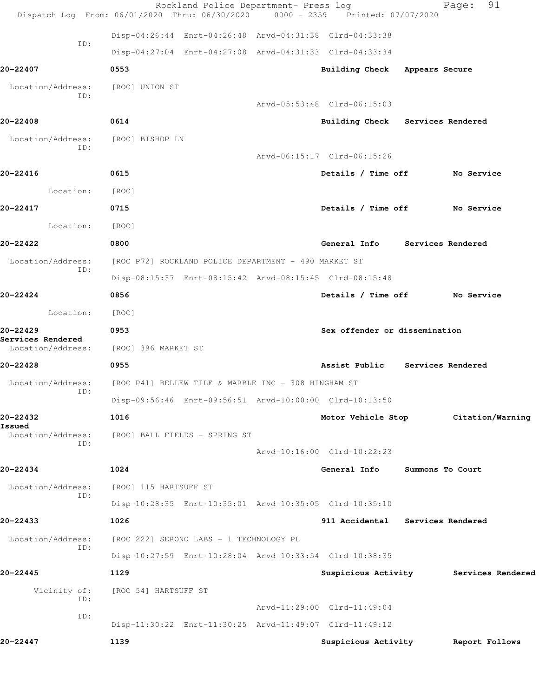|                                                    | Rockland Police Department- Press log<br>Dispatch Log From: 06/01/2020 Thru: 06/30/2020 0000 - 2359 Printed: 07/07/2020 |                                  |                  | 91<br>Page:                           |
|----------------------------------------------------|-------------------------------------------------------------------------------------------------------------------------|----------------------------------|------------------|---------------------------------------|
|                                                    | Disp-04:26:44 Enrt-04:26:48 Arvd-04:31:38 Clrd-04:33:38                                                                 |                                  |                  |                                       |
| ID:                                                | Disp-04:27:04 Enrt-04:27:08 Arvd-04:31:33 Clrd-04:33:34                                                                 |                                  |                  |                                       |
| 20-22407                                           | 0553                                                                                                                    | Building Check Appears Secure    |                  |                                       |
| Location/Address:                                  | [ROC] UNION ST                                                                                                          |                                  |                  |                                       |
| ID:                                                |                                                                                                                         | Arvd-05:53:48 Clrd-06:15:03      |                  |                                       |
| 20-22408                                           | 0614                                                                                                                    | Building Check Services Rendered |                  |                                       |
| Location/Address:<br>ID:                           | [ROC] BISHOP LN                                                                                                         |                                  |                  |                                       |
|                                                    |                                                                                                                         | Arvd-06:15:17 Clrd-06:15:26      |                  |                                       |
| 20-22416                                           | 0615                                                                                                                    | Details / Time off No Service    |                  |                                       |
| Location:                                          | [ROC]                                                                                                                   |                                  |                  |                                       |
| 20-22417                                           | 0715                                                                                                                    | Details / Time off No Service    |                  |                                       |
| Location:                                          | [ROC]                                                                                                                   |                                  |                  |                                       |
| 20-22422                                           | 0800                                                                                                                    | General Info Services Rendered   |                  |                                       |
| Location/Address:<br>ID:                           | [ROC P72] ROCKLAND POLICE DEPARTMENT - 490 MARKET ST                                                                    |                                  |                  |                                       |
|                                                    | Disp-08:15:37 Enrt-08:15:42 Arvd-08:15:45 Clrd-08:15:48                                                                 |                                  |                  |                                       |
| 20-22424                                           | 0856                                                                                                                    | Details / Time off No Service    |                  |                                       |
| Location:                                          | [ROC]                                                                                                                   |                                  |                  |                                       |
| 20-22429<br>Services Rendered<br>Location/Address: | 0953<br>[ROC] 396 MARKET ST                                                                                             | Sex offender or dissemination    |                  |                                       |
| 20-22428                                           | 0955                                                                                                                    | Assist Public Services Rendered  |                  |                                       |
| Location/Address:                                  | [ROC P41] BELLEW TILE & MARBLE INC - 308 HINGHAM ST                                                                     |                                  |                  |                                       |
| ID:                                                | Disp-09:56:46 Enrt-09:56:51 Arvd-10:00:00 Clrd-10:13:50                                                                 |                                  |                  |                                       |
| 20-22432                                           | 1016                                                                                                                    |                                  |                  | Motor Vehicle Stop Citation/Warning   |
| Issued<br>Location/Address:<br>ID:                 | [ROC] BALL FIELDS - SPRING ST                                                                                           |                                  |                  |                                       |
|                                                    |                                                                                                                         | Arvd-10:16:00 Clrd-10:22:23      |                  |                                       |
| 20-22434                                           | 1024                                                                                                                    | General Info                     | Summons To Court |                                       |
| Location/Address:<br>ID:                           | [ROC] 115 HARTSUFF ST                                                                                                   |                                  |                  |                                       |
|                                                    | Disp-10:28:35 Enrt-10:35:01 Arvd-10:35:05 Clrd-10:35:10                                                                 |                                  |                  |                                       |
| 20-22433                                           | 1026                                                                                                                    | 911 Accidental Services Rendered |                  |                                       |
| Location/Address:<br>ID:                           | [ROC 222] SERONO LABS - 1 TECHNOLOGY PL                                                                                 |                                  |                  |                                       |
|                                                    | Disp-10:27:59 Enrt-10:28:04 Arvd-10:33:54 Clrd-10:38:35                                                                 |                                  |                  |                                       |
| 20-22445                                           | 1129                                                                                                                    |                                  |                  | Suspicious Activity Services Rendered |
| Vicinity of:<br>ID:                                | [ROC 54] HARTSUFF ST                                                                                                    |                                  |                  |                                       |
| ID:                                                |                                                                                                                         | Arvd-11:29:00 Clrd-11:49:04      |                  |                                       |
|                                                    | Disp-11:30:22 Enrt-11:30:25 Arvd-11:49:07 Clrd-11:49:12                                                                 |                                  |                  |                                       |
| 20-22447                                           | 1139                                                                                                                    | Suspicious Activity              |                  | Report Follows                        |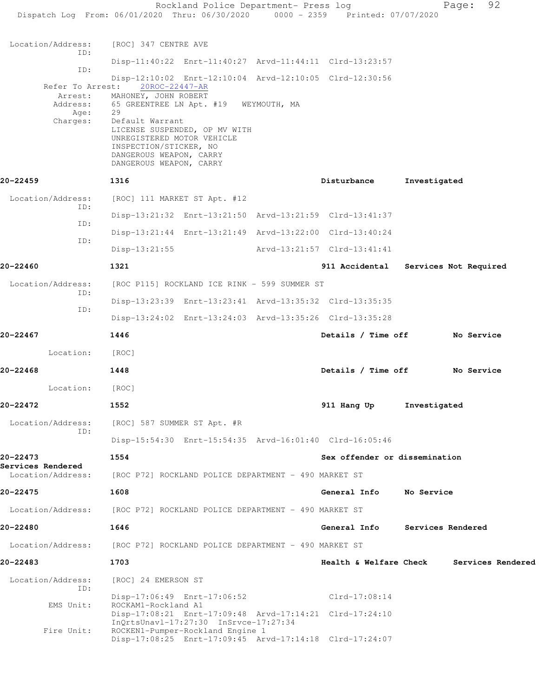|                                                             | Rockland Police Department- Press log<br>Dispatch Log From: 06/01/2020 Thru: 06/30/2020 0000 - 2359 Printed: 07/07/2020                                                                                                                                 |                               | 92<br>Page:           |
|-------------------------------------------------------------|---------------------------------------------------------------------------------------------------------------------------------------------------------------------------------------------------------------------------------------------------------|-------------------------------|-----------------------|
| Location/Address:                                           | [ROC] 347 CENTRE AVE                                                                                                                                                                                                                                    |                               |                       |
| ID:                                                         | Disp-11:40:22 Enrt-11:40:27 Arvd-11:44:11 Clrd-13:23:57                                                                                                                                                                                                 |                               |                       |
| ID:                                                         | Disp-12:10:02 Enrt-12:10:04 Arvd-12:10:05 Clrd-12:30:56                                                                                                                                                                                                 |                               |                       |
| Refer To Arrest:<br>Arrest:<br>Address:<br>Age:<br>Charges: | 20ROC-22447-AR<br>MAHONEY, JOHN ROBERT<br>65 GREENTREE LN Apt. #19 WEYMOUTH, MA<br>29<br>Default Warrant<br>LICENSE SUSPENDED, OP MV WITH<br>UNREGISTERED MOTOR VEHICLE<br>INSPECTION/STICKER, NO<br>DANGEROUS WEAPON, CARRY<br>DANGEROUS WEAPON, CARRY |                               |                       |
| 20-22459                                                    | 1316                                                                                                                                                                                                                                                    | Disturbance                   | Investigated          |
| Location/Address:<br>ID:                                    | [ROC] 111 MARKET ST Apt. #12                                                                                                                                                                                                                            |                               |                       |
| ID:                                                         | Disp-13:21:32 Enrt-13:21:50 Arvd-13:21:59 Clrd-13:41:37                                                                                                                                                                                                 |                               |                       |
| ID:                                                         | Disp-13:21:44 Enrt-13:21:49 Arvd-13:22:00 Clrd-13:40:24                                                                                                                                                                                                 |                               |                       |
|                                                             | $Disp-13:21:55$                                                                                                                                                                                                                                         | Arvd-13:21:57 Clrd-13:41:41   |                       |
| 20-22460                                                    | 1321                                                                                                                                                                                                                                                    | 911 Accidental                | Services Not Required |
| Location/Address:<br>ID:                                    | [ROC P115] ROCKLAND ICE RINK - 599 SUMMER ST                                                                                                                                                                                                            |                               |                       |
| ID:                                                         | Disp-13:23:39 Enrt-13:23:41 Arvd-13:35:32 Clrd-13:35:35                                                                                                                                                                                                 |                               |                       |
|                                                             | Disp-13:24:02 Enrt-13:24:03 Arvd-13:35:26 Clrd-13:35:28                                                                                                                                                                                                 |                               |                       |
| 20-22467                                                    | 1446                                                                                                                                                                                                                                                    | Details / Time off            | No Service            |
| Location:                                                   | [ROC]                                                                                                                                                                                                                                                   |                               |                       |
| 20-22468                                                    | 1448                                                                                                                                                                                                                                                    | Details / Time off            | No Service            |
| Location:                                                   | [ROC]                                                                                                                                                                                                                                                   |                               |                       |
| 20-22472                                                    | 1552                                                                                                                                                                                                                                                    | 911 Hang Up                   | Investigated          |
| Location/Address:<br>TD:                                    | [ROC] 587 SUMMER ST Apt. #R                                                                                                                                                                                                                             |                               |                       |
|                                                             | Disp-15:54:30 Enrt-15:54:35 Arvd-16:01:40 Clrd-16:05:46                                                                                                                                                                                                 |                               |                       |
| 20-22473<br>Services Rendered                               | 1554                                                                                                                                                                                                                                                    | Sex offender or dissemination |                       |
| Location/Address:                                           | [ROC P72] ROCKLAND POLICE DEPARTMENT - 490 MARKET ST                                                                                                                                                                                                    |                               |                       |
| 20-22475                                                    | 1608                                                                                                                                                                                                                                                    | General Info                  | No Service            |
| Location/Address:                                           | [ROC P72] ROCKLAND POLICE DEPARTMENT - 490 MARKET ST                                                                                                                                                                                                    |                               |                       |
| 20-22480                                                    | 1646                                                                                                                                                                                                                                                    | General Info                  | Services Rendered     |
| Location/Address:                                           | [ROC P72] ROCKLAND POLICE DEPARTMENT - 490 MARKET ST                                                                                                                                                                                                    |                               |                       |
| 20-22483                                                    | 1703                                                                                                                                                                                                                                                    | Health & Welfare Check        | Services Rendered     |
| Location/Address:<br>ID:                                    | [ROC] 24 EMERSON ST                                                                                                                                                                                                                                     |                               |                       |
| EMS Unit:                                                   | Disp-17:06:49 Enrt-17:06:52<br>ROCKAM1-Rockland A1<br>Disp-17:08:21 Enrt-17:09:48 Arvd-17:14:21 Clrd-17:24:10                                                                                                                                           | $Clrd-17:08:14$               |                       |
| Fire Unit:                                                  | $InQrtsUnav1-17:27:30$ $InSrvce-17:27:34$<br>ROCKEN1-Pumper-Rockland Engine 1<br>Disp-17:08:25 Enrt-17:09:45 Arvd-17:14:18 Clrd-17:24:07                                                                                                                |                               |                       |
|                                                             |                                                                                                                                                                                                                                                         |                               |                       |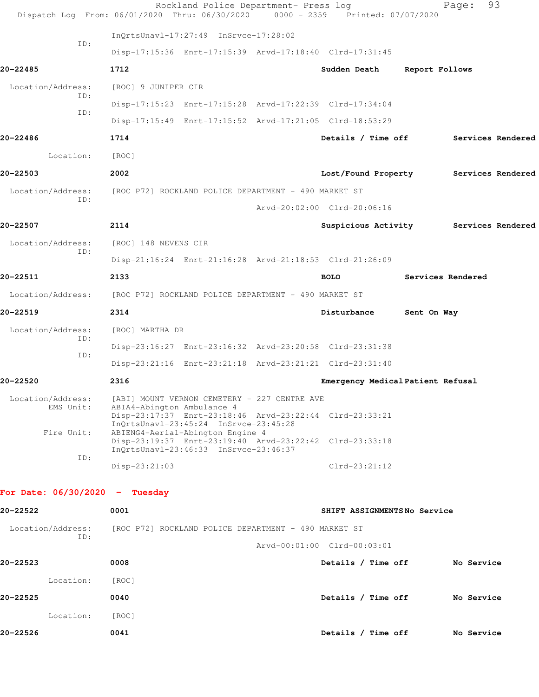|                                              | Rockland Police Department- Press log<br>Dispatch Log From: 06/01/2020 Thru: 06/30/2020 0000 - 2359 Printed: 07/07/2020                                                                                            |                                       |                   | 93<br>Page:       |  |
|----------------------------------------------|--------------------------------------------------------------------------------------------------------------------------------------------------------------------------------------------------------------------|---------------------------------------|-------------------|-------------------|--|
|                                              | InQrtsUnavl-17:27:49 InSrvce-17:28:02                                                                                                                                                                              |                                       |                   |                   |  |
| ID:                                          | Disp-17:15:36 Enrt-17:15:39 Arvd-17:18:40 Clrd-17:31:45                                                                                                                                                            |                                       |                   |                   |  |
| 20-22485                                     | 1712                                                                                                                                                                                                               | Sudden Death                          | Report Follows    |                   |  |
| Location/Address:                            | [ROC] 9 JUNIPER CIR                                                                                                                                                                                                |                                       |                   |                   |  |
| ID:<br>ID:                                   | Disp-17:15:23 Enrt-17:15:28 Arvd-17:22:39 Clrd-17:34:04                                                                                                                                                            |                                       |                   |                   |  |
|                                              | Disp-17:15:49 Enrt-17:15:52 Arvd-17:21:05 Clrd-18:53:29                                                                                                                                                            |                                       |                   |                   |  |
| 20-22486                                     | 1714                                                                                                                                                                                                               | Details / Time off                    |                   | Services Rendered |  |
| Location:                                    | [ROC]                                                                                                                                                                                                              |                                       |                   |                   |  |
| 20-22503                                     | 2002                                                                                                                                                                                                               | Lost/Found Property Services Rendered |                   |                   |  |
| Location/Address:<br>ID:                     | [ROC P72] ROCKLAND POLICE DEPARTMENT - 490 MARKET ST                                                                                                                                                               |                                       |                   |                   |  |
|                                              |                                                                                                                                                                                                                    | Arvd-20:02:00 Clrd-20:06:16           |                   |                   |  |
| 20-22507                                     | 2114                                                                                                                                                                                                               | Suspicious Activity Services Rendered |                   |                   |  |
| Location/Address:                            | [ROC] 148 NEVENS CIR                                                                                                                                                                                               |                                       |                   |                   |  |
| ID:                                          | Disp-21:16:24 Enrt-21:16:28 Arvd-21:18:53 Clrd-21:26:09                                                                                                                                                            |                                       |                   |                   |  |
| 20-22511                                     | 2133                                                                                                                                                                                                               | <b>BOLO</b>                           | Services Rendered |                   |  |
|                                              | Location/Address: [ROC P72] ROCKLAND POLICE DEPARTMENT - 490 MARKET ST                                                                                                                                             |                                       |                   |                   |  |
| 20-22519                                     | 2314                                                                                                                                                                                                               | Disturbance                           | Sent On Way       |                   |  |
| Location/Address:                            | [ROC] MARTHA DR                                                                                                                                                                                                    |                                       |                   |                   |  |
| ID:                                          | Disp-23:16:27 Enrt-23:16:32 Arvd-23:20:58 Clrd-23:31:38                                                                                                                                                            |                                       |                   |                   |  |
| ID:                                          | Disp-23:21:16 Enrt-23:21:18 Arvd-23:21:21 Clrd-23:31:40                                                                                                                                                            |                                       |                   |                   |  |
| 20-22520                                     | 2316                                                                                                                                                                                                               | Emergency Medical Patient Refusal     |                   |                   |  |
| Location/Address:<br>EMS Unit:<br>Fire Unit: | [ABI] MOUNT VERNON CEMETERY - 227 CENTRE AVE<br>ABIA4-Abington Ambulance 4<br>Disp-23:17:37 Enrt-23:18:46 Arvd-23:22:44 Clrd-23:33:21<br>InQrtsUnavl-23:45:24 InSrvce-23:45:28<br>ABIENG4-Aerial-Abington Engine 4 |                                       |                   |                   |  |
| ID:                                          | Disp-23:19:37 Enrt-23:19:40 Arvd-23:22:42 Clrd-23:33:18<br>InOrtsUnavl-23:46:33 InSrvce-23:46:37                                                                                                                   |                                       |                   |                   |  |
|                                              | $Disp-23:21:03$                                                                                                                                                                                                    | $Clrd-23:21:12$                       |                   |                   |  |
| For Date: $06/30/2020 - Tuesday$             |                                                                                                                                                                                                                    |                                       |                   |                   |  |
| 20-22522                                     | 0001                                                                                                                                                                                                               | SHIFT ASSIGNMENTSNo Service           |                   |                   |  |
| Location/Address:                            | [ROC P72] ROCKLAND POLICE DEPARTMENT - 490 MARKET ST                                                                                                                                                               |                                       |                   |                   |  |
| ID:                                          |                                                                                                                                                                                                                    | Arvd-00:01:00 Clrd-00:03:01           |                   |                   |  |
| 20-22523                                     | 0008                                                                                                                                                                                                               | Details / Time off                    |                   | No Service        |  |
| Location:                                    | [ROC]                                                                                                                                                                                                              |                                       |                   |                   |  |
| 20-22525                                     | 0040                                                                                                                                                                                                               | Details / Time off                    |                   | No Service        |  |
| Location:                                    | [ROC]                                                                                                                                                                                                              |                                       |                   |                   |  |
| 20-22526                                     | 0041                                                                                                                                                                                                               | Details / Time off                    |                   | No Service        |  |
|                                              |                                                                                                                                                                                                                    |                                       |                   |                   |  |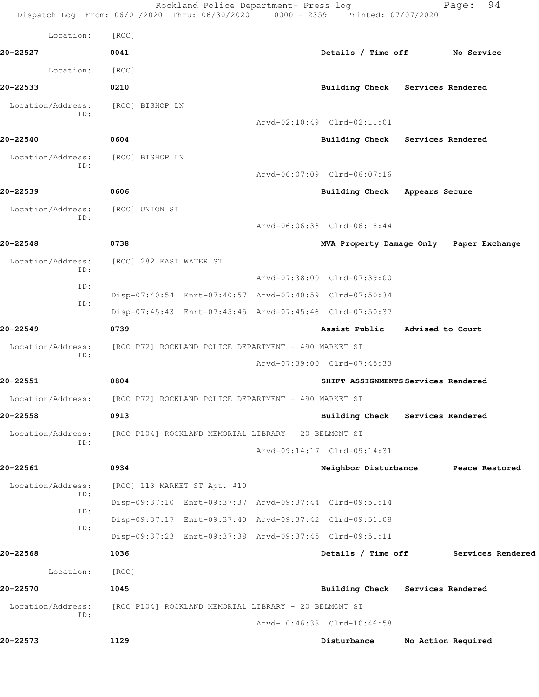|                          | Rockland Police Department- Press log<br>Dispatch Log From: 06/01/2020 Thru: 06/30/2020 0000 - 2359 Printed: 07/07/2020 |                                         |                    | 94<br>Page:       |
|--------------------------|-------------------------------------------------------------------------------------------------------------------------|-----------------------------------------|--------------------|-------------------|
| Location:                | [ROC]                                                                                                                   |                                         |                    |                   |
| 20-22527                 | 0041                                                                                                                    | Details / Time off No Service           |                    |                   |
| Location:                | [ROC]                                                                                                                   |                                         |                    |                   |
| 20-22533                 | 0210                                                                                                                    | Building Check Services Rendered        |                    |                   |
| Location/Address:<br>ID: | [ROC] BISHOP LN                                                                                                         |                                         |                    |                   |
|                          |                                                                                                                         | Arvd-02:10:49 Clrd-02:11:01             |                    |                   |
| 20-22540                 | 0604                                                                                                                    | Building Check Services Rendered        |                    |                   |
| Location/Address:<br>ID: | [ROC] BISHOP LN                                                                                                         |                                         |                    |                   |
|                          |                                                                                                                         | Arvd-06:07:09 Clrd-06:07:16             |                    |                   |
| 20-22539                 | 0606                                                                                                                    | Building Check Appears Secure           |                    |                   |
| Location/Address:<br>ID: | [ROC] UNION ST                                                                                                          |                                         |                    |                   |
|                          |                                                                                                                         | Arvd-06:06:38 Clrd-06:18:44             |                    |                   |
| 20-22548                 | 0738                                                                                                                    | MVA Property Damage Only Paper Exchange |                    |                   |
| Location/Address:<br>ID: | [ROC] 282 EAST WATER ST                                                                                                 |                                         |                    |                   |
| ID:                      |                                                                                                                         | Arvd-07:38:00 Clrd-07:39:00             |                    |                   |
| ID:                      | Disp-07:40:54 Enrt-07:40:57 Arvd-07:40:59 Clrd-07:50:34                                                                 |                                         |                    |                   |
|                          | Disp-07:45:43 Enrt-07:45:45 Arvd-07:45:46 Clrd-07:50:37                                                                 |                                         |                    |                   |
| 20-22549                 | 0739                                                                                                                    | Assist Public                           | Advised to Court   |                   |
| Location/Address:<br>ID: | [ROC P72] ROCKLAND POLICE DEPARTMENT - 490 MARKET ST                                                                    |                                         |                    |                   |
|                          |                                                                                                                         | Arvd-07:39:00 Clrd-07:45:33             |                    |                   |
| 20-22551                 | 0804                                                                                                                    | SHIFT ASSIGNMENTS Services Rendered     |                    |                   |
| Location/Address:        | [ROC P72] ROCKLAND POLICE DEPARTMENT - 490 MARKET ST                                                                    |                                         |                    |                   |
| 20-22558                 | 0913                                                                                                                    | Building Check Services Rendered        |                    |                   |
| Location/Address:<br>ID: | [ROC P104] ROCKLAND MEMORIAL LIBRARY - 20 BELMONT ST                                                                    |                                         |                    |                   |
|                          |                                                                                                                         | Arvd-09:14:17 Clrd-09:14:31             |                    |                   |
| 20-22561                 | 0934                                                                                                                    | Neighbor Disturbance                    |                    | Peace Restored    |
| Location/Address:<br>ID: | [ROC] 113 MARKET ST Apt. #10                                                                                            |                                         |                    |                   |
| ID:                      | Disp-09:37:10 Enrt-09:37:37 Arvd-09:37:44 Clrd-09:51:14                                                                 |                                         |                    |                   |
| ID:                      | Disp-09:37:17 Enrt-09:37:40 Arvd-09:37:42 Clrd-09:51:08                                                                 |                                         |                    |                   |
|                          | Disp-09:37:23 Enrt-09:37:38 Arvd-09:37:45 Clrd-09:51:11                                                                 |                                         |                    |                   |
| 20-22568                 | 1036                                                                                                                    | Details / Time off                      |                    | Services Rendered |
| Location:                | [ROC]                                                                                                                   |                                         |                    |                   |
| 20-22570                 | 1045                                                                                                                    | Building Check Services Rendered        |                    |                   |
| Location/Address:<br>ID: | [ROC P104] ROCKLAND MEMORIAL LIBRARY - 20 BELMONT ST                                                                    |                                         |                    |                   |
|                          |                                                                                                                         | Arvd-10:46:38 Clrd-10:46:58             |                    |                   |
| 20-22573                 | 1129                                                                                                                    | Disturbance                             | No Action Required |                   |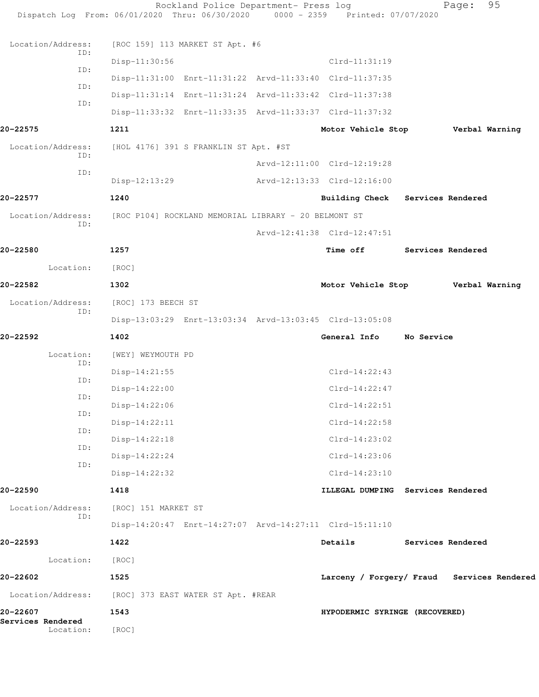| Services Rendered<br>Location: | [ROC]                                                                          |  |                                            |                          |                   |  |
|--------------------------------|--------------------------------------------------------------------------------|--|--------------------------------------------|--------------------------|-------------------|--|
| 20-22607                       | [ROC] 373 EAST WATER ST Apt. #REAR<br>1543<br>HYPODERMIC SYRINGE (RECOVERED)   |  |                                            |                          |                   |  |
| Location/Address:              | 1525                                                                           |  | Larceny / Forgery/ Fraud Services Rendered |                          |                   |  |
| Location:<br>20-22602          | [ROC]                                                                          |  |                                            |                          |                   |  |
| 20-22593                       | 1422                                                                           |  | Details                                    |                          | Services Rendered |  |
|                                | Disp-14:20:47 Enrt-14:27:07 Arvd-14:27:11 Clrd-15:11:10                        |  |                                            |                          |                   |  |
| Location/Address:<br>ID:       | [ROC] 151 MARKET ST                                                            |  |                                            |                          |                   |  |
| 20-22590                       | 1418                                                                           |  | ILLEGAL DUMPING Services Rendered          |                          |                   |  |
|                                | Disp-14:22:32                                                                  |  | $Clrd-14:23:10$                            |                          |                   |  |
| ID:<br>ID:                     | Disp-14:22:24                                                                  |  | $Clrd-14:23:06$                            |                          |                   |  |
| ID:                            | Disp-14:22:18                                                                  |  | $Clrd-14:23:02$                            |                          |                   |  |
| ID:                            | $Disp-14:22:11$                                                                |  | $Clrd-14:22:58$                            |                          |                   |  |
| ID:                            | Disp-14:22:06                                                                  |  | $Clrd-14:22:51$                            |                          |                   |  |
| ID:                            | $Disp-14:22:00$                                                                |  | $Clrd-14:22:47$                            |                          |                   |  |
| ID:                            | $Disp-14:21:55$                                                                |  | $Clrd-14:22:43$                            |                          |                   |  |
| Location:                      | [WEY] WEYMOUTH PD                                                              |  |                                            |                          |                   |  |
| 20-22592                       | 1402                                                                           |  | General Info No Service                    |                          |                   |  |
| ID:                            | Disp-13:03:29 Enrt-13:03:34 Arvd-13:03:45 Clrd-13:05:08                        |  |                                            |                          |                   |  |
| Location/Address:              | [ROC] 173 BEECH ST                                                             |  |                                            |                          |                   |  |
| 20-22582                       | 1302                                                                           |  | Motor Vehicle Stop Verbal Warning          |                          |                   |  |
| Location:                      | [ROC]                                                                          |  |                                            |                          |                   |  |
| 20-22580                       | 1257                                                                           |  | <b>Time off</b>                            | <b>Services Rendered</b> |                   |  |
| ID:                            |                                                                                |  | Arvd-12:41:38 Clrd-12:47:51                |                          |                   |  |
| Location/Address:              | [ROC P104] ROCKLAND MEMORIAL LIBRARY - 20 BELMONT ST                           |  |                                            |                          |                   |  |
| 20-22577                       | 1240                                                                           |  | Building Check Services Rendered           |                          |                   |  |
| ID:                            | $Disp-12:13:29$                                                                |  | Arvd-12:13:33 Clrd-12:16:00                |                          |                   |  |
| Location/Address:<br>ID:       | [HOL 4176] 391 S FRANKLIN ST Apt. #ST                                          |  | Arvd-12:11:00 Clrd-12:19:28                |                          |                   |  |
|                                |                                                                                |  | Motor Vehicle Stop Verbal Warning          |                          |                   |  |
| 20-22575                       | Disp-11:33:32 Enrt-11:33:35 Arvd-11:33:37 Clrd-11:37:32<br>1211                |  |                                            |                          |                   |  |
| ID:                            | Disp-11:31:14 Enrt-11:31:24 Arvd-11:33:42 Clrd-11:37:38                        |  |                                            |                          |                   |  |
| ID:                            | Disp-11:31:00 Enrt-11:31:22 Arvd-11:33:40 Clrd-11:37:35                        |  |                                            |                          |                   |  |
| ID:                            | $Disp-11:30:56$                                                                |  | $Clrd-11:31:19$                            |                          |                   |  |
| Location/Address:<br>ID:       | [ROC 159] 113 MARKET ST Apt. #6                                                |  |                                            |                          |                   |  |
|                                | Dispatch Log From: 06/01/2020 Thru: 06/30/2020 0000 - 2359 Printed: 07/07/2020 |  |                                            |                          |                   |  |
|                                | Rockland Police Department- Press log                                          |  |                                            |                          | 95<br>Page:       |  |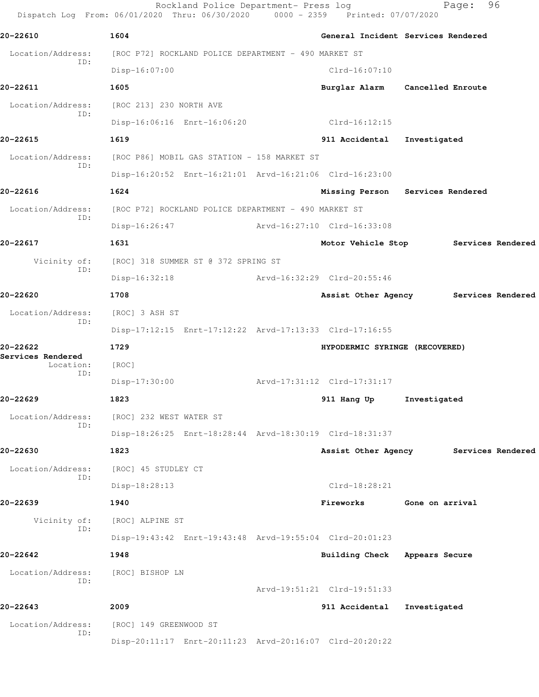Rockland Police Department- Press log Fage: 96 Dispatch Log From: 06/01/2020 Thru: 06/30/2020 0000 - 2359 Printed: 07/07/2020 **20-22610 1604 General Incident Services Rendered** Location/Address: [ROC P72] ROCKLAND POLICE DEPARTMENT - 490 MARKET ST ID: Disp-16:07:00 Clrd-16:07:10 **20-22611 1605 Burglar Alarm Cancelled Enroute** Location/Address: [ROC 213] 230 NORTH AVE ID: Disp-16:06:16 Enrt-16:06:20 Clrd-16:12:15 **20-22615 1619 911 Accidental Investigated** Location/Address: [ROC P86] MOBIL GAS STATION - 158 MARKET ST ID: Disp-16:20:52 Enrt-16:21:01 Arvd-16:21:06 Clrd-16:23:00 **20-22616 1624 Missing Person Services Rendered** Location/Address: [ROC P72] ROCKLAND POLICE DEPARTMENT - 490 MARKET ST ID: Disp-16:26:47 Arvd-16:27:10 Clrd-16:33:08 **20-22617 1631 Motor Vehicle Stop Services Rendered** Vicinity of: [ROC] 318 SUMMER ST @ 372 SPRING ST ID: Disp-16:32:18 Arvd-16:32:29 Clrd-20:55:46 **20-22620 1708 Assist Other Agency Services Rendered** Location/Address: [ROC] 3 ASH ST ID: Disp-17:12:15 Enrt-17:12:22 Arvd-17:13:33 Clrd-17:16:55 **20-22622 1729 HYPODERMIC SYRINGE (RECOVERED) Services Rendered**  Location: [ROC] ID: Disp-17:30:00 Arvd-17:31:12 Clrd-17:31:17 **20-22629 1823 911 Hang Up Investigated** Location/Address: [ROC] 232 WEST WATER ST ID: Disp-18:26:25 Enrt-18:28:44 Arvd-18:30:19 Clrd-18:31:37 **20-22630 1823 Assist Other Agency Services Rendered** Location/Address: [ROC] 45 STUDLEY CT ID: Disp-18:28:13 Clrd-18:28:21 **20-22639 1940 Fireworks Gone on arrival** Vicinity of: [ROC] ALPINE ST ID: Disp-19:43:42 Enrt-19:43:48 Arvd-19:55:04 Clrd-20:01:23 **20-22642 1948 Building Check Appears Secure** Location/Address: [ROC] BISHOP LN ID: Arvd-19:51:21 Clrd-19:51:33 **20-22643 2009 911 Accidental Investigated** Location/Address: [ROC] 149 GREENWOOD ST ID: Disp-20:11:17 Enrt-20:11:23 Arvd-20:16:07 Clrd-20:20:22